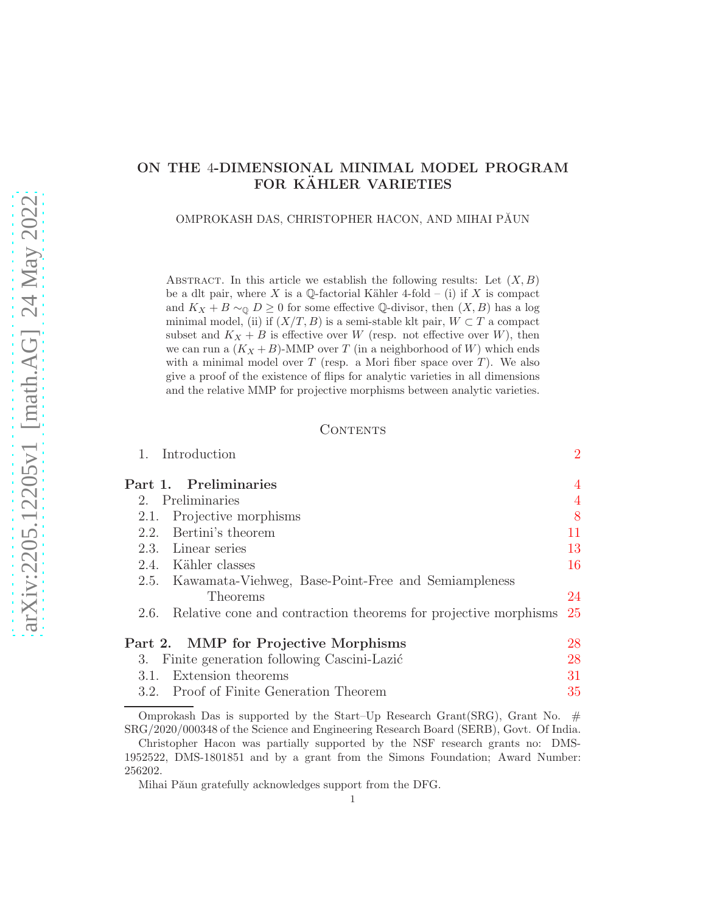# ON THE 4-DIMENSIONAL MINIMAL MODEL PROGRAM FOR KÄHLER VARIETIES

OMPROKASH DAS, CHRISTOPHER HACON, AND MIHAI PĂUN

ABSTRACT. In this article we establish the following results: Let  $(X, B)$ be a dlt pair, where X is a Q-factorial Kähler 4-fold – (i) if X is compact and  $K_X + B \sim_{\mathbb{Q}} D \geq 0$  for some effective Q-divisor, then  $(X, B)$  has a log minimal model, (ii) if  $(X/T, B)$  is a semi-stable klt pair,  $W \subset T$  a compact subset and  $K_X + B$  is effective over W (resp. not effective over W), then we can run a  $(K_X + B)$ -MMP over T (in a neighborhood of W) which ends with a minimal model over  $T$  (resp. a Mori fiber space over  $T$ ). We also give a proof of the existence of flips for analytic varieties in all dimensions and the relative MMP for projective morphisms between analytic varieties.

### CONTENTS

1. Introduction [2](#page-1-0)

| Part 1. Preliminaries                                                |     |
|----------------------------------------------------------------------|-----|
| 2. Preliminaries                                                     |     |
| 2.1. Projective morphisms                                            | 8   |
| 2.2. Bertini's theorem                                               | 11  |
| 2.3. Linear series                                                   | 13  |
| 2.4. Kähler classes                                                  | 16  |
| 2.5. Kawamata-Viehweg, Base-Point-Free and Semiampleness             |     |
| Theorems                                                             | 24  |
| 2.6. Relative cone and contraction theorems for projective morphisms | -25 |
| Part 2. MMP for Projective Morphisms                                 | 28  |
| Finite generation following Cascini-Lazić<br>3.                      | 28  |
| 3.1. Extension theorems                                              | 31  |
| 3.2. Proof of Finite Generation Theorem                              | 35  |

Omprokash Das is supported by the Start–Up Research Grant(SRG), Grant No.  $#$ SRG/2020/000348 of the Science and Engineering Research Board (SERB), Govt. Of India.

Mihai Păun gratefully acknowledges support from the DFG.

Christopher Hacon was partially supported by the NSF research grants no: DMS-1952522, DMS-1801851 and by a grant from the Simons Foundation; Award Number: 256202.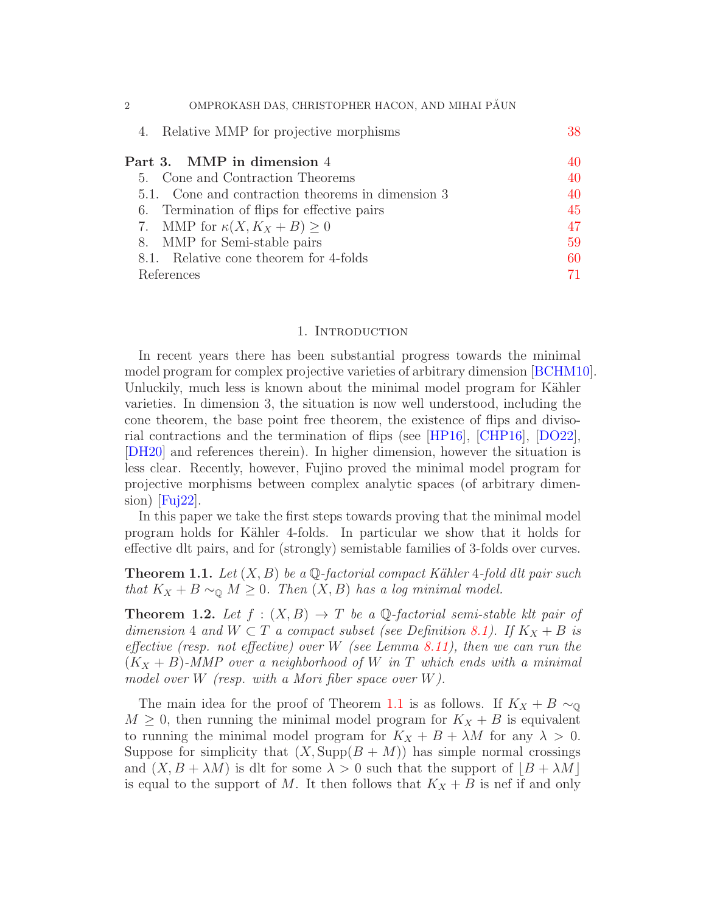| OMPROKASH DAS, CHRISTOPHER HACON, AND MIHAI PĂUN<br>$\overline{2}$ |    |
|--------------------------------------------------------------------|----|
| 4. Relative MMP for projective morphisms                           | 38 |
| Part 3. MMP in dimension 4                                         | 40 |
| 5. Cone and Contraction Theorems                                   | 40 |
| 5.1. Cone and contraction theorems in dimension 3                  | 40 |
| 6. Termination of flips for effective pairs                        | 45 |
| 7. MMP for $\kappa(X, K_X + B) \geq 0$                             | 47 |
| 8. MMP for Semi-stable pairs                                       | 59 |
| 8.1. Relative cone theorem for 4-folds                             | 60 |
| References                                                         |    |

### 1. INTRODUCTION

<span id="page-1-0"></span>In recent years there has been substantial progress towards the minimal model program for complex projective varieties of arbitrary dimension [\[BCHM10\]](#page-70-1). Unluckily, much less is known about the minimal model program for Kähler varieties. In dimension 3, the situation is now well understood, including the cone theorem, the base point free theorem, the existence of flips and divisorial contractions and the termination of flips (see [\[HP16\]](#page-71-0), [\[CHP16\]](#page-70-2), [\[DO22\]](#page-71-1), [\[DH20\]](#page-71-2) and references therein). In higher dimension, however the situation is less clear. Recently, however, Fujino proved the minimal model program for projective morphisms between complex analytic spaces (of arbitrary dimen- $\sin\left[\text{Fuj22}\right].$ 

In this paper we take the first steps towards proving that the minimal model program holds for K¨ahler 4-folds. In particular we show that it holds for effective dlt pairs, and for (strongly) semistable families of 3-folds over curves.

<span id="page-1-1"></span>**Theorem 1.1.** Let  $(X, B)$  be a  $\mathbb Q$ -factorial compact Kähler 4-fold dlt pair such that  $K_X + B \sim_{\mathbb{Q}} M \geq 0$ . Then  $(X, B)$  has a log minimal model.

<span id="page-1-2"></span>**Theorem 1.2.** Let  $f : (X, B) \to T$  be a Q-factorial semi-stable klt pair of dimension 4 and  $W \subset T$  a compact subset (see Definition [8.1\)](#page-58-1). If  $K_X + B$  is effective (resp. not effective) over W (see Lemma [8.11\)](#page-64-0), then we can run the  $(K_X + B)$ -MMP over a neighborhood of W in T which ends with a minimal model over W (resp. with a Mori fiber space over  $W$ ).

The main idea for the proof of Theorem [1.1](#page-1-1) is as follows. If  $K_X + B \sim_{\mathbb{Q}}$  $M \geq 0$ , then running the minimal model program for  $K_X + B$  is equivalent to running the minimal model program for  $K_X + B + \lambda M$  for any  $\lambda > 0$ . Suppose for simplicity that  $(X, \text{Supp}(B + M))$  has simple normal crossings and  $(X, B + \lambda M)$  is dlt for some  $\lambda > 0$  such that the support of  $|B + \lambda M|$ is equal to the support of M. It then follows that  $K_X + B$  is nef if and only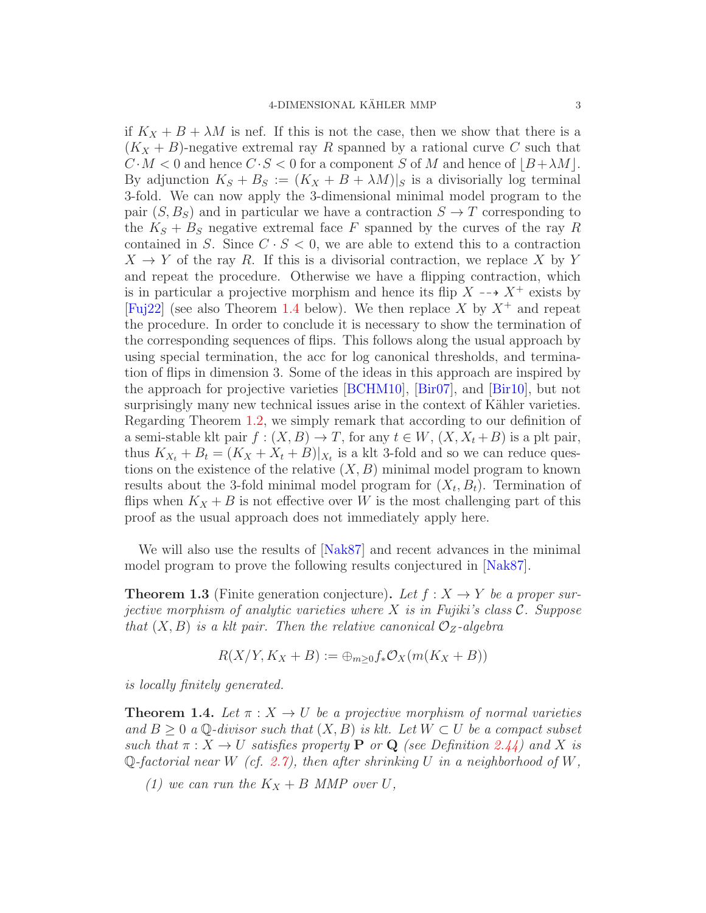if  $K_X + B + \lambda M$  is nef. If this is not the case, then we show that there is a  $(K_X + B)$ -negative extremal ray R spanned by a rational curve C such that  $C \cdot M < 0$  and hence  $C \cdot S < 0$  for a component S of M and hence of  $|B + \lambda M|$ . By adjunction  $K_S + B_S := (K_X + B + \lambda M)|_S$  is a divisorially log terminal 3-fold. We can now apply the 3-dimensional minimal model program to the pair  $(S, B_S)$  and in particular we have a contraction  $S \to T$  corresponding to the  $K_S + B_S$  negative extremal face F spanned by the curves of the ray R contained in S. Since  $C \cdot S < 0$ , we are able to extend this to a contraction  $X \to Y$  of the ray R. If this is a divisorial contraction, we replace X by Y and repeat the procedure. Otherwise we have a flipping contraction, which is in particular a projective morphism and hence its flip  $X \dashrightarrow X^+$  exists by [\[Fuj22\]](#page-71-3) (see also Theorem [1.4](#page-2-0) below). We then replace X by  $X^+$  and repeat the procedure. In order to conclude it is necessary to show the termination of the corresponding sequences of flips. This follows along the usual approach by using special termination, the acc for log canonical thresholds, and termination of flips in dimension 3. Some of the ideas in this approach are inspired by the approach for projective varieties [\[BCHM10\]](#page-70-1), [\[Bir07\]](#page-70-3), and [\[Bir10\]](#page-70-4), but not surprisingly many new technical issues arise in the context of Kähler varieties. Regarding Theorem [1.2,](#page-1-2) we simply remark that according to our definition of a semi-stable klt pair  $f : (X, B) \to T$ , for any  $t \in W$ ,  $(X, X_t + B)$  is a plt pair, thus  $K_{X_t} + B_t = (K_X + X_t + B)|_{X_t}$  is a klt 3-fold and so we can reduce questions on the existence of the relative  $(X, B)$  minimal model program to known results about the 3-fold minimal model program for  $(X_t, B_t)$ . Termination of flips when  $K_X + B$  is not effective over W is the most challenging part of this proof as the usual approach does not immediately apply here.

We will also use the results of  $[Nak87]$  and recent advances in the minimal model program to prove the following results conjectured in [\[Nak87\]](#page-72-0).

<span id="page-2-1"></span>**Theorem 1.3** (Finite generation conjecture). Let  $f: X \to Y$  be a proper surjective morphism of analytic varieties where X is in Fujiki's class  $\mathcal{C}$ . Suppose that  $(X, B)$  is a klt pair. Then the relative canonical  $\mathcal{O}_Z$ -algebra

$$
R(X/Y, K_X + B) := \bigoplus_{m \geq 0} f_* \mathcal{O}_X(m(K_X + B))
$$

is locally finitely generated.

<span id="page-2-0"></span>**Theorem 1.4.** Let  $\pi$  :  $X \to U$  be a projective morphism of normal varieties and  $B \geq 0$  a Q-divisor such that  $(X, B)$  is klt. Let  $W \subset U$  be a compact subset such that  $\pi: X \to U$  satisfies property **P** or **Q** (see Definition [2.44\)](#page-24-1) and X is Q-factorial near W (cf. [2.7\)](#page-5-0), then after shrinking U in a neighborhood of W,

(1) we can run the  $K_X + B$  MMP over U,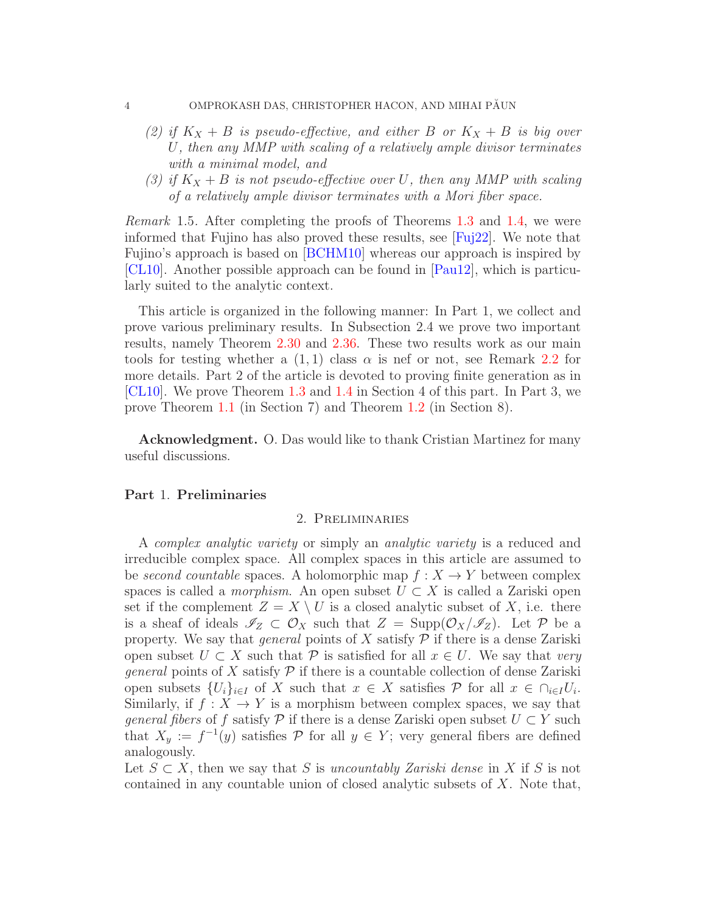#### 4 OMPROKASH DAS, CHRISTOPHER HACON, AND MIHAI PĂUN

- (2) if  $K_X + B$  is pseudo-effective, and either B or  $K_X + B$  is big over U, then any MMP with scaling of a relatively ample divisor terminates with a minimal model, and
- (3) if  $K_X + B$  is not pseudo-effective over U, then any MMP with scaling of a relatively ample divisor terminates with a Mori fiber space.

Remark 1.5. After completing the proofs of Theorems [1.3](#page-2-1) and [1.4,](#page-2-0) we were informed that Fujino has also proved these results, see [\[Fuj22\]](#page-71-3). We note that Fujino's approach is based on [\[BCHM10\]](#page-70-1) whereas our approach is inspired by [\[CL10\]](#page-71-4). Another possible approach can be found in [\[Pau12\]](#page-72-1), which is particularly suited to the analytic context.

This article is organized in the following manner: In Part 1, we collect and prove various preliminary results. In Subsection 2.4 we prove two important results, namely Theorem [2.30](#page-16-0) and [2.36.](#page-22-0) These two results work as our main tools for testing whether a  $(1, 1)$  class  $\alpha$  is nef or not, see Remark [2.2](#page-4-0) for more details. Part 2 of the article is devoted to proving finite generation as in [\[CL10\]](#page-71-4). We prove Theorem [1.3](#page-2-1) and [1.4](#page-2-0) in Section 4 of this part. In Part 3, we prove Theorem [1.1](#page-1-1) (in Section 7) and Theorem [1.2](#page-1-2) (in Section 8).

Acknowledgment. O. Das would like to thank Cristian Martinez for many useful discussions.

### <span id="page-3-1"></span><span id="page-3-0"></span>Part 1. Preliminaries

### 2. Preliminaries

A complex analytic variety or simply an analytic variety is a reduced and irreducible complex space. All complex spaces in this article are assumed to be second countable spaces. A holomorphic map  $f: X \to Y$  between complex spaces is called a *morphism*. An open subset  $U \subset X$  is called a Zariski open set if the complement  $Z = X \setminus U$  is a closed analytic subset of X, i.e. there is a sheaf of ideals  $\mathscr{I}_Z \subset \mathcal{O}_X$  such that  $Z = \text{Supp}(\mathcal{O}_X/\mathcal{I}_Z)$ . Let P be a property. We say that *general* points of X satisfy  $P$  if there is a dense Zariski open subset  $U \subset X$  such that P is satisfied for all  $x \in U$ . We say that very *general* points of X satisfy  $P$  if there is a countable collection of dense Zariski open subsets  $\{U_i\}_{i\in I}$  of X such that  $x \in X$  satisfies  $P$  for all  $x \in \bigcap_{i\in I} U_i$ . Similarly, if  $f: X \to Y$  is a morphism between complex spaces, we say that *general fibers* of f satisfy  $\mathcal P$  if there is a dense Zariski open subset  $U \subset Y$  such that  $X_y := f^{-1}(y)$  satisfies  $\mathcal P$  for all  $y \in Y$ ; very general fibers are defined analogously.

Let  $S \subset X$ , then we say that S is uncountably Zariski dense in X if S is not contained in any countable union of closed analytic subsets of  $X$ . Note that,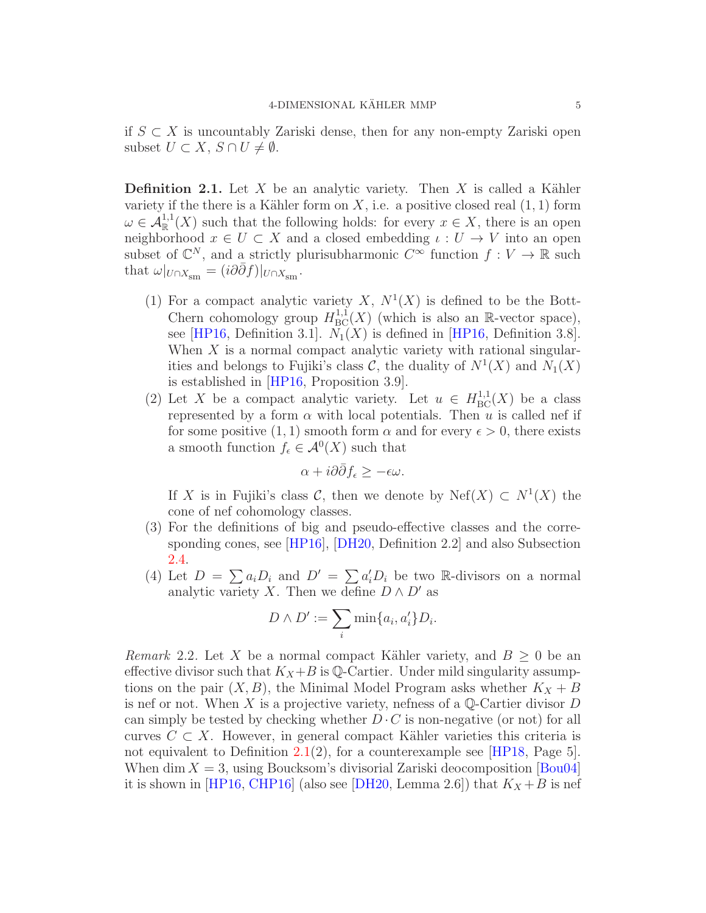if  $S \subset X$  is uncountably Zariski dense, then for any non-empty Zariski open subset  $U \subset X$ ,  $S \cap U \neq \emptyset$ .

<span id="page-4-1"></span>**Definition 2.1.** Let X be an analytic variety. Then X is called a Kähler variety if the there is a Kähler form on  $X$ , i.e. a positive closed real  $(1, 1)$  form  $\omega \in \mathcal{A}_{\mathbb{R}}^{1,1}(X)$  such that the following holds: for every  $x \in X$ , there is an open neighborhood  $x \in U \subset X$  and a closed embedding  $\iota: U \to V$  into an open subset of  $\mathbb{C}^N$ , and a strictly plurisubharmonic  $C^{\infty}$  function  $f: V \to \mathbb{R}$  such that  $\omega|_{U \cap X_{\rm sm}} = (i \partial \bar{\partial} f)|_{U \cap X_{\rm sm}}$ .

- (1) For a compact analytic variety X,  $N^1(X)$  is defined to be the Bott-Chern cohomology group  $H^{1,1}_{BC}(X)$  (which is also an R-vector space), see [\[HP16,](#page-71-0) Definition 3.1].  $N_1(X)$  is defined in [HP16, Definition 3.8]. When  $X$  is a normal compact analytic variety with rational singularities and belongs to Fujiki's class  $\mathcal{C}$ , the duality of  $N^1(X)$  and  $N_1(X)$ is established in [\[HP16,](#page-71-0) Proposition 3.9].
- (2) Let X be a compact analytic variety. Let  $u \in H^{1,1}_{BC}(X)$  be a class represented by a form  $\alpha$  with local potentials. Then u is called nef if for some positive  $(1, 1)$  smooth form  $\alpha$  and for every  $\epsilon > 0$ , there exists a smooth function  $f_{\epsilon} \in \mathcal{A}^0(X)$  such that

$$
\alpha + i\partial\bar{\partial}f_{\epsilon} \geq -\epsilon\omega.
$$

If X is in Fujiki's class C, then we denote by  $Nef(X) \subset N^1(X)$  the cone of nef cohomology classes.

- (3) For the definitions of big and pseudo-effective classes and the corresponding cones, see [\[HP16\]](#page-71-0), [\[DH20,](#page-71-2) Definition 2.2] and also Subsection [2.4.](#page-15-0)
- (4) Let  $D = \sum a_i D_i$  and  $D' = \sum a'_i D_i$  be two R-divisors on a normal analytic variety X. Then we define  $D \wedge D'$  as

$$
D \wedge D' := \sum_i \min\{a_i, a'_i\} D_i.
$$

<span id="page-4-0"></span>*Remark* 2.2. Let X be a normal compact Kähler variety, and  $B \geq 0$  be an effective divisor such that  $K_X + B$  is Q-Cartier. Under mild singularity assumptions on the pair  $(X, B)$ , the Minimal Model Program asks whether  $K_X + B$ is nef or not. When X is a projective variety, nefness of a  $\mathbb{Q}$ -Cartier divisor D can simply be tested by checking whether  $D \cdot C$  is non-negative (or not) for all curves  $C \subset X$ . However, in general compact Kähler varieties this criteria is not equivalent to Definition  $2.1(2)$  $2.1(2)$ , for a counterexample see [\[HP18,](#page-71-5) Page 5]. When dim  $X = 3$ , using Boucksom's divisorial Zariski deocomposition [\[Bou04\]](#page-70-5) it is shown in [\[HP16,](#page-71-0) [CHP16\]](#page-70-2) (also see [\[DH20,](#page-71-2) Lemma 2.6]) that  $K_X + B$  is nef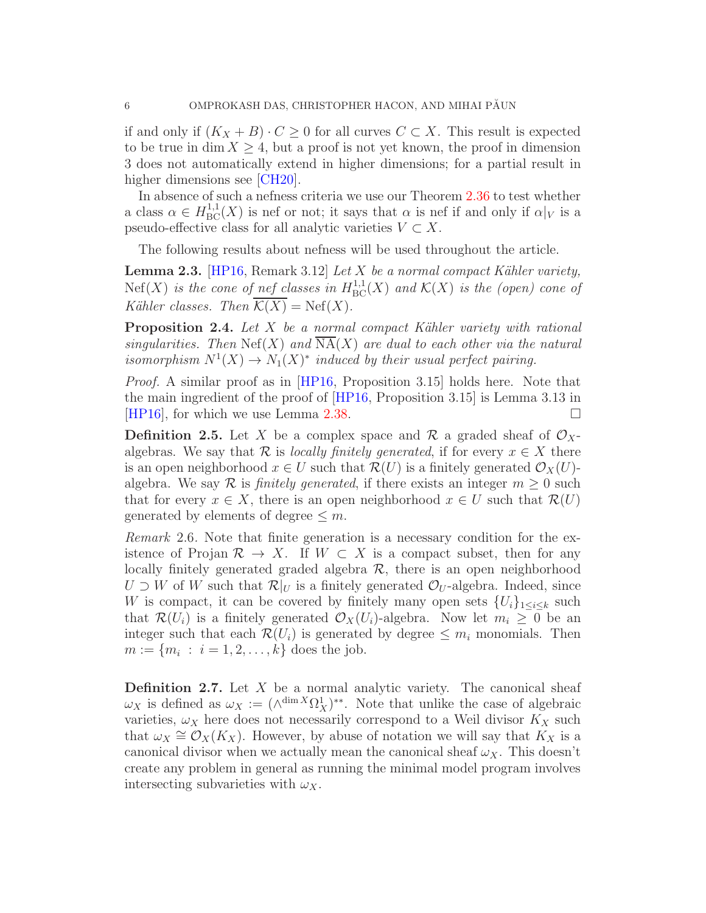if and only if  $(K_X + B) \cdot C \geq 0$  for all curves  $C \subset X$ . This result is expected to be true in dim  $X \geq 4$ , but a proof is not yet known, the proof in dimension 3 does not automatically extend in higher dimensions; for a partial result in higher dimensions see [\[CH20\]](#page-70-6).

In absence of such a nefness criteria we use our Theorem [2.36](#page-22-0) to test whether a class  $\alpha \in H^{1,1}_{BC}(X)$  is nef or not; it says that  $\alpha$  is nef if and only if  $\alpha|_V$  is a pseudo-effective class for all analytic varieties  $V \subset X$ .

The following results about nefness will be used throughout the article.

**Lemma 2.3.** [\[HP16,](#page-71-0) Remark 3.12] Let X be a normal compact Kähler variety,  $Nef(X)$  is the cone of nef classes in  $H^{1,1}_{BC}(X)$  and  $\mathcal{K}(X)$  is the (open) cone of Kähler classes. Then  $\overline{\mathcal{K}(X)} = \text{Nef}(X)$ .

**Proposition 2.4.** Let  $X$  be a normal compact Kähler variety with rational singularities. Then  $\text{Nef}(X)$  and  $\overline{\text{NA}}(X)$  are dual to each other via the natural isomorphism  $N^1(X) \to N_1(X)^*$  induced by their usual perfect pairing.

Proof. A similar proof as in [\[HP16,](#page-71-0) Proposition 3.15] holds here. Note that the main ingredient of the proof of [\[HP16,](#page-71-0) Proposition 3.15] is Lemma 3.13 in [\[HP16\]](#page-71-0), for which we use Lemma [2.38.](#page-22-1)  $\square$ 

**Definition 2.5.** Let X be a complex space and R a graded sheaf of  $\mathcal{O}_X$ algebras. We say that R is *locally finitely generated*, if for every  $x \in X$  there is an open neighborhood  $x \in U$  such that  $\mathcal{R}(U)$  is a finitely generated  $\mathcal{O}_X(U)$ algebra. We say R is *finitely generated*, if there exists an integer  $m \geq 0$  such that for every  $x \in X$ , there is an open neighborhood  $x \in U$  such that  $\mathcal{R}(U)$ generated by elements of degree  $\leq m$ .

Remark 2.6. Note that finite generation is a necessary condition for the existence of Projan  $\mathcal{R} \to X$ . If  $W \subset X$  is a compact subset, then for any locally finitely generated graded algebra  $\mathcal{R}$ , there is an open neighborhood  $U \supset W$  of W such that  $\mathcal{R}|_U$  is a finitely generated  $\mathcal{O}_U$ -algebra. Indeed, since W is compact, it can be covered by finitely many open sets  $\{U_i\}_{1\leq i\leq k}$  such that  $\mathcal{R}(U_i)$  is a finitely generated  $\mathcal{O}_X(U_i)$ -algebra. Now let  $m_i \geq 0$  be an integer such that each  $\mathcal{R}(U_i)$  is generated by degree  $\leq m_i$  monomials. Then  $m := \{m_i : i = 1, 2, ..., k\}$  does the job.

<span id="page-5-0"></span>**Definition 2.7.** Let  $X$  be a normal analytic variety. The canonical sheaf  $\omega_X$  is defined as  $\omega_X := (\wedge^{\dim X} \Omega^1_X)^{**}$ . Note that unlike the case of algebraic varieties,  $\omega_X$  here does not necessarily correspond to a Weil divisor  $K_X$  such that  $\omega_X \cong \mathcal{O}_X(K_X)$ . However, by abuse of notation we will say that  $K_X$  is a canonical divisor when we actually mean the canonical sheaf  $\omega_X$ . This doesn't create any problem in general as running the minimal model program involves intersecting subvarieties with  $\omega_X$ .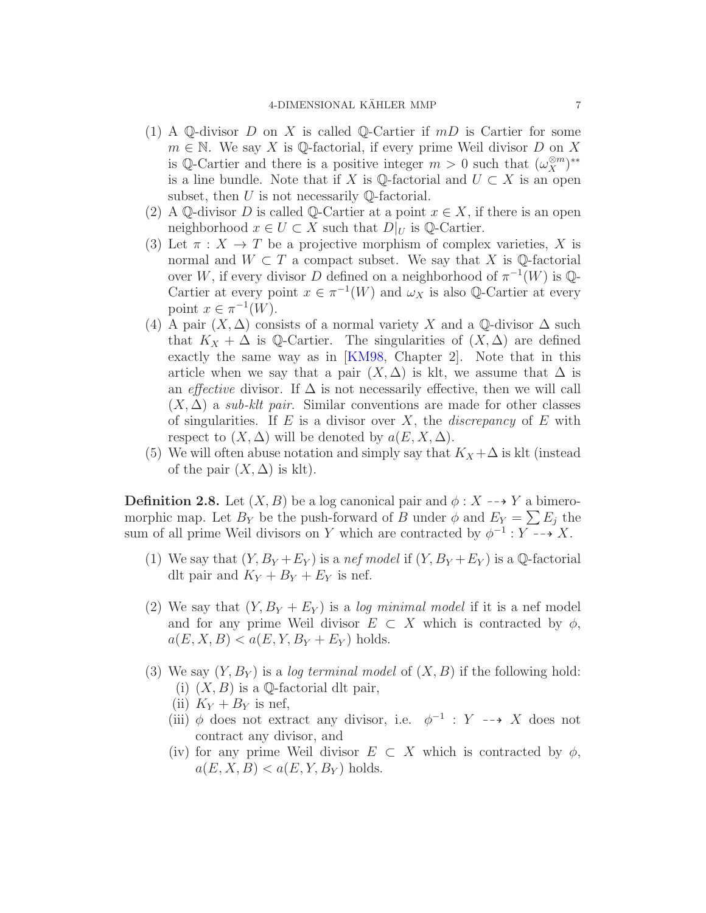- (1) A Q-divisor D on X is called Q-Cartier if  $mD$  is Cartier for some  $m \in \mathbb{N}$ . We say X is Q-factorial, if every prime Weil divisor D on X is Q-Cartier and there is a positive integer  $m > 0$  such that  $(\omega_X^{\otimes m})^{**}$ is a line bundle. Note that if X is  $\mathbb{Q}$ -factorial and  $U \subset X$  is an open subset, then  $U$  is not necessarily Q-factorial.
- (2) A Q-divisor D is called Q-Cartier at a point  $x \in X$ , if there is an open neighborhood  $x \in U \subset X$  such that  $D|_U$  is  $\mathbb{Q}$ -Cartier.
- (3) Let  $\pi : X \to T$  be a projective morphism of complex varieties, X is normal and  $W \subset T$  a compact subset. We say that X is Q-factorial over W, if every divisor D defined on a neighborhood of  $\pi^{-1}(W)$  is  $\mathbb{Q}$ -Cartier at every point  $x \in \pi^{-1}(W)$  and  $\omega_X$  is also Q-Cartier at every point  $x \in \pi^{-1}(W)$ .
- (4) A pair  $(X, \Delta)$  consists of a normal variety X and a Q-divisor  $\Delta$  such that  $K_X + \Delta$  is Q-Cartier. The singularities of  $(X, \Delta)$  are defined exactly the same way as in [\[KM98,](#page-72-2) Chapter 2]. Note that in this article when we say that a pair  $(X, \Delta)$  is klt, we assume that  $\Delta$  is an *effective* divisor. If  $\Delta$  is not necessarily effective, then we will call  $(X, \Delta)$  a sub-klt pair. Similar conventions are made for other classes of singularities. If E is a divisor over X, the *discrepancy* of E with respect to  $(X, \Delta)$  will be denoted by  $a(E, X, \Delta)$ .
- (5) We will often abuse notation and simply say that  $K_X + \Delta$  is klt (instead of the pair  $(X, \Delta)$  is klt).

<span id="page-6-0"></span>**Definition 2.8.** Let  $(X, B)$  be a log canonical pair and  $\phi: X \dashrightarrow Y$  a bimeromorphic map. Let  $B_Y$  be the push-forward of B under  $\phi$  and  $E_Y = \sum E_j$  the sum of all prime Weil divisors on Y which are contracted by  $\phi^{-1}: Y \dashrightarrow X$ .

- (1) We say that  $(Y, B_Y + E_Y)$  is a nef model if  $(Y, B_Y + E_Y)$  is a Q-factorial dlt pair and  $K_Y + B_Y + E_Y$  is nef.
- (2) We say that  $(Y, B_Y + E_Y)$  is a log minimal model if it is a nef model and for any prime Weil divisor  $E \subset X$  which is contracted by  $\phi$ ,  $a(E, X, B) < a(E, Y, B_Y + E_Y)$  holds.
- (3) We say  $(Y, B_Y)$  is a log terminal model of  $(X, B)$  if the following hold: (i)  $(X, B)$  is a Q-factorial dlt pair,
	- (ii)  $K_Y + B_Y$  is nef,
	- (iii)  $\phi$  does not extract any divisor, i.e.  $\phi^{-1}$  : Y --> X does not contract any divisor, and
	- (iv) for any prime Weil divisor  $E \subset X$  which is contracted by  $\phi$ ,  $a(E, X, B) < a(E, Y, B_Y)$  holds.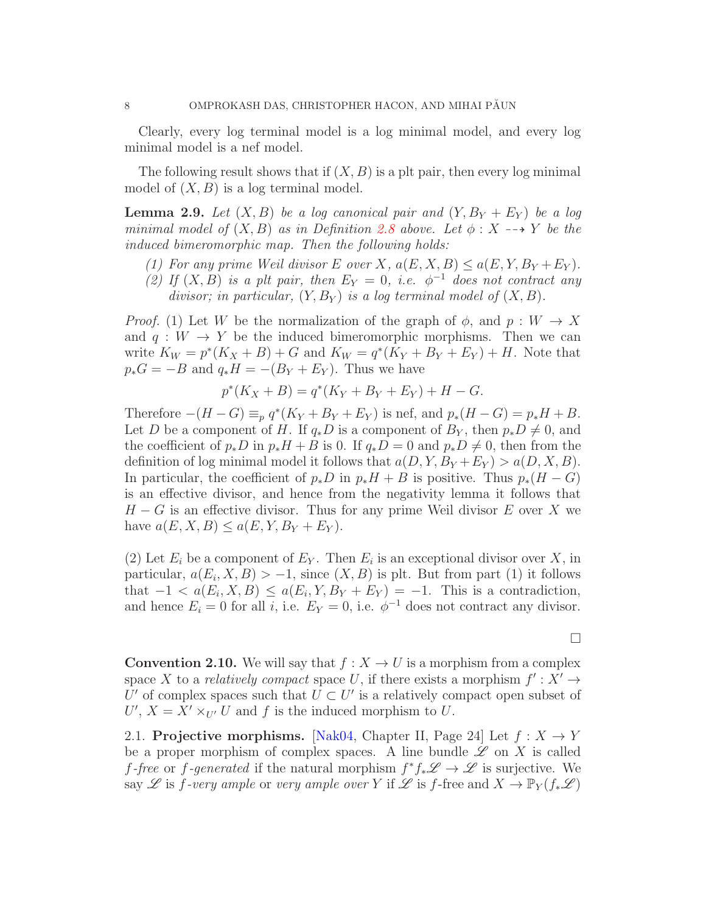Clearly, every log terminal model is a log minimal model, and every log minimal model is a nef model.

The following result shows that if  $(X, B)$  is a plt pair, then every log minimal model of  $(X, B)$  is a log terminal model.

**Lemma 2.9.** Let  $(X, B)$  be a log canonical pair and  $(Y, B_Y + E_Y)$  be a log minimal model of  $(X, B)$  as in Definition [2.8](#page-6-0) above. Let  $\phi : X \dashrightarrow Y$  be the induced bimeromorphic map. Then the following holds:

- (1) For any prime Weil divisor E over X,  $a(E, X, B) \le a(E, Y, B_Y + E_Y)$ .
- (2) If  $(X, B)$  is a plt pair, then  $E_Y = 0$ , i.e.  $\phi^{-1}$  does not contract any divisor; in particular,  $(Y, B_Y)$  is a log terminal model of  $(X, B)$ .

*Proof.* (1) Let W be the normalization of the graph of  $\phi$ , and  $p: W \to X$ and  $q: W \to Y$  be the induced bimeromorphic morphisms. Then we can write  $K_W = p^*(K_X + B) + G$  and  $K_W = q^*(K_Y + B_Y + E_Y) + H$ . Note that  $p_*G = -B$  and  $q_*H = -(B_Y + E_Y)$ . Thus we have

$$
p^*(K_X + B) = q^*(K_Y + B_Y + E_Y) + H - G.
$$

Therefore  $-(H - G) \equiv_p q^*(K_Y + B_Y + E_Y)$  is nef, and  $p_*(H - G) = p_*H + B$ . Let D be a component of H. If  $q_*D$  is a component of  $B_Y$ , then  $p_*D \neq 0$ , and the coefficient of  $p_*D$  in  $p_*H + B$  is 0. If  $q_*D = 0$  and  $p_*D \neq 0$ , then from the definition of log minimal model it follows that  $a(D, Y, B_Y + E_Y) > a(D, X, B)$ . In particular, the coefficient of  $p_*D$  in  $p_*H + B$  is positive. Thus  $p_*(H - G)$ is an effective divisor, and hence from the negativity lemma it follows that  $H - G$  is an effective divisor. Thus for any prime Weil divisor E over X we have  $a(E, X, B) \le a(E, Y, B_Y + E_Y)$ .

(2) Let  $E_i$  be a component of  $E_Y$ . Then  $E_i$  is an exceptional divisor over X, in particular,  $a(E_i, X, B) > -1$ , since  $(X, B)$  is plt. But from part (1) it follows that  $-1 < a(E_i, X, B) \le a(E_i, Y, B_Y + E_Y) = -1$ . This is a contradiction, and hence  $E_i = 0$  for all i, i.e.  $E_Y = 0$ , i.e.  $\phi^{-1}$  does not contract any divisor.

**Convention 2.10.** We will say that  $f : X \to U$  is a morphism from a complex space X to a *relatively compact* space U, if there exists a morphism  $f' : X' \to Y$ U' of complex spaces such that  $U \subset U'$  is a relatively compact open subset of  $U', X = X' \times_{U'} U$  and f is the induced morphism to U.

<span id="page-7-0"></span>2.1. Projective morphisms. [\[Nak04,](#page-72-3) Chapter II, Page 24] Let  $f: X \rightarrow Y$ be a proper morphism of complex spaces. A line bundle  $\mathscr L$  on X is called f-free or f-generated if the natural morphism  $f^*f_*\mathscr{L} \to \mathscr{L}$  is surjective. We say L is f-very ample or very ample over Y if L is f-free and  $X \to \mathbb{P}_Y(f_*\mathscr{L})$ 

 $\Box$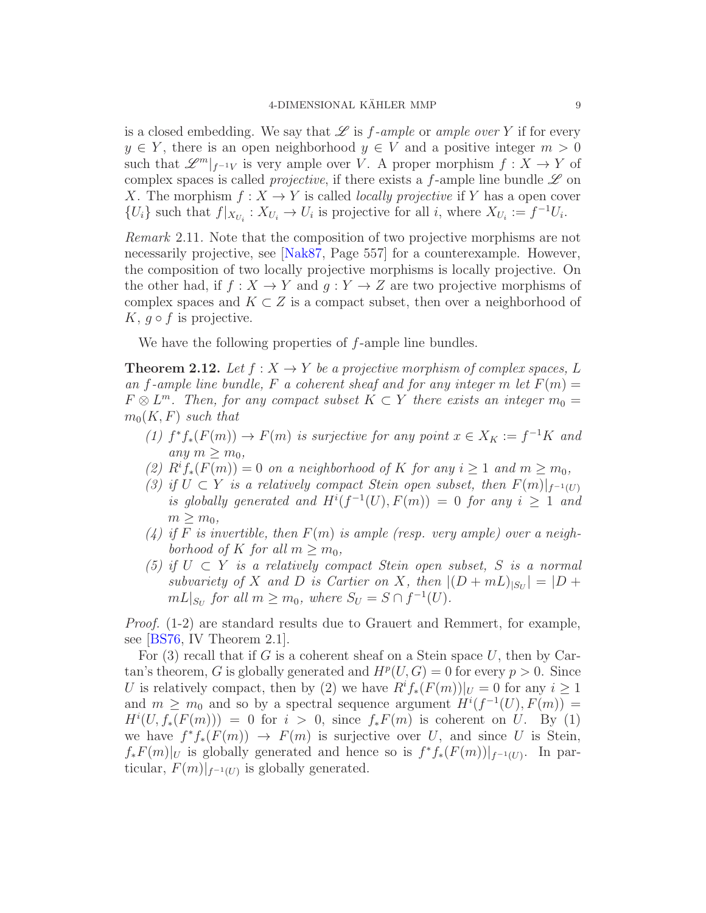is a closed embedding. We say that  $\mathscr L$  is f-ample or ample over Y if for every  $y \in Y$ , there is an open neighborhood  $y \in V$  and a positive integer  $m > 0$ such that  $\mathscr{L}^m|_{f^{-1}V}$  is very ample over V. A proper morphism  $f: X \to Y$  of complex spaces is called *projective*, if there exists a f-ample line bundle  $\mathscr L$  on X. The morphism  $f: X \to Y$  is called *locally projective* if Y has a open cover  $\{U_i\}$  such that  $f|_{X_{U_i}}: X_{U_i} \to U_i$  is projective for all i, where  $X_{U_i} := f^{-1}U_i$ .

Remark 2.11. Note that the composition of two projective morphisms are not necessarily projective, see [\[Nak87,](#page-72-0) Page 557] for a counterexample. However, the composition of two locally projective morphisms is locally projective. On the other had, if  $f: X \to Y$  and  $g: Y \to Z$  are two projective morphisms of complex spaces and  $K \subset Z$  is a compact subset, then over a neighborhood of K,  $q \circ f$  is projective.

We have the following properties of f-ample line bundles.

<span id="page-8-0"></span>**Theorem 2.12.** Let  $f : X \to Y$  be a projective morphism of complex spaces, L an f-ample line bundle, F a coherent sheaf and for any integer m let  $F(m) =$  $F \otimes L^m$ . Then, for any compact subset  $K \subset Y$  there exists an integer  $m_0 =$  $m_0(K, F)$  such that

- (1)  $f^*f_*(F(m)) \to F(m)$  is surjective for any point  $x \in X_K := f^{-1}K$  and any  $m > m_0$ ,
- (2)  $R^if_*(F(m)) = 0$  on a neighborhood of K for any  $i \geq 1$  and  $m \geq m_0$ ,
- (3) if  $U \subset Y$  is a relatively compact Stein open subset, then  $F(m)|_{f^{-1}(U)}$ is globally generated and  $H^{i}(f^{-1}(U), F(m)) = 0$  for any  $i \geq 1$  and  $m \geq m_0$ ,
- (4) if F is invertible, then  $F(m)$  is ample (resp. very ample) over a neighborhood of K for all  $m > m_0$ ,
- (5) if  $U \subset Y$  is a relatively compact Stein open subset, S is a normal subvariety of X and D is Cartier on X, then  $|(D+mL)_{|S_U}| = |D +$  $mL|_{S_U}$  for all  $m \geq m_0$ , where  $S_U = S \cap f^{-1}(U)$ .

Proof. (1-2) are standard results due to Grauert and Remmert, for example, see [\[BS76,](#page-70-7) IV Theorem 2.1].

For  $(3)$  recall that if G is a coherent sheaf on a Stein space U, then by Cartan's theorem, G is globally generated and  $H^p(U, G) = 0$  for every  $p > 0$ . Since U is relatively compact, then by (2) we have  $R^if_*(F(m))|_U = 0$  for any  $i \geq 1$ and  $m \geq m_0$  and so by a spectral sequence argument  $H^{i}(f^{-1}(U), F(m)) =$  $H^i(U, f_*(F(m))) = 0$  for  $i > 0$ , since  $f_*F(m)$  is coherent on U. By (1) we have  $f^*f_*(F(m)) \to F(m)$  is surjective over U, and since U is Stein,  $f_*F(m)|_U$  is globally generated and hence so is  $f^*f_*(F(m))|_{f^{-1}(U)}$ . In particular,  $F(m)|_{f^{-1}(U)}$  is globally generated.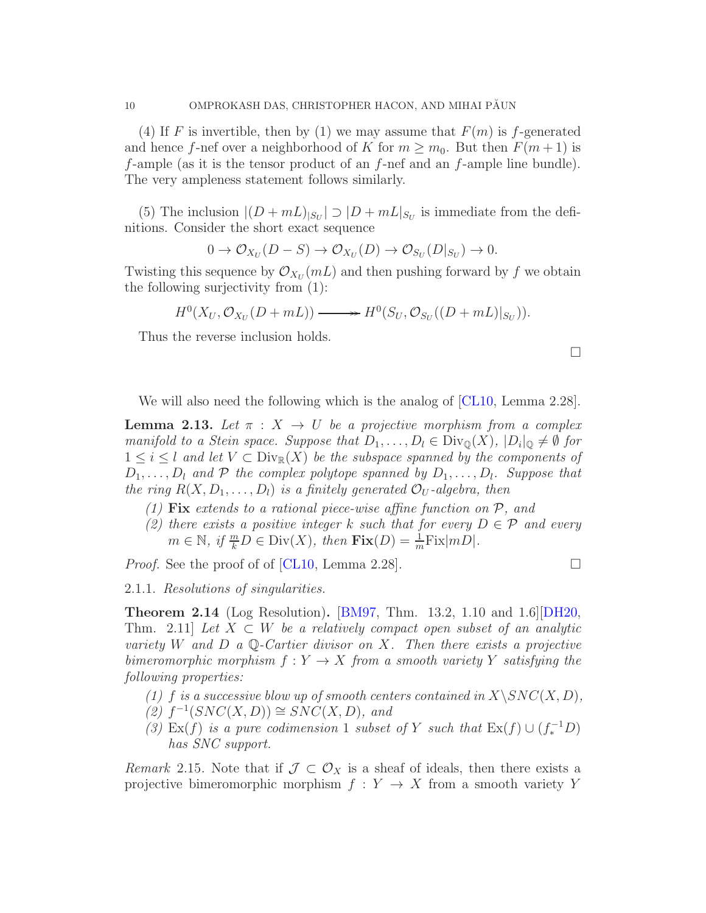(4) If F is invertible, then by (1) we may assume that  $F(m)$  is f-generated and hence f-nef over a neighborhood of K for  $m \geq m_0$ . But then  $F(m+1)$  is f-ample (as it is the tensor product of an f-nef and an f-ample line bundle). The very ampleness statement follows similarly.

(5) The inclusion  $|(D + mL)_{|S_U}| \supset |D + mL|_{S_U}$  is immediate from the definitions. Consider the short exact sequence

$$
0 \to \mathcal{O}_{X_U}(D-S) \to \mathcal{O}_{X_U}(D) \to \mathcal{O}_{S_U}(D|_{S_U}) \to 0.
$$

Twisting this sequence by  $\mathcal{O}_{X_U}(m)$  and then pushing forward by f we obtain the following surjectivity from (1):

$$
H^0(X_U, \mathcal{O}_{X_U}(D+mL)) \longrightarrow H^0(S_U, \mathcal{O}_{S_U}((D+mL)|_{S_U})).
$$

Thus the reverse inclusion holds.

We will also need the following which is the analog of [\[CL10,](#page-71-4) Lemma 2.28].

**Lemma 2.13.** Let  $\pi$  :  $X \to U$  be a projective morphism from a complex manifold to a Stein space. Suppose that  $D_1, \ldots, D_l \in \text{Div}_{\mathbb{Q}}(X)$ ,  $|D_i|_{\mathbb{Q}} \neq \emptyset$  for  $1 \leq i \leq l$  and let  $V \subset \text{Div}_{\mathbb{R}}(X)$  be the subspace spanned by the components of  $D_1, \ldots, D_l$  and  $P$  the complex polytope spanned by  $D_1, \ldots, D_l$ . Suppose that the ring  $R(X, D_1, \ldots, D_l)$  is a finitely generated  $\mathcal{O}_U$ -algebra, then

- (1) Fix extends to a rational piece-wise affine function on  $P$ , and
- (2) there exists a positive integer k such that for every  $D \in \mathcal{P}$  and every  $m \in \mathbb{N}, \text{ if } \frac{m}{k}D \in \text{Div}(X), \text{ then } \text{Fix}(D) = \frac{1}{m}\text{Fix}(mD).$

*Proof.* See the proof of of [\[CL10,](#page-71-4) Lemma 2.28].

2.1.1. Resolutions of singularities.

<span id="page-9-0"></span>**Theorem 2.14** (Log Resolution). [\[BM97,](#page-70-8) Thm. 13.2, 1.10 and 1.6][\[DH20,](#page-71-2) Thm. 2.11] Let  $X \subset W$  be a relatively compact open subset of an analytic variety W and D a Q-Cartier divisor on X. Then there exists a projective bimeromorphic morphism  $f: Y \to X$  from a smooth variety Y satisfying the following properties:

- (1) f is a successive blow up of smooth centers contained in  $X\backslash SNC(X,D)$ ,
- $(2)$   $f^{-1}(SNC(X,D)) \cong \widetilde{SNC}(X,D)$ , and
- (3) Ex(f) is a pure codimension 1 subset of Y such that  $\text{Ex}(f) \cup (f_*^{-1}D)$ has SNC support.

Remark 2.15. Note that if  $\mathcal{J} \subset \mathcal{O}_X$  is a sheaf of ideals, then there exists a projective bimeromorphic morphism  $f: Y \to X$  from a smooth variety Y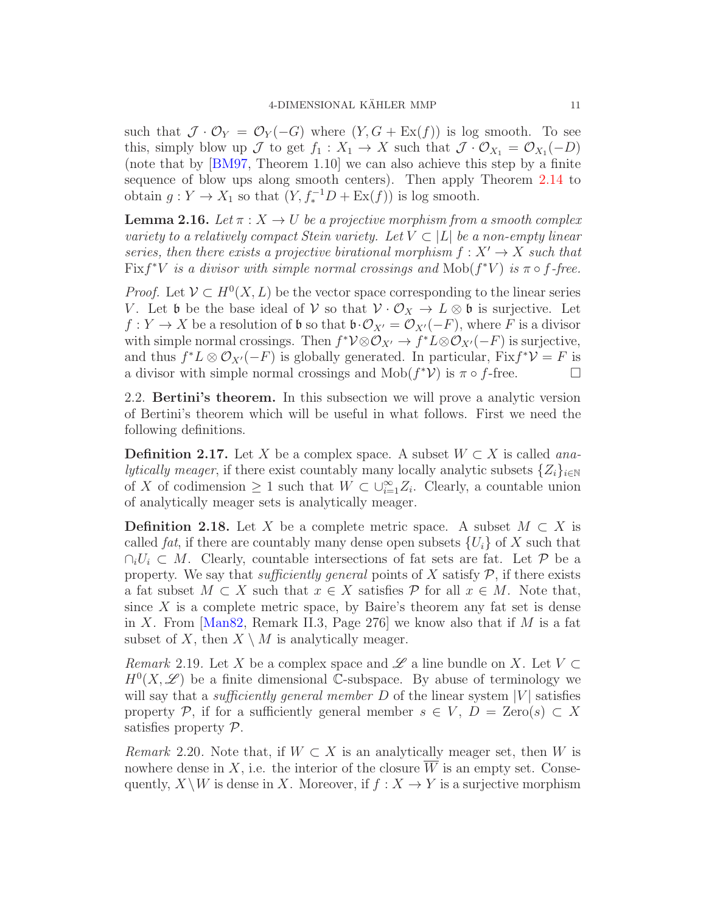such that  $\mathcal{J} \cdot \mathcal{O}_Y = \mathcal{O}_Y(-G)$  where  $(Y, G + \mathop{\mathrm{Ex}}(f))$  is log smooth. To see this, simply blow up  $\mathcal J$  to get  $f_1: X_1 \to X$  such that  $\mathcal J \cdot \mathcal O_{X_1} = \mathcal O_{X_1}(-D)$ (note that by [\[BM97,](#page-70-8) Theorem 1.10] we can also achieve this step by a finite sequence of blow ups along smooth centers). Then apply Theorem [2.14](#page-9-0) to obtain  $g: Y \to X_1$  so that  $(Y, f_*^{-1}D + \text{Ex}(f))$  is log smooth.

<span id="page-10-2"></span>**Lemma 2.16.** Let  $\pi$  :  $X \to U$  be a projective morphism from a smooth complex variety to a relatively compact Stein variety. Let  $V \subset |L|$  be a non-empty linear series, then there exists a projective birational morphism  $f: X' \to X$  such that Fix  $f^*V$  is a divisor with simple normal crossings and  $\text{Mob}(f^*V)$  is  $\pi \circ f$ -free.

*Proof.* Let  $V \subset H^0(X, L)$  be the vector space corresponding to the linear series V. Let b be the base ideal of V so that  $\mathcal{V} \cdot \mathcal{O}_X \to L \otimes \mathfrak{b}$  is surjective. Let  $f: Y \to X$  be a resolution of **b** so that  $\mathfrak{b} \cdot \mathcal{O}_{X'} = \mathcal{O}_{X'}(-F)$ , where F is a divisor with simple normal crossings. Then  $f^*V \otimes \mathcal{O}_{X'} \to f^*L \otimes \mathcal{O}_{X'}(-F)$  is surjective, and thus  $f^*L \otimes \mathcal{O}_{X'}(-F)$  is globally generated. In particular,  $Fix f^*\mathcal{V} = F$  is a divisor with simple normal crossings and  $\text{Mob}(f^*\mathcal{V})$  is  $\pi \circ f$ -free.

<span id="page-10-0"></span>2.2. Bertini's theorem. In this subsection we will prove a analytic version of Bertini's theorem which will be useful in what follows. First we need the following definitions.

**Definition 2.17.** Let X be a complex space. A subset  $W \subset X$  is called ana*lytically meager*, if there exist countably many locally analytic subsets  $\{Z_i\}_{i\in\mathbb{N}}$ of X of codimension  $\geq 1$  such that  $W \subset \bigcup_{i=1}^{\infty} Z_i$ . Clearly, a countable union of analytically meager sets is analytically meager.

**Definition 2.18.** Let X be a complete metric space. A subset  $M \subset X$  is called fat, if there are countably many dense open subsets  $\{U_i\}$  of X such that  $\cap_i U_i \subset M$ . Clearly, countable intersections of fat sets are fat. Let P be a property. We say that *sufficiently general* points of X satisfy  $P$ , if there exists a fat subset  $M \subset X$  such that  $x \in X$  satisfies  $P$  for all  $x \in M$ . Note that, since  $X$  is a complete metric space, by Baire's theorem any fat set is dense in X. From [\[Man82,](#page-72-4) Remark II.3, Page 276] we know also that if M is a fat subset of X, then  $X \setminus M$  is analytically meager.

*Remark* 2.19. Let X be a complex space and  $\mathscr L$  a line bundle on X. Let  $V \subset$  $H^0(X,\mathscr{L})$  be a finite dimensional C-subspace. By abuse of terminology we will say that a *sufficiently general member* D of the linear system  $|V|$  satisfies property P, if for a sufficiently general member  $s \in V$ ,  $D = \text{Zero}(s) \subset X$ satisfies property P.

<span id="page-10-1"></span>Remark 2.20. Note that, if  $W \subset X$  is an analytically meager set, then W is nowhere dense in X, i.e. the interior of the closure  $\overline{W}$  is an empty set. Consequently,  $X \setminus W$  is dense in X. Moreover, if  $f : X \to Y$  is a surjective morphism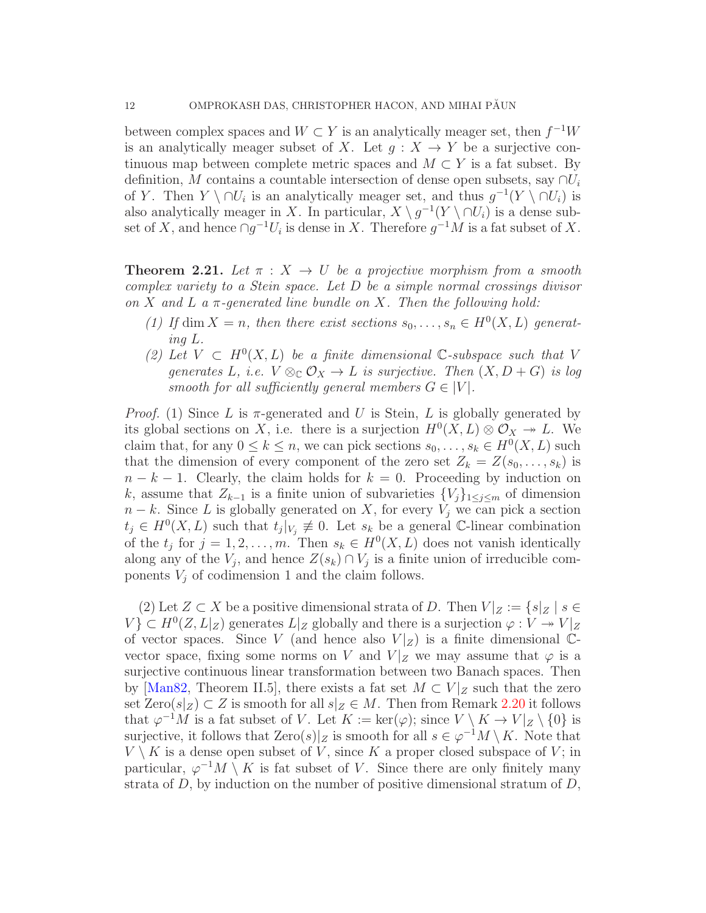between complex spaces and  $W \subset Y$  is an analytically meager set, then  $f^{-1}W$ is an analytically meager subset of X. Let  $q : X \to Y$  be a surjective continuous map between complete metric spaces and  $M \subset Y$  is a fat subset. By definition, M contains a countable intersection of dense open subsets, say  $\cap U_i$ of Y. Then  $Y \setminus \cap U_i$  is an analytically meager set, and thus  $g^{-1}(Y \setminus \cap U_i)$  is also analytically meager in X. In particular,  $X \setminus g^{-1}(Y \setminus \cap U_i)$  is a dense subset of X, and hence  $\cap g^{-1}U_i$  is dense in X. Therefore  $g^{-1}M$  is a fat subset of X.

<span id="page-11-0"></span>**Theorem 2.21.** Let  $\pi$  :  $X \to U$  be a projective morphism from a smooth complex variety to a Stein space. Let D be a simple normal crossings divisor on X and L a  $\pi$ -generated line bundle on X. Then the following hold:

- (1) If dim  $X = n$ , then there exist sections  $s_0, \ldots, s_n \in H^0(X, L)$  generating L.
- (2) Let  $V \text{ }\subset H^0(X, L)$  be a finite dimensional C-subspace such that V generates L, i.e.  $V \otimes_{\mathbb{C}} \mathcal{O}_X \to L$  is surjective. Then  $(X, D + G)$  is log smooth for all sufficiently general members  $G \in |V|$ .

*Proof.* (1) Since L is  $\pi$ -generated and U is Stein, L is globally generated by its global sections on X, i.e. there is a surjection  $H^0(X, L) \otimes \mathcal{O}_X \to L$ . We claim that, for any  $0 \le k \le n$ , we can pick sections  $s_0, \ldots, s_k \in H^0(X, L)$  such that the dimension of every component of the zero set  $Z_k = Z(s_0, \ldots, s_k)$  is  $n - k - 1$ . Clearly, the claim holds for  $k = 0$ . Proceeding by induction on k, assume that  $Z_{k-1}$  is a finite union of subvarieties  $\{V_i\}_{1\leq i\leq m}$  of dimension  $n - k$ . Since L is globally generated on X, for every  $V_j$  we can pick a section  $t_j \in H^0(X, L)$  such that  $t_j|_{V_j} \not\equiv 0$ . Let  $s_k$  be a general C-linear combination of the  $t_j$  for  $j = 1, 2, ..., m$ . Then  $s_k \in H^0(X, L)$  does not vanish identically along any of the  $V_j$ , and hence  $Z(s_k) \cap V_j$  is a finite union of irreducible components  $V_j$  of codimension 1 and the claim follows.

(2) Let  $Z \subset X$  be a positive dimensional strata of D. Then  $V|_Z := \{s|_Z \mid s \in$  $V$ )  $\subset H^0(Z, L|_Z)$  generates  $L|_Z$  globally and there is a surjection  $\varphi: V \twoheadrightarrow V|_Z$ of vector spaces. Since V (and hence also  $V|_Z$ ) is a finite dimensional  $\mathbb{C}$ vector space, fixing some norms on V and  $V|_Z$  we may assume that  $\varphi$  is a surjective continuous linear transformation between two Banach spaces. Then by [\[Man82,](#page-72-4) Theorem II.5], there exists a fat set  $M \subset V|_Z$  such that the zero set  $\text{Zero}(s|_Z) \subset Z$  is smooth for all  $s|_Z \in M$ . Then from Remark [2.20](#page-10-1) it follows that  $\varphi^{-1}M$  is a fat subset of V. Let  $K := \ker(\varphi)$ ; since  $V \setminus K \to V|_Z \setminus \{0\}$  is surjective, it follows that  $\text{Zero}(s)|_Z$  is smooth for all  $s \in \varphi^{-1}M \setminus K$ . Note that  $V \setminus K$  is a dense open subset of V, since K a proper closed subspace of V; in particular,  $\varphi^{-1}M \setminus K$  is fat subset of V. Since there are only finitely many strata of D, by induction on the number of positive dimensional stratum of  $D$ ,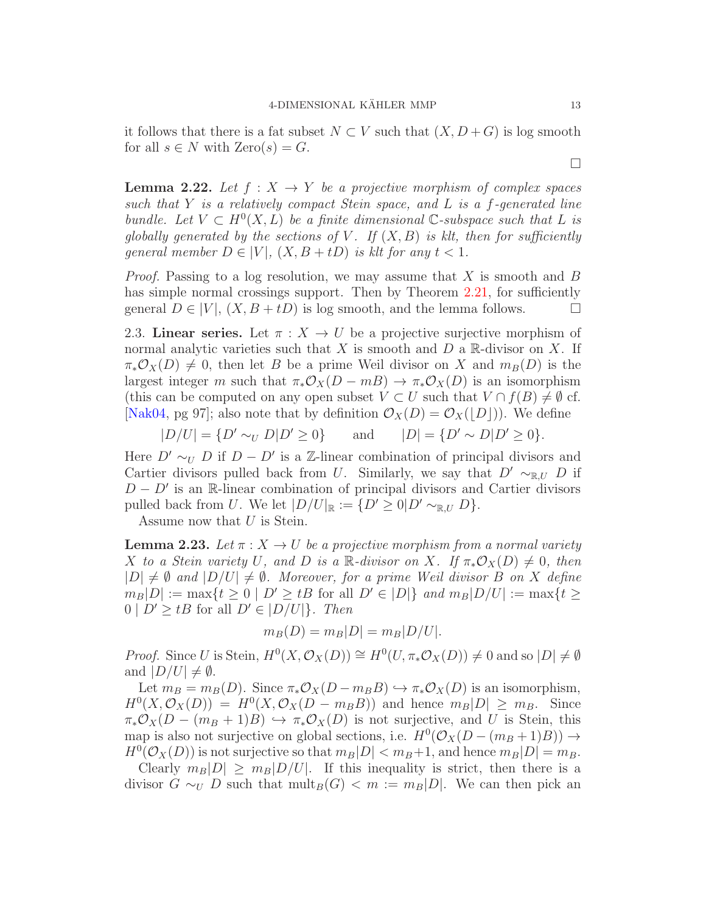it follows that there is a fat subset  $N \subset V$  such that  $(X, D+G)$  is log smooth for all  $s \in N$  with  $\text{Zero}(s) = G$ .

<span id="page-12-2"></span>**Lemma 2.22.** Let  $f : X \to Y$  be a projective morphism of complex spaces such that  $Y$  is a relatively compact Stein space, and  $L$  is a f-generated line bundle. Let  $V \subset H^0(X, L)$  be a finite dimensional C-subspace such that L is globally generated by the sections of V. If  $(X, B)$  is klt, then for sufficiently general member  $D \in |V|$ ,  $(X, B + tD)$  is klt for any  $t < 1$ .

*Proof.* Passing to a log resolution, we may assume that  $X$  is smooth and  $B$ has simple normal crossings support. Then by Theorem [2.21,](#page-11-0) for sufficiently general  $D \in |V|$ ,  $(X, B + tD)$  is log smooth, and the lemma follows.

<span id="page-12-0"></span>2.3. Linear series. Let  $\pi : X \to U$  be a projective surjective morphism of normal analytic varieties such that X is smooth and  $D$  a R-divisor on X. If  $\pi_*\mathcal{O}_X(D) \neq 0$ , then let B be a prime Weil divisor on X and  $m_B(D)$  is the largest integer m such that  $\pi_* \mathcal{O}_X(D - mB) \to \pi_* \mathcal{O}_X(D)$  is an isomorphism (this can be computed on any open subset  $V \subset U$  such that  $V \cap f(B) \neq \emptyset$  cf. [\[Nak04,](#page-72-3) pg 97]; also note that by definition  $\mathcal{O}_X(D) = \mathcal{O}_X(|D|)$ ). We define

 $|D/U| = {D' \sim_U D|D' \ge 0}$  and  $|D| = {D}$  $' \sim D|D' \geq 0$ .

Here  $D' \sim_U D$  if  $D - D'$  is a Z-linear combination of principal divisors and Cartier divisors pulled back from U. Similarly, we say that  $D' \sim_{\mathbb{R},U} D$  if  $D - D'$  is an R-linear combination of principal divisors and Cartier divisors pulled back from U. We let  $|D/U|_{\mathbb{R}} := \{D' \geq 0 | D' \sim_{\mathbb{R}, U} D\}.$ 

Assume now that U is Stein.

<span id="page-12-1"></span>**Lemma 2.23.** Let  $\pi$  :  $X \to U$  be a projective morphism from a normal variety X to a Stein variety U, and D is a R-divisor on X. If  $\pi_* \mathcal{O}_X(D) \neq 0$ , then  $|D| \neq \emptyset$  and  $|D/U| \neq \emptyset$ . Moreover, for a prime Weil divisor B on X define  $m_B|D| := \max\{t \geq 0 \mid D' \geq tB \text{ for all } D' \in |D|\}\text{ and } m_B|D/U| := \max\{t \geq 0 \mid D' \geq tB \text{ for all } D' \in |D|\}\$  $0 \mid D' \geq tB$  for all  $D' \in |D/U|$ . Then

$$
m_B(D) = m_B|D| = m_B|D/U|.
$$

*Proof.* Since U is Stein,  $H^0(X, \mathcal{O}_X(D)) \cong H^0(U, \pi_*\mathcal{O}_X(D)) \neq 0$  and so  $|D| \neq \emptyset$ and  $|D/U| \neq \emptyset$ .

Let  $m_B = m_B(D)$ . Since  $\pi_* \mathcal{O}_X(D - m_B B) \hookrightarrow \pi_* \mathcal{O}_X(D)$  is an isomorphism,  $H^0(X, \mathcal{O}_X(D)) = H^0(X, \mathcal{O}_X(D - m_B B))$  and hence  $m_B|D| \geq m_B$ . Since  $\pi_*\mathcal{O}_X(D-(m_B+1)B) \hookrightarrow \pi_*\mathcal{O}_X(D)$  is not surjective, and U is Stein, this map is also not surjective on global sections, i.e.  $H^0(\mathcal{O}_X(D-(m_B+1)B)) \to$  $H^0(\mathcal{O}_X(D))$  is not surjective so that  $m_B|D| < m_B+1$ , and hence  $m_B|D| = m_B$ .

Clearly  $m_B|D| \geq m_B|D/U|$ . If this inequality is strict, then there is a divisor  $G \sim_U D$  such that  $\operatorname{mult}_B(G) < m := m_B|D|$ . We can then pick an

 $\Box$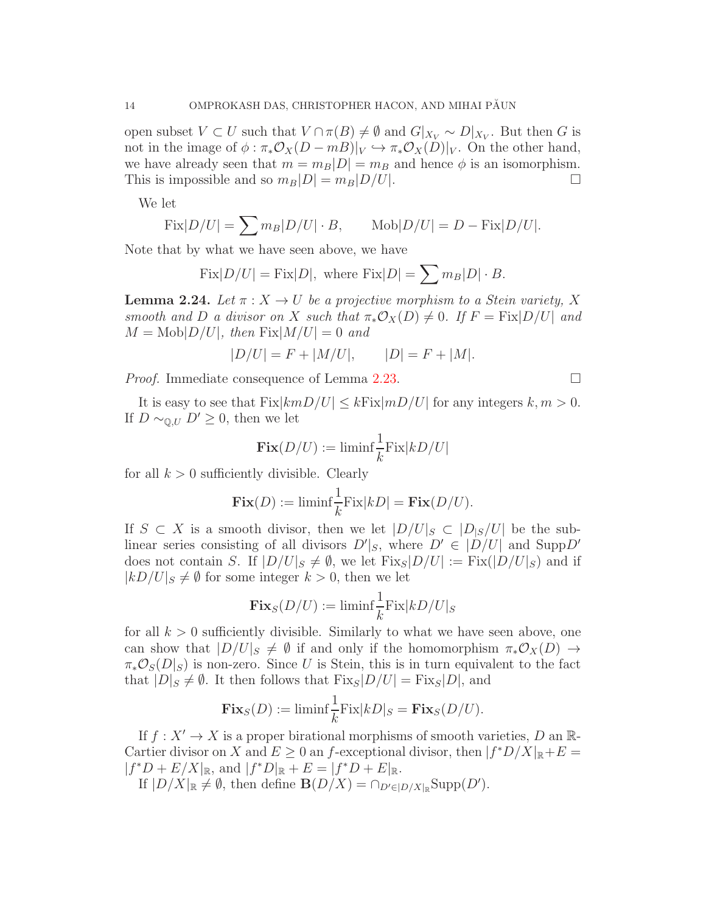open subset  $V \subset U$  such that  $V \cap \pi(B) \neq \emptyset$  and  $G|_{X_V} \sim D|_{X_V}$ . But then G is not in the image of  $\phi : \pi_* \mathcal{O}_X(D-mB)|_V \hookrightarrow \pi_* \mathcal{O}_X(D)|_V$ . On the other hand, we have already seen that  $m = m_B|D| = m_B$  and hence  $\phi$  is an isomorphism. This is impossible and so  $m_B|D| = m_B|D/U|$ .

We let

$$
Fix|D/U| = \sum m_B|D/U| \cdot B, \qquad \text{Mob}|D/U| = D - \text{Fix}|D/U|.
$$

Note that by what we have seen above, we have

Fix
$$
|D/U|
$$
 = Fix $|D|$ , where Fix $|D| = \sum m_B |D| \cdot B$ .

**Lemma 2.24.** Let  $\pi: X \to U$  be a projective morphism to a Stein variety, X smooth and D a divisor on X such that  $\pi_* \mathcal{O}_X(D) \neq 0$ . If  $F = Fix|D/U|$  and  $M = \text{Mob}|D/U|$ , then  $\text{Fix}|M/U| = 0$  and

$$
|D/U| = F + |M/U|, \qquad |D| = F + |M|.
$$

*Proof.* Immediate consequence of Lemma [2.23.](#page-12-1)

It is easy to see that  $Fix|kmD/U| \leq kFix|mD/U|$  for any integers  $k, m > 0$ . If  $D \sim_{\mathbb{Q},U} D' \geq 0$ , then we let

$$
\mathbf{Fix}(D/U) := \liminf \frac{1}{k} \text{Fix}|kD/U|
$$

for all  $k > 0$  sufficiently divisible. Clearly

$$
\mathbf{Fix}(D) := \liminf \frac{1}{k} \text{Fix}|kD| = \mathbf{Fix}(D/U).
$$

If  $S \subset X$  is a smooth divisor, then we let  $|D/U|_S \subset |D_{|S}/U|$  be the sublinear series consisting of all divisors  $D'|_S$ , where  $D' \in |D/U|$  and  $\text{Supp}D'$ does not contain S. If  $|D/U|_S \neq \emptyset$ , we let  $Fix_S|D/U| := Fix(|D/U|_S)$  and if  $|kD/U|_S \neq \emptyset$  for some integer  $k > 0$ , then we let

$$
\mathbf{Fix}_S(D/U) := \liminf \frac{1}{k} \text{Fix}|kD/U|_S
$$

for all  $k > 0$  sufficiently divisible. Similarly to what we have seen above, one can show that  $|D/U|_S \neq \emptyset$  if and only if the homomorphism  $\pi_* \mathcal{O}_X(D) \to$  $\pi_*\mathcal{O}_S(D|_S)$  is non-zero. Since U is Stein, this is in turn equivalent to the fact that  $|D|_S \neq \emptyset$ . It then follows that  $Fix_S|D/U| = Fix_S|D|$ , and

$$
\mathbf{Fix}_S(D) := \liminf \frac{1}{k} \text{Fix}|kD|_S = \mathbf{Fix}_S(D/U).
$$

If  $f: X' \to X$  is a proper birational morphisms of smooth varieties, D an R-Cartier divisor on X and  $E \ge 0$  an f-exceptional divisor, then  $|f^*D/X|_{\mathbb{R}} + E =$  $|f^*D + E/X|_{\mathbb{R}}$ , and  $|f^*D|_{\mathbb{R}} + E = |f^*D + E|_{\mathbb{R}}$ .

If  $|D/X|_{\mathbb{R}} \neq \emptyset$ , then define  $\mathbf{B}(D/X) = \bigcap_{D' \in |D/X|_{\mathbb{R}}} \text{Supp}(D')$ .

$$
\Box
$$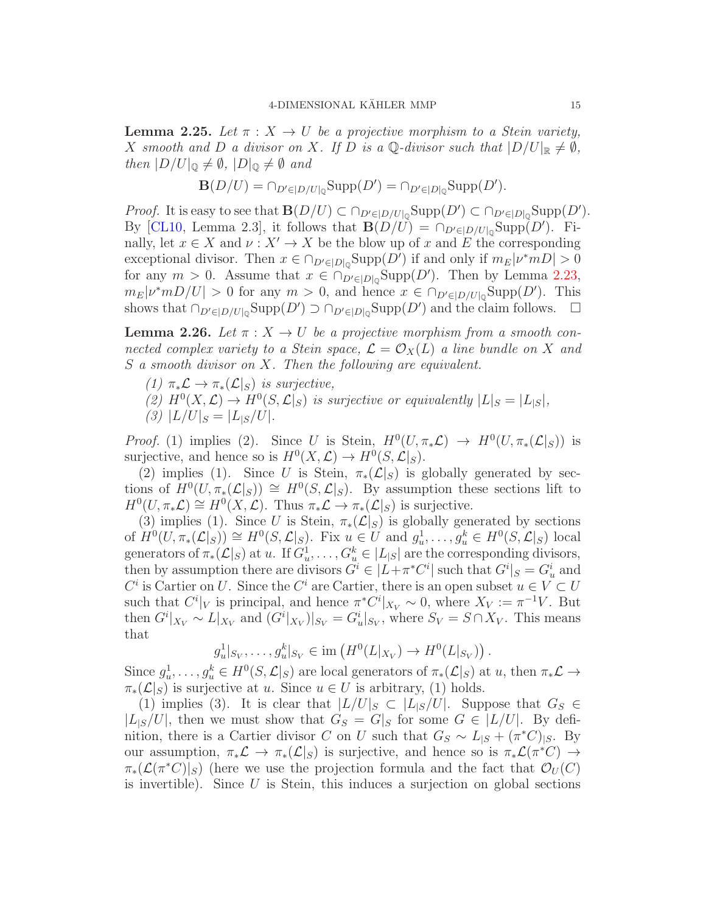<span id="page-14-1"></span>**Lemma 2.25.** Let  $\pi$  :  $X \to U$  be a projective morphism to a Stein variety, X smooth and D a divisor on X. If D is a Q-divisor such that  $|D/U|_{\mathbb{R}} \neq \emptyset$ , then  $|D/U|_{\mathbb{Q}} \neq \emptyset$ ,  $|D|_{\mathbb{Q}} \neq \emptyset$  and

$$
\mathbf{B}(D/U) = \cap_{D' \in |D/U|_{\mathbb{Q}}} \text{Supp}(D') = \cap_{D' \in |D|_{\mathbb{Q}}} \text{Supp}(D').
$$

*Proof.* It is easy to see that  $\mathbf{B}(D/U) \subset \bigcap_{D' \in |D/U|_{\mathbb{Q}}} \text{Supp}(D') \subset \bigcap_{D' \in |D|_{\mathbb{Q}}} \text{Supp}(D').$ By [\[CL10,](#page-71-4) Lemma 2.3], it follows that  $\mathbf{B}(D/U) = \cap_{D' \in |D/U|_0} \text{Supp}(D')$ . Finally, let  $x \in X$  and  $\nu : X' \to X$  be the blow up of x and E the corresponding exceptional divisor. Then  $x \in \bigcap_{D' \in |D|_Q} \text{Supp}(D')$  if and only if  $m_E |\nu^* m D| > 0$ for any  $m > 0$ . Assume that  $x \in \bigcap_{D' \in |D|_0} \text{Supp}(D')$ . Then by Lemma [2.23,](#page-12-1)  $m_E|\nu^*mD/U| > 0$  for any  $m > 0$ , and hence  $x \in \bigcap_{D' \in |D/U|_0} \text{Supp}(D')$ . This shows that  $\cap_{D' \in |D/U|_0} \text{Supp}(D') \supset \cap_{D' \in |D|_0} \text{Supp}(D')$  and the claim follows.  $\square$ 

<span id="page-14-0"></span>**Lemma 2.26.** Let  $\pi: X \to U$  be a projective morphism from a smooth connected complex variety to a Stein space,  $\mathcal{L} = \mathcal{O}_X(L)$  a line bundle on X and S a smooth divisor on X. Then the following are equivalent.

- (1)  $\pi_*\mathcal{L} \to \pi_*(\mathcal{L}|_S)$  is surjective,
- (2)  $H^0(X, \mathcal{L}) \to H^0(S, \mathcal{L}|_S)$  is surjective or equivalently  $|L|_S = |L|_S|$ ,
- (3)  $|L/U|_S = |L_{|S}/U|.$

*Proof.* (1) implies (2). Since U is Stein,  $H^0(U, \pi_* \mathcal{L}) \to H^0(U, \pi_* (\mathcal{L}|_S))$  is surjective, and hence so is  $H^0(X, \mathcal{L}) \to H^0(S, \mathcal{L}|_S)$ .

(2) implies (1). Since U is Stein,  $\pi_*(\mathcal{L}|_S)$  is globally generated by sections of  $H^0(U, \pi_*(\mathcal{L}|_S)) \cong H^0(S, \mathcal{L}|_S)$ . By assumption these sections lift to  $H^0(U, \pi_*\mathcal{L}) \cong H^0(X, \mathcal{L})$ . Thus  $\pi_*\mathcal{L} \to \pi_*(\mathcal{L}|_S)$  is surjective.

(3) implies (1). Since U is Stein,  $\pi_*(\mathcal{L}|_S)$  is globally generated by sections of  $H^0(U, \pi_*(\mathcal{L}|_S)) \cong H^0(S, \mathcal{L}|_S)$ . Fix  $u \in U$  and  $g_u^1, \ldots, g_u^k \in H^0(S, \mathcal{L}|_S)$  local generators of  $\pi_*(\mathcal{L}|_S)$  at u. If  $G_u^1, \ldots, G_u^k \in |L_{|S}|$  are the corresponding divisors, then by assumption there are divisors  $G^i \in |L + \pi^* C^i|$  such that  $G^i|_S = G^i_u$  and  $C^i$  is Cartier on U. Since the  $C^i$  are Cartier, there is an open subset  $u \in V \subset U$ such that  $C^i|_V$  is principal, and hence  $\pi^*C^i|_{X_V} \sim 0$ , where  $X_V := \pi^{-1}V$ . But then  $G^i|_{X_V} \sim L|_{X_V}$  and  $(G^i|_{X_V})|_{S_V} = G_u^i|_{S_V}$ , where  $S_V = S \cap X_V$ . This means that

$$
g_u^1|_{S_V}, \ldots, g_u^k|_{S_V} \in \text{im}\left(H^0(L|_{X_V}) \to H^0(L|_{S_V})\right).
$$

Since  $g_u^1, \ldots, g_u^k \in H^0(S, \mathcal{L}|_S)$  are local generators of  $\pi_*(\mathcal{L}|_S)$  at  $u$ , then  $\pi_* \mathcal{L} \to$  $\pi_*(\mathcal{L}|_S)$  is surjective at u. Since  $u \in U$  is arbitrary, (1) holds.

(1) implies (3). It is clear that  $|L/U|_S \subset |L|_S/U|$ . Suppose that  $G_S \in$  $|L_{\mathcal{S}}/U|$ , then we must show that  $G_S = G|_S$  for some  $G \in |L/U|$ . By definition, there is a Cartier divisor C on U such that  $G_S \sim L_{|S} + (\pi^*C)_{|S}$ . By our assumption,  $\pi_*\mathcal{L} \to \pi_*(\mathcal{L}|_S)$  is surjective, and hence so is  $\pi_*\mathcal{L}(\pi^*C) \to$  $\pi_*(\mathcal{L}(\pi^*C)|_S)$  (here we use the projection formula and the fact that  $\mathcal{O}_U(C)$ is invertible). Since  $U$  is Stein, this induces a surjection on global sections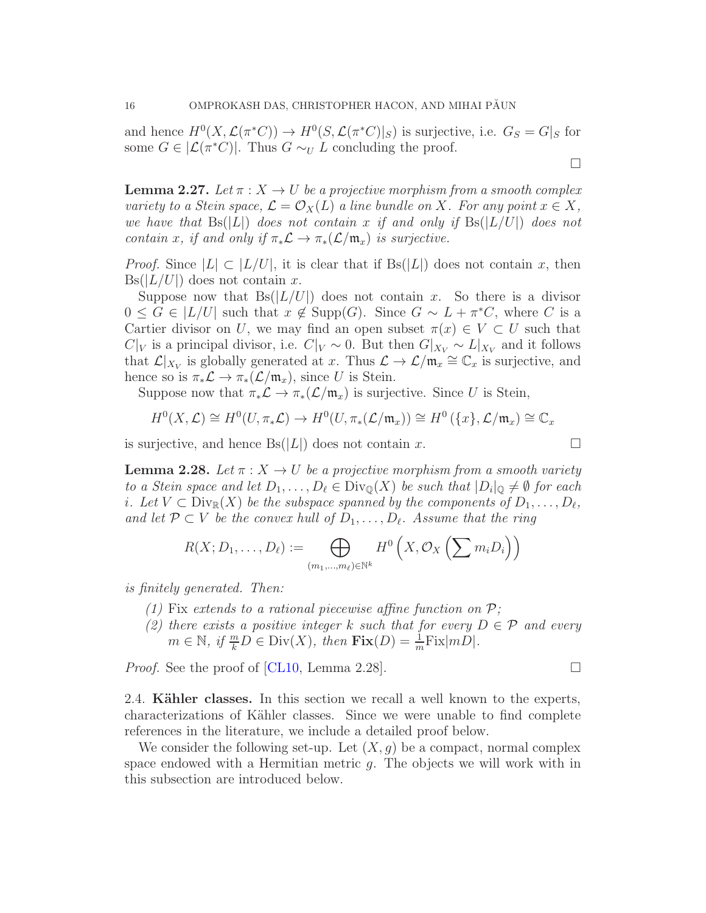and hence  $H^0(X, \mathcal{L}(\pi^*C)) \to H^0(S, \mathcal{L}(\pi^*C)|_S)$  is surjective, i.e.  $G_S = G|_S$  for some  $G \in |\mathcal{L}(\pi^*C)|$ . Thus  $G \sim_U L$  concluding the proof.

<span id="page-15-1"></span>**Lemma 2.27.** Let  $\pi$  :  $X \to U$  be a projective morphism from a smooth complex variety to a Stein space,  $\mathcal{L} = \mathcal{O}_X(L)$  a line bundle on X. For any point  $x \in X$ , we have that  $\text{Bs}(|L|)$  does not contain x if and only if  $\text{Bs}(|L/U|)$  does not contain x, if and only if  $\pi_* \mathcal{L} \to \pi_* (\mathcal{L}/\mathfrak{m}_x)$  is surjective.

*Proof.* Since  $|L| \subset |L/U|$ , it is clear that if  $Bs(|L|)$  does not contain x, then  $Bs(|L/U|)$  does not contain x.

Suppose now that  $Bs(|L/U|)$  does not contain x. So there is a divisor  $0 \leq G \in |L/U|$  such that  $x \notin \text{Supp}(G)$ . Since  $G \sim L + \pi^*C$ , where C is a Cartier divisor on U, we may find an open subset  $\pi(x) \in V \subset U$  such that  $C|_V$  is a principal divisor, i.e.  $C|_V \sim 0$ . But then  $G|_{X_V} \sim L|_{X_V}$  and it follows that  $\mathcal{L}|_{X_V}$  is globally generated at x. Thus  $\mathcal{L} \to \mathcal{L}/\mathfrak{m}_x \cong \mathbb{C}_x$  is surjective, and hence so is  $\pi_*\mathcal{L} \to \pi_*(\mathcal{L}/\mathfrak{m}_x)$ , since U is Stein.

Suppose now that  $\pi_*\mathcal{L} \to \pi_*(\mathcal{L}/\mathfrak{m}_x)$  is surjective. Since U is Stein,

$$
H^0(X, \mathcal{L}) \cong H^0(U, \pi_* \mathcal{L}) \to H^0(U, \pi_* (\mathcal{L}/\mathfrak{m}_x)) \cong H^0(\lbrace x \rbrace, \mathcal{L}/\mathfrak{m}_x) \cong \mathbb{C}_x
$$

is surjective, and hence  $\text{Bs}(|L|)$  does not contain x.

<span id="page-15-2"></span>**Lemma 2.28.** Let  $\pi$  :  $X \to U$  be a projective morphism from a smooth variety to a Stein space and let  $D_1, \ldots, D_\ell \in \text{Div}_{\mathbb{Q}}(X)$  be such that  $|D_i|_{\mathbb{Q}} \neq \emptyset$  for each i. Let  $V \subset \text{Div}_{\mathbb{R}}(X)$  be the subspace spanned by the components of  $D_1, \ldots, D_\ell$ , and let  $\mathcal{P} \subset V$  be the convex hull of  $D_1, \ldots, D_\ell$ . Assume that the ring

$$
R(X; D_1, \ldots, D_\ell) := \bigoplus_{(m_1, \ldots, m_\ell) \in \mathbb{N}^k} H^0\left(X, \mathcal{O}_X\left(\sum m_i D_i\right)\right)
$$

is finitely generated. Then:

- (1) Fix extends to a rational piecewise affine function on  $P$ ;
- (2) there exists a positive integer k such that for every  $D \in \mathcal{P}$  and every  $m \in \mathbb{N}, \text{ if } \frac{m}{k}D \in \text{Div}(X), \text{ then } \text{Fix}(D) = \frac{1}{m}\text{Fix}(mD).$

Proof. See the proof of [\[CL10,](#page-71-4) Lemma 2.28].

<span id="page-15-0"></span>2.4. **Kähler classes.** In this section we recall a well known to the experts, characterizations of Kähler classes. Since we were unable to find complete references in the literature, we include a detailed proof below.

We consider the following set-up. Let  $(X, q)$  be a compact, normal complex space endowed with a Hermitian metric  $g$ . The objects we will work with in this subsection are introduced below.

$$
f_{\rm{max}}
$$

 $\Box$ 

$$
\mathcal{L}_{\mathcal{A}}
$$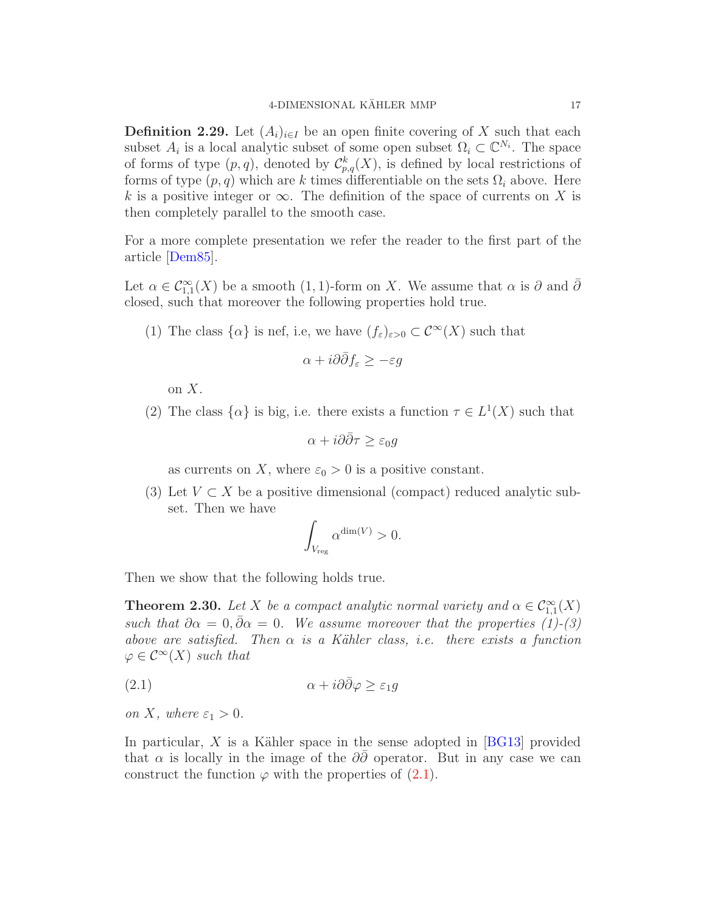**Definition 2.29.** Let  $(A_i)_{i\in I}$  be an open finite covering of X such that each subset  $A_i$  is a local analytic subset of some open subset  $\Omega_i \subset \mathbb{C}^{N_i}$ . The space of forms of type  $(p, q)$ , denoted by  $\mathcal{C}_{p,q}^k(X)$ , is defined by local restrictions of forms of type  $(p, q)$  which are k times differentiable on the sets  $\Omega_i$  above. Here k is a positive integer or  $\infty$ . The definition of the space of currents on X is then completely parallel to the smooth case.

For a more complete presentation we refer the reader to the first part of the article [\[Dem85\]](#page-71-6).

Let  $\alpha \in C^{\infty}_{1,1}(X)$  be a smooth  $(1,1)$ -form on X. We assume that  $\alpha$  is  $\partial$  and  $\overline{\partial}$ closed, such that moreover the following properties hold true.

(1) The class  $\{\alpha\}$  is nef, i.e, we have  $(f_{\varepsilon})_{\varepsilon>0} \subset \mathcal{C}^{\infty}(X)$  such that

$$
\alpha + i\partial\bar{\partial}f_{\varepsilon} \ge -\varepsilon g
$$

on X.

(2) The class  $\{\alpha\}$  is big, i.e. there exists a function  $\tau \in L^1(X)$  such that

$$
\alpha + i\partial\bar{\partial}\tau \ge \varepsilon_0 g
$$

as currents on X, where  $\varepsilon_0 > 0$  is a positive constant.

(3) Let  $V \subset X$  be a positive dimensional (compact) reduced analytic subset. Then we have

<span id="page-16-1"></span>
$$
\int_{V_{\text{reg}}} \alpha^{\dim(V)} > 0.
$$

Then we show that the following holds true.

<span id="page-16-0"></span>**Theorem 2.30.** Let X be a compact analytic normal variety and  $\alpha \in C^{\infty}_{1,1}(X)$ such that  $\partial \alpha = 0$ ,  $\bar{\partial} \alpha = 0$ . We assume moreover that the properties (1)-(3) above are satisfied. Then  $\alpha$  is a Kähler class, i.e. there exists a function  $\varphi \in C^{\infty}(X)$  such that

$$
\alpha + i\partial\bar{\partial}\varphi \ge \varepsilon_1 g
$$

on X, where  $\varepsilon_1 > 0$ .

In particular,  $X$  is a Kähler space in the sense adopted in [\[BG13\]](#page-70-9) provided that  $\alpha$  is locally in the image of the  $\partial\bar{\partial}$  operator. But in any case we can construct the function  $\varphi$  with the properties of [\(2.1\)](#page-16-1).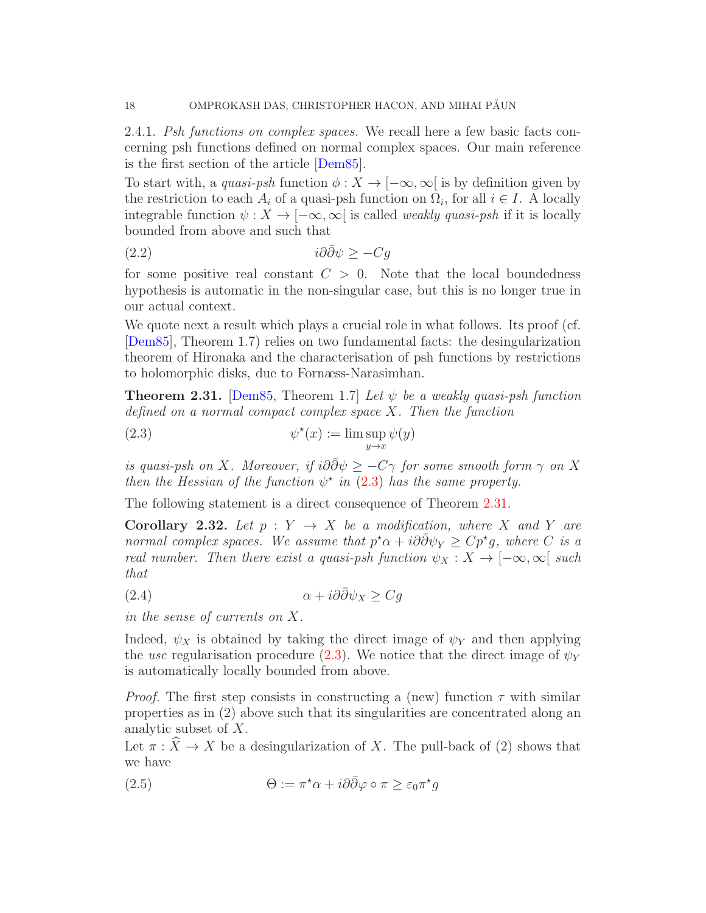2.4.1. Psh functions on complex spaces. We recall here a few basic facts concerning psh functions defined on normal complex spaces. Our main reference is the first section of the article [\[Dem85\]](#page-71-6).

To start with, a quasi-psh function  $\phi: X \to [-\infty, \infty]$  is by definition given by the restriction to each  $A_i$  of a quasi-psh function on  $\Omega_i$ , for all  $i \in I$ . A locally integrable function  $\psi: X \to [-\infty, \infty]$  is called *weakly quasi-psh* if it is locally bounded from above and such that

$$
(2.2) \t\t\t\t\ti\partial\bar{\partial}\psi \ge -Cg
$$

for some positive real constant  $C > 0$ . Note that the local boundedness hypothesis is automatic in the non-singular case, but this is no longer true in our actual context.

We quote next a result which plays a crucial role in what follows. Its proof (cf. [\[Dem85\]](#page-71-6), Theorem 1.7) relies on two fundamental facts: the desingularization theorem of Hironaka and the characterisation of psh functions by restrictions to holomorphic disks, due to Fornaess-Narasimhan.

<span id="page-17-1"></span>**Theorem 2.31.** [\[Dem85,](#page-71-6) Theorem 1.7] Let  $\psi$  be a weakly quasi-psh function defined on a normal compact complex space  $X$ . Then the function

<span id="page-17-0"></span>(2.3) 
$$
\psi^{\star}(x) := \lim \sup_{y \to x} \psi(y)
$$

is quasi-psh on X. Moreover, if  $i\partial \overline{\partial} \psi \geq -C\gamma$  for some smooth form  $\gamma$  on X then the Hessian of the function  $\psi^*$  in [\(2.3\)](#page-17-0) has the same property.

The following statement is a direct consequence of Theorem [2.31.](#page-17-1)

<span id="page-17-2"></span>**Corollary 2.32.** Let  $p : Y \to X$  be a modification, where X and Y are normal complex spaces. We assume that  $p^* \alpha + i\partial \bar{\partial} \psi_Y \geq C p^* g$ , where C is a real number. Then there exist a quasi-psh function  $\psi_X : X \to [-\infty, \infty]$  such that

(2.4) 
$$
\alpha + i\partial\bar{\partial}\psi_X \ge Cg
$$

in the sense of currents on X.

Indeed,  $\psi_X$  is obtained by taking the direct image of  $\psi_Y$  and then applying the usc regularisation procedure [\(2.3\)](#page-17-0). We notice that the direct image of  $\psi_Y$ is automatically locally bounded from above.

*Proof.* The first step consists in constructing a (new) function  $\tau$  with similar properties as in (2) above such that its singularities are concentrated along an analytic subset of X.

Let  $\pi : \widehat{X} \to X$  be a desingularization of X. The pull-back of (2) shows that we have

(2.5) 
$$
\Theta := \pi^* \alpha + i \partial \bar{\partial} \varphi \circ \pi \geq \varepsilon_0 \pi^* g
$$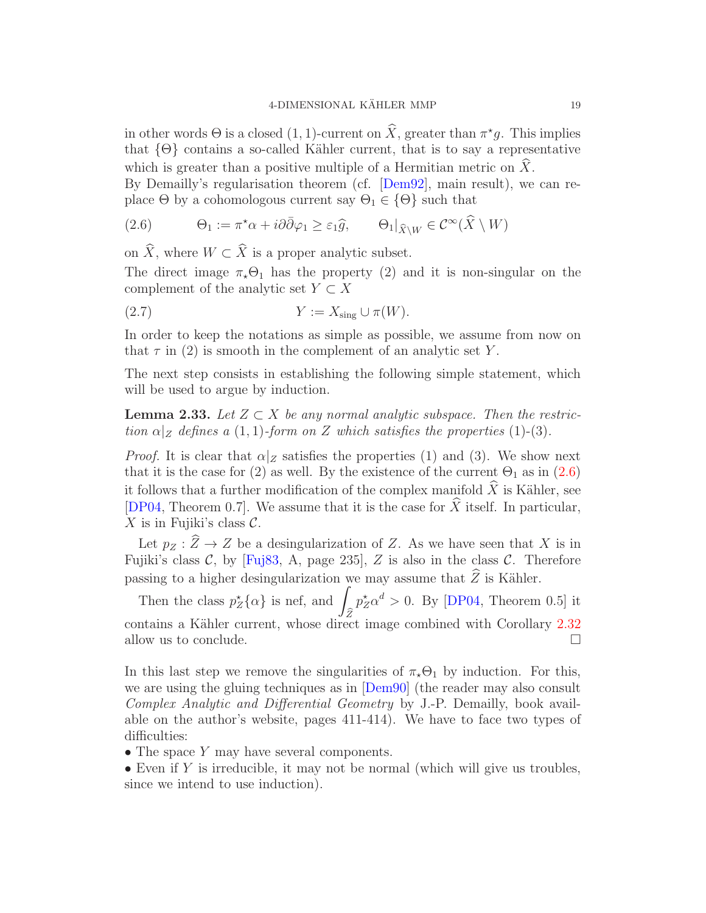in other words  $\Theta$  is a closed  $(1, 1)$ -current on  $\hat{X}$ , greater than  $\pi^* g$ . This implies that  $\{\Theta\}$  contains a so-called Kähler current, that is to say a representative which is greater than a positive multiple of a Hermitian metric on  $\hat{X}$ .

By Demailly's regularisation theorem (cf. [\[Dem92\]](#page-71-7), main result), we can replace  $\Theta$  by a cohomologous current say  $\Theta_1 \in \{\Theta\}$  such that

<span id="page-18-0"></span>(2.6) 
$$
\Theta_1 := \pi^* \alpha + i \partial \bar{\partial} \varphi_1 \geq \varepsilon_1 \widehat{g}, \qquad \Theta_1|_{\widehat{X}\setminus W} \in \mathcal{C}^{\infty}(\widehat{X} \setminus W)
$$

on  $\widehat{X}$ , where  $W \subset \widehat{X}$  is a proper analytic subset.

The direct image  $\pi_{\star} \Theta_1$  has the property (2) and it is non-singular on the complement of the analytic set  $Y \subset X$ 

$$
(2.7) \t\t Y := X_{\text{sing}} \cup \pi(W).
$$

In order to keep the notations as simple as possible, we assume from now on that  $\tau$  in (2) is smooth in the complement of an analytic set Y.

The next step consists in establishing the following simple statement, which will be used to argue by induction.

<span id="page-18-1"></span>**Lemma 2.33.** Let  $Z \subset X$  be any normal analytic subspace. Then the restriction  $\alpha|_Z$  defines a (1, 1)-form on Z which satisfies the properties (1)-(3).

*Proof.* It is clear that  $\alpha|_Z$  satisfies the properties (1) and (3). We show next that it is the case for (2) as well. By the existence of the current  $\Theta_1$  as in [\(2.6\)](#page-18-0) it follows that a further modification of the complex manifold  $\hat{X}$  is Kähler, see [\[DP04,](#page-71-8) Theorem 0.7]. We assume that it is the case for  $\widehat{X}$  itself. In particular, X is in Fujiki's class  $\mathcal{C}$ .

Let  $p_Z : \widehat{Z} \to Z$  be a desingularization of Z. As we have seen that X is in Fujiki's class  $C$ , by [\[Fuj83,](#page-71-9) A, page 235], Z is also in the class  $C$ . Therefore passing to a higher desingularization we may assume that  $\widehat{Z}$  is Kähler.

Then the class  $p_Z^{\star} {\alpha}$  is nef, and  $\widehat{Z}$  $p_Z^{\star} \alpha^d > 0$ . By [\[DP04,](#page-71-8) Theorem 0.5] it contains a Kähler current, whose direct image combined with Corollary [2.32](#page-17-2) allow us to conclude.  $\Box$ 

In this last step we remove the singularities of  $\pi_{\star}\Theta_1$  by induction. For this, we are using the gluing techniques as in [\[Dem90\]](#page-71-10) (the reader may also consult Complex Analytic and Differential Geometry by J.-P. Demailly, book available on the author's website, pages 411-414). We have to face two types of difficulties:

- The space Y may have several components.
- Even if Y is irreducible, it may not be normal (which will give us troubles, since we intend to use induction).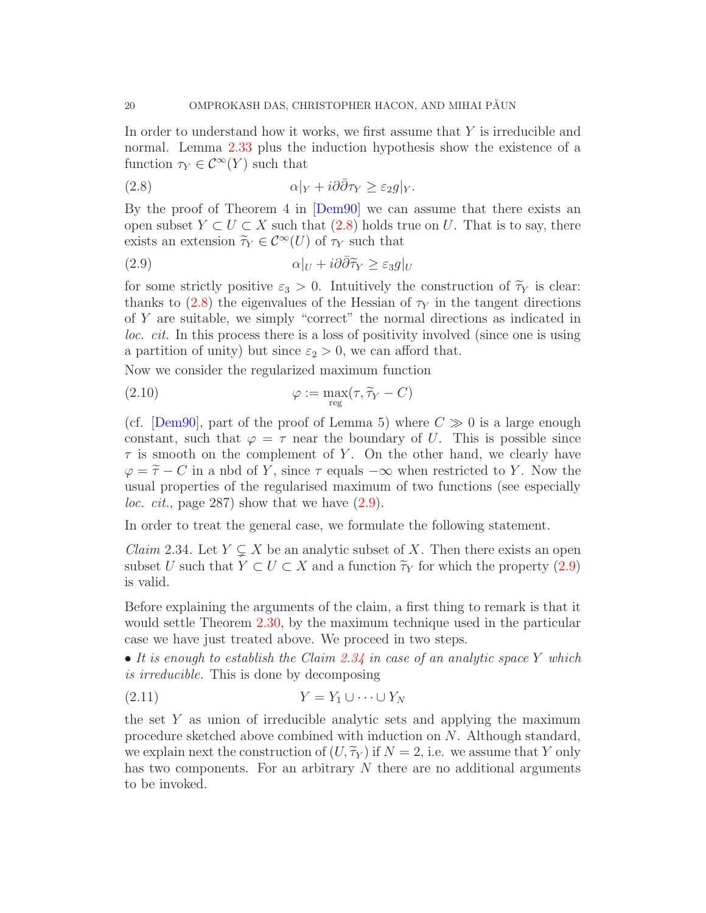In order to understand how it works, we first assume that Y is irreducible and normal. Lemma [2.33](#page-18-1) plus the induction hypothesis show the existence of a function  $\tau_Y \in \mathcal{C}^{\infty}(Y)$  such that

<span id="page-19-0"></span>(2.8) 
$$
\alpha|_Y + i\partial\bar{\partial}\tau_Y \geq \varepsilon_2 g|_Y.
$$

By the proof of Theorem 4 in [\[Dem90\]](#page-71-10) we can assume that there exists an open subset  $Y \subset U \subset X$  such that [\(2.8\)](#page-19-0) holds true on U. That is to say, there exists an extension  $\widetilde{\tau}_Y \in C^{\infty}(U)$  of  $\tau_Y$  such that

<span id="page-19-1"></span>(2.9) 
$$
\alpha|_U + i\partial\bar{\partial}\tilde{\tau}_Y \geq \varepsilon_3 g|_U
$$

for some strictly positive  $\varepsilon_3 > 0$ . Intuitively the construction of  $\tilde{\tau}_Y$  is clear: thanks to [\(2.8\)](#page-19-0) the eigenvalues of the Hessian of  $\tau_Y$  in the tangent directions of Y are suitable, we simply "correct" the normal directions as indicated in loc. cit. In this process there is a loss of positivity involved (since one is using a partition of unity) but since  $\varepsilon_2 > 0$ , we can afford that.

Now we consider the regularized maximum function

(2.10) 
$$
\varphi := \max_{reg} (\tau, \widetilde{\tau}_Y - C)
$$

(cf. [\[Dem90\]](#page-71-10), part of the proof of Lemma 5) where  $C \gg 0$  is a large enough constant, such that  $\varphi = \tau$  near the boundary of U. This is possible since  $\tau$  is smooth on the complement of Y. On the other hand, we clearly have  $\varphi = \widetilde{\tau} - C$  in a nbd of Y, since  $\tau$  equals  $-\infty$  when restricted to Y. Now the usual properties of the regularised maximum of two functions (see especially *loc. cit.*, page 287) show that we have  $(2.9)$ .

In order to treat the general case, we formulate the following statement.

<span id="page-19-2"></span>*Claim* 2.34. Let  $Y \subsetneq X$  be an analytic subset of X. Then there exists an open subset U such that  $Y \subset U \subset X$  and a function  $\tilde{\tau}_Y$  for which the property [\(2.9\)](#page-19-1) is valid.

Before explaining the arguments of the claim, a first thing to remark is that it would settle Theorem [2.30,](#page-16-0) by the maximum technique used in the particular case we have just treated above. We proceed in two steps.

• It is enough to establish the Claim [2.34](#page-19-2) in case of an analytic space Y which is irreducible. This is done by decomposing

$$
(2.11) \t\t Y = Y_1 \cup \cdots \cup Y_N
$$

the set  $Y$  as union of irreducible analytic sets and applying the maximum procedure sketched above combined with induction on N. Although standard, we explain next the construction of  $(U, \widetilde{\tau}_Y)$  if  $N = 2$ , i.e. we assume that Y only has two components. For an arbitrary  $N$  there are no additional arguments to be invoked.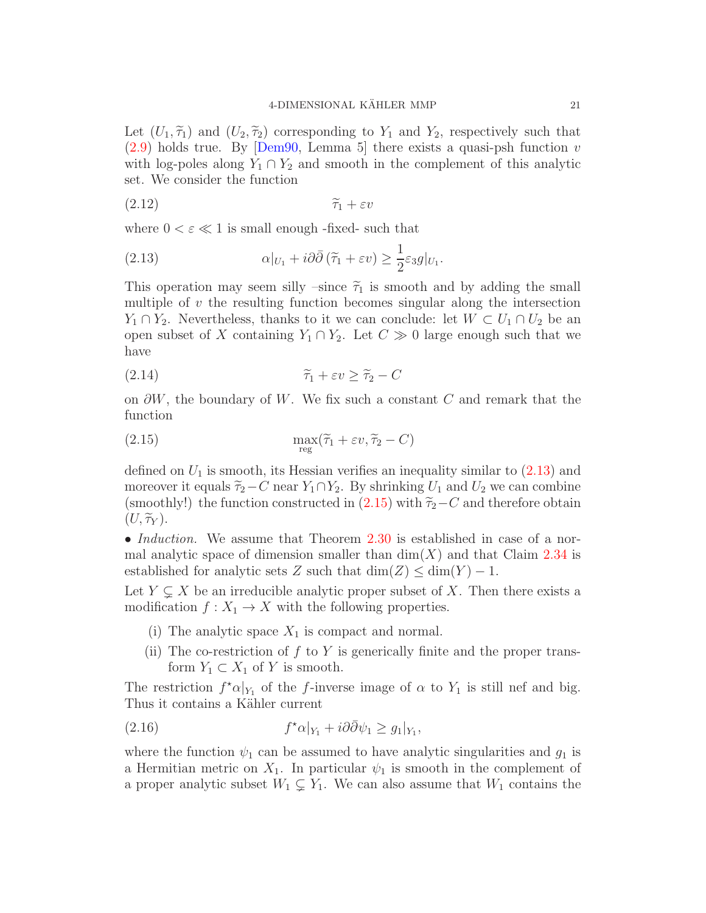Let  $(U_1, \tilde{\tau}_1)$  and  $(U_2, \tilde{\tau}_2)$  corresponding to  $Y_1$  and  $Y_2$ , respectively such that  $(2.9)$  holds true. By Dem90, Lemma 5 there exists a quasi-psh function v with log-poles along  $Y_1 \cap Y_2$  and smooth in the complement of this analytic set. We consider the function

$$
(2.12)\t\t\t\t\t\widetilde{\tau}_1 + \varepsilon v
$$

where  $0 < \varepsilon \ll 1$  is small enough -fixed- such that

<span id="page-20-0"></span>(2.13) 
$$
\alpha|_{U_1} + i\partial\bar{\partial}(\tilde{\tau}_1 + \varepsilon v) \geq \frac{1}{2}\varepsilon_3 g|_{U_1}.
$$

This operation may seem silly –since  $\tilde{\tau}_1$  is smooth and by adding the small multiple of  $v$  the resulting function becomes singular along the intersection  $Y_1 \cap Y_2$ . Nevertheless, thanks to it we can conclude: let  $W \subset U_1 \cap U_2$  be an open subset of X containing  $Y_1 \cap Y_2$ . Let  $C \gg 0$  large enough such that we have

$$
(2.14) \qquad \qquad \widetilde{\tau}_1 + \varepsilon v \ge \widetilde{\tau}_2 - C
$$

on  $\partial W$ , the boundary of W. We fix such a constant C and remark that the function

<span id="page-20-1"></span>(2.15) 
$$
\max_{reg} (\widetilde{\tau}_1 + \varepsilon v, \widetilde{\tau}_2 - C)
$$

defined on  $U_1$  is smooth, its Hessian verifies an inequality similar to  $(2.13)$  and moreover it equals  $\tilde{\tau}_2-C$  near  $Y_1\cap Y_2$ . By shrinking  $U_1$  and  $U_2$  we can combine (smoothly!) the function constructed in [\(2.15\)](#page-20-1) with  $\tilde{\tau}_2-C$  and therefore obtain  $(U, \widetilde{\tau}_Y).$ 

• *Induction*. We assume that Theorem [2.30](#page-16-0) is established in case of a normal analytic space of dimension smaller than  $dim(X)$  and that Claim [2.34](#page-19-2) is established for analytic sets Z such that  $\dim(Z) \leq \dim(Y) - 1$ .

Let  $Y \subsetneq X$  be an irreducible analytic proper subset of X. Then there exists a modification  $f: X_1 \to X$  with the following properties.

- (i) The analytic space  $X_1$  is compact and normal.
- (ii) The co-restriction of  $f$  to  $Y$  is generically finite and the proper transform  $Y_1 \subset X_1$  of Y is smooth.

The restriction  $f^{\star}\alpha|_{Y_1}$  of the f-inverse image of  $\alpha$  to  $Y_1$  is still nef and big. Thus it contains a Kähler current

(2.16) 
$$
f^{\star}\alpha|_{Y_1} + i\partial\bar{\partial}\psi_1 \ge g_1|_{Y_1},
$$

where the function  $\psi_1$  can be assumed to have analytic singularities and  $g_1$  is a Hermitian metric on  $X_1$ . In particular  $\psi_1$  is smooth in the complement of a proper analytic subset  $W_1 \subsetneq Y_1$ . We can also assume that  $W_1$  contains the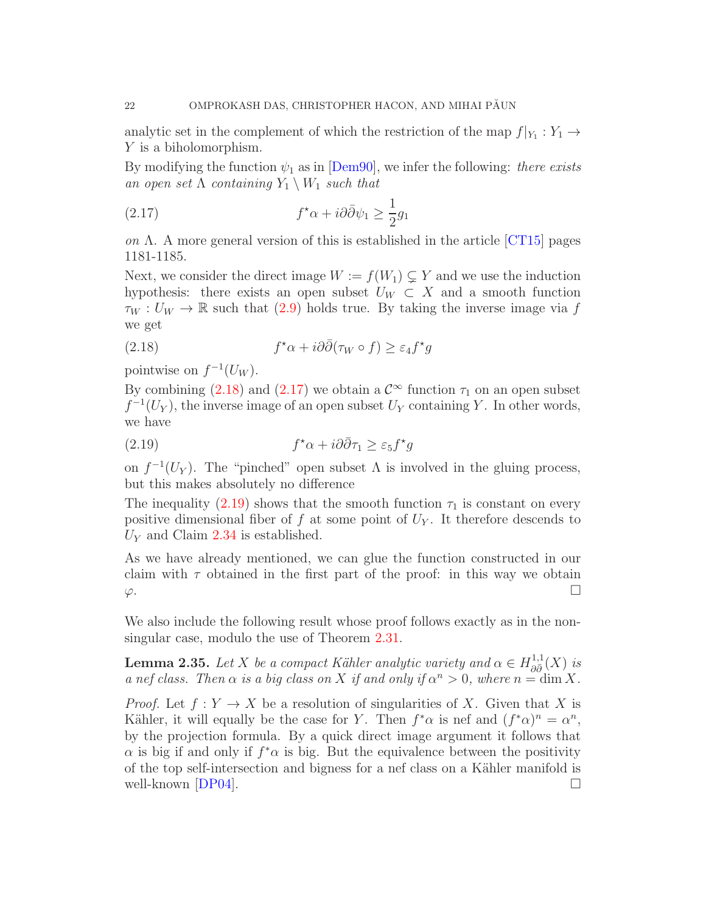analytic set in the complement of which the restriction of the map  $f|_{Y_1}: Y_1 \to Y_2$ Y is a biholomorphism.

By modifying the function  $\psi_1$  as in [\[Dem90\]](#page-71-10), we infer the following: there exists an open set  $\Lambda$  containing  $Y_1 \setminus W_1$  such that

<span id="page-21-1"></span>(2.17) 
$$
f^{\star}\alpha + i\partial\bar{\partial}\psi_1 \geq \frac{1}{2}g_1
$$

on  $\Lambda$ . A more general version of this is established in the article [\[CT15\]](#page-71-11) pages 1181-1185.

Next, we consider the direct image  $W := f(W_1) \subsetneq Y$  and we use the induction hypothesis: there exists an open subset  $U_W \subset X$  and a smooth function  $\tau_W : U_W \to \mathbb{R}$  such that [\(2.9\)](#page-19-1) holds true. By taking the inverse image via f we get

<span id="page-21-0"></span>(2.18) 
$$
f^{\star}\alpha + i\partial\bar{\partial}(\tau_W \circ f) \geq \varepsilon_4 f^{\star}g
$$

pointwise on  $f^{-1}(U_W)$ .

By combining [\(2.18\)](#page-21-0) and [\(2.17\)](#page-21-1) we obtain a  $\mathcal{C}^{\infty}$  function  $\tau_1$  on an open subset  $f^{-1}(U_Y)$ , the inverse image of an open subset  $U_Y$  containing Y. In other words, we have

<span id="page-21-2"></span>(2.19) 
$$
f^{\star}\alpha + i\partial\bar{\partial}\tau_1 \geq \varepsilon_5 f^{\star}g
$$

on  $f^{-1}(U_Y)$ . The "pinched" open subset  $\Lambda$  is involved in the gluing process, but this makes absolutely no difference

The inequality [\(2.19\)](#page-21-2) shows that the smooth function  $\tau_1$  is constant on every positive dimensional fiber of f at some point of  $U_Y$ . It therefore descends to  $U_Y$  and Claim [2.34](#page-19-2) is established.

As we have already mentioned, we can glue the function constructed in our claim with  $\tau$  obtained in the first part of the proof: in this way we obtain  $\varphi$ .

We also include the following result whose proof follows exactly as in the nonsingular case, modulo the use of Theorem [2.31.](#page-17-1)

<span id="page-21-3"></span>**Lemma 2.35.** Let X be a compact Kähler analytic variety and  $\alpha \in H_{\partial \overline{\partial}}^{1,1}$  $\frac{1}{\partial \bar{\partial}}$   $(X)$  is a nef class. Then  $\alpha$  is a big class on X if and only if  $\alpha^n > 0$ , where  $n = \dim X$ .

*Proof.* Let  $f: Y \to X$  be a resolution of singularities of X. Given that X is Kähler, it will equally be the case for Y. Then  $f^*\alpha$  is nef and  $(f^*\alpha)^n = \alpha^n$ , by the projection formula. By a quick direct image argument it follows that  $\alpha$  is big if and only if  $f^*\alpha$  is big. But the equivalence between the positivity of the top self-intersection and bigness for a nef class on a Kähler manifold is well-known  $[DP04]$ .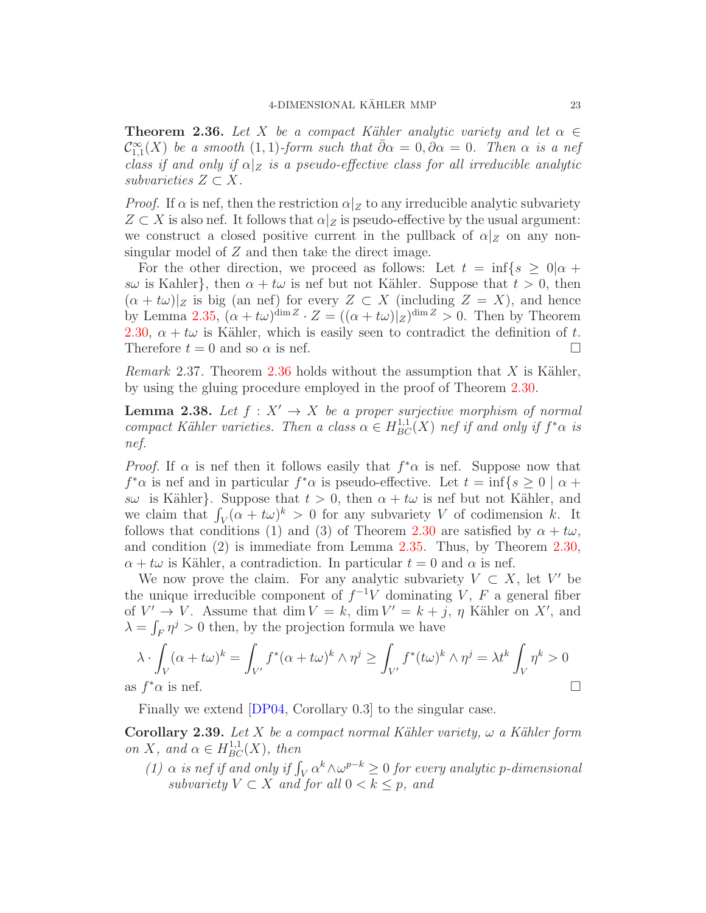<span id="page-22-0"></span>**Theorem 2.36.** Let X be a compact Kähler analytic variety and let  $\alpha \in$  $\mathcal{C}^{\infty}_{1,1}(X)$  be a smooth  $(1,1)$ -form such that  $\bar{\partial}\alpha = 0, \partial\alpha = 0$ . Then  $\alpha$  is a nef class if and only if  $\alpha|_Z$  is a pseudo-effective class for all irreducible analytic subvarieties  $Z \subset X$ .

*Proof.* If  $\alpha$  is nef, then the restriction  $\alpha|_Z$  to any irreducible analytic subvariety  $Z \subset X$  is also nef. It follows that  $\alpha|Z$  is pseudo-effective by the usual argument: we construct a closed positive current in the pullback of  $\alpha|_Z$  on any nonsingular model of Z and then take the direct image.

For the other direction, we proceed as follows: Let  $t = \inf\{s \geq 0 | \alpha + \alpha(s) \leq s \}$ sw is Kahler}, then  $\alpha + t\omega$  is nef but not Kähler. Suppose that  $t > 0$ , then  $(\alpha + t\omega)|_Z$  is big (an nef) for every  $Z \subset X$  (including  $Z = X$ ), and hence by Lemma [2.35,](#page-21-3)  $(\alpha + t\omega)^{\dim Z} \cdot Z = ((\alpha + t\omega)|_Z)^{\dim Z} > 0$ . Then by Theorem [2.30,](#page-16-0)  $\alpha + t\omega$  is Kähler, which is easily seen to contradict the definition of t. Therefore  $t = 0$  and so  $\alpha$  is nef.

*Remark* 2.37. Theorem [2.36](#page-22-0) holds without the assumption that X is Kähler, by using the gluing procedure employed in the proof of Theorem [2.30.](#page-16-0)

<span id="page-22-1"></span>**Lemma 2.38.** Let  $f : X' \to X$  be a proper surjective morphism of normal compact Kähler varieties. Then a class  $\alpha \in H^{1,1}_{BC}(X)$  nef if and only if  $f^*\alpha$  is nef.

*Proof.* If  $\alpha$  is nef then it follows easily that  $f^*\alpha$  is nef. Suppose now that  $f^*\alpha$  is nef and in particular  $f^*\alpha$  is pseudo-effective. Let  $t = \inf\{s \geq 0 \mid \alpha + \alpha\}$ sw is Kähler}. Suppose that  $t > 0$ , then  $\alpha + t\omega$  is nef but not Kähler, and we claim that  $\int_V (\alpha + t\omega)^k > 0$  for any subvariety V of codimension k. It follows that conditions (1) and (3) of Theorem [2.30](#page-16-0) are satisfied by  $\alpha + t\omega$ , and condition (2) is immediate from Lemma [2.35.](#page-21-3) Thus, by Theorem [2.30,](#page-16-0)  $\alpha + t\omega$  is Kähler, a contradiction. In particular  $t = 0$  and  $\alpha$  is nef.

We now prove the claim. For any analytic subvariety  $V \subset X$ , let V' be the unique irreducible component of  $f^{-1}V$  dominating V, F a general fiber of  $V' \to V$ . Assume that dim  $V = k$ , dim  $V' = k + j$ ,  $\eta$  Kähler on X', and  $\lambda = \int_F \eta^j > 0$  then, by the projection formula we have

$$
\lambda \cdot \int_{V} (\alpha + t\omega)^{k} = \int_{V'} f^{*}(\alpha + t\omega)^{k} \wedge \eta^{j} \ge \int_{V'} f^{*}(t\omega)^{k} \wedge \eta^{j} = \lambda t^{k} \int_{V} \eta^{k} > 0
$$
  
is  $f^{*}\alpha$  is nef.

as f

Finally we extend [\[DP04,](#page-71-8) Corollary 0.3] to the singular case.

Corollary 2.39. Let X be a compact normal Kähler variety,  $\omega$  a Kähler form on X, and  $\alpha \in H^{1,1}_{BC}(X)$ , then

(1)  $\alpha$  is nef if and only if  $\int_V \alpha^k \wedge \omega^{p-k} \geq 0$  for every analytic p-dimensional subvariety  $V \subset X$  and for all  $0 < k \leq p$ , and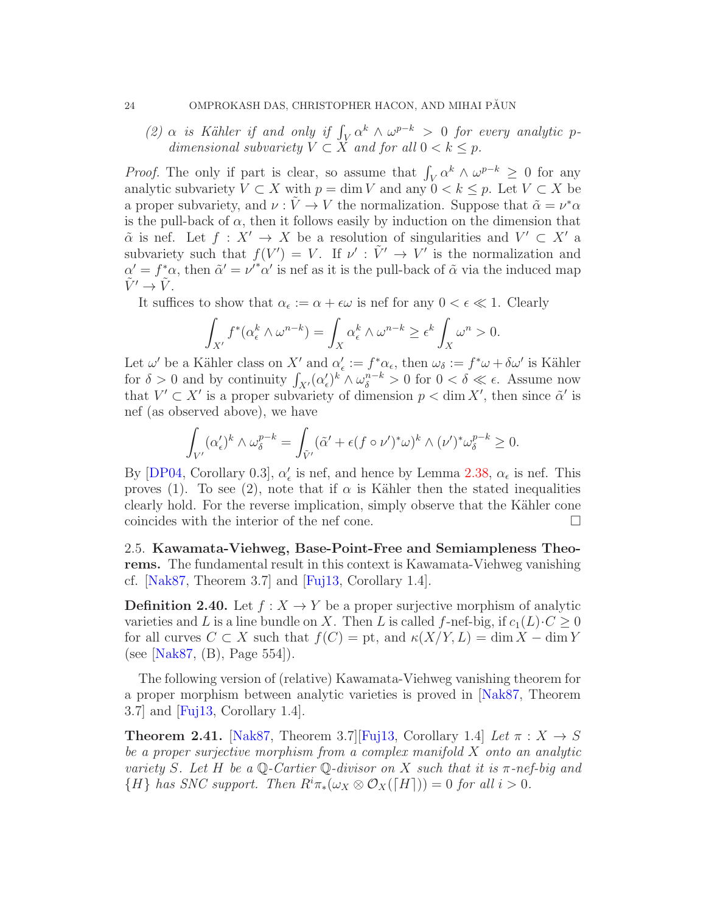(2)  $\alpha$  is Kähler if and only if  $\int_V \alpha^k \wedge \omega^{p-k} > 0$  for every analytic pdimensional subvariety  $V \subset X$  and for all  $0 < k \leq p$ .

*Proof.* The only if part is clear, so assume that  $\int_V \alpha^k \wedge \omega^{p-k} \geq 0$  for any analytic subvariety  $V \subset X$  with  $p = \dim V$  and any  $0 < k \leq p$ . Let  $V \subset X$  be a proper subvariety, and  $\nu : \tilde{V} \to V$  the normalization. Suppose that  $\tilde{\alpha} = \nu^* \alpha$ is the pull-back of  $\alpha$ , then it follows easily by induction on the dimension that  $\tilde{\alpha}$  is nef. Let  $f: X' \to X$  be a resolution of singularities and  $V' \subset X'$  a subvariety such that  $f(V') = V$ . If  $\nu' : \tilde{V}' \to V'$  is the normalization and  $\alpha' = f^*\alpha$ , then  $\tilde{\alpha}' = \nu'^*\alpha'$  is nef as it is the pull-back of  $\tilde{\alpha}$  via the induced map  $\tilde{V}' \rightarrow \tilde{V}$ .

It suffices to show that  $\alpha_{\epsilon} := \alpha + \epsilon \omega$  is nef for any  $0 < \epsilon \ll 1$ . Clearly

$$
\int_{X'} f^*(\alpha_\epsilon^k \wedge \omega^{n-k}) = \int_X \alpha_\epsilon^k \wedge \omega^{n-k} \ge \epsilon^k \int_X \omega^n > 0.
$$

Let  $\omega'$  be a Kähler class on X' and  $\alpha'_{\epsilon} := f^* \alpha_{\epsilon}$ , then  $\omega_{\delta} := f^* \omega + \delta \omega'$  is Kähler for  $\delta > 0$  and by continuity  $\int_{X'} (\alpha_\epsilon')^k \wedge \omega_\delta^{n-k} > 0$  for  $0 < \delta \ll \epsilon$ . Assume now that  $V' \subset X'$  is a proper subvariety of dimension  $p < \dim X'$ , then since  $\tilde{\alpha}'$  is nef (as observed above), we have

$$
\int_{V'} (\alpha_{\epsilon}')^k \wedge \omega_{\delta}^{p-k} = \int_{\tilde{V}'} (\tilde{\alpha}' + \epsilon (f \circ \nu')^* \omega)^k \wedge (\nu')^* \omega_{\delta}^{p-k} \ge 0.
$$

By [\[DP04,](#page-71-8) Corollary 0.3],  $\alpha'_{\epsilon}$  is nef, and hence by Lemma [2.38,](#page-22-1)  $\alpha_{\epsilon}$  is nef. This proves (1). To see (2), note that if  $\alpha$  is Kähler then the stated inequalities clearly hold. For the reverse implication, simply observe that the Kähler cone coincides with the interior of the nef cone.

<span id="page-23-0"></span>2.5. Kawamata-Viehweg, Base-Point-Free and Semiampleness Theorems. The fundamental result in this context is Kawamata-Viehweg vanishing cf.  $[Nak87, Theorem 3.7]$  and  $[Fuj13, Corollary 1.4]$ .

**Definition 2.40.** Let  $f: X \to Y$  be a proper surjective morphism of analytic varieties and L is a line bundle on X. Then L is called f-nef-big, if  $c_1(L) \cdot C \ge 0$ for all curves  $C \subset X$  such that  $f(C) =$  pt, and  $\kappa(X/Y, L) = \dim X - \dim Y$ (see [\[Nak87,](#page-72-0) (B), Page 554]).

The following version of (relative) Kawamata-Viehweg vanishing theorem for a proper morphism between analytic varieties is proved in [\[Nak87,](#page-72-0) Theorem 3.7] and [\[Fuj13,](#page-71-12) Corollary 1.4].

**Theorem 2.41.** [\[Nak87,](#page-72-0) Theorem 3.7][\[Fuj13,](#page-71-12) Corollary 1.4] Let  $\pi : X \to S$ be a proper surjective morphism from a complex manifold X onto an analytic variety S. Let H be a  $\mathbb{Q}$ -Cartier  $\mathbb{Q}$ -divisor on X such that it is  $\pi$ -nef-big and  $\{H\}$  has SNC support. Then  $R^i\pi_*(\omega_X \otimes \mathcal{O}_X(\lceil H\rceil)) = 0$  for all  $i > 0$ .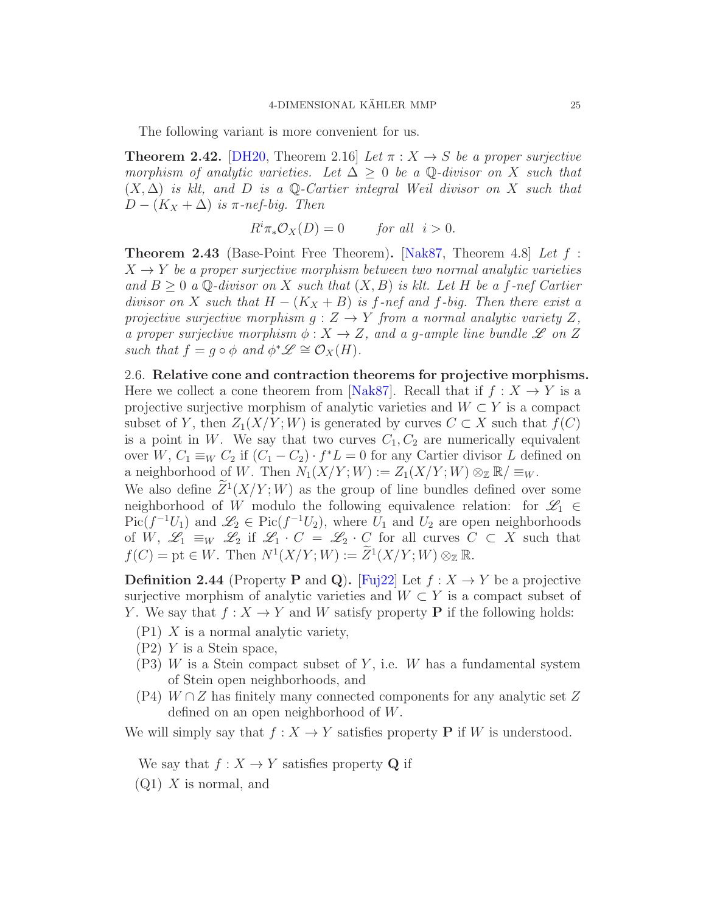The following variant is more convenient for us.

<span id="page-24-2"></span>**Theorem 2.42.** [\[DH20,](#page-71-2) Theorem 2.16] Let  $\pi : X \to S$  be a proper surjective morphism of analytic varieties. Let  $\Delta > 0$  be a  $\mathbb{Q}$ -divisor on X such that  $(X, \Delta)$  is klt, and D is a Q-Cartier integral Weil divisor on X such that  $D-(K_X+\Delta)$  is  $\pi$ -nef-big. Then

$$
R^i \pi_* \mathcal{O}_X(D) = 0 \quad \text{for all } i > 0.
$$

Theorem 2.43 (Base-Point Free Theorem). [\[Nak87,](#page-72-0) Theorem 4.8] Let f :  $X \to Y$  be a proper surjective morphism between two normal analytic varieties and  $B \geq 0$  a Q-divisor on X such that  $(X, B)$  is klt. Let H be a f-nef Cartier divisor on X such that  $H - (K_X + B)$  is f-nef and f-big. Then there exist a projective surjective morphism  $g: Z \to Y$  from a normal analytic variety Z, a proper surjective morphism  $\phi: X \to Z$ , and a g-ample line bundle  $\mathscr L$  on Z such that  $f = g \circ \phi$  and  $\phi^* \mathscr{L} \cong \mathcal{O}_X(H)$ .

<span id="page-24-0"></span>2.6. Relative cone and contraction theorems for projective morphisms. Here we collect a cone theorem from [\[Nak87\]](#page-72-0). Recall that if  $f : X \to Y$  is a projective surjective morphism of analytic varieties and  $W \subset Y$  is a compact subset of Y, then  $Z_1(X/Y;W)$  is generated by curves  $C \subset X$  such that  $f(C)$ is a point in W. We say that two curves  $C_1, C_2$  are numerically equivalent over W,  $C_1 \equiv_W C_2$  if  $(C_1 - C_2) \cdot f^*L = 0$  for any Cartier divisor L defined on a neighborhood of W. Then  $N_1(X/Y;W) := Z_1(X/Y;W) \otimes_{\mathbb{Z}} \mathbb{R}/\equiv_W$ .

We also define  $Z^1(X/Y;W)$  as the group of line bundles defined over some neighborhood of W modulo the following equivalence relation: for  $\mathscr{L}_1 \in$  $Pic(f^{-1}U_1)$  and  $\mathscr{L}_2 \in Pic(f^{-1}U_2)$ , where  $U_1$  and  $U_2$  are open neighborhoods of W,  $\mathscr{L}_1 \equiv_W \mathscr{L}_2$  if  $\mathscr{L}_1 \cdot C = \mathscr{L}_2 \cdot C$  for all curves  $C \subset X$  such that  $f(C) = \text{pt} \in W$ . Then  $N^1(X/Y;W) := \overline{Z}^1(X/Y;W) \otimes_{\mathbb{Z}} \mathbb{R}$ .

<span id="page-24-1"></span>**Definition 2.44** (Property P and Q). [\[Fuj22\]](#page-71-3) Let  $f: X \to Y$  be a projective surjective morphism of analytic varieties and  $W \subset Y$  is a compact subset of Y. We say that  $f: X \to Y$  and W satisfy property **P** if the following holds:

- $(P1)$  X is a normal analytic variety,
- (P2) Y is a Stein space,
- $(P3)$  W is a Stein compact subset of Y, i.e. W has a fundamental system of Stein open neighborhoods, and
- $(P4)$  W ∩ Z has finitely many connected components for any analytic set Z defined on an open neighborhood of W.

We will simply say that  $f : X \to Y$  satisfies property **P** if W is understood.

We say that  $f: X \to Y$  satisfies property **Q** if

 $(Q1)$  X is normal, and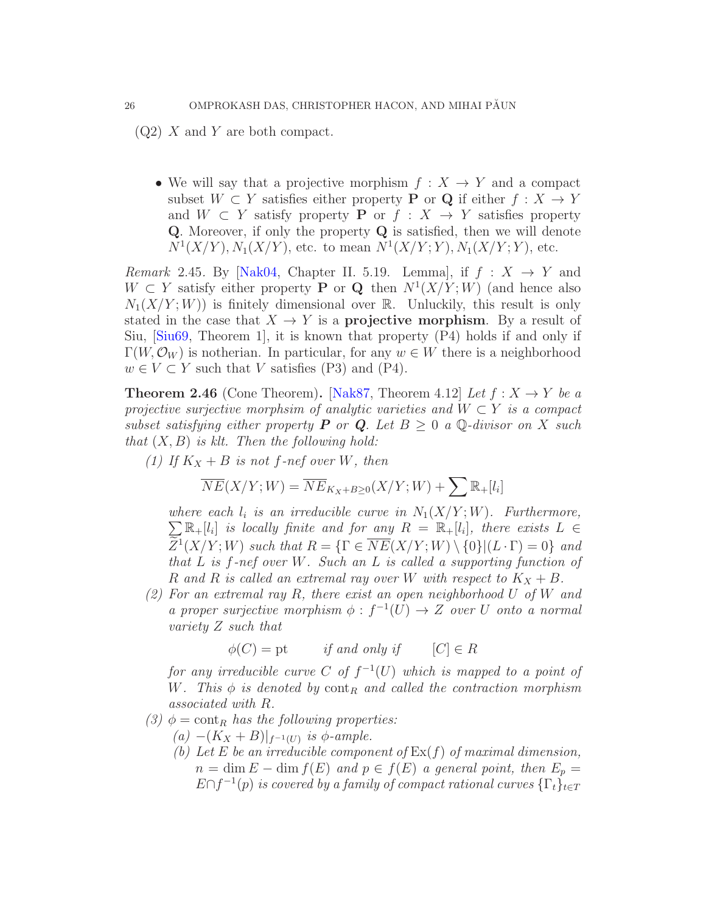$(Q2)$  X and Y are both compact.

• We will say that a projective morphism  $f: X \to Y$  and a compact subset  $W \subset Y$  satisfies either property **P** or **Q** if either  $f : X \to Y$ and  $W \subset Y$  satisfy property **P** or  $f : X \to Y$  satisfies property Q. Moreover, if only the property Q is satisfied, then we will denote  $N^1(X/Y), N_1(X/Y)$ , etc. to mean  $N^1(X/Y; Y), N_1(X/Y; Y)$ , etc.

*Remark* 2.45. By [\[Nak04,](#page-72-3) Chapter II. 5.19. Lemma], if  $f: X \rightarrow Y$  and  $W \subset Y$  satisfy either property **P** or **Q** then  $N^1(X/Y;W)$  (and hence also  $N_1(X/Y;W)$  is finitely dimensional over R. Unluckily, this result is only stated in the case that  $X \to Y$  is a **projective morphism**. By a result of Siu,  $\left[\frac{\text{Siu}69}{\text{Siu}69}\right]$ , Theorem 1, it is known that property  $\left(\frac{P4}{P4}\right)$  holds if and only if  $\Gamma(W, \mathcal{O}_W)$  is notherian. In particular, for any  $w \in W$  there is a neighborhood  $w \in V \subset Y$  such that V satisfies (P3) and (P4).

<span id="page-25-0"></span>**Theorem 2.46** (Cone Theorem). [\[Nak87,](#page-72-0) Theorem 4.12] Let  $f: X \to Y$  be a projective surjective morphsim of analytic varieties and  $W \subset Y$  is a compact subset satisfying either property **P** or **Q**. Let  $B \geq 0$  a Q-divisor on X such that  $(X, B)$  is klt. Then the following hold:

(1) If  $K_X + B$  is not f-nef over W, then

$$
\overline{NE}(X/Y;W)=\overline{NE}_{K_X+B\geq 0}(X/Y;W)+\sum \mathbb{R}_{+}[l_i]
$$

where each  $l_i$  is an irreducible curve in  $N_1(X/Y;W)$ . Furthermore,  $\sum \mathbb{R}_+ [l_i]$  is locally finite and for any  $R = \mathbb{R}_+ [l_i]$ , there exists  $L \in$  $Z^1(X/Y;W)$  such that  $R = \{ \Gamma \in \overline{NE}(X/Y;W) \setminus \{0\} | (L \cdot \Gamma) = 0 \}$  and that  $L$  is  $f$ -nef over  $W$ . Such an  $L$  is called a supporting function of R and R is called an extremal ray over W with respect to  $K_X + B$ .

(2) For an extremal ray R, there exist an open neighborhood U of W and a proper surjective morphism  $\phi : f^{-1}(U) \to Z$  over U onto a normal variety Z such that

 $\phi(C) = \text{pt}$  if and only if  $[C] \in R$ 

for any irreducible curve C of  $f^{-1}(U)$  which is mapped to a point of W. This  $\phi$  is denoted by cont<sub>R</sub> and called the contraction morphism associated with R.

- (3)  $\phi = \text{cont}_R$  has the following properties:
	- (a)  $-(K_X + B)|_{f^{-1}(U)}$  is  $\phi$ -ample.
		- (b) Let E be an irreducible component of  $\text{Ex}(f)$  of maximal dimension,  $n = \dim E - \dim f(E)$  and  $p \in f(E)$  a general point, then  $E_n =$  $E\cap f^{-1}(p)$  is covered by a family of compact rational curves  $\{\Gamma_t\}_{t\in T}$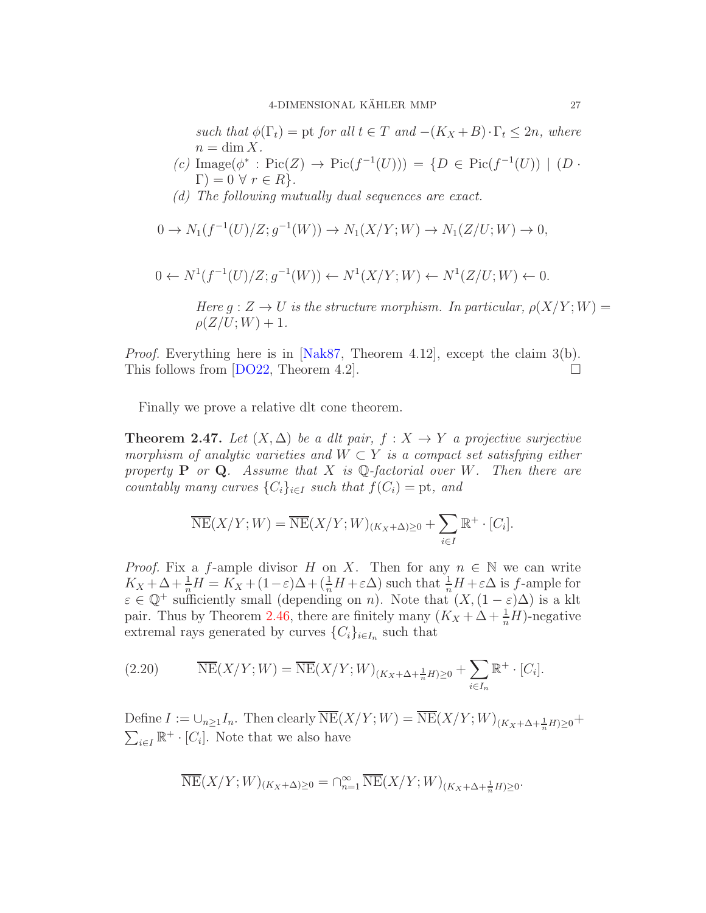such that  $\phi(\Gamma_t) = \text{pt}$  for all  $t \in T$  and  $-(K_X + B) \cdot \Gamma_t \leq 2n$ , where  $n = \dim X$ .

- (c)  $\text{Image}(\phi^* : \text{Pic}(Z) \to \text{Pic}(f^{-1}(U))) = \{D \in \text{Pic}(f^{-1}(U)) \mid (D \cdot$  $\Gamma$ ) = 0  $\forall$   $r \in R$  }.
- (d) The following mutually dual sequences are exact.

$$
0 \to N_1(f^{-1}(U)/Z; g^{-1}(W)) \to N_1(X/Y; W) \to N_1(Z/U; W) \to 0,
$$

$$
0 \leftarrow N^1(f^{-1}(U)/Z; g^{-1}(W)) \leftarrow N^1(X/Y; W) \leftarrow N^1(Z/U; W) \leftarrow 0.
$$

Here  $g: Z \to U$  is the structure morphism. In particular,  $\rho(X/Y;W) =$  $\rho(Z/U;W) + 1.$ 

Proof. Everything here is in [\[Nak87,](#page-72-0) Theorem 4.12], except the claim 3(b). This follows from  $[DO22, Theorem 4.2]$ .

Finally we prove a relative dlt cone theorem.

**Theorem 2.47.** Let  $(X, \Delta)$  be a dlt pair,  $f : X \to Y$  a projective surjective morphism of analytic varieties and  $W \subset Y$  is a compact set satisfying either property **P** or **Q**. Assume that X is Q-factorial over W. Then there are countably many curves  $\{C_i\}_{i\in I}$  such that  $f(C_i) = \text{pt}$ , and

$$
\overline{\text{NE}}(X/Y;W) = \overline{\text{NE}}(X/Y;W)_{(K_X+\Delta)\geq 0} + \sum_{i\in I} \mathbb{R}^+ \cdot [C_i].
$$

*Proof.* Fix a f-ample divisor H on X. Then for any  $n \in \mathbb{N}$  we can write  $K_X + \Delta + \frac{1}{n}H = K_X + (1 - \varepsilon)\Delta + (\frac{1}{n}H + \varepsilon\Delta)$  such that  $\frac{1}{n}H + \varepsilon\Delta$  is f-ample for  $\varepsilon \in \mathbb{Q}^+$  sufficiently small (depending on n). Note that  $(X,(1-\varepsilon)\Delta)$  is a klt pair. Thus by Theorem [2.46,](#page-25-0) there are finitely many  $(K_X + \Delta + \frac{1}{n}H)$ -negative extremal rays generated by curves  $\{C_i\}_{i\in I_n}$  such that

<span id="page-26-0"></span>(2.20) 
$$
\overline{\text{NE}}(X/Y;W) = \overline{\text{NE}}(X/Y;W)_{(K_X+\Delta+\frac{1}{n}H)\geq 0} + \sum_{i\in I_n} \mathbb{R}^+ \cdot [C_i].
$$

Define  $I := \bigcup_{n \geq 1} I_n$ . Then clearly  $NE(X/Y; W) = NE(X/Y; W)_{(K_X + \Delta + \frac{1}{n}H) \geq 0} +$  $\sum_{i\in I}\mathbb{R}^+\cdot [C_i]$ . Note that we also have

$$
\overline{\text{NE}}(X/Y;W)_{(K_X+\Delta)\geq 0}=\cap_{n=1}^{\infty}\overline{\text{NE}}(X/Y;W)_{(K_X+\Delta+\frac{1}{n}H)\geq 0}.
$$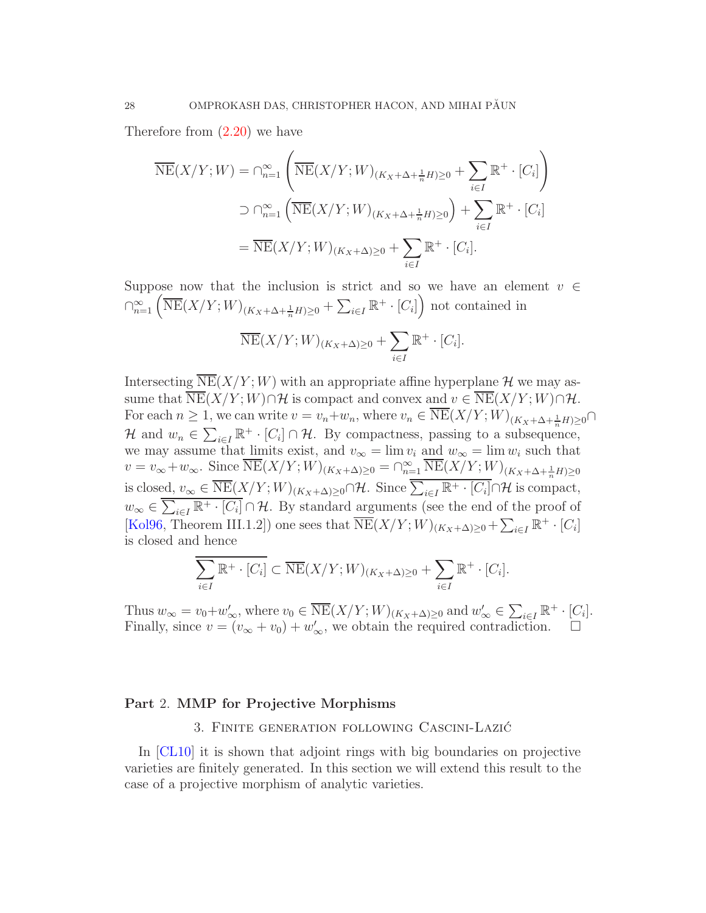Therefore from [\(2.20\)](#page-26-0) we have

$$
\overline{\text{NE}}(X/Y;W) = \bigcap_{n=1}^{\infty} \left( \overline{\text{NE}}(X/Y;W)_{(K_X + \Delta + \frac{1}{n}H) \ge 0} + \sum_{i \in I} \mathbb{R}^+ \cdot [C_i] \right)
$$
  

$$
\supset \bigcap_{n=1}^{\infty} \left( \overline{\text{NE}}(X/Y;W)_{(K_X + \Delta + \frac{1}{n}H) \ge 0} \right) + \sum_{i \in I} \mathbb{R}^+ \cdot [C_i]
$$
  

$$
= \overline{\text{NE}}(X/Y;W)_{(K_X + \Delta) \ge 0} + \sum_{i \in I} \mathbb{R}^+ \cdot [C_i].
$$

Suppose now that the inclusion is strict and so we have an element  $v \in$  $\bigcap_{n=1}^{\infty} \left( \overline{\text{NE}}(X/Y;W)_{(K_X+\Delta+\frac{1}{n}H)\geq 0} + \sum_{i\in I} \mathbb{R}^+ \cdot [C_i] \right)$  not contained in

$$
\overline{\text{NE}}(X/Y;W)_{(K_X+\Delta)\geq 0}+\sum_{i\in I}\mathbb{R}^+\cdot [C_i].
$$

Intersecting  $\overline{\text{NE}}(X/Y;W)$  with an appropriate affine hyperplane H we may assume that  $\overline{\text{NE}}(X/Y;W)\cap \mathcal{H}$  is compact and convex and  $v \in \overline{\text{NE}}(X/Y;W)\cap \mathcal{H}$ . For each  $n \geq 1$ , we can write  $v = v_n + w_n$ , where  $v_n \in \text{NE}(X/Y; W)_{(K_X + \Delta + \frac{1}{n}H) \geq 0}$ H and  $w_n \in \sum_{i \in I} \mathbb{R}^+ \cdot [C_i] \cap \mathcal{H}$ . By compactness, passing to a subsequence, we may assume that limits exist, and  $v_{\infty} = \lim v_i$  and  $w_{\infty} = \lim w_i$  such that  $v = v_{\infty} + w_{\infty}$ . Since  $\overline{\text{NE}}(X/Y;W)_{(K_X+\Delta)\geq 0} = \bigcap_{n=1}^{\infty} \overline{\text{NE}}(X/Y;W)_{(K_X+\Delta+\frac{1}{n}H)\geq 0}$ is closed,  $v_{\infty} \in \overline{\text{NE}}(X/Y;W)_{(K_X+\Delta)\geq 0} \cap \mathcal{H}$ . Since  $\overline{\sum_{i\in I}\mathbb{R}^+\cdot [C_i]} \cap \mathcal{H}$  is compact,  $w_{\infty} \in \overline{\sum_{i \in I} \mathbb{R}^+ \cdot [C_i]} \cap \mathcal{H}$ . By standard arguments (see the end of the proof of [\[Kol96,](#page-72-6) Theorem III.1.2]) one sees that  $\overline{\text{NE}}(X/Y;W)_{(K_X+\Delta)\geq 0} + \sum_{i\in I} \mathbb{R}^+ \cdot [C_i]$ is closed and hence

$$
\sum_{i\in I} \mathbb{R}^+ \cdot [C_i] \subset \overline{\text{NE}}(X/Y;W)_{(K_X+\Delta)\geq 0} + \sum_{i\in I} \mathbb{R}^+ \cdot [C_i].
$$

Thus  $w_{\infty} = v_0 + w'_{\infty}$ , where  $v_0 \in \overline{\text{NE}}(X/Y;W)_{(K_X+\Delta)\geq 0}$  and  $w'_{\infty} \in \sum_{i\in I} \mathbb{R}^+ \cdot [C_i]$ . Finally, since  $v = (v_{\infty} + v_0) + w'_{\infty}$ , we obtain the required contradiction.  $\square$ 

## <span id="page-27-1"></span><span id="page-27-0"></span>Part 2. MMP for Projective Morphisms

3. Finite generation following Cascini-Lazic´

In [\[CL10\]](#page-71-4) it is shown that adjoint rings with big boundaries on projective varieties are finitely generated. In this section we will extend this result to the case of a projective morphism of analytic varieties.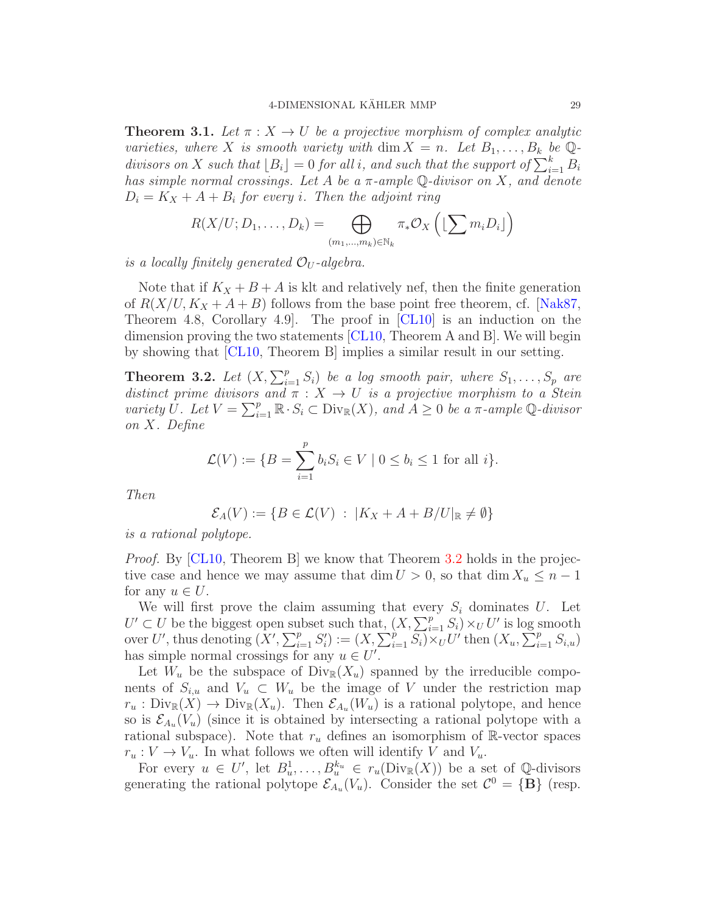<span id="page-28-1"></span>**Theorem 3.1.** Let  $\pi$  :  $X \to U$  be a projective morphism of complex analytic varieties, where X is smooth variety with dim  $X = n$ . Let  $B_1, \ldots, B_k$  be Qdivisors on X such that  $\lfloor B_i \rfloor = 0$  for all i, and such that the support of  $\sum_{i=1}^{k} B_i$ has simple normal crossings. Let A be a  $\pi$ -ample  $\mathbb Q$ -divisor on X, and denote  $D_i = K_X + A + B_i$  for every *i*. Then the adjoint ring

$$
R(X/U; D_1, \ldots, D_k) = \bigoplus_{(m_1, \ldots, m_k) \in \mathbb{N}_k} \pi_* \mathcal{O}_X \left( \lfloor \sum m_i D_i \rfloor \right)
$$

is a locally finitely generated  $\mathcal{O}_U$ -algebra.

Note that if  $K_X + B + A$  is klt and relatively nef, then the finite generation of  $R(X/U, K_X + A + B)$  follows from the base point free theorem, cf. [\[Nak87,](#page-72-0) Theorem 4.8, Corollary 4.9. The proof in  $\lbrack CL10\rbrack$  is an induction on the dimension proving the two statements [\[CL10,](#page-71-4) Theorem A and B]. We will begin by showing that [\[CL10,](#page-71-4) Theorem B] implies a similar result in our setting.

<span id="page-28-0"></span>**Theorem 3.2.** Let  $(X, \sum_{i=1}^p S_i)$  be a log smooth pair, where  $S_1, \ldots, S_p$  are distinct prime divisors and  $\pi : X \to U$  is a projective morphism to a Stein variety  $\bar{U}$ . Let  $V = \sum_{i=1}^p \mathbb{R} \cdot S_i \subset \text{Div}_{\mathbb{R}}(X)$ , and  $\bar{A} \geq 0$  be a  $\pi$ -ample  $\mathbb{Q}$ -divisor on X. Define

$$
\mathcal{L}(V) := \{ B = \sum_{i=1}^{p} b_i S_i \in V \mid 0 \le b_i \le 1 \text{ for all } i \}.
$$

Then

$$
\mathcal{E}_A(V) := \{ B \in \mathcal{L}(V) : |K_X + A + B/U|_{\mathbb{R}} \neq \emptyset \}
$$

is a rational polytope.

*Proof.* By  $\vert$ CL10, Theorem B we know that Theorem [3.2](#page-28-0) holds in the projective case and hence we may assume that dim  $U > 0$ , so that dim  $X_u \leq n - 1$ for any  $u \in U$ .

We will first prove the claim assuming that every  $S_i$  dominates U. Let  $U' \subset U$  be the biggest open subset such that,  $(X, \sum_{i=1}^p S_i) \times_U U'$  is log smooth over U', thus denoting  $(X', \sum_{i=1}^p S'_i) := (X, \sum_{i=1}^p \overline{S_i}) \times_U U'$  then  $(X_u, \sum_{i=1}^p S_{i,u})$ has simple normal crossings for any  $u \in U'$ .

Let  $W_u$  be the subspace of  $\text{Div}_R(X_u)$  spanned by the irreducible components of  $S_{i,u}$  and  $V_u \subset W_u$  be the image of V under the restriction map  $r_u : Div_{\mathbb{R}}(X) \to Div_{\mathbb{R}}(X_u)$ . Then  $\mathcal{E}_{A_u}(W_u)$  is a rational polytope, and hence so is  $\mathcal{E}_{A_u}(V_u)$  (since it is obtained by intersecting a rational polytope with a rational subspace). Note that  $r_u$  defines an isomorphism of R-vector spaces  $r_u: V \to V_u$ . In what follows we often will identify V and  $V_u$ .

For every  $u \in U'$ , let  $B_u^1, \ldots, B_u^{k_u} \in r_u(\text{Div}_\mathbb{R}(X))$  be a set of Q-divisors generating the rational polytope  $\mathcal{E}_{A_u}(V_u)$ . Consider the set  $\mathcal{C}^0 = \{B\}$  (resp.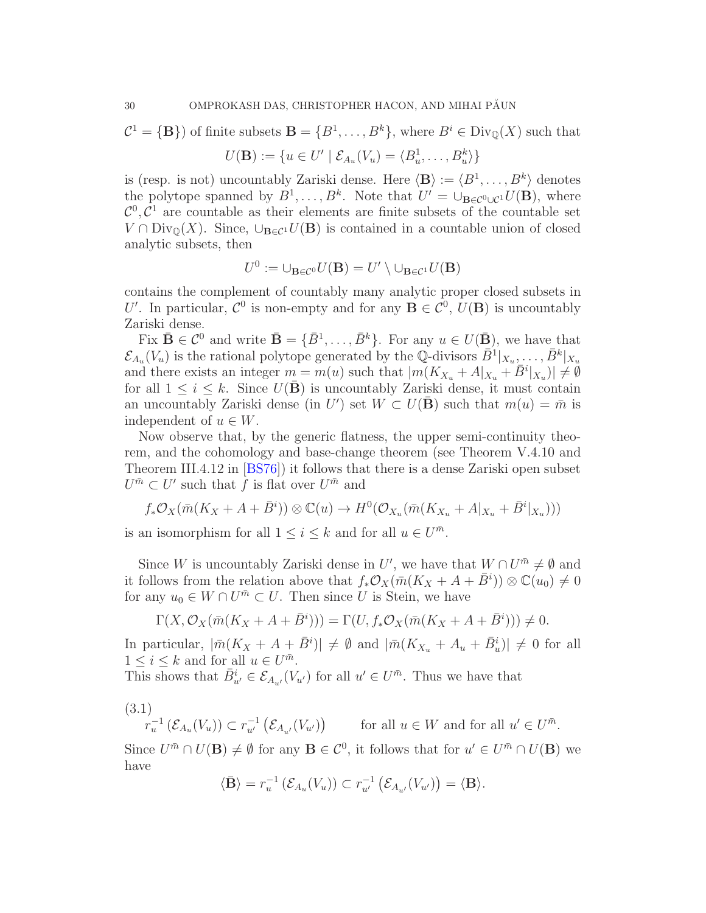$\mathcal{C}^1 = \{ \mathbf{B} \}$  of finite subsets  $\mathbf{B} = \{ B^1, \ldots, B^k \}$ , where  $B^i \in \text{Div}_{\mathbb{Q}}(X)$  such that

$$
U(\mathbf{B}) := \{ u \in U' \mid \mathcal{E}_{A_u}(V_u) = \langle B_u^1, \dots, B_u^k \rangle \}
$$

is (resp. is not) uncountably Zariski dense. Here  $\langle \mathbf{B} \rangle := \langle B^1, \ldots, B^k \rangle$  denotes the polytope spanned by  $B^1, \ldots, B^k$ . Note that  $U' = \bigcup_{\mathbf{B} \in \mathcal{C}^0 \cup \mathcal{C}^1} U(\mathbf{B})$ , where  $\mathcal{C}^0$ ,  $\mathcal{C}^1$  are countable as their elements are finite subsets of the countable set  $V \cap Div_{\mathbb{Q}}(X)$ . Since,  $\cup_{\mathbf{B}\in\mathcal{C}^1} U(\mathbf{B})$  is contained in a countable union of closed analytic subsets, then

$$
U^0 := \bigcup_{\mathbf{B} \in \mathcal{C}^0} U(\mathbf{B}) = U' \setminus \bigcup_{\mathbf{B} \in \mathcal{C}^1} U(\mathbf{B})
$$

contains the complement of countably many analytic proper closed subsets in U'. In particular,  $\mathcal{C}^0$  is non-empty and for any  $\mathbf{B} \in \mathcal{C}^0$ ,  $U(\mathbf{B})$  is uncountably Zariski dense.

Fix  $\bar{\mathbf{B}} \in \mathcal{C}^0$  and write  $\bar{\mathbf{B}} = {\bar{B}^1, \ldots, \bar{B}^k}$ . For any  $u \in U(\bar{\mathbf{B}})$ , we have that  $\mathcal{E}_{A_u}(V_u)$  is the rational polytope generated by the Q-divisors  $\bar{B}^1|_{X_u},\ldots,\bar{B}^k|_{X_u}$ and there exists an integer  $m = m(u)$  such that  $|m(K_{X_u} + A|_{X_u} + \overline{B}^i|_{X_u})| \neq \emptyset$ for all  $1 \leq i \leq k$ . Since  $U(\overline{B})$  is uncountably Zariski dense, it must contain an uncountably Zariski dense (in U') set  $W \subset U(\bar{B})$  such that  $m(u) = \bar{m}$  is independent of  $u \in W$ .

Now observe that, by the generic flatness, the upper semi-continuity theorem, and the cohomology and base-change theorem (see Theorem V.4.10 and Theorem III.4.12 in [\[BS76\]](#page-70-7)) it follows that there is a dense Zariski open subset  $U^{\bar{m}} \subset U'$  such that f is flat over  $U^{\bar{m}}$  and

$$
f_*\mathcal{O}_X(\bar{m}(K_X + A + \bar{B}^i)) \otimes \mathbb{C}(u) \to H^0(\mathcal{O}_{X_u}(\bar{m}(K_{X_u} + A|_{X_u} + \bar{B}^i|_{X_u})))
$$

is an isomorphism for all  $1 \leq i \leq k$  and for all  $u \in U^{\bar{m}}$ .

Since W is uncountably Zariski dense in U', we have that  $W \cap U^{\bar{m}} \neq \emptyset$  and it follows from the relation above that  $f_*\mathcal{O}_X(\bar{m}(K_X + A + \bar{B}^i)) \otimes \mathbb{C}(u_0) \neq 0$ for any  $u_0 \in W \cap U^{\bar{m}} \subset U$ . Then since U is Stein, we have

$$
\Gamma(X, \mathcal{O}_X(\bar{m}(K_X + A + \bar{B}^i))) = \Gamma(U, f_*\mathcal{O}_X(\bar{m}(K_X + A + \bar{B}^i))) \neq 0.
$$

In particular,  $|\bar{m}(K_X + A + \bar{B}^i)| \neq \emptyset$  and  $|\bar{m}(K_{X_u} + A_u + \bar{B}^i_u)| \neq 0$  for all  $1 \leq i \leq k$  and for all  $u \in U^{\bar{m}}$ .

This shows that  $\bar{B}_{u'}^i \in \mathcal{E}_{A_{u'}}(V_{u'})$  for all  $u' \in U^{\bar{m}}$ . Thus we have that

(3.1)

 $r_u^{-1}(\mathcal{E}_{A_u}(V_u)) \subset r_{u'}^{-1}(\mathcal{E}_{A_{u'}}(V_{u'}))$  for all  $u \in W$  and for all  $u' \in U^{\bar{m}}$ .

Since  $U^{\bar{m}} \cap U(\mathbf{B}) \neq \emptyset$  for any  $\mathbf{B} \in \mathcal{C}^0$ , it follows that for  $u' \in U^{\bar{m}} \cap U(\mathbf{B})$  we have

$$
\langle \bar{\mathbf{B}} \rangle = r_u^{-1} \left( \mathcal{E}_{A_u}(V_u) \right) \subset r_{u'}^{-1} \left( \mathcal{E}_{A_{u'}}(V_{u'}) \right) = \langle \mathbf{B} \rangle.
$$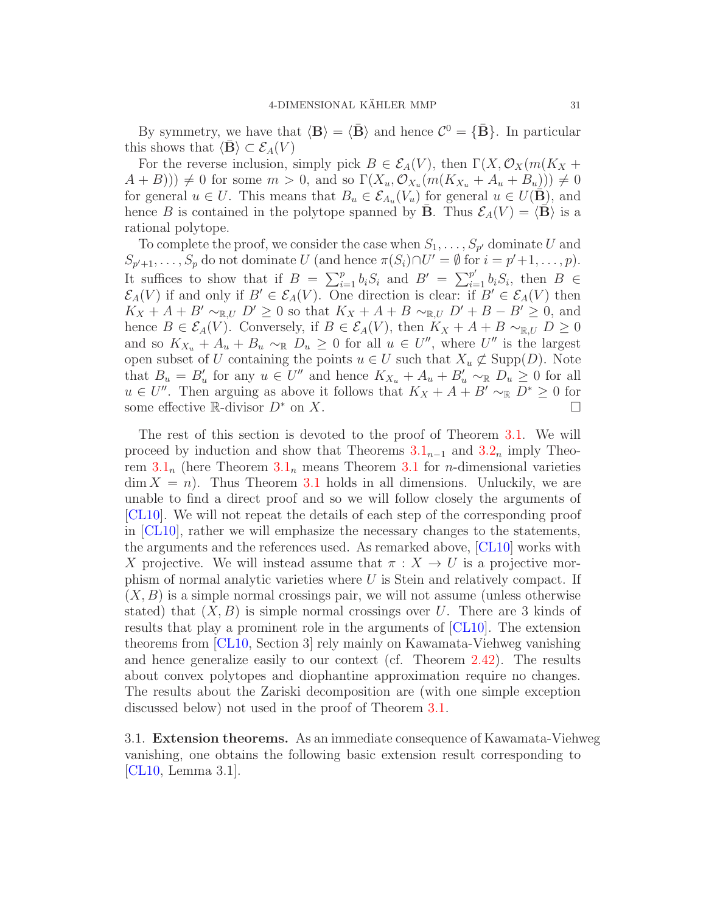By symmetry, we have that  $\langle \mathbf{B} \rangle = \langle \bar{\mathbf{B}} \rangle$  and hence  $\mathcal{C}^0 = {\{\bar{\mathbf{B}}}\}\.$  In particular this shows that  $\langle \mathbf{B} \rangle \subset \mathcal{E}_A(V)$ 

For the reverse inclusion, simply pick  $B \in \mathcal{E}_A(V)$ , then  $\Gamma(X, \mathcal{O}_X(m(K_X +$  $(A + B))$   $\neq 0$  for some  $m > 0$ , and so  $\Gamma(X_u, \mathcal{O}_{X_u}(m(K_{X_u} + A_u + B_u))) \neq 0$ for general  $u \in U$ . This means that  $B_u \in \mathcal{E}_{A_u}(V_u)$  for general  $u \in U(\mathbf{B})$ , and hence B is contained in the polytope spanned by  $\bar{\mathbf{B}}$ . Thus  $\mathcal{E}_A(V) = \langle \bar{\mathbf{B}} \rangle$  is a rational polytope.

To complete the proof, we consider the case when  $S_1, \ldots, S_{p'}$  dominate U and  $S_{p'+1}, \ldots, S_p$  do not dominate U (and hence  $\pi(S_i) \cap U' = \emptyset$  for  $i = p'+1, \ldots, p$ ). It suffices to show that if  $B = \sum_{i=1}^p b_i S_i$  and  $B' = \sum_{i=1}^{p'} b_i S_i$ , then  $B \in$  $\mathcal{E}_A(V)$  if and only if  $B' \in \mathcal{E}_A(V)$ . One direction is clear: if  $B' \in \mathcal{E}_A(V)$  then  $K_X + A + B' \sim_{\mathbb{R},U} D' \geq 0$  so that  $K_X + A + B \sim_{\mathbb{R},U} D' + B - B' \geq 0$ , and hence  $B \in \mathcal{E}_A(V)$ . Conversely, if  $B \in \mathcal{E}_A(V)$ , then  $K_X + A + B \sim_{\mathbb{R},U} D \geq 0$ and so  $K_{X_u} + A_u + B_u \sim_{\mathbb{R}} D_u \geq 0$  for all  $u \in U''$ , where  $U''$  is the largest open subset of U containing the points  $u \in U$  such that  $X_u \not\subset \text{Supp}(D)$ . Note that  $B_u = B'_u$  for any  $u \in U''$  and hence  $K_{X_u} + A_u + B'_u \sim_{\mathbb{R}} D_u \geq 0$  for all  $u \in U''$ . Then arguing as above it follows that  $K_X + A + B' \sim_{\mathbb{R}} D^* \geq 0$  for some effective R-divisor  $D^*$  on X.

The rest of this section is devoted to the proof of Theorem [3.1.](#page-28-1) We will proceed by induction and show that Theorems  $3.1_{n-1}$  $3.1_{n-1}$  and  $3.2_n$  $3.2_n$  imply Theorem  $3.1<sub>n</sub>$  $3.1<sub>n</sub>$  (here Theorem  $3.1<sub>n</sub>$  means Theorem 3.1 for *n*-dimensional varieties  $\dim X = n$ . Thus Theorem [3.1](#page-28-1) holds in all dimensions. Unluckily, we are unable to find a direct proof and so we will follow closely the arguments of [\[CL10\]](#page-71-4). We will not repeat the details of each step of the corresponding proof in [\[CL10\]](#page-71-4), rather we will emphasize the necessary changes to the statements, the arguments and the references used. As remarked above, [\[CL10\]](#page-71-4) works with X projective. We will instead assume that  $\pi : X \to U$  is a projective morphism of normal analytic varieties where  $U$  is Stein and relatively compact. If  $(X, B)$  is a simple normal crossings pair, we will not assume (unless otherwise stated) that  $(X, B)$  is simple normal crossings over U. There are 3 kinds of results that play a prominent role in the arguments of [\[CL10\]](#page-71-4). The extension theorems from [\[CL10,](#page-71-4) Section 3] rely mainly on Kawamata-Viehweg vanishing and hence generalize easily to our context (cf. Theorem [2.42\)](#page-24-2). The results about convex polytopes and diophantine approximation require no changes. The results about the Zariski decomposition are (with one simple exception discussed below) not used in the proof of Theorem [3.1.](#page-28-1)

<span id="page-30-0"></span>3.1. Extension theorems. As an immediate consequence of Kawamata-Viehweg vanishing, one obtains the following basic extension result corresponding to [\[CL10,](#page-71-4) Lemma 3.1].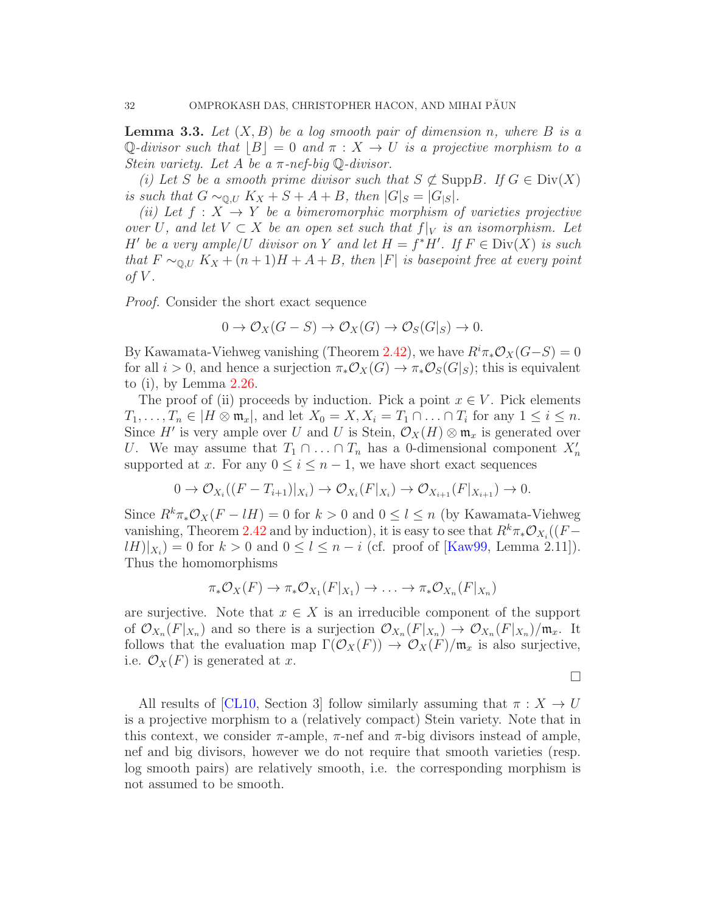<span id="page-31-0"></span>**Lemma 3.3.** Let  $(X, B)$  be a log smooth pair of dimension n, where B is a Q-divisor such that  $|B|=0$  and  $\pi: X \to U$  is a projective morphism to a Stein variety. Let A be a  $\pi$ -nef-big  $\mathbb{Q}$ -divisor.

(i) Let S be a smooth prime divisor such that  $S \not\subset \text{Supp}B$ . If  $G \in \text{Div}(X)$ is such that  $G \sim_{\mathbb{Q}, U} K_X + S + A + B$ , then  $|G|_S = |G|_S$ .

(ii) Let  $f: X \to Y$  be a bimeromorphic morphism of varieties projective over U, and let  $V \subset X$  be an open set such that  $f|_V$  is an isomorphism. Let H' be a very ample/U divisor on Y and let  $H = f^*H'$ . If  $F \in \text{Div}(X)$  is such that  $F \sim_{\mathbb{Q}, U} K_X + (n+1)H + A + B$ , then |F| is basepoint free at every point of  $V$ .

Proof. Consider the short exact sequence

$$
0 \to \mathcal{O}_X(G-S) \to \mathcal{O}_X(G) \to \mathcal{O}_S(G|_S) \to 0.
$$

By Kawamata-Viehweg vanishing (Theorem [2.42\)](#page-24-2), we have  $R^i \pi_* \mathcal{O}_X(G-S) = 0$ for all  $i > 0$ , and hence a surjection  $\pi_* \mathcal{O}_X(G) \to \pi_* \mathcal{O}_S(G|_S)$ ; this is equivalent to (i), by Lemma [2.26.](#page-14-0)

The proof of (ii) proceeds by induction. Pick a point  $x \in V$ . Pick elements  $T_1, \ldots, T_n \in |H \otimes \mathfrak{m}_x|$ , and let  $X_0 = X, X_i = T_1 \cap \ldots \cap T_i$  for any  $1 \leq i \leq n$ . Since H' is very ample over U and U is Stein,  $\mathcal{O}_X(H) \otimes \mathfrak{m}_x$  is generated over U. We may assume that  $T_1 \cap \ldots \cap T_n$  has a 0-dimensional component  $X'_n$ supported at x. For any  $0 \le i \le n-1$ , we have short exact sequences

$$
0 \to \mathcal{O}_{X_i}((F - T_{i+1})|_{X_i}) \to \mathcal{O}_{X_i}(F|_{X_i}) \to \mathcal{O}_{X_{i+1}}(F|_{X_{i+1}}) \to 0.
$$

Since  $R^k \pi_* \mathcal{O}_X(F - lH) = 0$  for  $k > 0$  and  $0 \leq l \leq n$  (by Kawamata-Viehweg vanishing, Theorem [2.42](#page-24-2) and by induction), it is easy to see that  $R^k \pi_* \mathcal{O}_{X_i}((F \lbrack lH)\rbrack_{X_i} = 0$  for  $k > 0$  and  $0 \leq l \leq n - i$  (cf. proof of [\[Kaw99,](#page-71-13) Lemma 2.11]). Thus the homomorphisms

$$
\pi_*\mathcal{O}_X(F)\to \pi_*\mathcal{O}_{X_1}(F|_{X_1})\to \ldots \to \pi_*\mathcal{O}_{X_n}(F|_{X_n})
$$

are surjective. Note that  $x \in X$  is an irreducible component of the support of  $\mathcal{O}_{X_n}(F|_{X_n})$  and so there is a surjection  $\mathcal{O}_{X_n}(F|_{X_n}) \to \mathcal{O}_{X_n}(F|_{X_n})/\mathfrak{m}_x$ . It follows that the evaluation map  $\Gamma(\mathcal{O}_X(F)) \to \mathcal{O}_X(F)/\mathfrak{m}_x$  is also surjective, i.e.  $\mathcal{O}_X(F)$  is generated at x.

 $\Box$ 

All results of [\[CL10,](#page-71-4) Section 3] follow similarly assuming that  $\pi : X \to U$ is a projective morphism to a (relatively compact) Stein variety. Note that in this context, we consider  $\pi$ -ample,  $\pi$ -nef and  $\pi$ -big divisors instead of ample, nef and big divisors, however we do not require that smooth varieties (resp. log smooth pairs) are relatively smooth, i.e. the corresponding morphism is not assumed to be smooth.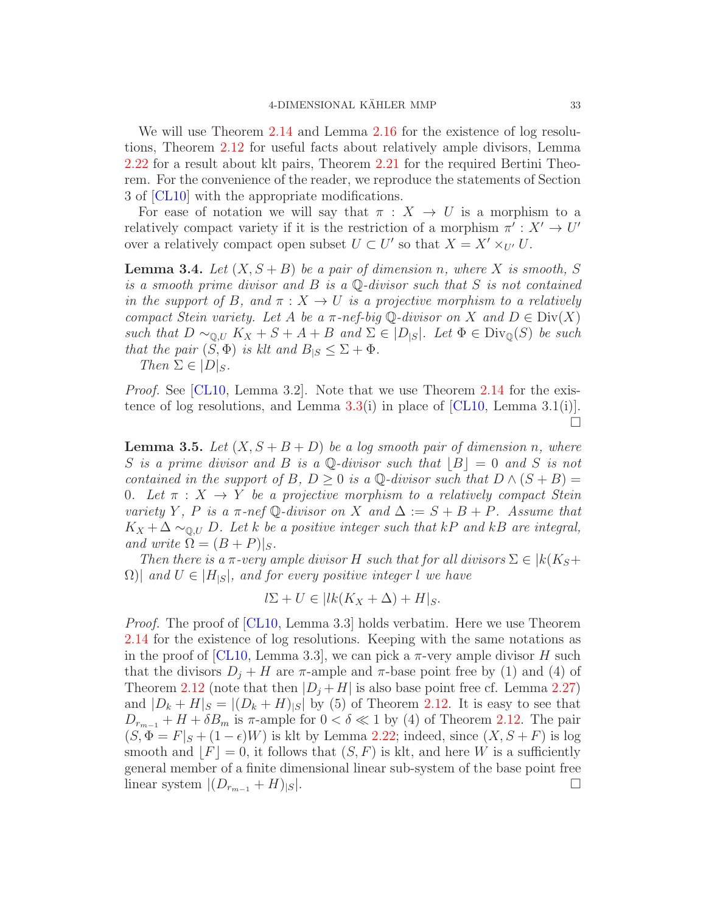We will use Theorem [2.14](#page-9-0) and Lemma [2.16](#page-10-2) for the existence of log resolutions, Theorem [2.12](#page-8-0) for useful facts about relatively ample divisors, Lemma [2.22](#page-12-2) for a result about klt pairs, Theorem [2.21](#page-11-0) for the required Bertini Theorem. For the convenience of the reader, we reproduce the statements of Section 3 of [\[CL10\]](#page-71-4) with the appropriate modifications.

For ease of notation we will say that  $\pi : X \to U$  is a morphism to a relatively compact variety if it is the restriction of a morphism  $\pi' : X' \to U'$ over a relatively compact open subset  $U \subset U'$  so that  $X = X' \times_{U'} U$ .

**Lemma 3.4.** Let  $(X, S + B)$  be a pair of dimension n, where X is smooth, S is a smooth prime divisor and  $B$  is a  $\mathbb Q$ -divisor such that  $S$  is not contained in the support of B, and  $\pi : X \to U$  is a projective morphism to a relatively compact Stein variety. Let A be a  $\pi$ -nef-big Q-divisor on X and  $D \in \text{Div}(X)$ such that  $D \sim_{\mathbb{Q},U} K_X + S + A + B$  and  $\Sigma \in |D_{|S}|$ . Let  $\Phi \in \text{Div}_{\mathbb{Q}}(S)$  be such that the pair  $(S, \Phi)$  is klt and  $B_{|S} \leq \Sigma + \Phi$ .

Then  $\Sigma \in |D|_S$ .

*Proof.* See [\[CL10,](#page-71-4) Lemma 3.2]. Note that we use Theorem [2.14](#page-9-0) for the exis-tence of log resolutions, and Lemma [3.3\(](#page-31-0)i) in place of [\[CL10,](#page-71-4) Lemma 3.1(i)].  $\Box$ 

**Lemma 3.5.** Let  $(X, S + B + D)$  be a log smooth pair of dimension n, where S is a prime divisor and B is a Q-divisor such that  $|B|=0$  and S is not contained in the support of B, D > 0 is a  $\mathbb{Q}$ -divisor such that  $D \wedge (S + B) =$ 0. Let  $\pi : X \to Y$  be a projective morphism to a relatively compact Stein variety Y, P is a  $\pi$ -nef Q-divisor on X and  $\Delta := S + B + P$ . Assume that  $K_X + \Delta \sim_{\mathbb{Q},U} D$ . Let k be a positive integer such that kP and kB are integral, and write  $\Omega = (B + P)|_S$ .

Then there is a  $\pi$ -very ample divisor H such that for all divisors  $\Sigma \in \mathcal{k}(K_S+$  $\Omega$ )| and  $U \in |H_{|S}|$ , and for every positive integer l we have

$$
l\Sigma + U \in |lk(K_X + \Delta) + H|_S.
$$

*Proof.* The proof of [\[CL10,](#page-71-4) Lemma 3.3] holds verbatim. Here we use Theorem [2.14](#page-9-0) for the existence of log resolutions. Keeping with the same notations as in the proof of [\[CL10,](#page-71-4) Lemma 3.3], we can pick a  $\pi$ -very ample divisor H such that the divisors  $D_i + H$  are  $\pi$ -ample and  $\pi$ -base point free by (1) and (4) of Theorem [2.12](#page-8-0) (note that then  $|D_j + H|$  is also base point free cf. Lemma [2.27\)](#page-15-1) and  $|D_k + H|_S = |(D_k + H)|_S$  by (5) of Theorem [2.12.](#page-8-0) It is easy to see that  $D_{r_{m-1}} + H + \delta B_m$  is  $\pi$ -ample for  $0 < \delta \ll 1$  by (4) of Theorem [2.12.](#page-8-0) The pair  $(S, \Phi = F|_S + (1 - \epsilon)W)$  is klt by Lemma [2.22;](#page-12-2) indeed, since  $(X, S + F)$  is log smooth and  $|F|=0$ , it follows that  $(S, F)$  is klt, and here W is a sufficiently general member of a finite dimensional linear sub-system of the base point free linear system  $|(D_{r_{m-1}}+H)_{|S}|$ .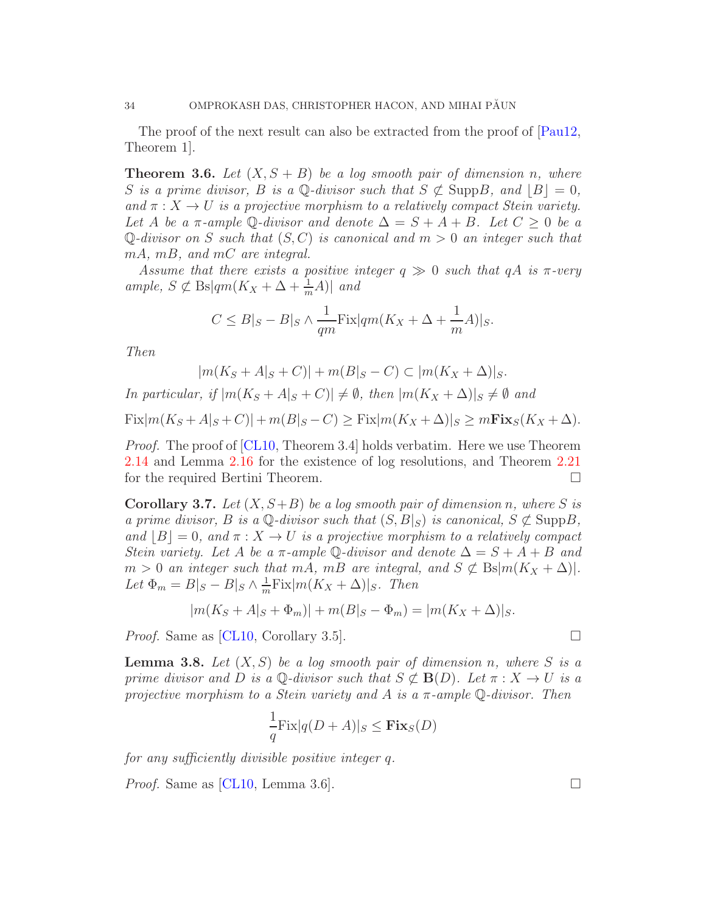The proof of the next result can also be extracted from the proof of  $[Paul2,$ Theorem 1].

**Theorem 3.6.** Let  $(X, S + B)$  be a log smooth pair of dimension n, where S is a prime divisor, B is a Q-divisor such that  $S \not\subset \text{Supp}B$ , and  $|B| = 0$ , and  $\pi: X \to U$  is a projective morphism to a relatively compact Stein variety. Let A be a  $\pi$ -ample Q-divisor and denote  $\Delta = S + A + B$ . Let  $C \geq 0$  be a Q-divisor on S such that  $(S, C)$  is canonical and  $m > 0$  an integer such that mA, mB, and mC are integral.

Assume that there exists a positive integer  $q \gg 0$  such that  $qA$  is  $\pi$ -very ample,  $S \not\subset \text{Bs}|qm(K_X+\Delta+\frac{1}{m}A)|$  and

$$
C \leq B|_S - B|_S \wedge \frac{1}{qm}\text{Fix}|qm(K_X + \Delta + \frac{1}{m}A)|_S.
$$

Then

$$
|m(K_S + A|_S + C)| + m(B|_S - C) \subset |m(K_X + \Delta)|_S.
$$

In particular, if  $|m(K_S + A|_S + C)| \neq \emptyset$ , then  $|m(K_X + \Delta)|_S \neq \emptyset$  and  $Fix|m(K_S + A|_S + C)| + m(B|_S - C)$  >  $Fix|m(K_X + \Delta)|_S$  >  $mFix_S(K_X + \Delta)$ .

*Proof.* The proof of [\[CL10,](#page-71-4) Theorem 3.4] holds verbatim. Here we use Theorem [2.14](#page-9-0) and Lemma [2.16](#page-10-2) for the existence of log resolutions, and Theorem [2.21](#page-11-0) for the required Bertini Theorem.

**Corollary 3.7.** Let  $(X, S+B)$  be a log smooth pair of dimension n, where S is a prime divisor, B is a  $\mathbb{Q}$ -divisor such that  $(S, B|_S)$  is canonical,  $S \not\subset \text{Supp}B$ , and  $|B| = 0$ , and  $\pi : X \to U$  is a projective morphism to a relatively compact Stein variety. Let A be a  $\pi$ -ample Q-divisor and denote  $\Delta = S + A + B$  and  $m > 0$  an integer such that mA, mB are integral, and  $S \not\subset \text{Bs}|m(K_X + \Delta)|$ . Let  $\Phi_m = B|_S - B|_S \wedge \frac{1}{m}$  $\frac{1}{m}$ Fix $|m(K_X + \Delta)|_S$ . Then

$$
|m(K_S + A|_S + \Phi_m)| + m(B|_S - \Phi_m) = |m(K_X + \Delta)|_S.
$$

*Proof.* Same as [\[CL10,](#page-71-4) Corollary 3.5].

**Lemma 3.8.** Let  $(X, S)$  be a log smooth pair of dimension n, where S is a prime divisor and D is a Q-divisor such that  $S \not\subset \mathbf{B}(D)$ . Let  $\pi : X \to U$  is a projective morphism to a Stein variety and A is a  $\pi$ -ample  $\mathbb{Q}$ -divisor. Then

$$
\frac{1}{q}\text{Fix}|q(D+A)|_S \leq \text{Fix}_S(D)
$$

for any sufficiently divisible positive integer q.

*Proof.* Same as [\[CL10,](#page-71-4) Lemma 3.6].

$$
^{\rm{E}}\,
$$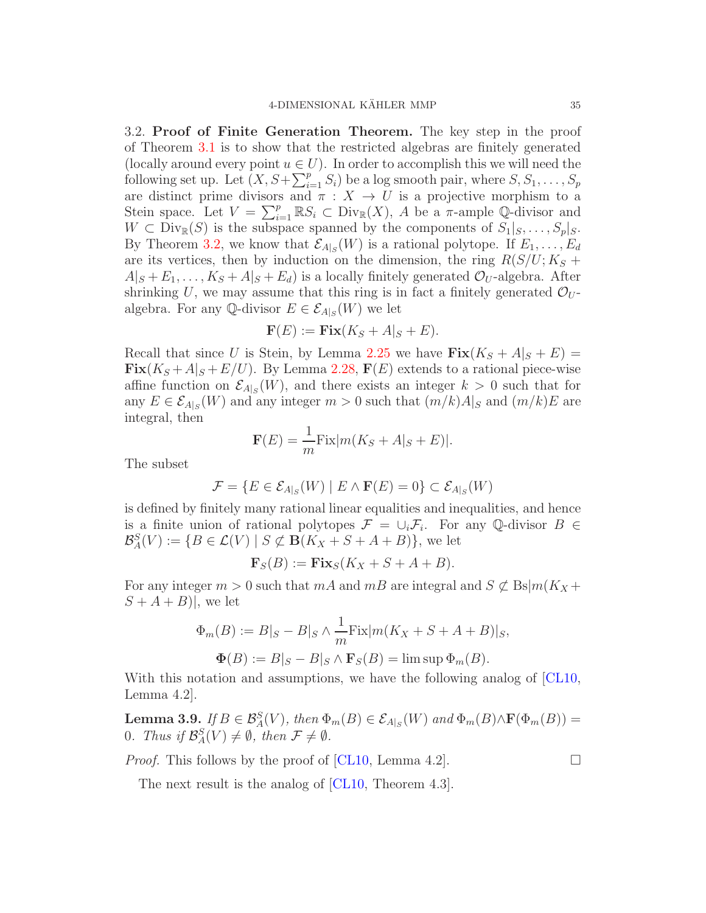<span id="page-34-0"></span>3.2. Proof of Finite Generation Theorem. The key step in the proof of Theorem [3.1](#page-28-1) is to show that the restricted algebras are finitely generated (locally around every point  $u \in U$ ). In order to accomplish this we will need the following set up. Let  $(X, S + \sum_{i=1}^p S_i)$  be a log smooth pair, where  $S, S_1, \ldots, S_p$ are distinct prime divisors and  $\pi : X \to U$  is a projective morphism to a Stein space. Let  $V = \sum_{i=1}^p \mathbb{R} S_i \subset \text{Div}_{\mathbb{R}}(X)$ , A be a  $\pi$ -ample Q-divisor and  $W \subset \text{Div}_{\mathbb{R}}(S)$  is the subspace spanned by the components of  $S_1|_S, \ldots, S_p|_S$ . By Theorem [3.2,](#page-28-0) we know that  $\mathcal{E}_{A|S}(W)$  is a rational polytope. If  $E_1, \ldots, E_d$ are its vertices, then by induction on the dimension, the ring  $R(S/U; K_S +$  $A|_{S} + E_1, \ldots, K_S + A|_{S} + E_d$  is a locally finitely generated  $\mathcal{O}_U$ -algebra. After shrinking U, we may assume that this ring is in fact a finitely generated  $\mathcal{O}_U$ algebra. For any  $\mathbb{Q}$ -divisor  $E \in \mathcal{E}_{A|S}(W)$  we let

$$
\mathbf{F}(E) := \mathbf{Fix}(K_S + A|_S + E).
$$

Recall that since U is Stein, by Lemma [2.25](#page-14-1) we have  $\text{Fix}(K_S + A|_S + E)$  $\text{Fix}(K_S + A|_S + E/U)$ . By Lemma [2.28,](#page-15-2)  $\mathbf{F}(E)$  extends to a rational piece-wise affine function on  $\mathcal{E}_{A|S}(W)$ , and there exists an integer  $k > 0$  such that for any  $E \in \mathcal{E}_{A|S}(W)$  and any integer  $m > 0$  such that  $(m/k)A|_S$  and  $(m/k)E$  are integral, then

$$
\mathbf{F}(E) = \frac{1}{m} \text{Fix} |m(K_S + A|_S + E)|.
$$

The subset

$$
\mathcal{F} = \{ E \in \mathcal{E}_{A|_S}(W) \mid E \wedge \mathbf{F}(E) = 0 \} \subset \mathcal{E}_{A|_S}(W)
$$

is defined by finitely many rational linear equalities and inequalities, and hence is a finite union of rational polytopes  $\mathcal{F} = \cup_i \mathcal{F}_i$ . For any Q-divisor  $B \in$  $\mathcal{B}_{A}^{S}(V) := \{B \in \mathcal{L}(V) \mid S \not\subset \mathbf{B}(K_{X} + S + A + B)\},\$  we let

$$
\mathbf{F}_S(B) := \mathbf{Fix}_S(K_X + S + A + B).
$$

For any integer  $m > 0$  such that  $mA$  and  $mB$  are integral and  $S \not\subset \text{Bs}|m(K_X +$  $S + A + B$ , we let

$$
\Phi_m(B) := B|_S - B|_S \wedge \frac{1}{m} \text{Fix}|m(K_X + S + A + B)|_S,
$$
  

$$
\Phi(B) := B|_S - B|_S \wedge \mathbf{F}_S(B) = \limsup \Phi_m(B).
$$

With this notation and assumptions, we have the following analog of [\[CL10,](#page-71-4) Lemma 4.2].

**Lemma 3.9.** If  $B \in \mathcal{B}_{A}^{S}(V)$ , then  $\Phi_{m}(B) \in \mathcal{E}_{A|_{S}}(W)$  and  $\Phi_{m}(B) \wedge \mathbf{F}(\Phi_{m}(B)) =$ 0. Thus if  $\mathcal{B}_{A}^{S}(V) \neq \emptyset$ , then  $\mathcal{F} \neq \emptyset$ .

*Proof.* This follows by the proof of [\[CL10,](#page-71-4) Lemma 4.2].

The next result is the analog of [\[CL10,](#page-71-4) Theorem 4.3].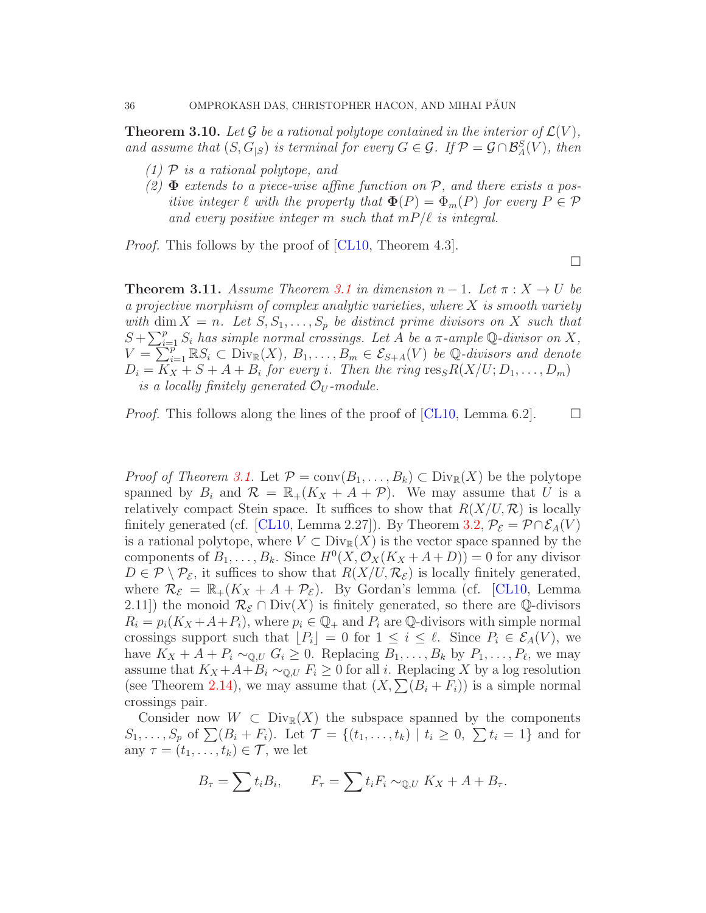**Theorem 3.10.** Let G be a rational polytope contained in the interior of  $\mathcal{L}(V)$ , and assume that  $(S, G_{|S})$  is terminal for every  $G \in \mathcal{G}$ . If  $\mathcal{P} = \mathcal{G} \cap \mathcal{B}^S_A(V)$ , then

- $(1)$  P is a rational polytope, and
- (2)  $\Phi$  extends to a piece-wise affine function on  $P$ , and there exists a positive integer  $\ell$  with the property that  $\Phi(P) = \Phi_m(P)$  for every  $P \in \mathcal{P}$ and every positive integer m such that  $mP/\ell$  is integral.

 $\Box$ 

*Proof.* This follows by the proof of [\[CL10,](#page-71-4) Theorem 4.3].

**Theorem [3.1](#page-28-1)1.** Assume Theorem 3.1 in dimension  $n-1$ . Let  $\pi: X \to U$  be a projective morphism of complex analytic varieties, where  $X$  is smooth variety with dim  $X = n$ . Let  $S, S_1, \ldots, S_p$  be distinct prime divisors on X such that  $S + \sum_{i=1}^{p} S_i$  has simple normal crossings. Let A be a  $\pi$ -ample Q-divisor on X,  $V = \sum_{i=1}^{p} \mathbb{R} S_i \subset \text{Div}_{\mathbb{R}}(X), B_1, \ldots, B_m \in \mathcal{E}_{S+A}(V)$  be Q-divisors and denote  $D_i = K_X + S + A + B_i$  for every i. Then the ring  $\operatorname{res}_S R(X/U; D_1, \ldots, D_m)$ is a locally finitely generated  $\mathcal{O}_U$ -module.

*Proof.* This follows along the lines of the proof of [\[CL10,](#page-71-4) Lemma 6.2].  $\Box$ 

*Proof of Theorem [3.1.](#page-28-1)* Let  $\mathcal{P} = \text{conv}(B_1, \ldots, B_k) \subset \text{Div}_{\mathbb{R}}(X)$  be the polytope spanned by  $B_i$  and  $\mathcal{R} = \mathbb{R}_+(K_X + A + \mathcal{P})$ . We may assume that U is a relatively compact Stein space. It suffices to show that  $R(X/U, \mathcal{R})$  is locally finitely generated (cf. [\[CL10,](#page-71-4) Lemma 2.27]). By Theorem [3.2,](#page-28-0)  $P_{\mathcal{E}} = \mathcal{P} \cap \mathcal{E}_A(V)$ is a rational polytope, where  $V \subset Div_{\mathbb{R}}(X)$  is the vector space spanned by the components of  $B_1, \ldots, B_k$ . Since  $H^0(X, \mathcal{O}_X(K_X + A + D)) = 0$  for any divisor  $D \in \mathcal{P} \setminus \mathcal{P}_{\mathcal{E}}$ , it suffices to show that  $R(X/U, \mathcal{R}_{\mathcal{E}})$  is locally finitely generated, where  $\mathcal{R}_{\mathcal{E}} = \mathbb{R}_+(K_X + A + \mathcal{P}_{\mathcal{E}})$ . By Gordan's lemma (cf. [\[CL10,](#page-71-4) Lemma 2.11) the monoid  $\mathcal{R}_{\mathcal{E}} \cap \text{Div}(X)$  is finitely generated, so there are Q-divisors  $R_i = p_i(K_X + A + P_i)$ , where  $p_i \in \mathbb{Q}_+$  and  $P_i$  are  $\mathbb{Q}$ -divisors with simple normal crossings support such that  $|P_i| = 0$  for  $1 \leq i \leq \ell$ . Since  $P_i \in \mathcal{E}_A(V)$ , we have  $K_X + A + P_i \sim_{\mathbb{Q}, U} G_i \geq 0$ . Replacing  $B_1, \ldots, B_k$  by  $P_1, \ldots, P_\ell$ , we may assume that  $K_X + A + B_i \sim_{\mathbb{Q},U} F_i \geq 0$  for all i. Replacing X by a log resolution (see Theorem [2.14\)](#page-9-0), we may assume that  $(X, \sum(B_i + F_i))$  is a simple normal crossings pair.

Consider now  $W \subset \text{Div}_{\mathbb{R}}(X)$  the subspace spanned by the components  $S_1, \ldots, S_p$  of  $\sum (B_i + F_i)$ . Let  $\mathcal{T} = \{(t_1, \ldots, t_k) \mid t_i \geq 0, \sum t_i = 1\}$  and for any  $\tau = (t_1, \ldots, t_k) \in \mathcal{T}$ , we let

$$
B_{\tau} = \sum t_i B_i, \qquad F_{\tau} = \sum t_i F_i \sim_{\mathbb{Q}, U} K_X + A + B_{\tau}.
$$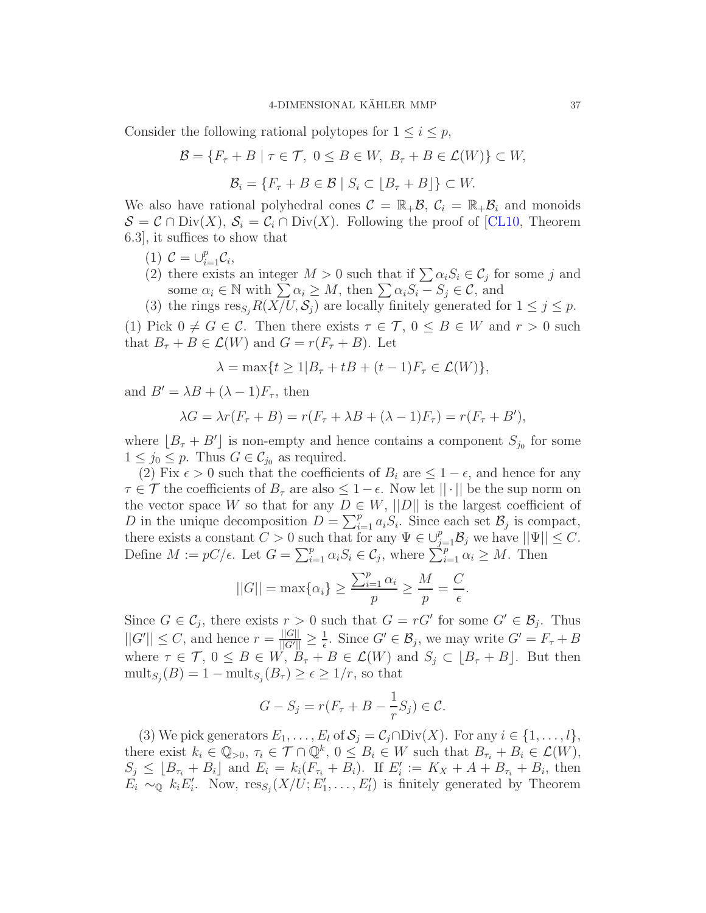Consider the following rational polytopes for  $1 \leq i \leq p$ ,

$$
\mathcal{B} = \{ F_{\tau} + B \mid \tau \in \mathcal{T}, \ 0 \le B \in W, \ B_{\tau} + B \in \mathcal{L}(W) \} \subset W,
$$

$$
\mathcal{B}_i = \{ F_{\tau} + B \in \mathcal{B} \mid S_i \subset \lfloor B_{\tau} + B \rfloor \} \subset W.
$$

We also have rational polyhedral cones  $\mathcal{C} = \mathbb{R}_+ \mathcal{B}$ ,  $\mathcal{C}_i = \mathbb{R}_+ \mathcal{B}_i$  and monoids  $S = C \cap Div(X), S_i = C_i \cap Div(X)$ . Following the proof of [\[CL10,](#page-71-0) Theorem 6.3], it suffices to show that

- (1)  $C = \bigcup_{i=1}^{p} C_i$ ,
- (2) there exists an integer  $M > 0$  such that if  $\sum \alpha_i S_i \in C_j$  for some j and some  $\alpha_i \in \mathbb{N}$  with  $\sum \alpha_i \geq M$ , then  $\sum \alpha_i S_i - S_j \in \mathcal{C}$ , and
- (3) the rings  $res_{S_i} R(X/U, S_j)$  are locally finitely generated for  $1 \leq j \leq p$ .

(1) Pick  $0 \neq G \in \mathcal{C}$ . Then there exists  $\tau \in \mathcal{T}$ ,  $0 \leq B \in W$  and  $r > 0$  such that  $B_{\tau} + B \in \mathcal{L}(W)$  and  $G = r(F_{\tau} + B)$ . Let

$$
\lambda = \max\{t \ge 1 | B_{\tau} + tB + (t - 1)F_{\tau} \in \mathcal{L}(W)\},
$$

and  $B' = \lambda B + (\lambda - 1)F_\tau$ , then

$$
\lambda G = \lambda r(F_{\tau} + B) = r(F_{\tau} + \lambda B + (\lambda - 1)F_{\tau}) = r(F_{\tau} + B'),
$$

where  $[B_\tau + B']$  is non-empty and hence contains a component  $S_{j_0}$  for some  $1 \leq j_0 \leq p$ . Thus  $G \in \mathcal{C}_{j_0}$  as required.

(2) Fix  $\epsilon > 0$  such that the coefficients of  $B_i$  are  $\leq 1 - \epsilon$ , and hence for any  $\tau \in \mathcal{T}$  the coefficients of  $B_{\tau}$  are also  $\leq 1-\epsilon$ . Now let  $||\cdot||$  be the sup norm on the vector space W so that for any  $D \in W$ ,  $||D||$  is the largest coefficient of D in the unique decomposition  $D = \sum_{i=1}^{p} a_i S_i$ . Since each set  $\mathcal{B}_j$  is compact, there exists a constant  $C > 0$  such that for any  $\Psi \in \bigcup_{j=1}^p \mathcal{B}_j$  we have  $||\Psi|| \leq C$ . Define  $M := pC/\epsilon$ . Let  $G = \sum_{i=1}^p \alpha_i S_i \in C_j$ , where  $\sum_{i=1}^p \alpha_i \geq M$ . Then

$$
||G|| = \max\{\alpha_i\} \ge \frac{\sum_{i=1}^p \alpha_i}{p} \ge \frac{M}{p} = \frac{C}{\epsilon}.
$$

Since  $G \in \mathcal{C}_j$ , there exists  $r > 0$  such that  $G = rG'$  for some  $G' \in \mathcal{B}_j$ . Thus  $||G'|| \leq C$ , and hence  $r = \frac{||G||}{||G'||} \geq \frac{1}{\epsilon}$  $\frac{1}{\epsilon}$ . Since  $G' \in \mathcal{B}_j$ , we may write  $G' = F_{\tau} + B$ where  $\tau \in \mathcal{T}$ ,  $0 \leq B \in W$ ,  $\ddot{B}_{\tau} + B \in \mathcal{L}(W)$  and  $S_j \subset [B_{\tau} + B]$ . But then  $\text{mult}_{S_j}(B) = 1 - \text{mult}_{S_j}(B_\tau) \geq \epsilon \geq 1/r$ , so that

$$
G - S_j = r(F_\tau + B - \frac{1}{r}S_j) \in \mathcal{C}.
$$

(3) We pick generators  $E_1, \ldots, E_l$  of  $S_j = C_j \cap Div(X)$ . For any  $i \in \{1, \ldots, l\}$ , there exist  $k_i \in \mathbb{Q}_{>0}$ ,  $\tau_i \in \mathcal{T} \cap \mathbb{Q}^k$ ,  $0 \leq B_i \in W$  such that  $B_{\tau_i} + B_i \in \mathcal{L}(W)$ ,  $S_j \leq [B_{\tau_i} + B_i]$  and  $E_i = k_i(F_{\tau_i} + B_i)$ . If  $E'_i := K_X + A + B_{\tau_i} + B_i$ , then  $E_i \sim_{\mathbb{Q}} k_i E'_i$ . Now,  $res_{S_j}(X/U; E'_1, \ldots, E'_l)$  is finitely generated by Theorem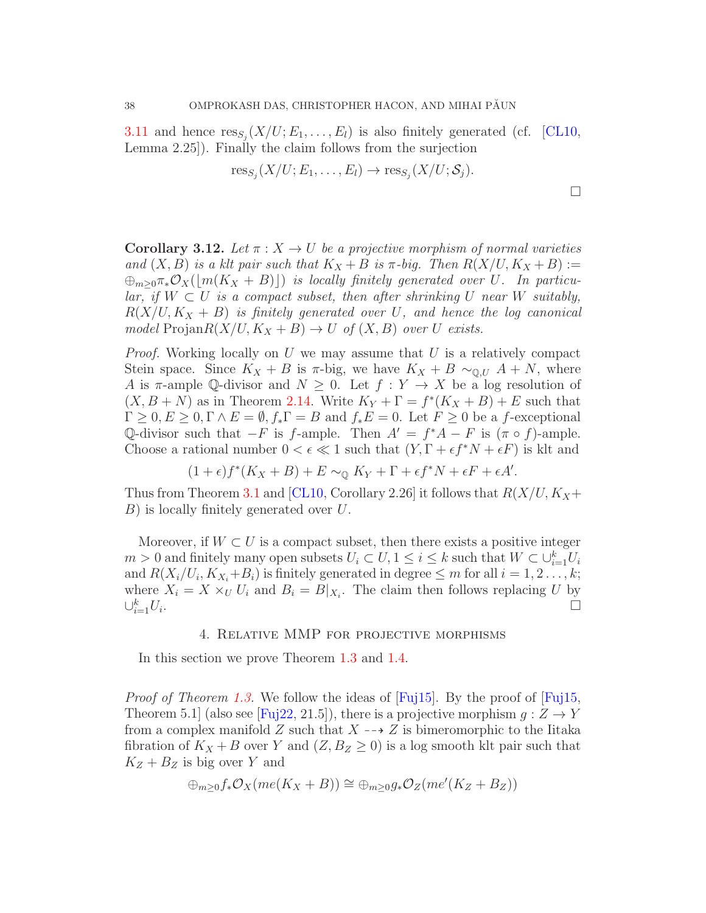[3.11](#page-35-0) and hence  $res_{S_j}(X/U; E_1, \ldots, E_l)$  is also finitely generated (cf. [\[CL10,](#page-71-0) Lemma 2.25]). Finally the claim follows from the surjection

$$
\text{res}_{S_j}(X/U; E_1, \ldots, E_l) \to \text{res}_{S_j}(X/U; S_j).
$$

<span id="page-37-0"></span>**Corollary 3.12.** Let  $\pi: X \to U$  be a projective morphism of normal varieties and  $(X, B)$  is a klt pair such that  $K_X + B$  is  $\pi$ -big. Then  $R(X/U, K_X + B) :=$  $\bigoplus_{m>0} \pi_*\mathcal{O}_X(\lfloor m(K_X+B)\rfloor)$  is locally finitely generated over U. In particular, if  $W \subset U$  is a compact subset, then after shrinking U near W suitably,  $R(X/U, K_X + B)$  is finitely generated over U, and hence the log canonical model Projan $R(X/U, K_X + B) \to U$  of  $(X, B)$  over U exists.

*Proof.* Working locally on U we may assume that U is a relatively compact Stein space. Since  $K_X + B$  is  $\pi$ -big, we have  $K_X + B \sim_{\mathbb{Q}, U} A + N$ , where A is  $\pi$ -ample Q-divisor and  $N \geq 0$ . Let  $f: Y \to X$  be a log resolution of  $(X, B + N)$  as in Theorem [2.14.](#page-9-0) Write  $K_Y + \Gamma = f^*(K_X + B) + E$  such that  $\Gamma \geq 0, E \geq 0, \Gamma \wedge E = \emptyset, f_* \Gamma = B$  and  $f_* E = 0$ . Let  $F \geq 0$  be a f-exceptional Q-divisor such that  $-F$  is f-ample. Then  $A' = f^*A - F$  is  $(\pi \circ f)$ -ample. Choose a rational number  $0 < \epsilon \ll 1$  such that  $(Y, \Gamma + \epsilon f^* N + \epsilon F)$  is klt and

$$
(1+\epsilon)f^*(K_X+B)+E\sim_{\mathbb{Q}} K_Y+\Gamma+\epsilon f^*N+\epsilon F+\epsilon A'.
$$

Thus from Theorem [3.1](#page-28-0) and [\[CL10,](#page-71-0) Corollary 2.26] it follows that  $R(X/U, K_X+$ B) is locally finitely generated over U.

Moreover, if  $W \subset U$  is a compact subset, then there exists a positive integer  $m > 0$  and finitely many open subsets  $U_i \subset U, 1 \leq i \leq k$  such that  $W \subset \bigcup_{i=1}^k U_i$ and  $R(X_i/U_i, K_{X_i}+B_i)$  is finitely generated in degree  $\leq m$  for all  $i = 1, 2, ..., k$ ; where  $X_i = X \times_U U_i$  and  $B_i = B|_{X_i}$ . The claim then follows replacing U by  $\cup_{i=1}^k U_i$ .

## 4. Relative MMP for projective morphisms

In this section we prove Theorem [1.3](#page-2-0) and [1.4.](#page-2-1)

*Proof of Theorem [1.3.](#page-2-0)* We follow the ideas of  $[Fig15]$ . By the proof of  $[Fig15]$ , Theorem 5.1 (also see [\[Fuj22,](#page-71-2) 21.5]), there is a projective morphism  $g: Z \to Y$ from a complex manifold  $Z$  such that  $X \dashrightarrow Z$  is bimeromorphic to the Iitaka fibration of  $K_X + B$  over Y and  $(Z, B_Z \geq 0)$  is a log smooth klt pair such that  $K_Z + B_Z$  is big over Y and

$$
\oplus_{m\geq 0} f_* \mathcal{O}_X(me(K_X + B)) \cong \oplus_{m\geq 0} g_* \mathcal{O}_Z(me'(K_Z + B_Z))
$$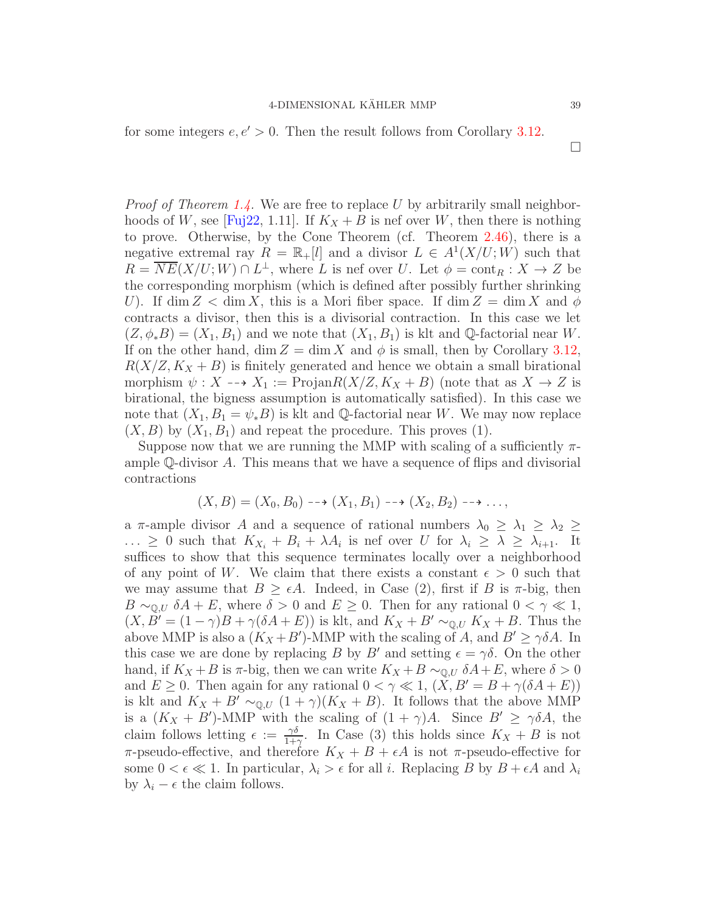for some integers  $e, e' > 0$ . Then the result follows from Corollary [3.12.](#page-37-0)

*Proof of Theorem [1.4.](#page-2-1)* We are free to replace U by arbitrarily small neighbor-hoods of W, see [\[Fuj22,](#page-71-2) 1.11]. If  $K_X + B$  is nef over W, then there is nothing to prove. Otherwise, by the Cone Theorem (cf. Theorem [2.46\)](#page-25-0), there is a negative extremal ray  $R = \mathbb{R}_{+}[l]$  and a divisor  $L \in A^{1}(X/U; W)$  such that  $R = \overline{NE}(X/U;W) \cap L^{\perp}$ , where L is nef over U. Let  $\phi = \text{cont}_R : X \to Z$  be the corresponding morphism (which is defined after possibly further shrinking U). If  $\dim Z < \dim X$ , this is a Mori fiber space. If  $\dim Z = \dim X$  and  $\phi$ contracts a divisor, then this is a divisorial contraction. In this case we let  $(Z, \phi_*B) = (X_1, B_1)$  and we note that  $(X_1, B_1)$  is klt and Q-factorial near W. If on the other hand, dim  $Z = \dim X$  and  $\phi$  is small, then by Corollary [3.12,](#page-37-0)  $R(X/Z, K_X + B)$  is finitely generated and hence we obtain a small birational morphism  $\psi: X \dashrightarrow X_1 := \text{Projan}R(X/Z, K_X + B)$  (note that as  $X \to Z$  is birational, the bigness assumption is automatically satisfied). In this case we note that  $(X_1, B_1 = \psi_* B)$  is klt and Q-factorial near W. We may now replace  $(X, B)$  by  $(X_1, B_1)$  and repeat the procedure. This proves (1).

Suppose now that we are running the MMP with scaling of a sufficiently  $\pi$ ample Q-divisor A. This means that we have a sequence of flips and divisorial contractions

$$
(X, B) = (X_0, B_0) \dashrightarrow (X_1, B_1) \dashrightarrow (X_2, B_2) \dashrightarrow \dots,
$$

a  $\pi$ -ample divisor A and a sequence of rational numbers  $\lambda_0 \geq \lambda_1 \geq \lambda_2 \geq$  $\ldots \geq 0$  such that  $K_{X_i} + B_i + \lambda A_i$  is nef over U for  $\lambda_i \geq \lambda \geq \lambda_{i+1}$ . It suffices to show that this sequence terminates locally over a neighborhood of any point of W. We claim that there exists a constant  $\epsilon > 0$  such that we may assume that  $B \geq \epsilon A$ . Indeed, in Case (2), first if B is  $\pi$ -big, then  $B \sim_{\mathbb{Q}, U} \delta A + E$ , where  $\delta > 0$  and  $E \geq 0$ . Then for any rational  $0 < \gamma \ll 1$ ,  $(X, B' = (1 - \gamma)B + \gamma(\delta A + E))$  is klt, and  $K_X + B' \sim_{\mathbb{Q}, U} K_X + B$ . Thus the above MMP is also a  $(K_X + B')$ -MMP with the scaling of A, and  $B' \ge \gamma \delta A$ . In this case we are done by replacing B by B' and setting  $\epsilon = \gamma \delta$ . On the other hand, if  $K_X + B$  is  $\pi$ -big, then we can write  $K_X + B \sim_{\mathbb{Q},U} \delta A + E$ , where  $\delta > 0$ and  $E \geq 0$ . Then again for any rational  $0 < \gamma \ll 1$ ,  $(X, B' = B + \gamma(\delta A + E))$ is klt and  $K_X + B' \sim_{\mathbb{Q}, U} (1 + \gamma)(K_X + B)$ . It follows that the above MMP is a  $(K_X + B')$ -MMP with the scaling of  $(1 + \gamma)A$ . Since  $B' \geq \gamma \delta A$ , the claim follows letting  $\epsilon := \frac{\gamma \delta}{1+\epsilon}$  $\frac{\gamma\delta}{1+\gamma}$ . In Case (3) this holds since  $K_X + B$  is not  $\pi$ -pseudo-effective, and therefore  $K_X + B + \epsilon A$  is not  $\pi$ -pseudo-effective for some  $0 < \epsilon \ll 1$ . In particular,  $\lambda_i > \epsilon$  for all i. Replacing B by  $B + \epsilon A$  and  $\lambda_i$ by  $\lambda_i - \epsilon$  the claim follows.

 $\Box$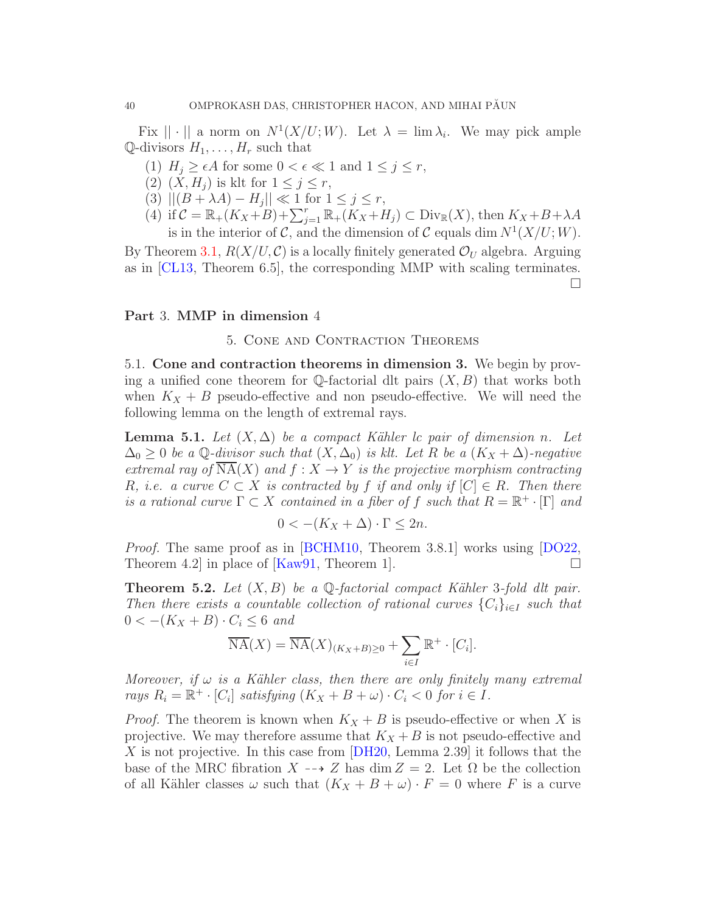Fix  $|| \cdot ||$  a norm on  $N^1(X/U;W)$ . Let  $\lambda = \lim \lambda_i$ . We may pick ample  $\mathbb{Q}$ -divisors  $H_1, \ldots, H_r$  such that

- (1)  $H_j \geq \epsilon A$  for some  $0 < \epsilon \ll 1$  and  $1 \leq j \leq r$ ,
- (2)  $(X, H_j)$  is klt for  $1 \leq j \leq r$ ,
- (3)  $||(B + \lambda A) H_j|| \ll 1$  for  $1 \le j \le r$ ,
- (4) if  $\mathcal{C} = \mathbb{R}_+(K_X + B) + \sum_{j=1}^r \mathbb{R}_+(K_X + H_j) \subset \text{Div}_{\mathbb{R}}(X)$ , then  $K_X + B + \lambda A$ is in the interior of C, and the dimension of C equals dim  $N^1(X/U;W)$ .

By Theorem [3.1,](#page-28-0)  $R(X/U, \mathcal{C})$  is a locally finitely generated  $\mathcal{O}_U$  algebra. Arguing as in [\[CL13,](#page-71-3) Theorem 6.5], the corresponding MMP with scaling terminates.

 $\Box$ 

# Part 3. MMP in dimension 4

#### 5. Cone and Contraction Theorems

5.1. Cone and contraction theorems in dimension 3. We begin by proving a unified cone theorem for  $\mathbb Q$ -factorial dlt pairs  $(X, B)$  that works both when  $K_X + B$  pseudo-effective and non pseudo-effective. We will need the following lemma on the length of extremal rays.

<span id="page-39-0"></span>**Lemma 5.1.** Let  $(X, \Delta)$  be a compact Kähler lc pair of dimension n. Let  $\Delta_0 \geq 0$  be a Q-divisor such that  $(X, \Delta_0)$  is klt. Let R be a  $(K_X + \Delta)$ -negative extremal ray of  $\overline{\text{NA}}(X)$  and  $f: X \to Y$  is the projective morphism contracting R, i.e. a curve  $C \subset X$  is contracted by f if and only if  $[C] \in R$ . Then there is a rational curve  $\Gamma \subset X$  contained in a fiber of f such that  $R = \mathbb{R}^+ \cdot [\Gamma]$  and

$$
0 < -(K_X + \Delta) \cdot \Gamma \le 2n.
$$

*Proof.* The same proof as in [\[BCHM10,](#page-70-0) Theorem 3.8.1] works using [\[DO22,](#page-71-4) Theorem 4.2 in place of [\[Kaw91,](#page-71-5) Theorem 1].  $\Box$ 

<span id="page-39-1"></span>**Theorem 5.2.** Let  $(X, B)$  be a Q-factorial compact Kähler 3-fold dlt pair. Then there exists a countable collection of rational curves  ${C_i}_{i \in I}$  such that  $0 < -(K_X + B) \cdot C_i \leq 6$  and

$$
\overline{\operatorname{NA}}(X) = \overline{\operatorname{NA}}(X)_{(K_X + B) \ge 0} + \sum_{i \in I} \mathbb{R}^+ \cdot [C_i].
$$

Moreover, if  $\omega$  is a Kähler class, then there are only finitely many extremal rays  $R_i = \mathbb{R}^+ \cdot [C_i]$  satisfying  $(K_X + B + \omega) \cdot C_i < 0$  for  $i \in I$ .

*Proof.* The theorem is known when  $K_X + B$  is pseudo-effective or when X is projective. We may therefore assume that  $K_X + B$  is not pseudo-effective and X is not projective. In this case from [\[DH20,](#page-71-6) Lemma 2.39] it follows that the base of the MRC fibration  $X \dashrightarrow Z$  has dim  $Z = 2$ . Let  $\Omega$  be the collection of all Kähler classes  $\omega$  such that  $(K_X + B + \omega) \cdot F = 0$  where F is a curve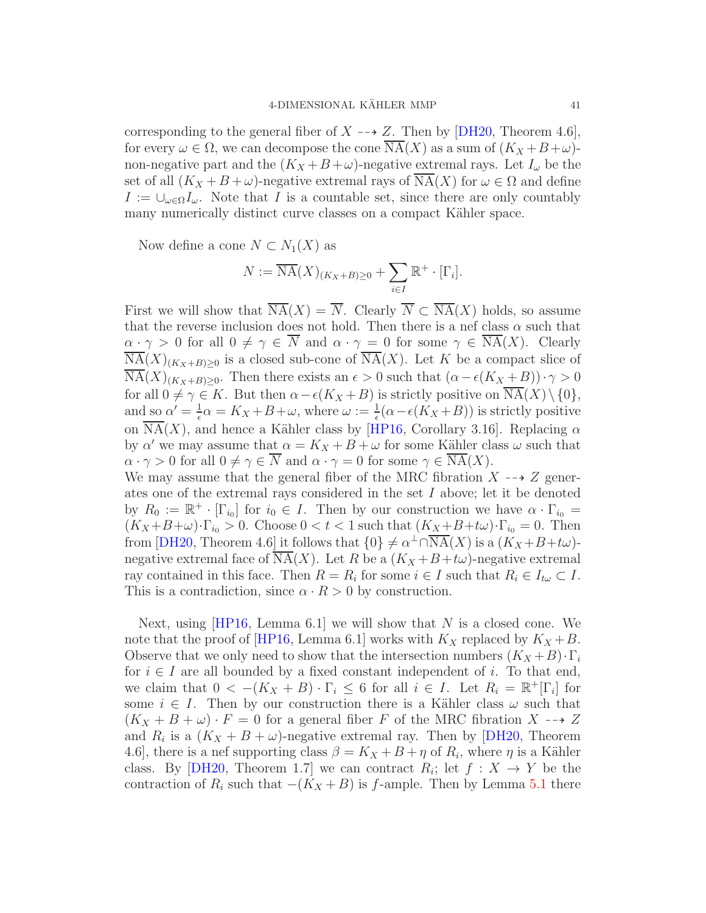corresponding to the general fiber of  $X \rightarrow Z$ . Then by [\[DH20,](#page-71-6) Theorem 4.6], for every  $\omega \in \Omega$ , we can decompose the cone NA(X) as a sum of  $(K_X + B + \omega)$ non-negative part and the  $(K_X + B + \omega)$ -negative extremal rays. Let  $I_\omega$  be the set of all  $(K_X + B + \omega)$ -negative extremal rays of NA(X) for  $\omega \in \Omega$  and define  $I := \bigcup_{\omega \in \Omega} I_{\omega}$ . Note that I is a countable set, since there are only countably many numerically distinct curve classes on a compact Kähler space.

Now define a cone  $N \subset N_1(X)$  as

$$
N := \overline{\mathrm{NA}}(X)_{(K_X + B) \ge 0} + \sum_{i \in I} \mathbb{R}^+ \cdot [\Gamma_i].
$$

First we will show that  $\overline{\text{NA}}(X) = \overline{N}$ . Clearly  $\overline{N} \subset \overline{\text{NA}}(X)$  holds, so assume that the reverse inclusion does not hold. Then there is a nef class  $\alpha$  such that  $\alpha \cdot \gamma > 0$  for all  $0 \neq \gamma \in \overline{N}$  and  $\alpha \cdot \gamma = 0$  for some  $\gamma \in \overline{\text{NA}}(X)$ . Clearly  $\overline{\text{NA}}(X)_{(K_X+B)\geq 0}$  is a closed sub-cone of  $\overline{\text{NA}}(X)$ . Let K be a compact slice of  $\overline{\text{NA}}(X)_{(K_X+B)\geq 0}$ . Then there exists an  $\epsilon > 0$  such that  $(\alpha - \epsilon(K_X + B)) \cdot \gamma > 0$ for all  $0 \neq \gamma \in K$ . But then  $\alpha - \epsilon(K_X + B)$  is strictly positive on  $\overline{\text{NA}}(X) \setminus \{0\},$ and so  $\alpha' = \frac{1}{\epsilon}$  $\frac{1}{\epsilon}\alpha = K_X + B + \omega$ , where  $\omega := \frac{1}{\epsilon}(\alpha - \epsilon(K_X + B))$  is strictly positive on  $\overline{\text{NA}}(X)$ , and hence a Kähler class by [\[HP16,](#page-71-7) Corollary 3.16]. Replacing  $\alpha$ by  $\alpha'$  we may assume that  $\alpha = K_X + B + \omega$  for some Kähler class  $\omega$  such that  $\alpha \cdot \gamma > 0$  for all  $0 \neq \gamma \in \overline{N}$  and  $\alpha \cdot \gamma = 0$  for some  $\gamma \in \overline{\mathrm{NA}}(X)$ . We may assume that the general fiber of the MRC fibration  $X \dashrightarrow Z$  generates one of the extremal rays considered in the set I above; let it be denoted by  $R_0 := \mathbb{R}^+ \cdot [\Gamma_{i_0}]$  for  $i_0 \in I$ . Then by our construction we have  $\alpha \cdot \Gamma_{i_0} =$ 

 $(K_X+B+\omega)\cdot\Gamma_{i_0}>0.$  Choose  $0 < t < 1$  such that  $(K_X+B+t\omega)\cdot\Gamma_{i_0}=0.$  Then from [\[DH20,](#page-71-6) Theorem 4.6] it follows that  $\{0\} \neq \alpha^{\perp} \cap \overline{\text{NA}}(X)$  is a  $(K_X + B + t\omega)$ negative extremal face of NA(X). Let R be a  $(K_X + B + t\omega)$ -negative extremal ray contained in this face. Then  $R = R_i$  for some  $i \in I$  such that  $R_i \in I_{t\omega} \subset I$ . This is a contradiction, since  $\alpha \cdot R > 0$  by construction.

Next, using [\[HP16,](#page-71-7) Lemma 6.1] we will show that N is a closed cone. We note that the proof of [\[HP16,](#page-71-7) Lemma 6.1] works with  $K_X$  replaced by  $K_X + B$ . Observe that we only need to show that the intersection numbers  $(K_X + B) \cdot \Gamma_i$ for  $i \in I$  are all bounded by a fixed constant independent of i. To that end, we claim that  $0 < -(K_X + B) \cdot \Gamma_i \leq 6$  for all  $i \in I$ . Let  $R_i = \mathbb{R}^+[\Gamma_i]$  for some  $i \in I$ . Then by our construction there is a Kähler class  $\omega$  such that  $(K_X + B + \omega) \cdot F = 0$  for a general fiber F of the MRC fibration  $X \dashrightarrow Z$ and  $R_i$  is a  $(K_X + B + \omega)$ -negative extremal ray. Then by [\[DH20,](#page-71-6) Theorem 4.6], there is a nef supporting class  $\beta = K_X + B + \eta$  of  $R_i$ , where  $\eta$  is a Kähler class. By [\[DH20,](#page-71-6) Theorem 1.7] we can contract  $R_i$ ; let  $f: X \to Y$  be the contraction of  $R_i$  such that  $-(K_X + B)$  is f-ample. Then by Lemma [5.1](#page-39-0) there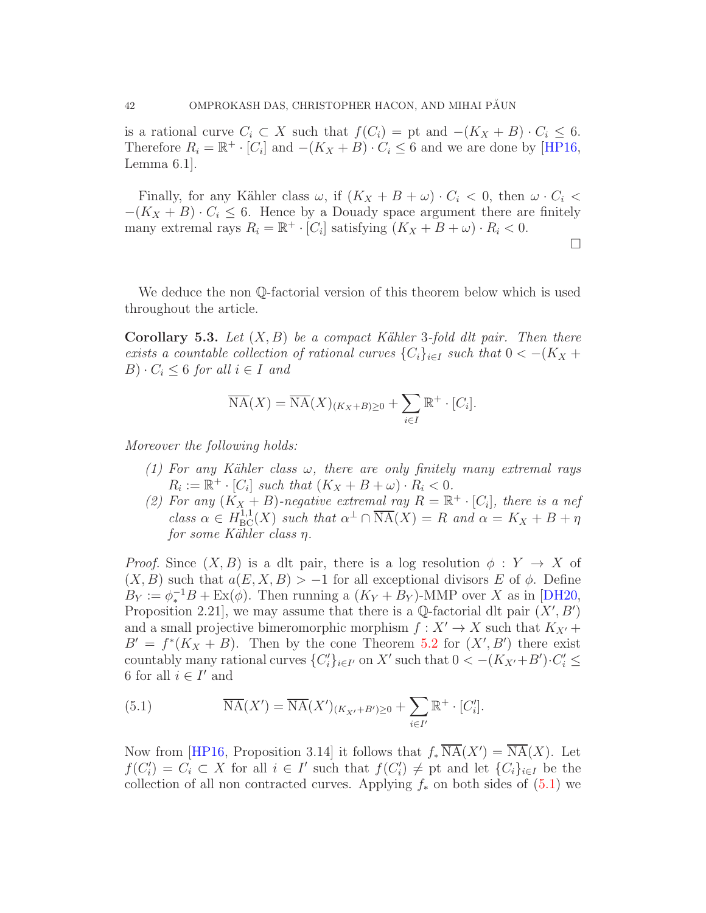is a rational curve  $C_i \subset X$  such that  $f(C_i) = \text{pt}$  and  $-(K_X + B) \cdot C_i \leq 6$ . Therefore  $R_i = \mathbb{R}^+ \cdot [C_i]$  and  $-(K_X + B) \cdot C_i \leq 6$  and we are done by [\[HP16,](#page-71-7) Lemma 6.1].

Finally, for any Kähler class  $\omega$ , if  $(K_X + B + \omega) \cdot C_i < 0$ , then  $\omega \cdot C_i <$  $-(K_X + B) \cdot C_i \leq 6$ . Hence by a Douady space argument there are finitely many extremal rays  $R_i = \mathbb{R}^+ \cdot [C_i]$  satisfying  $(K_X + B + \omega) \cdot R_i < 0$ .

$$
\Box
$$

We deduce the non  $\mathbb{Q}$ -factorial version of this theorem below which is used throughout the article.

<span id="page-41-1"></span>Corollary 5.3. Let  $(X, B)$  be a compact Kähler 3-fold dlt pair. Then there exists a countable collection of rational curves  ${C_i}_{i \in I}$  such that  $0 < -(K_X +$  $B) \cdot C_i \leq 6$  for all  $i \in I$  and

$$
\overline{\operatorname{NA}}(X) = \overline{\operatorname{NA}}(X)_{(K_X + B) \ge 0} + \sum_{i \in I} \mathbb{R}^+ \cdot [C_i].
$$

Moreover the following holds:

- (1) For any Kähler class  $\omega$ , there are only finitely many extremal rays  $R_i := \mathbb{R}^+ \cdot [C_i]$  such that  $(K_X + B + \omega) \cdot R_i < 0$ .
- (2) For any  $(K_X + B)$ -negative extremal ray  $R = \mathbb{R}^+ \cdot [C_i]$ , there is a nef class  $\alpha \in H^{1,1}_{BC}(X)$  such that  $\alpha^{\perp} \cap \overline{\text{NA}}(X) = R$  and  $\alpha = K_X + B + \eta$ for some Kähler class η.

*Proof.* Since  $(X, B)$  is a dlt pair, there is a log resolution  $\phi: Y \to X$  of  $(X, B)$  such that  $a(E, X, B) > -1$  for all exceptional divisors E of  $\phi$ . Define  $B_Y := \phi_*^{-1}B + \text{Ex}(\phi)$ . Then running a  $(K_Y + B_Y)$ -MMP over X as in [\[DH20,](#page-71-6) Proposition 2.21, we may assume that there is a  $\mathbb Q$ -factorial dlt pair  $(X', B')$ and a small projective bimeromorphic morphism  $f: X' \to X$  such that  $K_{X'}$  +  $B' = f^{*}(K_X + B)$ . Then by the cone Theorem [5.2](#page-39-1) for  $(X', B')$  there exist countably many rational curves  $\{C_i'\}_{i\in I'}$  on X' such that  $0 < -(K_{X'}+B')\cdot C_i' \le$ 6 for all  $i \in I'$  and

<span id="page-41-0"></span>(5.1) 
$$
\overline{\mathrm{NA}}(X') = \overline{\mathrm{NA}}(X')_{(K_{X'} + B') \ge 0} + \sum_{i \in I'} \mathbb{R}^+ \cdot [C_i'].
$$

Now from [\[HP16,](#page-71-7) Proposition 3.14] it follows that  $f_*\overline{\mathrm{NA}}(X') = \overline{\mathrm{NA}}(X)$ . Let  $f(C_i') = C_i \subset X$  for all  $i \in I'$  such that  $f(C_i') \neq pt$  and let  $\{C_i\}_{i \in I}$  be the collection of all non contracted curves. Applying  $f_*$  on both sides of  $(5.1)$  we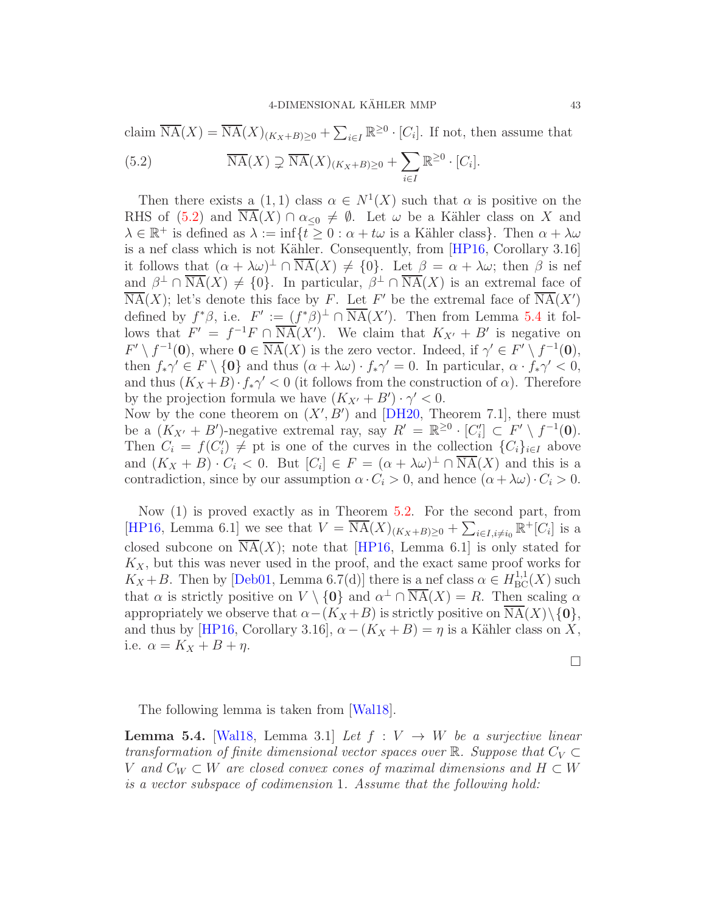claim 
$$
\overline{NA}(X) = \overline{NA}(X)_{(K_X + B) \ge 0} + \sum_{i \in I} \mathbb{R}^{\ge 0} \cdot [C_i]
$$
. If not, then assume that  
(5.2)  $\overline{NA}(X) \supsetneq \overline{NA}(X)_{(K_X + B) \ge 0} + \sum_{i \in I} \mathbb{R}^{\ge 0} \cdot [C_i]$ .

<span id="page-42-0"></span>Then there exists a  $(1,1)$  class  $\alpha \in N^1(X)$  such that  $\alpha$  is positive on the RHS of [\(5.2\)](#page-42-0) and  $\overline{\text{NA}}(X) \cap \alpha_{\leq 0} \neq \emptyset$ . Let  $\omega$  be a Kähler class on X and  $\lambda \in \mathbb{R}^+$  is defined as  $\lambda := \inf\{t \geq 0 : \alpha + t\omega \text{ is a Kähler class}\}\.$  Then  $\alpha + \lambda \omega$ is a nef class which is not Kähler. Consequently, from [\[HP16,](#page-71-7) Corollary 3.16] it follows that  $(\alpha + \lambda \omega)^{\perp} \cap \overline{\text{NA}}(X) \neq \{0\}$ . Let  $\beta = \alpha + \lambda \omega$ ; then  $\beta$  is nef and  $\beta^{\perp} \cap \overline{\text{NA}}(X) \neq \{0\}$ . In particular,  $\beta^{\perp} \cap \overline{\text{NA}}(X)$  is an extremal face of  $\overline{\text{NA}}(X)$ ; let's denote this face by F. Let F' be the extremal face of  $\overline{\text{NA}}(X')$ defined by  $f^*\beta$ , i.e.  $F' := (f^*\beta)^{\perp} \cap \overline{\text{NA}}(X')$ . Then from Lemma [5.4](#page-42-1) it follows that  $F' = f^{-1}F \cap \overline{\text{NA}}(X')$ . We claim that  $K_{X'} + B'$  is negative on  $F' \setminus f^{-1}(0)$ , where  $0 \in \overline{\mathrm{NA}}(X)$  is the zero vector. Indeed, if  $\gamma' \in F' \setminus f^{-1}(0)$ , then  $f_*\gamma' \in F \setminus \{0\}$  and thus  $(\alpha + \lambda \omega) \cdot f_*\gamma' = 0$ . In particular,  $\alpha \cdot f_*\gamma' < 0$ , and thus  $(K_X + B) \cdot f_* \gamma' < 0$  (it follows from the construction of  $\alpha$ ). Therefore by the projection formula we have  $(K_{X'} + B') \cdot \gamma' < 0$ .

Now by the cone theorem on  $(X', B')$  and [\[DH20,](#page-71-6) Theorem 7.1], there must be a  $(K_{X'} + B')$ -negative extremal ray, say  $R' = \mathbb{R}^{\geq 0} \cdot [C'_i] \subset F' \setminus f^{-1}(0)$ . Then  $C_i = f(C'_i) \neq$  pt is one of the curves in the collection  $\{C_i\}_{i\in I}$  above and  $(K_X + B) \cdot C_i < 0$ . But  $[C_i] \in F = (\alpha + \lambda \omega)^{\perp} \cap \overline{\text{NA}}(X)$  and this is a contradiction, since by our assumption  $\alpha \cdot C_i > 0$ , and hence  $(\alpha + \lambda \omega) \cdot C_i > 0$ .

Now (1) is proved exactly as in Theorem [5.2.](#page-39-1) For the second part, from [\[HP16,](#page-71-7) Lemma 6.1] we see that  $V = \overline{\mathrm{NA}}(X)_{(K_X+B)\geq 0} + \sum_{i\in I, i\neq i_0} \mathbb{R}^+[C_i]$  is a closed subcone on  $\overline{\text{NA}}(X)$ ; note that [\[HP16,](#page-71-7) Lemma 6.1] is only stated for  $K_X$ , but this was never used in the proof, and the exact same proof works for  $K_X + B$ . Then by [\[Deb01,](#page-71-8) Lemma 6.7(d)] there is a nef class  $\alpha \in H^{1,1}_{BC}(X)$  such that  $\alpha$  is strictly positive on  $V \setminus \{0\}$  and  $\alpha^{\perp} \cap \overline{\text{NA}}(X) = R$ . Then scaling  $\alpha$ appropriately we observe that  $\alpha-(K_X+B)$  is strictly positive on  $NA(X)\setminus\{0\},$ and thus by [\[HP16,](#page-71-7) Corollary 3.16],  $\alpha - (K_X + B) = \eta$  is a Kähler class on X, i.e.  $\alpha = K_X + B + \eta$ .

 $\Box$ 

The following lemma is taken from [\[Wal18\]](#page-72-0).

<span id="page-42-1"></span>**Lemma 5.4.** [\[Wal18,](#page-72-0) Lemma 3.1] Let  $f: V \rightarrow W$  be a surjective linear transformation of finite dimensional vector spaces over  $\mathbb{R}$ . Suppose that  $C_V \subset$ V and  $C_W \subset W$  are closed convex cones of maximal dimensions and  $H \subset W$ is a vector subspace of codimension 1. Assume that the following hold: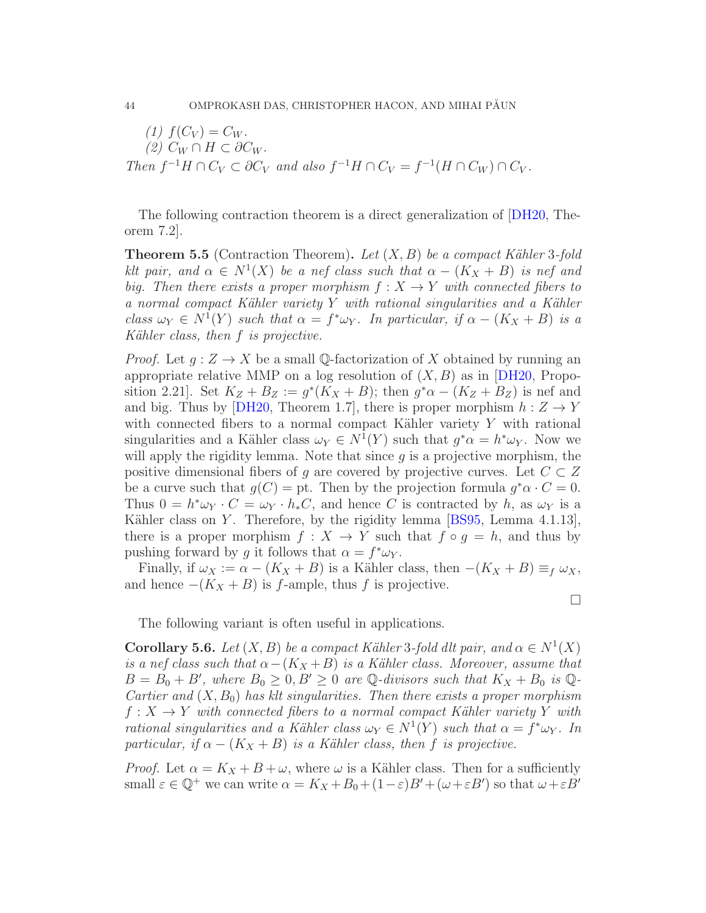(1)  $f(C_V) = C_W$ .  $(2)$   $C_W \cap H \subset \partial C_W$ . Then  $f^{-1}H \cap C_V \subset \partial C_V$  and also  $f^{-1}H \cap C_V = f^{-1}(H \cap C_W) \cap C_V$ .

The following contraction theorem is a direct generalization of [\[DH20,](#page-71-6) Theorem 7.2].

<span id="page-43-0"></span>**Theorem 5.5** (Contraction Theorem). Let  $(X, B)$  be a compact Kähler 3-fold klt pair, and  $\alpha \in N^1(X)$  be a nef class such that  $\alpha - (K_X + B)$  is nef and big. Then there exists a proper morphism  $f: X \to Y$  with connected fibers to a normal compact Kähler variety  $Y$  with rational singularities and a Kähler class  $\omega_Y \in N^1(Y)$  such that  $\alpha = f^* \omega_Y$ . In particular, if  $\alpha - (K_X + B)$  is a Kähler class, then  $f$  is projective.

*Proof.* Let  $g: Z \to X$  be a small Q-factorization of X obtained by running an appropriate relative MMP on a log resolution of  $(X, B)$  as in [\[DH20,](#page-71-6) Proposition 2.21]. Set  $K_Z + B_Z := g^*(K_X + B)$ ; then  $g^*\alpha - (K_Z + B_Z)$  is nef and and big. Thus by [\[DH20,](#page-71-6) Theorem 1.7], there is proper morphism  $h: Z \to Y$ with connected fibers to a normal compact Kähler variety  $Y$  with rational singularities and a Kähler class  $\omega_Y \in N^1(Y)$  such that  $g^* \alpha = h^* \omega_Y$ . Now we will apply the rigidity lemma. Note that since  $g$  is a projective morphism, the positive dimensional fibers of g are covered by projective curves. Let  $C \subset Z$ be a curve such that  $g(C) = \text{pt}$ . Then by the projection formula  $g^*\alpha \cdot C = 0$ . Thus  $0 = h^* \omega_Y \cdot C = \omega_Y \cdot h_* C$ , and hence C is contracted by h, as  $\omega_Y$  is a Kähler class on Y. Therefore, by the rigidity lemma  $[BS95, Lemma 4.1.13]$ , there is a proper morphism  $f: X \to Y$  such that  $f \circ g = h$ , and thus by pushing forward by g it follows that  $\alpha = f^* \omega_Y$ .

Finally, if  $\omega_X := \alpha - (K_X + B)$  is a Kähler class, then  $-(K_X + B) \equiv_f \omega_X$ , and hence  $-(K_X + B)$  is f-ample, thus f is projective.

 $\Box$ 

The following variant is often useful in applications.

<span id="page-43-1"></span>**Corollary 5.6.** Let  $(X, B)$  be a compact Kähler 3-fold dlt pair, and  $\alpha \in N^1(X)$ is a nef class such that  $\alpha-(K_X+B)$  is a Kähler class. Moreover, assume that  $B = B_0 + B'$ , where  $B_0 \geq 0, B' \geq 0$  are Q-divisors such that  $K_X + B_0$  is Q-Cartier and  $(X, B_0)$  has klt singularities. Then there exists a proper morphism  $f: X \to Y$  with connected fibers to a normal compact Kähler variety Y with rational singularities and a Kähler class  $\omega_Y \in N^1(Y)$  such that  $\alpha = f^* \omega_Y$ . In particular, if  $\alpha - (K_X + B)$  is a Kähler class, then f is projective.

*Proof.* Let  $\alpha = K_X + B + \omega$ , where  $\omega$  is a Kähler class. Then for a sufficiently small  $\varepsilon \in \mathbb{Q}^+$  we can write  $\alpha = K_X + B_0 + (1 - \varepsilon)B' + (\omega + \varepsilon B')$  so that  $\omega + \varepsilon B'$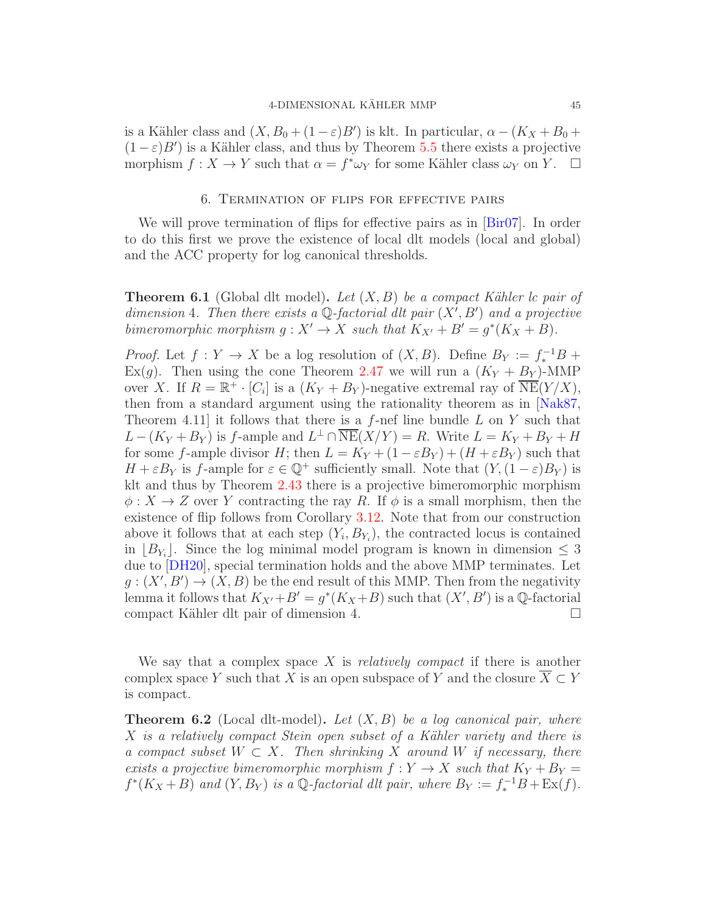is a Kähler class and  $(X, B_0 + (1 - \varepsilon)B')$  is klt. In particular,  $\alpha - (K_X + B_0 +$  $(1 - \varepsilon)B'$ ) is a Kähler class, and thus by Theorem [5.5](#page-43-0) there exists a projective morphism  $f: X \to Y$  such that  $\alpha = f^* \omega_Y$  for some Kähler class  $\omega_Y$  on  $Y$ .  $\Box$ 

#### 6. Termination of flips for effective pairs

We will prove termination of flips for effective pairs as in [\[Bir07\]](#page-70-2). In order to do this first we prove the existence of local dlt models (local and global) and the ACC property for log canonical thresholds.

<span id="page-44-1"></span>**Theorem 6.1** (Global dlt model). Let  $(X, B)$  be a compact Kähler lc pair of dimension 4. Then there exists a  $\mathbb Q$ -factorial dlt pair  $(X', B')$  and a projective bimeromorphic morphism  $g: X' \to X$  such that  $K_{X'} + B' = g^*(K_X + B)$ .

*Proof.* Let  $f: Y \to X$  be a log resolution of  $(X, B)$ . Define  $B_Y := f_*^{-1}B +$ Ex(g). Then using the cone Theorem [2.47](#page-26-0) we will run a  $(K_Y + B_Y)$ -MMP over X. If  $R = \mathbb{R}^+ \cdot [C_i]$  is a  $(K_Y + B_Y)$ -negative extremal ray of  $\overline{\text{NE}}(Y/X)$ , then from a standard argument using the rationality theorem as in [\[Nak87,](#page-72-1) Theorem 4.11 it follows that there is a  $f$ -nef line bundle  $L$  on  $Y$  such that  $L - (K_Y + B_Y)$  is f-ample and  $L^{\perp} \cap \overline{\text{NE}}(X/Y) = R$ . Write  $L = K_Y + B_Y + H$ for some f-ample divisor H; then  $L = K_Y + (1 - \varepsilon B_Y) + (H + \varepsilon B_Y)$  such that  $H + \varepsilon B_Y$  is f-ample for  $\varepsilon \in \mathbb{Q}^+$  sufficiently small. Note that  $(Y,(1-\varepsilon)B_Y)$  is klt and thus by Theorem [2.43](#page-24-0) there is a projective bimeromorphic morphism  $\phi: X \to Z$  over Y contracting the ray R. If  $\phi$  is a small morphism, then the existence of flip follows from Corollary [3.12.](#page-37-0) Note that from our construction above it follows that at each step  $(Y_i, B_{Y_i})$ , the contracted locus is contained in  $[B_{Y_i}]$ . Since the log minimal model program is known in dimension  $\leq 3$ due to [\[DH20\]](#page-71-6), special termination holds and the above MMP terminates. Let  $g: (X', B') \to (X, B)$  be the end result of this MMP. Then from the negativity lemma it follows that  $K_{X'}+B'=g^*(K_X+B)$  such that  $(X',B')$  is a Q-factorial compact Kähler dlt pair of dimension 4.  $\Box$ 

We say that a complex space X is *relatively compact* if there is another complex space Y such that X is an open subspace of Y and the closure  $\overline{X} \subset Y$ is compact.

<span id="page-44-0"></span>**Theorem 6.2** (Local dlt-model). Let  $(X, B)$  be a log canonical pair, where  $X$  is a relatively compact Stein open subset of a Kähler variety and there is a compact subset  $W \subset X$ . Then shrinking X around W if necessary, there exists a projective bimeromorphic morphism  $f: Y \to X$  such that  $K_Y + B_Y =$  $f^*(K_X+B)$  and  $(Y, B_Y)$  is a Q-factorial dlt pair, where  $B_Y := f_*^{-1}B + \text{Ex}(f)$ .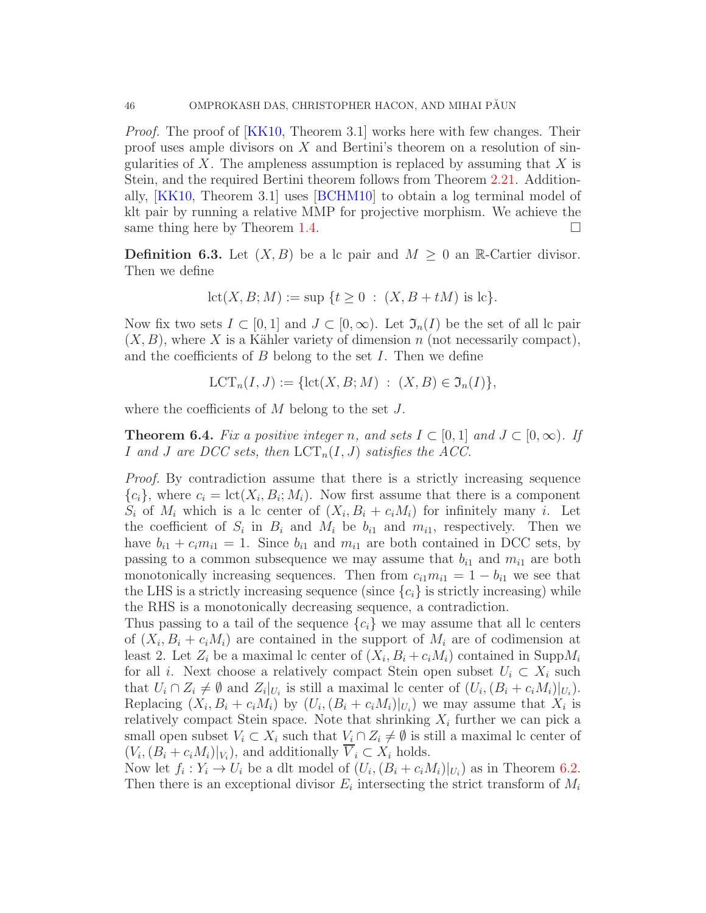Proof. The proof of [\[KK10,](#page-71-9) Theorem 3.1] works here with few changes. Their proof uses ample divisors on  $X$  and Bertini's theorem on a resolution of singularities of X. The ampleness assumption is replaced by assuming that  $X$  is Stein, and the required Bertini theorem follows from Theorem [2.21.](#page-11-0) Additionally, [\[KK10,](#page-71-9) Theorem 3.1] uses [\[BCHM10\]](#page-70-0) to obtain a log terminal model of klt pair by running a relative MMP for projective morphism. We achieve the same thing here by Theorem [1.4.](#page-2-1)  $\Box$ 

**Definition 6.3.** Let  $(X, B)$  be a lc pair and  $M \geq 0$  an R-Cartier divisor. Then we define

$$
let(X, B; M) := sup \{ t \ge 0 : (X, B + tM) \text{ is lc } \}.
$$

Now fix two sets  $I \subset [0,1]$  and  $J \subset [0,\infty)$ . Let  $\mathfrak{I}_n(I)$  be the set of all lc pair  $(X, B)$ , where X is a Kähler variety of dimension n (not necessarily compact), and the coefficients of  $B$  belong to the set  $I$ . Then we define

$$
LCT_n(I, J) := \{ \text{lct}(X, B; M) : (X, B) \in \mathfrak{I}_n(I) \},
$$

where the coefficients of  $M$  belong to the set  $J$ .

<span id="page-45-0"></span>**Theorem 6.4.** Fix a positive integer n, and sets  $I \subset [0,1]$  and  $J \subset [0,\infty)$ . If I and J are DCC sets, then  $\text{LCT}_n(I, J)$  satisfies the ACC.

Proof. By contradiction assume that there is a strictly increasing sequence  ${c_i}$ , where  $c_i = \text{lct}(X_i, B_i; M_i)$ . Now first assume that there is a component  $S_i$  of  $M_i$  which is a lc center of  $(X_i, B_i + c_iM_i)$  for infinitely many i. Let the coefficient of  $S_i$  in  $B_i$  and  $M_i$  be  $b_{i1}$  and  $m_{i1}$ , respectively. Then we have  $b_{i1} + c_i m_{i1} = 1$ . Since  $b_{i1}$  and  $m_{i1}$  are both contained in DCC sets, by passing to a common subsequence we may assume that  $b_{i1}$  and  $m_{i1}$  are both monotonically increasing sequences. Then from  $c_{i1}m_{i1} = 1 - b_{i1}$  we see that the LHS is a strictly increasing sequence (since  ${c_i}$ ) is strictly increasing) while the RHS is a monotonically decreasing sequence, a contradiction.

Thus passing to a tail of the sequence  ${c_i}$  we may assume that all lc centers of  $(X_i, B_i + c_i M_i)$  are contained in the support of  $M_i$  are of codimension at least 2. Let  $Z_i$  be a maximal lc center of  $(X_i, B_i + c_i M_i)$  contained in  $\text{Supp}M_i$ for all i. Next choose a relatively compact Stein open subset  $U_i \subset X_i$  such that  $U_i \cap Z_i \neq \emptyset$  and  $Z_i|_{U_i}$  is still a maximal lc center of  $(U_i, (B_i + c_i M_i)|_{U_i})$ . Replacing  $(X_i, B_i + c_i M_i)$  by  $(U_i, (B_i + c_i M_i)|_{U_i})$  we may assume that  $X_i$  is relatively compact Stein space. Note that shrinking  $X_i$  further we can pick a small open subset  $V_i \subset X_i$  such that  $V_i \cap Z_i \neq \emptyset$  is still a maximal lc center of  $(V_i, (B_i + c_i M_i)|_{V_i})$ , and additionally  $V_i \subset X_i$  holds.

Now let  $f_i: Y_i \to U_i$  be a dlt model of  $(U_i, (B_i + c_i M_i)|_{U_i})$  as in Theorem [6.2.](#page-44-0) Then there is an exceptional divisor  $E_i$  intersecting the strict transform of  $M_i$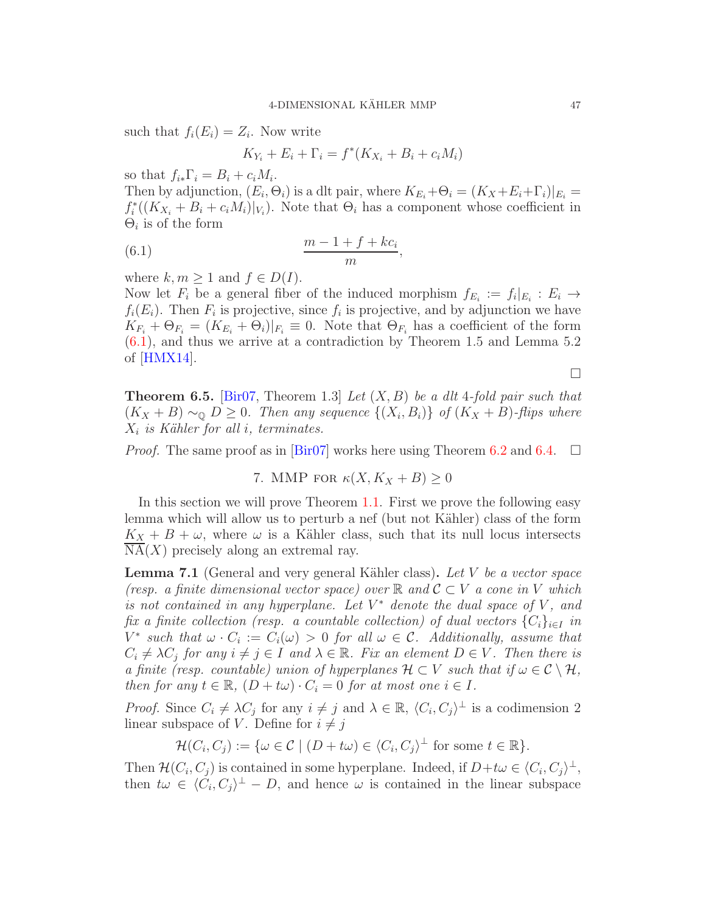such that  $f_i(E_i) = Z_i$ . Now write

<span id="page-46-0"></span>
$$
K_{Y_i} + E_i + \Gamma_i = f^*(K_{X_i} + B_i + c_i M_i)
$$

so that  $f_{i*} \Gamma_i = B_i + c_i M_i$ .

Then by adjunction,  $(E_i, \Theta_i)$  is a dlt pair, where  $K_{E_i} + \Theta_i = (K_X + E_i + \Gamma_i)|_{E_i} =$  $f_i^*((K_{X_i} + B_i + c_i M_i)|_{V_i})$ . Note that  $\Theta_i$  has a component whose coefficient in  $\Theta_i$  is of the form

$$
(6.1) \qquad \frac{m-1+f+kc_i}{m},
$$

where  $k, m \geq 1$  and  $f \in D(I)$ .

Now let  $F_i$  be a general fiber of the induced morphism  $f_{E_i} := f_i|_{E_i} : E_i \to$  $f_i(E_i)$ . Then  $F_i$  is projective, since  $f_i$  is projective, and by adjunction we have  $K_{F_i} + \Theta_{F_i} = (K_{E_i} + \Theta_i)|_{F_i} \equiv 0$ . Note that  $\Theta_{F_i}$  has a coefficient of the form [\(6.1\)](#page-46-0), and thus we arrive at a contradiction by Theorem 1.5 and Lemma 5.2 of [\[HMX14\]](#page-71-10).

 $\Box$ 

<span id="page-46-2"></span>**Theorem 6.5.** [\[Bir07,](#page-70-2) Theorem 1.3] Let  $(X, B)$  be a dlt 4-fold pair such that  $(K_X + B) \sim_{\mathbb{Q}} D \geq 0$ . Then any sequence  $\{(X_i, B_i)\}\,$  of  $(K_X + B)$ -flips where  $X_i$  is Kähler for all i, terminates.

*Proof.* The same proof as in  $\left[\text{Bir07}\right]$  works here using Theorem [6.2](#page-44-0) and [6.4.](#page-45-0)  $\Box$ 

7. MMP FOR 
$$
\kappa(X, K_X + B) \geq 0
$$

In this section we will prove Theorem [1.1.](#page-1-0) First we prove the following easy lemma which will allow us to perturb a nef (but not Kähler) class of the form  $K_X + B + \omega$ , where  $\omega$  is a Kähler class, such that its null locus intersects  $NA(X)$  precisely along an extremal ray.

<span id="page-46-1"></span>**Lemma 7.1** (General and very general Kähler class). Let V be a vector space (resp. a finite dimensional vector space) over  $\mathbb R$  and  $\mathcal{C} \subset V$  a cone in V which is not contained in any hyperplane. Let  $V^*$  denote the dual space of  $V$ , and fix a finite collection (resp. a countable collection) of dual vectors  ${C_i}_{i \in I}$  in  $V^*$  such that  $\omega \cdot C_i := C_i(\omega) > 0$  for all  $\omega \in \mathcal{C}$ . Additionally, assume that  $C_i \neq \lambda C_j$  for any  $i \neq j \in I$  and  $\lambda \in \mathbb{R}$ . Fix an element  $D \in V$ . Then there is a finite (resp. countable) union of hyperplanes  $\mathcal{H} \subset V$  such that if  $\omega \in \mathcal{C} \setminus \mathcal{H}$ , then for any  $t \in \mathbb{R}$ ,  $(D + t\omega) \cdot C_i = 0$  for at most one  $i \in I$ .

*Proof.* Since  $C_i \neq \lambda C_j$  for any  $i \neq j$  and  $\lambda \in \mathbb{R}$ ,  $\langle C_i, C_j \rangle^{\perp}$  is a codimension 2 linear subspace of V. Define for  $i \neq j$ 

$$
\mathcal{H}(C_i, C_j) := \{ \omega \in \mathcal{C} \mid (D + t\omega) \in \langle C_i, C_j \rangle^{\perp} \text{ for some } t \in \mathbb{R} \}.
$$

Then  $\mathcal{H}(C_i, C_j)$  is contained in some hyperplane. Indeed, if  $D + t\omega \in (C_i, C_j)^{\perp}$ , then  $t\omega \in \langle C_i, C_j \rangle^{\perp} - D$ , and hence  $\omega$  is contained in the linear subspace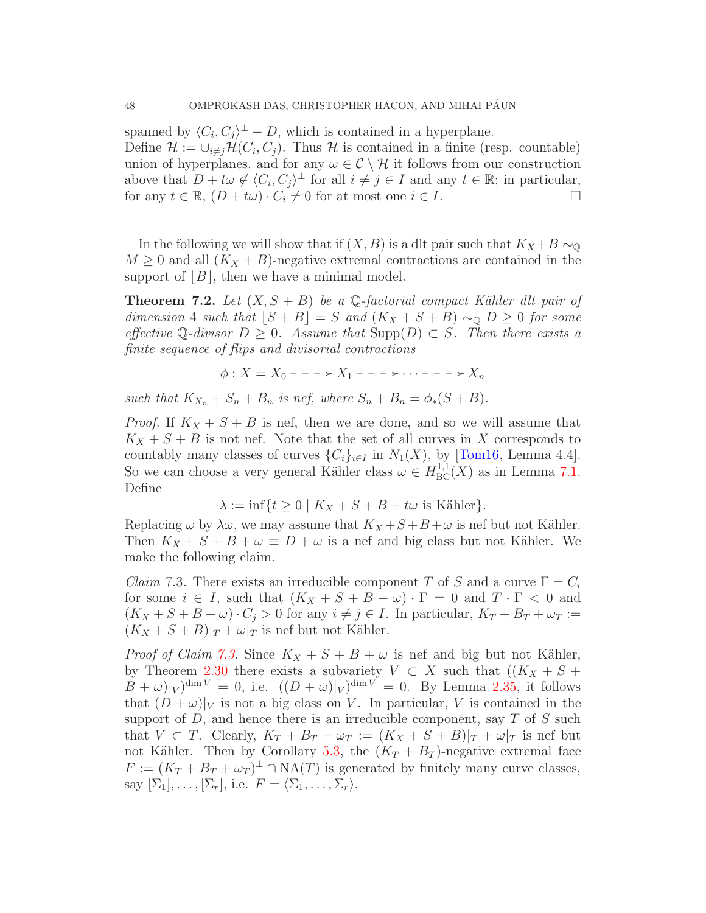spanned by  $\langle C_i, C_j \rangle^{\perp} - D$ , which is contained in a hyperplane.

Define  $\mathcal{H} := \cup_{i \neq j} \mathcal{H}(C_i, C_j)$ . Thus  $\mathcal{H}$  is contained in a finite (resp. countable) union of hyperplanes, and for any  $\omega \in \mathcal{C} \setminus \mathcal{H}$  it follows from our construction above that  $D + t\omega \notin \langle C_i, C_j \rangle^{\perp}$  for all  $i \neq j \in I$  and any  $t \in \mathbb{R}$ ; in particular, for any  $t \in \mathbb{R}$ ,  $(D + t\omega) \cdot C_i \neq 0$  for at most one  $i \in I$ .

In the following we will show that if  $(X, B)$  is a dlt pair such that  $K_X + B \sim_{\mathbb{Q}}$  $M \geq 0$  and all  $(K_X + B)$ -negative extremal contractions are contained in the support of  $|B|$ , then we have a minimal model.

<span id="page-47-1"></span>**Theorem 7.2.** Let  $(X, S + B)$  be a Q-factorial compact Kähler dlt pair of dimension 4 such that  $|S + B| = S$  and  $(K_X + S + B) \sim_{\mathbb{Q}} D \geq 0$  for some effective Q-divisor  $D > 0$ . Assume that  $\text{Supp}(D) \subset S$ . Then there exists a finite sequence of flips and divisorial contractions

$$
\phi: X = X_0 - \cdots - X_1 - \cdots - \cdots - \cdots - X_n
$$

such that  $K_{X_n} + S_n + B_n$  is nef, where  $S_n + B_n = \phi_*(S + B)$ .

*Proof.* If  $K_X + S + B$  is nef, then we are done, and so we will assume that  $K_X + S + B$  is not nef. Note that the set of all curves in X corresponds to countably many classes of curves  $\{C_i\}_{i\in I}$  in  $N_1(X)$ , by [\[Tom16,](#page-72-2) Lemma 4.4]. So we can choose a very general Kähler class  $\omega \in H^{1,1}_{BC}(X)$  as in Lemma [7.1.](#page-46-1) Define

$$
\lambda := \inf \{ t \ge 0 \mid K_X + S + B + t\omega \text{ is Kähler} \}.
$$

Replacing  $\omega$  by  $\lambda \omega$ , we may assume that  $K_X + S + B + \omega$  is nef but not Kähler. Then  $K_X + S + B + \omega \equiv D + \omega$  is a nef and big class but not Kähler. We make the following claim.

<span id="page-47-0"></span>*Claim* 7.3. There exists an irreducible component T of S and a curve  $\Gamma = C_i$ for some  $i \in I$ , such that  $(K_X + S + B + \omega) \cdot \Gamma = 0$  and  $T \cdot \Gamma < 0$  and  $(K_X + S + B + \omega) \cdot C_j > 0$  for any  $i \neq j \in I$ . In particular,  $K_T + B_T + \omega_T :=$  $(K_X + S + B)|_T + \omega|_T$  is nef but not Kähler.

*Proof of Claim [7.3.](#page-47-0)* Since  $K_X + S + B + \omega$  is nef and big but not Kähler, by Theorem [2.30](#page-16-0) there exists a subvariety  $V \subset X$  such that  $((K_X + S +$  $(B + \omega)|_V)^{\dim V} = 0$ , i.e.  $((D + \omega)|_V)^{\dim V} = 0$ . By Lemma [2.35,](#page-21-0) it follows that  $(D + \omega)|_V$  is not a big class on V. In particular, V is contained in the support of  $D$ , and hence there is an irreducible component, say  $T$  of  $S$  such that  $V \subset T$ . Clearly,  $K_T + B_T + \omega_T := (K_X + S + B)|_T + \omega|_T$  is nef but not Kähler. Then by Corollary [5.3,](#page-41-1) the  $(K_T + B_T)$ -negative extremal face  $F := (K_T + B_T + \omega_T)^{\perp} \cap \overline{\text{NA}}(T)$  is generated by finitely many curve classes, say  $[\Sigma_1], \ldots, [\Sigma_r],$  i.e.  $F = \langle \Sigma_1, \ldots, \Sigma_r \rangle$ .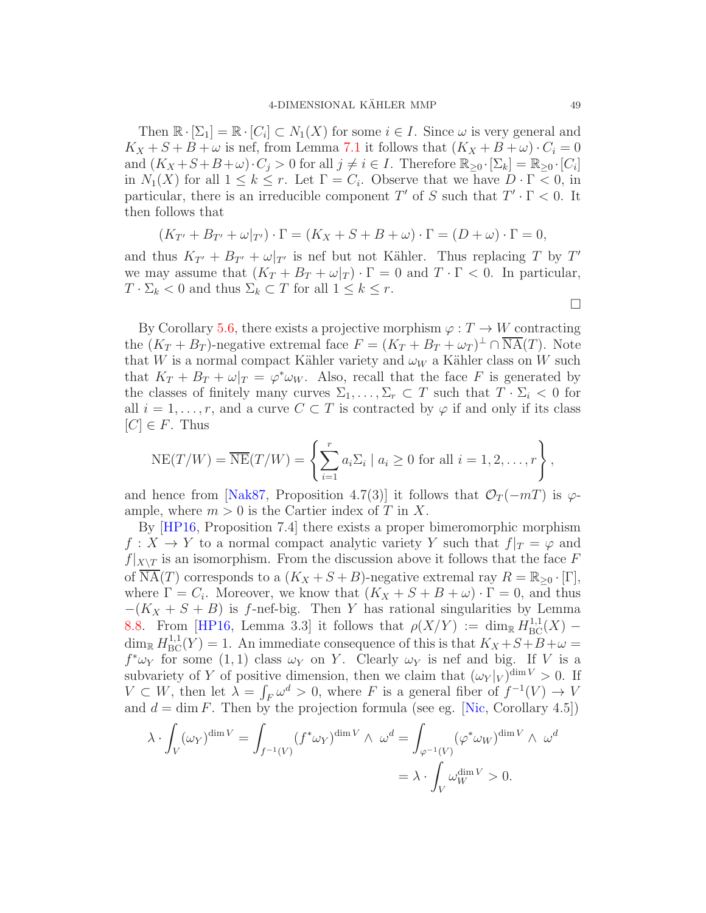Then  $\mathbb{R} \cdot [\Sigma_1] = \mathbb{R} \cdot [C_i] \subset N_1(X)$  for some  $i \in I$ . Since  $\omega$  is very general and  $K_X + S + B + \omega$  is nef, from Lemma [7.1](#page-46-1) it follows that  $(K_X + B + \omega) \cdot C_i = 0$ and  $(K_X + S + B + \omega) \cdot C_j > 0$  for all  $j \neq i \in I$ . Therefore  $\mathbb{R}_{\geq 0} \cdot [\Sigma_k] = \mathbb{R}_{\geq 0} \cdot [C_i]$ in  $N_1(X)$  for all  $1 \leq k \leq r$ . Let  $\Gamma = C_i$ . Observe that we have  $D \cdot \Gamma < 0$ , in particular, there is an irreducible component T' of S such that  $T' \cdot \Gamma < 0$ . It then follows that

$$
(K_{T'} + B_{T'} + \omega|_{T'}) \cdot \Gamma = (K_X + S + B + \omega) \cdot \Gamma = (D + \omega) \cdot \Gamma = 0,
$$

and thus  $K_{T'} + B_{T'} + \omega|_{T'}$  is nef but not Kähler. Thus replacing T by T' we may assume that  $(K_T + B_T + \omega|_T) \cdot \Gamma = 0$  and  $T \cdot \Gamma < 0$ . In particular,  $T \cdot \Sigma_k < 0$  and thus  $\Sigma_k \subset T$  for all  $1 \leq k \leq r$ .

By Corollary [5.6,](#page-43-1) there exists a projective morphism  $\varphi : T \to W$  contracting the  $(K_T + B_T)$ -negative extremal face  $F = (K_T + B_T + \omega_T)^{\perp} \cap \overline{\text{NA}}(T)$ . Note that W is a normal compact Kähler variety and  $\omega_W$  a Kähler class on W such that  $K_T + B_T + \omega|_T = \varphi^* \omega_W$ . Also, recall that the face F is generated by the classes of finitely many curves  $\Sigma_1, \ldots, \Sigma_r \subset T$  such that  $T \cdot \Sigma_i < 0$  for all  $i = 1, \ldots, r$ , and a curve  $C \subset T$  is contracted by  $\varphi$  if and only if its class  $[C] \in F$ . Thus

$$
NE(T/W) = \overline{NE}(T/W) = \left\{ \sum_{i=1}^{r} a_i \Sigma_i \mid a_i \geq 0 \text{ for all } i = 1, 2, \dots, r \right\},
$$

and hence from [\[Nak87,](#page-72-1) Proposition 4.7(3)] it follows that  $\mathcal{O}_T(-mT)$  is  $\varphi$ ample, where  $m > 0$  is the Cartier index of T in X.

By [\[HP16,](#page-71-7) Proposition 7.4] there exists a proper bimeromorphic morphism  $f: X \to Y$  to a normal compact analytic variety Y such that  $f|_T = \varphi$  and  $f|_{X\setminus T}$  is an isomorphism. From the discussion above it follows that the face F of NA(T) corresponds to a  $(K_X + S + B)$ -negative extremal ray  $R = \mathbb{R}_{\geq 0} \cdot [\Gamma],$ where  $\Gamma = C_i$ . Moreover, we know that  $(K_X + S + B + \omega) \cdot \Gamma = 0$ , and thus  $-(K_X + S + B)$  is f-nef-big. Then Y has rational singularities by Lemma [8.8.](#page-62-0) From [\[HP16,](#page-71-7) Lemma 3.3] it follows that  $\rho(X/Y) := \dim_{\mathbb{R}} H^{1,1}_{BC}(X)$  –  $\dim_{\mathbb{R}} H^{1,1}_{\text{BC}}(Y) = 1$ . An immediate consequence of this is that  $K_X + S + B + \omega =$  $f^*\omega_Y$  for some (1, 1) class  $\omega_Y$  on Y. Clearly  $\omega_Y$  is nef and big. If V is a subvariety of Y of positive dimension, then we claim that  $(\omega_Y|_V)^{\dim V} > 0$ . If  $V \subset W$ , then let  $\lambda = \int_F \omega^d > 0$ , where F is a general fiber of  $f^{-1}(V) \to V$ and  $d = \dim F$ . Then by the projection formula (see eg. [\[Nic,](#page-72-3) Corollary 4.5])

$$
\lambda \cdot \int_{V} (\omega_{Y})^{\dim V} = \int_{f^{-1}(V)} (f^* \omega_{Y})^{\dim V} \wedge \omega^{d} = \int_{\varphi^{-1}(V)} (\varphi^* \omega_{W})^{\dim V} \wedge \omega^{d}
$$

$$
= \lambda \cdot \int_{V} \omega_{W}^{\dim V} > 0.
$$

 $\Box$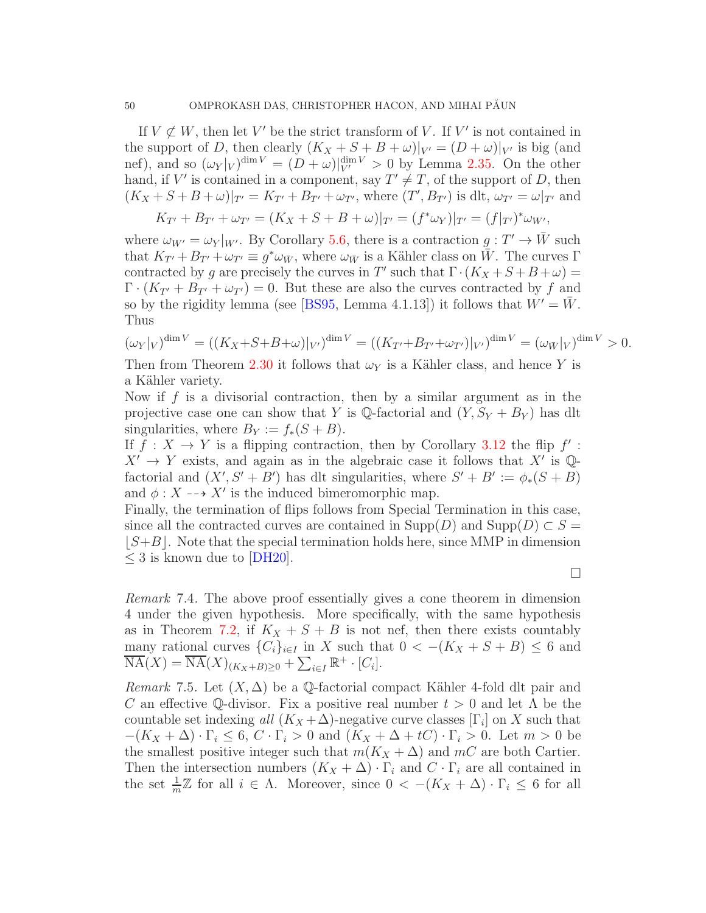If  $V \not\subset W$ , then let V' be the strict transform of V. If V' is not contained in the support of D, then clearly  $(K_X + S + B + \omega)|_{V'} = (D + \omega)|_{V'}$  is big (and nef), and so  $(\omega_Y|_V)^{\dim V} = (D + \omega)|_{V'}^{\dim V} > 0$  by Lemma [2.35.](#page-21-0) On the other hand, if V' is contained in a component, say  $T' \neq T$ , of the support of D, then  $(K_X + S + B + \omega)|_{T'} = K_{T'} + B_{T'} + \omega_{T'}$ , where  $(T', B_{T'})$  is dlt,  $\omega_{T'} = \omega|_{T'}$  and

$$
K_{T'} + B_{T'} + \omega_{T'} = (K_X + S + B + \omega)|_{T'} = (f^* \omega_Y)|_{T'} = (f|_{T'})^* \omega_{W'},
$$

where  $\omega_{W'} = \omega_Y|_{W'}$ . By Corollary [5.6,](#page-43-1) there is a contraction  $g: T' \to W$  such that  $K_{T'} + B_{T'} + \omega_{T'} \equiv g^* \omega_{\bar{W}}$ , where  $\omega_{\bar{W}}$  is a Kähler class on  $\bar{W}$ . The curves  $\Gamma$ contracted by g are precisely the curves in T' such that  $\Gamma \cdot (K_X + S + B + \omega) =$  $\Gamma \cdot (K_{T'} + B_{T'} + \omega_{T'}) = 0$ . But these are also the curves contracted by f and so by the rigidity lemma (see [\[BS95,](#page-70-1) Lemma 4.1.13]) it follows that  $W' = W$ . Thus

$$
(\omega_Y|_V)^{\dim V} = ((K_X + S + B + \omega)|_{V'})^{\dim V} = ((K_{T'} + B_{T'} + \omega_{T'})|_{V'})^{\dim V} = (\omega_{\bar{W}}|_V)^{\dim V} > 0.
$$

Then from Theorem [2.30](#page-16-0) it follows that  $\omega_Y$  is a Kähler class, and hence Y is a Kähler variety.

Now if f is a divisorial contraction, then by a similar argument as in the projective case one can show that Y is  $\mathbb Q$ -factorial and  $(Y, S_Y + B_Y)$  has dlt singularities, where  $B_Y := f_*(S + B)$ .

If  $f: X \to Y$  is a flipping contraction, then by Corollary [3.12](#page-37-0) the flip  $f'$ :  $X' \to Y$  exists, and again as in the algebraic case it follows that X' is Qfactorial and  $(X', S' + B')$  has dlt singularities, where  $S' + B' := \phi_*(S + B)$ and  $\phi: X \dashrightarrow X'$  is the induced bimeromorphic map.

Finally, the termination of flips follows from Special Termination in this case, since all the contracted curves are contained in  $\text{Supp}(D)$  and  $\text{Supp}(D) \subset S =$  $|S+B|$ . Note that the special termination holds here, since MMP in dimension  $\leq$  3 is known due to [\[DH20\]](#page-71-6).

 $\Box$ 

Remark 7.4. The above proof essentially gives a cone theorem in dimension 4 under the given hypothesis. More specifically, with the same hypothesis as in Theorem [7.2,](#page-47-1) if  $K_X + S + B$  is not nef, then there exists countably many rational curves  $\{C_i\}_{i\in I}$  in X such that  $0 < -(K_X + S + B) \leq 6$  and  $\overline{\text{NA}}(X) = \overline{\text{NA}}(X)_{(K_X+B)\geq 0} + \sum_{i\in I} \mathbb{R}^+ \cdot [C_i].$ 

<span id="page-49-0"></span>*Remark* 7.5. Let  $(X, \Delta)$  be a Q-factorial compact Kähler 4-fold dlt pair and C an effective Q-divisor. Fix a positive real number  $t > 0$  and let  $\Lambda$  be the countable set indexing all  $(K_X + \Delta)$ -negative curve classes  $[\Gamma_i]$  on X such that  $-(K_X + \Delta) \cdot \Gamma_i \leq 6, C \cdot \Gamma_i > 0$  and  $(K_X + \Delta + tC) \cdot \Gamma_i > 0$ . Let  $m > 0$  be the smallest positive integer such that  $m(K_X + \Delta)$  and  $mC$  are both Cartier. Then the intersection numbers  $(K_X + \Delta) \cdot \Gamma_i$  and  $C \cdot \Gamma_i$  are all contained in the set  $\frac{1}{m}\mathbb{Z}$  for all  $i \in \Lambda$ . Moreover, since  $0 < -(K_X + \Delta) \cdot \Gamma_i \leq 6$  for all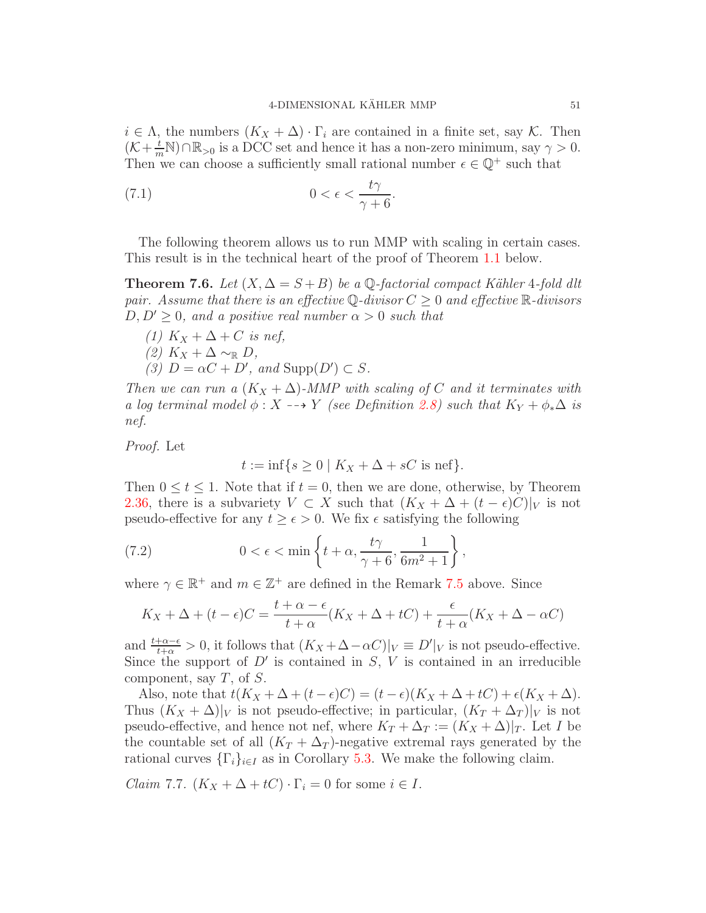$i \in \Lambda$ , the numbers  $(K_X + \Delta) \cdot \Gamma_i$  are contained in a finite set, say K. Then  $(\mathcal{K}+\frac{t}{m}\mathbb{N})\cap\mathbb{R}_{>0}$  is a DCC set and hence it has a non-zero minimum, say  $\gamma>0$ . Then we can choose a sufficiently small rational number  $\epsilon\in\mathbb{Q}^+$  such that

(7.1) 
$$
0 < \epsilon < \frac{t\gamma}{\gamma + 6}.
$$

The following theorem allows us to run MMP with scaling in certain cases. This result is in the technical heart of the proof of Theorem [1.1](#page-1-0) below.

<span id="page-50-2"></span>**Theorem 7.6.** Let  $(X, \Delta = S + B)$  be a Q-factorial compact Kähler 4-fold dlt pair. Assume that there is an effective Q-divisor  $C \geq 0$  and effective  $\mathbb{R}$ -divisors  $D, D' \geq 0$ , and a positive real number  $\alpha > 0$  such that

(1)  $K_X + \Delta + C$  is nef,  $(2)$  K<sub>X</sub> +  $\Delta \sim_{\mathbb{R}} D$ , (3)  $D = \alpha C + D'$ , and  $\text{Supp}(D') \subset S$ .

Then we can run a  $(K_X + \Delta)$ -MMP with scaling of C and it terminates with a log terminal model  $\phi : X \dashrightarrow Y$  (see Definition [2.8\)](#page-6-0) such that  $K_Y + \phi_*\Delta$  is nef.

Proof. Let

<span id="page-50-1"></span>
$$
t := \inf\{s \ge 0 \mid K_X + \Delta + sC \text{ is nef}\}.
$$

Then  $0 \le t \le 1$ . Note that if  $t = 0$ , then we are done, otherwise, by Theorem [2.36,](#page-22-0) there is a subvariety  $V \subset X$  such that  $(K_X + \Delta + (t - \epsilon)C)|_V$  is not pseudo-effective for any  $t \geq \epsilon > 0$ . We fix  $\epsilon$  satisfying the following

(7.2) 
$$
0 < \epsilon < \min\left\{t + \alpha, \frac{t\gamma}{\gamma + 6}, \frac{1}{6m^2 + 1}\right\},\,
$$

where  $\gamma \in \mathbb{R}^+$  and  $m \in \mathbb{Z}^+$  are defined in the Remark [7.5](#page-49-0) above. Since

$$
K_X + \Delta + (t - \epsilon)C = \frac{t + \alpha - \epsilon}{t + \alpha}(K_X + \Delta + tC) + \frac{\epsilon}{t + \alpha}(K_X + \Delta - \alpha C)
$$

and  $\frac{t+\alpha-\epsilon}{t+\alpha} > 0$ , it follows that  $(K_X + \Delta - \alpha C)|_V \equiv D'|_V$  is not pseudo-effective. Since the support of  $D'$  is contained in  $S, V$  is contained in an irreducible component, say  $T$ , of  $S$ .

Also, note that  $t(K_X + \Delta + (t - \epsilon)C) = (t - \epsilon)(K_X + \Delta + tC) + \epsilon(K_X + \Delta)$ . Thus  $(K_X + \Delta)|_V$  is not pseudo-effective; in particular,  $(K_T + \Delta_T)|_V$  is not pseudo-effective, and hence not nef, where  $K_T + \Delta_T := (K_X + \Delta)|_T$ . Let I be the countable set of all  $(K_T + \Delta_T)$ -negative extremal rays generated by the rational curves  $\{\Gamma_i\}_{i\in I}$  as in Corollary [5.3.](#page-41-1) We make the following claim.

<span id="page-50-0"></span>*Claim* 7.7.  $(K_X + \Delta + tC) \cdot \Gamma_i = 0$  for some  $i \in I$ .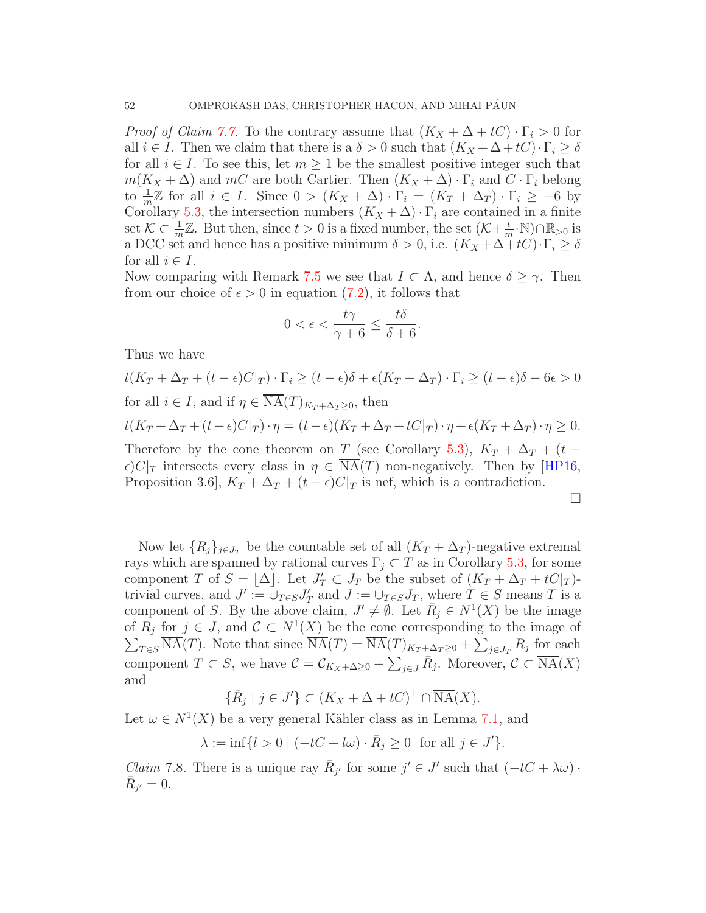*Proof of Claim [7.7.](#page-50-0)* To the contrary assume that  $(K_X + \Delta + tC) \cdot \Gamma_i > 0$  for all  $i \in I$ . Then we claim that there is a  $\delta > 0$  such that  $(K_X + \Delta + tC) \cdot \Gamma_i \ge \delta$ for all  $i \in I$ . To see this, let  $m \geq 1$  be the smallest positive integer such that  $m(K_X + \Delta)$  and mC are both Cartier. Then  $(K_X + \Delta) \cdot \Gamma_i$  and  $C \cdot \Gamma_i$  belong to  $\frac{1}{m}\mathbb{Z}$  for all  $i \in I$ . Since  $0 > (K_X + \Delta) \cdot \Gamma_i = (K_T + \Delta_T) \cdot \Gamma_i \ge -6$  by Corollary [5.3,](#page-41-1) the intersection numbers  $(K_X + \Delta) \cdot \Gamma_i$  are contained in a finite set  $\mathcal{K} \subset \frac{1}{m}\mathbb{Z}$ . But then, since  $t > 0$  is a fixed number, the set  $(\mathcal{K} + \frac{t}{n})$  $\frac{t}{m}$ ·N)∩ $\mathbb{R}_{>0}$  is a DCC set and hence has a positive minimum  $\delta > 0$ , i.e.  $(K_X + \Delta + tC) \cdot \Gamma_i \ge \delta$ for all  $i \in I$ .

Now comparing with Remark [7.5](#page-49-0) we see that  $I \subset \Lambda$ , and hence  $\delta \geq \gamma$ . Then from our choice of  $\epsilon > 0$  in equation [\(7.2\)](#page-50-1), it follows that

$$
0 < \epsilon < \frac{t\gamma}{\gamma + 6} \le \frac{t\delta}{\delta + 6}.
$$

Thus we have

$$
t(K_T + \Delta_T + (t - \epsilon)C|_T) \cdot \Gamma_i \ge (t - \epsilon)\delta + \epsilon(K_T + \Delta_T) \cdot \Gamma_i \ge (t - \epsilon)\delta - 6\epsilon > 0
$$
  
for all  $i \in I$ , and if  $\eta \in \overline{\mathrm{NA}}(T)_{K_T + \Delta_T \ge 0}$ , then  

$$
t(K_T + \Delta_T + (t - \epsilon)C|_T) \cdot \eta = (t - \epsilon)(K_T + \Delta_T + tC|_T) \cdot \eta + \epsilon(K_T + \Delta_T) \cdot \eta \ge 0.
$$
Therefore by the cone theorem on  $T$  (see Corollary 5.3),  $K_T + \Delta_T + (t - \epsilon)C|_T$  intersects every class in  $\eta \in \overline{\mathrm{NA}}(T)$  non-negatively. Then by [HP16, Proposition 3.6],  $K_T + \Delta_T + (t - \epsilon)C|_T$  is nef, which is a contradiction.

Now let  ${R_i}_{i \in J_T}$  be the countable set of all  $(K_T + \Delta_T)$ -negative extremal rays which are spanned by rational curves  $\Gamma_j \subset T$  as in Corollary [5.3,](#page-41-1) for some component T of  $S = \lfloor \Delta \rfloor$ . Let  $J'_T \subset J_T$  be the subset of  $(K_T + \Delta_T + tC|_T)$ trivial curves, and  $J' := \bigcup_{T \in S} J'_T$  and  $J := \bigcup_{T \in S} J_T$ , where  $T \in S$  means T is a component of S. By the above claim,  $J' \neq \emptyset$ . Let  $\overline{R}_j \in N^1(X)$  be the image of  $R_j$  for  $j \in J$ , and  $\mathcal{C} \subset N^1(X)$  be the cone corresponding to the image of  $\sum_{T \in S} \overline{\text{NA}}(T)$ . Note that since  $\overline{\text{NA}}(T) = \overline{\text{NA}}(T)_{K_T + \Delta_T \geq 0} + \sum_{j \in J_T} R_j$  for each component  $T \subset S$ , we have  $\mathcal{C} = \mathcal{C}_{K_X+\Delta \geq 0} + \sum_{j\in J} \bar{R}_j$ . Moreover,  $\mathcal{C} \subset \overline{\mathrm{NA}}(X)$ and

 $\{\overline{R}_j \mid j \in J'\} \subset (K_X + \Delta + tC)^{\perp} \cap \overline{\text{NA}}(X).$ 

Let  $\omega \in N^1(X)$  be a very general Kähler class as in Lemma [7.1,](#page-46-1) and

$$
\lambda := \inf\{l > 0 \mid (-tC + l\omega) \cdot \bar{R}_j \ge 0 \quad \text{for all } j \in J'\}.
$$

<span id="page-51-0"></span>*Claim* 7.8. There is a unique ray  $\bar{R}_{j'}$  for some  $j' \in J'$  such that  $(-tC + \lambda \omega)$ .  $\bar{R}_{j'}=0.$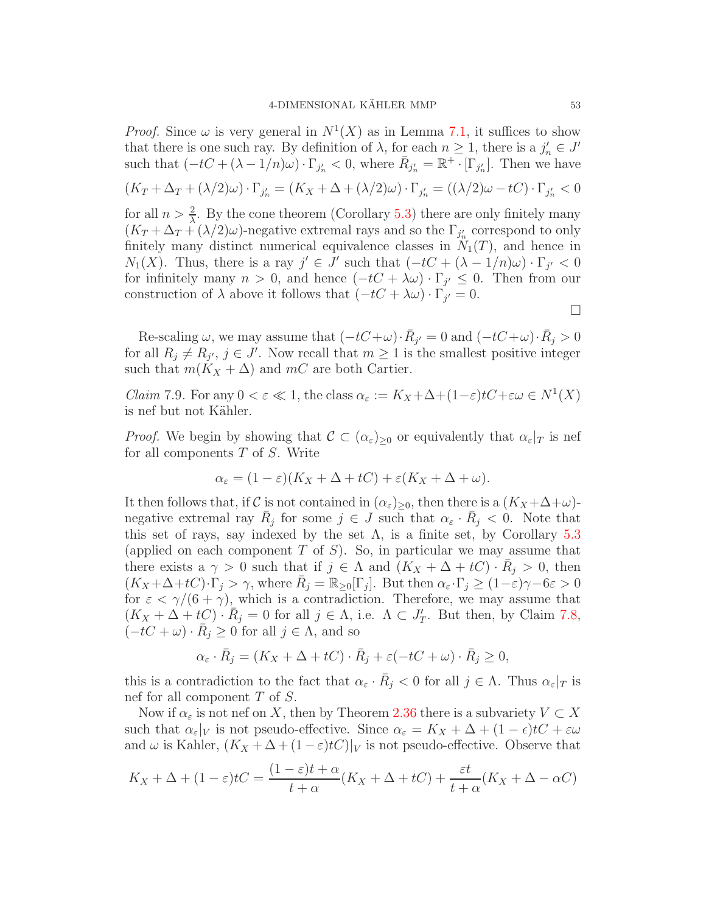*Proof.* Since  $\omega$  is very general in  $N^1(X)$  as in Lemma [7.1,](#page-46-1) it suffices to show that there is one such ray. By definition of  $\lambda$ , for each  $n \geq 1$ , there is a  $j'_n \in J'$ such that  $(-tC + (\lambda - 1/n)\omega) \cdot \Gamma_{j'_n} < 0$ , where  $\overline{R}_{j'_n} = \mathbb{R}^+ \cdot [\Gamma_{j'_n}]$ . Then we have  $(K_T + \Delta_T + (\lambda/2)\omega) \cdot \Gamma_{j'_n} = (K_X + \Delta + (\lambda/2)\omega) \cdot \Gamma_{j'_n} = ((\lambda/2)\omega - tC) \cdot \Gamma_{j'_n} < 0$ for all  $n > \frac{2}{\lambda}$ . By the cone theorem (Corollary [5.3\)](#page-41-1) there are only finitely many  $(K_T + \Delta_T + (\lambda/2)\omega)$ -negative extremal rays and so the  $\Gamma_{j'_n}$  correspond to only finitely many distinct numerical equivalence classes in  $N_1(T)$ , and hence in  $N_1(X)$ . Thus, there is a ray  $j' \in J'$  such that  $(-tC + (\lambda - 1/n)\omega) \cdot \Gamma_{j'} < 0$ for infinitely many  $n > 0$ , and hence  $(-tC + \lambda \omega) \cdot \Gamma_{j'} \leq 0$ . Then from our construction of  $\lambda$  above it follows that  $(-tC + \lambda \omega) \cdot \Gamma_{j'} = 0$ .  $\Box$ 

Re-scaling  $\omega$ , we may assume that  $(-tC+\omega)\cdot \bar{R}_{j'}=0$  and  $(-tC+\omega)\cdot \bar{R}_{j}>0$ for all  $R_j \neq R_{j'}$ ,  $j \in J'$ . Now recall that  $m \geq 1$  is the smallest positive integer such that  $m(K_X + \Delta)$  and  $mC$  are both Cartier.

*Claim* 7.9. For any  $0 < \varepsilon \ll 1$ , the class  $\alpha_{\varepsilon} := K_X + \Delta + (1 - \varepsilon)tC + \varepsilon \omega \in N^1(X)$ is nef but not Kähler.

*Proof.* We begin by showing that  $\mathcal{C} \subset (\alpha_{\varepsilon})_{\geq 0}$  or equivalently that  $\alpha_{\varepsilon}|_T$  is nef for all components T of S. Write

$$
\alpha_{\varepsilon} = (1 - \varepsilon)(K_X + \Delta + tC) + \varepsilon(K_X + \Delta + \omega).
$$

It then follows that, if C is not contained in  $(\alpha_{\varepsilon})_{\geq 0}$ , then there is a  $(K_X + \Delta + \omega)$ negative extremal ray  $\bar{R}_j$  for some  $j \in J$  such that  $\alpha_{\varepsilon} \cdot \bar{R}_j < 0$ . Note that this set of rays, say indexed by the set  $\Lambda$ , is a finite set, by Corollary [5.3](#page-41-1) (applied on each component  $T$  of  $S$ ). So, in particular we may assume that there exists a  $\gamma > 0$  such that if  $j \in \Lambda$  and  $(K_X + \Delta + tC) \cdot \bar{R}_j > 0$ , then  $(K_X+\Delta+tC)\cdot\Gamma_j>\gamma$ , where  $\bar{R}_j=\mathbb{R}_{\geq0}[\Gamma_j]$ . But then  $\alpha_{\varepsilon}\cdot\Gamma_j\geq(1-\varepsilon)\gamma-6\varepsilon>0$ for  $\varepsilon < \gamma/(6+\gamma)$ , which is a contradiction. Therefore, we may assume that  $(K_X + \Delta + tC) \cdot \bar{R}_j = 0$  for all  $j \in \Lambda$ , i.e.  $\Lambda \subset J'_T$ . But then, by Claim [7.8,](#page-51-0)  $(-tC + \omega) \cdot \bar{R}_j \ge 0$  for all  $j \in \Lambda$ , and so

$$
\alpha_{\varepsilon} \cdot \bar{R}_j = (K_X + \Delta + tC) \cdot \bar{R}_j + \varepsilon (-tC + \omega) \cdot \bar{R}_j \ge 0,
$$

this is a contradiction to the fact that  $\alpha_{\varepsilon} \cdot \bar{R}_j < 0$  for all  $j \in \Lambda$ . Thus  $\alpha_{\varepsilon}|_T$  is nef for all component  $T$  of  $S$ .

Now if  $\alpha_{\varepsilon}$  is not nef on X, then by Theorem [2.36](#page-22-0) there is a subvariety  $V \subset X$ such that  $\alpha_{\varepsilon}|_V$  is not pseudo-effective. Since  $\alpha_{\varepsilon} = K_X + \Delta + (1 - \epsilon)tC + \varepsilon \omega$ and  $\omega$  is Kahler,  $(K_X + \Delta + (1-\varepsilon)t) |_V$  is not pseudo-effective. Observe that

$$
K_X + \Delta + (1 - \varepsilon)t = \frac{(1 - \varepsilon)t + \alpha}{t + \alpha}(K_X + \Delta + tC) + \frac{\varepsilon t}{t + \alpha}(K_X + \Delta - \alpha C)
$$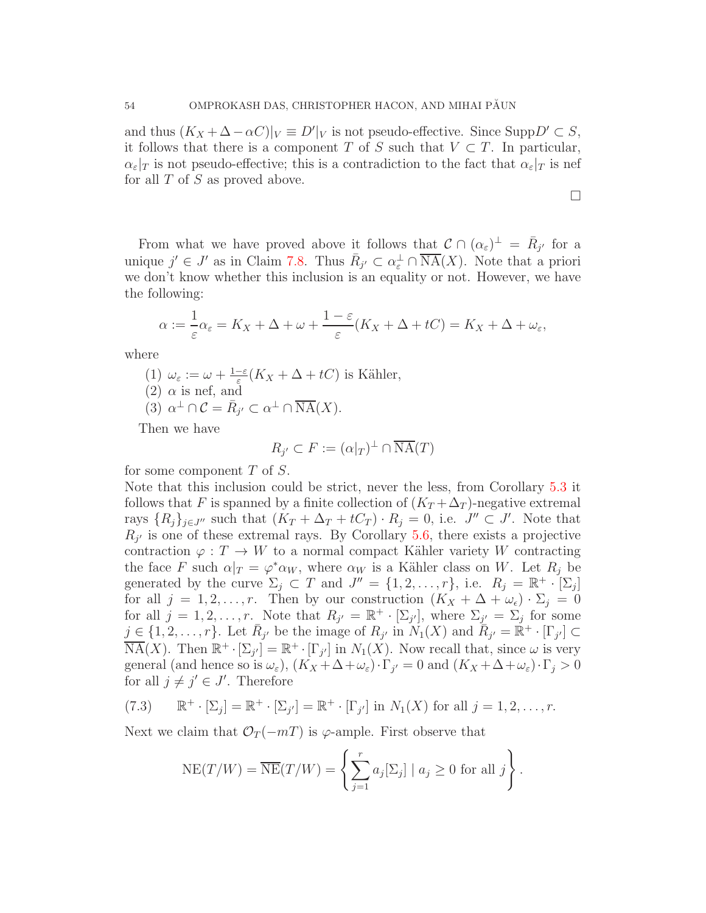and thus  $(K_X + \Delta - \alpha C)|_V \equiv D'|_V$  is not pseudo-effective. Since Supp $D' \subset S$ , it follows that there is a component T of S such that  $V \subset T$ . In particular,  $\alpha_{\varepsilon}|_T$  is not pseudo-effective; this is a contradiction to the fact that  $\alpha_{\varepsilon}|_T$  is nef for all  $T$  of  $S$  as proved above.

 $\Box$ 

From what we have proved above it follows that  $\mathcal{C} \cap (\alpha_{\varepsilon})^{\perp} = \overline{R}_{j'}$  for a unique  $j' \in J'$  as in Claim [7.8.](#page-51-0) Thus  $\bar{R}_{j'} \subset \alpha_{\varepsilon}^{\perp} \cap \overline{\text{NA}}(X)$ . Note that a priori we don't know whether this inclusion is an equality or not. However, we have the following:

$$
\alpha := \frac{1}{\varepsilon}\alpha_{\varepsilon} = K_X + \Delta + \omega + \frac{1-\varepsilon}{\varepsilon}(K_X + \Delta + tC) = K_X + \Delta + \omega_{\varepsilon},
$$

where

(1)  $\omega_{\varepsilon} := \omega + \frac{1-\varepsilon}{\varepsilon}$  $\frac{-\varepsilon}{\varepsilon}(K_X + \Delta + tC)$  is Kähler,  $(2)$   $\alpha$  is nef, and (3)  $\alpha^{\perp} \cap C = \overline{R}_{j'} \subset \alpha^{\perp} \cap \overline{\mathrm{NA}}(X)$ .

Then we have

$$
R_{j'} \subset F := (\alpha|_{T})^{\perp} \cap \overline{\operatorname{NA}}(T)
$$

for some component  $T$  of  $S$ .

Note that this inclusion could be strict, never the less, from Corollary [5.3](#page-41-1) it follows that F is spanned by a finite collection of  $(K_T + \Delta_T)$ -negative extremal rays  $\{R_j\}_{j\in J''}$  such that  $(K_T + \Delta_T + tC_T) \cdot R_j = 0$ , i.e.  $J'' \subset J'$ . Note that  $R_{j'}$  is one of these extremal rays. By Corollary [5.6,](#page-43-1) there exists a projective contraction  $\varphi: T \to W$  to a normal compact Kähler variety W contracting the face F such  $\alpha|_{T} = \varphi^* \alpha_W$ , where  $\alpha_W$  is a Kähler class on W. Let  $R_j$  be generated by the curve  $\Sigma_j \subset T$  and  $J'' = \{1, 2, ..., r\}$ , i.e.  $R_j = \mathbb{R}^+ \cdot [\Sigma_j]$ for all  $j = 1, 2, \ldots, r$ . Then by our construction  $(K_X + \Delta + \omega_{\epsilon}) \cdot \Sigma_j = 0$ for all  $j = 1, 2, ..., r$ . Note that  $R_{j'} = \mathbb{R}^+ \cdot [\Sigma_{j'}],$  where  $\Sigma_{j'} = \Sigma_j$  for some  $j \in \{1, 2, \ldots, r\}$ . Let  $\bar{R}_{j'}$  be the image of  $R_{j'}$  in  $N_1(X)$  and  $\bar{R}_{j'} = \mathbb{R}^+ \cdot [\Gamma_{j'}] \subset$  $\overline{\text{NA}}(X)$ . Then  $\mathbb{R}^+ \cdot [\Sigma_{j'}] = \mathbb{R}^+ \cdot [\Gamma_{j'}]$  in  $N_1(X)$ . Now recall that, since  $\omega$  is very general (and hence so is  $\omega_{\varepsilon}$ ),  $(K_X + \Delta + \omega_{\varepsilon}) \cdot \Gamma_{j'} = 0$  and  $(K_X + \Delta + \omega_{\varepsilon}) \cdot \Gamma_j > 0$ for all  $j \neq j' \in J'$ . Therefore

(7.3) 
$$
\mathbb{R}^+ \cdot [\Sigma_j] = \mathbb{R}^+ \cdot [\Sigma_{j'}] = \mathbb{R}^+ \cdot [\Gamma_{j'}]
$$
 in  $N_1(X)$  for all  $j = 1, 2, ..., r$ .

Next we claim that  $\mathcal{O}_T(-mT)$  is  $\varphi$ -ample. First observe that

<span id="page-53-0"></span>
$$
NE(T/W) = \overline{NE}(T/W) = \left\{ \sum_{j=1}^{r} a_j [\Sigma_j] \mid a_j \ge 0 \text{ for all } j \right\}.
$$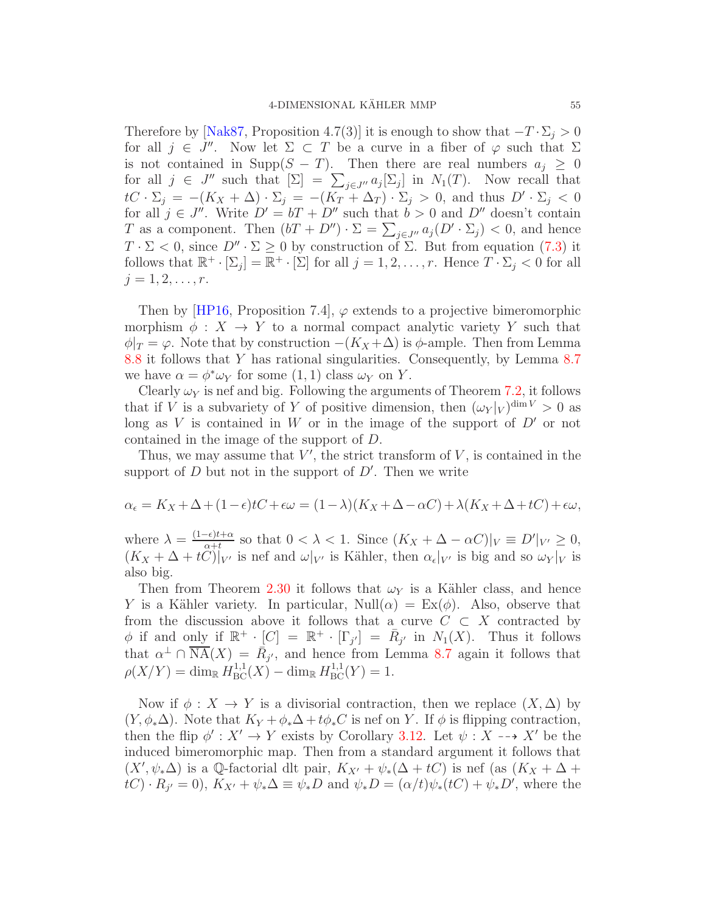Therefore by [\[Nak87,](#page-72-1) Proposition 4.7(3)] it is enough to show that  $-T \cdot \Sigma_i > 0$ for all  $j \in J''$ . Now let  $\Sigma \subset T$  be a curve in a fiber of  $\varphi$  such that  $\Sigma$ is not contained in Supp( $S - T$ ). Then there are real numbers  $a_j \geq 0$ for all  $j \in J''$  such that  $[\Sigma] = \sum_{j \in J''} a_j [\Sigma_j]$  in  $N_1(T)$ . Now recall that  $tC \cdot \Sigma_j = -(K_X + \Delta) \cdot \Sigma_j = -(K_T + \Delta_T) \cdot \Sigma_j > 0$ , and thus  $D' \cdot \Sigma_j < 0$ for all  $j \in J''$ . Write  $D' = bT + D''$  such that  $b > 0$  and  $D''$  doesn't contain T as a component. Then  $(bT + D'') \cdot \Sigma = \sum_{j \in J''} a_j (D' \cdot \Sigma_j) < 0$ , and hence  $T \cdot \Sigma < 0$ , since  $D'' \cdot \Sigma \ge 0$  by construction of  $\Sigma$ . But from equation [\(7.3\)](#page-53-0) it follows that  $\mathbb{R}^+ \cdot [\Sigma_j] = \mathbb{R}^+ \cdot [\Sigma]$  for all  $j = 1, 2, \ldots, r$ . Hence  $T \cdot \Sigma_j < 0$  for all  $j = 1, 2, \ldots, r$ .

Then by [\[HP16,](#page-71-7) Proposition 7.4],  $\varphi$  extends to a projective bimeromorphic morphism  $\phi: X \to Y$  to a normal compact analytic variety Y such that  $\phi|_T = \varphi$ . Note that by construction  $-(K_X + \Delta)$  is  $\phi$ -ample. Then from Lemma [8.8](#page-62-0) it follows that Y has rational singularities. Consequently, by Lemma [8.7](#page-61-0) we have  $\alpha = \phi^* \omega_Y$  for some  $(1, 1)$  class  $\omega_Y$  on Y.

Clearly  $\omega_Y$  is nef and big. Following the arguments of Theorem [7.2,](#page-47-1) it follows that if V is a subvariety of Y of positive dimension, then  $(\omega_Y|_V)^{\dim V} > 0$  as long as V is contained in W or in the image of the support of  $D'$  or not contained in the image of the support of D.

Thus, we may assume that  $V'$ , the strict transform of  $V$ , is contained in the support of  $D$  but not in the support of  $D'$ . Then we write

$$
\alpha_{\epsilon} = K_X + \Delta + (1 - \epsilon)tC + \epsilon \omega = (1 - \lambda)(K_X + \Delta - \alpha C) + \lambda(K_X + \Delta + tC) + \epsilon \omega,
$$

where  $\lambda = \frac{(1-\epsilon)t+\alpha}{\alpha+t}$  $\frac{-\epsilon}{\alpha+t}$  so that  $0 < \lambda < 1$ . Since  $(K_X + \Delta - \alpha C)|_V \equiv D'|_{V'} \geq 0$ ,  $(K_X + \Delta + tC)|_{V'}$  is nef and  $\omega|_{V'}$  is Kähler, then  $\alpha_{\epsilon}|_{V'}$  is big and so  $\omega_{Y}|_{V}$  is also big.

Then from Theorem [2.30](#page-16-0) it follows that  $\omega_Y$  is a Kähler class, and hence Y is a Kähler variety. In particular,  $Null(\alpha) = Ex(\phi)$ . Also, observe that from the discussion above it follows that a curve  $C \subset X$  contracted by  $\phi$  if and only if  $\mathbb{R}^+ \cdot [C] = \mathbb{R}^+ \cdot [\Gamma_{j'}] = \bar{R}_{j'}$  in  $N_1(X)$ . Thus it follows that  $\alpha^{\perp} \cap \overline{\text{NA}}(X) = \overline{R}_{j'}$ , and hence from Lemma [8.7](#page-61-0) again it follows that  $\rho(X/Y) = \dim_{\mathbb{R}} H^{1,1}_{\text{BC}}(X) - \dim_{\mathbb{R}} H^{1,1}_{\text{BC}}(Y) = 1.$ 

Now if  $\phi: X \to Y$  is a divisorial contraction, then we replace  $(X, \Delta)$  by  $(Y, \phi_*\Delta)$ . Note that  $K_Y + \phi_*\Delta + t\phi_*C$  is nef on Y. If  $\phi$  is flipping contraction, then the flip  $\phi' : X' \to Y$  exists by Corollary [3.12.](#page-37-0) Let  $\psi : X \dashrightarrow X'$  be the induced bimeromorphic map. Then from a standard argument it follows that  $(X', \psi_*\Delta)$  is a Q-factorial dlt pair,  $K_{X'} + \psi_*(\Delta + tC)$  is nef (as  $(K_X + \Delta +$  $tC)\cdot R_{j'}=0$ ,  $K_{X'}+\psi_*\Delta\equiv \psi_*D$  and  $\psi_*D=(\alpha/t)\psi_*(tC)+\psi_*D'$ , where the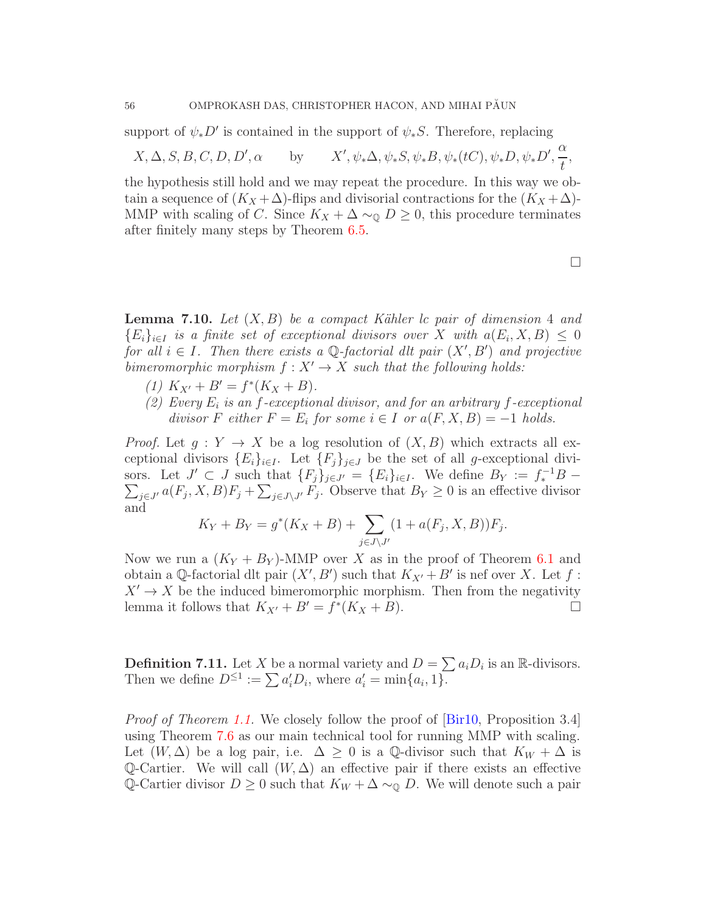support of  $\psi_* D'$  is contained in the support of  $\psi_* S$ . Therefore, replacing

$$
X, \Delta, S, B, C, D, D', \alpha
$$
 by  $X', \psi_*\Delta, \psi_*S, \psi_*B, \psi_*(tC), \psi_*D, \psi_*D', \frac{\alpha}{t},$ 

the hypothesis still hold and we may repeat the procedure. In this way we obtain a sequence of  $(K_X + \Delta)$ -flips and divisorial contractions for the  $(K_X + \Delta)$ -MMP with scaling of C. Since  $K_X + \Delta \sim_{\mathbb{Q}} D \geq 0$ , this procedure terminates after finitely many steps by Theorem [6.5.](#page-46-2)

<span id="page-55-0"></span>**Lemma 7.10.** Let  $(X, B)$  be a compact Kähler lc pair of dimension 4 and  ${E_i}_{i \in I}$  is a finite set of exceptional divisors over X with  $a(E_i, X, B) \leq 0$ for all  $i \in I$ . Then there exists a Q-factorial dlt pair  $(X', B')$  and projective bimeromorphic morphism  $f: X' \to X$  such that the following holds:

- (1)  $K_{X'} + B' = f^*(K_X + B).$
- (2) Every  $E_i$  is an f-exceptional divisor, and for an arbitrary f-exceptional divisor F either  $F = E_i$  for some  $i \in I$  or  $a(F, X, B) = -1$  holds.

*Proof.* Let  $g: Y \to X$  be a log resolution of  $(X, B)$  which extracts all exceptional divisors  $\{E_i\}_{i\in I}$ . Let  $\{F_j\}_{j\in J}$  be the set of all g-exceptional divisors. Let  $J' \subset J$  such that  $\{F_j\}_{j \in J'} = \{E_i\}_{i \in I}$ . We define  $B_Y := f_*^{-1}B - \sum_{i \in J'} a(F_i, X, B) F_i + \sum_{i \in J'} u(F_i, B) F_i$ . Observe that  $B_Y \geq 0$  is an effective divisor  $j\in J'$   $a(F_j, X, B)F_j + \sum_{j\in J\setminus J'} F_j$ . Observe that  $B_Y \geq 0$  is an effective divisor and

$$
K_Y + B_Y = g^*(K_X + B) + \sum_{j \in J \setminus J'} (1 + a(F_j, X, B))F_j.
$$

Now we run a  $(K_Y + B_Y)$ -MMP over X as in the proof of Theorem [6.1](#page-44-1) and obtain a Q-factorial dlt pair  $(X', B')$  such that  $K_{X'} + B'$  is nef over X. Let f:  $X' \to X$  be the induced bimeromorphic morphism. Then from the negativity lemma it follows that  $K_{X'} + B' = f^*(K_X + B)$ .

**Definition 7.11.** Let X be a normal variety and  $D = \sum a_i D_i$  is an R-divisors. Then we define  $D^{\leq 1} := \sum a_i' D_i$ , where  $a_i' = \min\{a_i, 1\}$ .

Proof of Theorem [1.1.](#page-1-0) We closely follow the proof of  $\lbrack \text{Bir10}, \text{Proposition 3.4} \rbrack$ using Theorem [7.6](#page-50-2) as our main technical tool for running MMP with scaling. Let  $(W, \Delta)$  be a log pair, i.e.  $\Delta \geq 0$  is a Q-divisor such that  $K_W + \Delta$  is Q-Cartier. We will call  $(W, \Delta)$  an effective pair if there exists an effective Q-Cartier divisor  $D \geq 0$  such that  $K_W + \Delta \sim_{\mathbb{Q}} D$ . We will denote such a pair

 $\Box$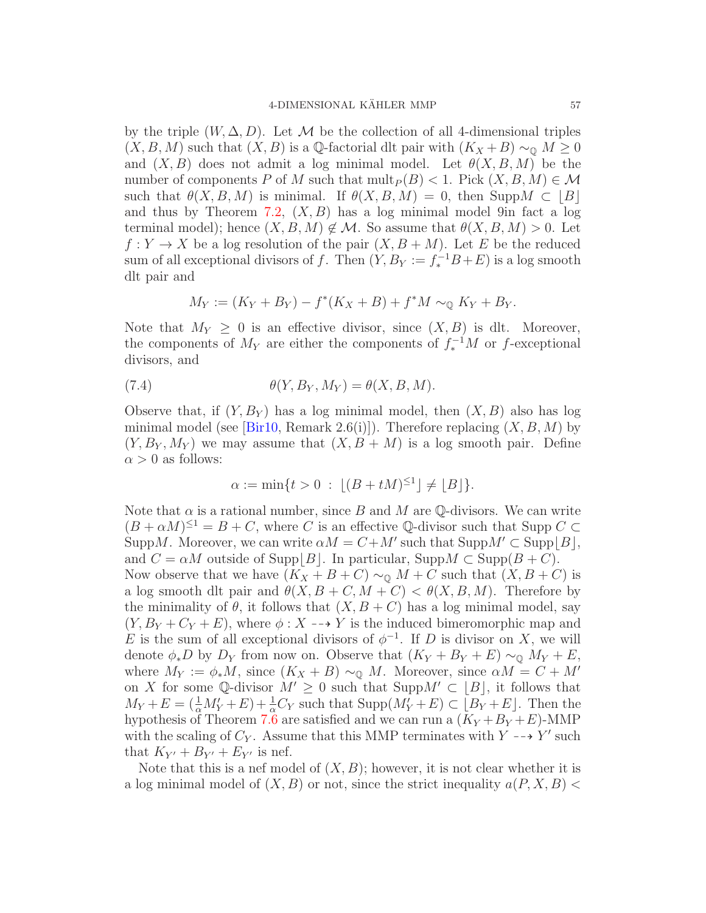by the triple  $(W, \Delta, D)$ . Let M be the collection of all 4-dimensional triples  $(X, B, M)$  such that  $(X, B)$  is a Q-factorial dlt pair with  $(K_X + B) \sim_{\mathbb{Q}} M \geq 0$ and  $(X, B)$  does not admit a log minimal model. Let  $\theta(X, B, M)$  be the number of components P of M such that  $mult_{P}(B) < 1$ . Pick  $(X, B, M) \in \mathcal{M}$ such that  $\theta(X, B, M)$  is minimal. If  $\theta(X, B, M) = 0$ , then Supp $M \subset |B|$ and thus by Theorem [7.2,](#page-47-1)  $(X, B)$  has a log minimal model 9in fact a log terminal model); hence  $(X, B, M) \notin \mathcal{M}$ . So assume that  $\theta(X, B, M) > 0$ . Let  $f: Y \to X$  be a log resolution of the pair  $(X, B + M)$ . Let E be the reduced sum of all exceptional divisors of f. Then  $(Y, B_Y) := f_*^{-1}B + E$  is a log smooth dlt pair and

$$
M_Y := (K_Y + B_Y) - f^*(K_X + B) + f^*M \sim_{\mathbb{Q}} K_Y + B_Y.
$$

Note that  $M_Y \geq 0$  is an effective divisor, since  $(X, B)$  is dlt. Moreover, the components of  $M_Y$  are either the components of  $f_*^{-1}M$  or f-exceptional divisors, and

(7.4) 
$$
\theta(Y, B_Y, M_Y) = \theta(X, B, M).
$$

Observe that, if  $(Y, B_Y)$  has a log minimal model, then  $(X, B)$  also has log minimal model (see [\[Bir10,](#page-70-3) Remark 2.6(i)]). Therefore replacing  $(X, B, M)$  by  $(Y, B_Y, M_Y)$  we may assume that  $(X, B + M)$  is a log smooth pair. Define  $\alpha > 0$  as follows:

$$
\alpha := \min\{t > 0 \, : \, \lfloor (B + tM)^{\leq 1} \rfloor \neq \lfloor B \rfloor \}.
$$

Note that  $\alpha$  is a rational number, since B and M are Q-divisors. We can write  $(B + \alpha M)^{\leq 1} = B + C$ , where C is an effective Q-divisor such that Supp  $C \subset$ SuppM. Moreover, we can write  $\alpha M = C + M'$  such that  $\text{Supp}M' \subset \text{Supp}[B],$ and  $C = \alpha M$  outside of Supp $|B|$ . In particular, Supp $M \subset \text{Supp}(B + C)$ . Now observe that we have  $(K_X + B + C) \sim_{\mathbb{Q}} M + C$  such that  $(X, B + C)$  is a log smooth dlt pair and  $\theta(X, B + C, M + C) < \theta(X, B, M)$ . Therefore by the minimality of  $\theta$ , it follows that  $(X, B + C)$  has a log minimal model, say  $(Y, B_Y + C_Y + E)$ , where  $\phi: X \dashrightarrow Y$  is the induced bimeromorphic map and E is the sum of all exceptional divisors of  $\phi^{-1}$ . If D is divisor on X, we will denote  $\phi_* D$  by  $D_Y$  from now on. Observe that  $(K_Y + B_Y + E) \sim_{\mathbb{Q}} M_Y + E$ , where  $M_Y := \phi_* M$ , since  $(K_X + B) \sim_{\mathbb{Q}} M$ . Moreover, since  $\alpha M = C + M'$ on X for some Q-divisor  $M' \geq 0$  such that Supp $M' \subset [B]$ , it follows that  $M_Y + E = \left(\frac{1}{\alpha}M'_Y + E\right) + \frac{1}{\alpha}C_Y$  such that  $\text{Supp}(M'_Y + E) \subset [B_Y + E]$ . Then the hypothesis of Theorem [7.6](#page-50-2) are satisfied and we can run a  $(K_Y + B_Y + E)$ -MMP with the scaling of  $C_Y$ . Assume that this MMP terminates with  $Y \dashrightarrow Y'$  such that  $K_{Y'} + B_{Y'} + E_{Y'}$  is nef.

Note that this is a nef model of  $(X, B)$ ; however, it is not clear whether it is a log minimal model of  $(X, B)$  or not, since the strict inequality  $a(P, X, B)$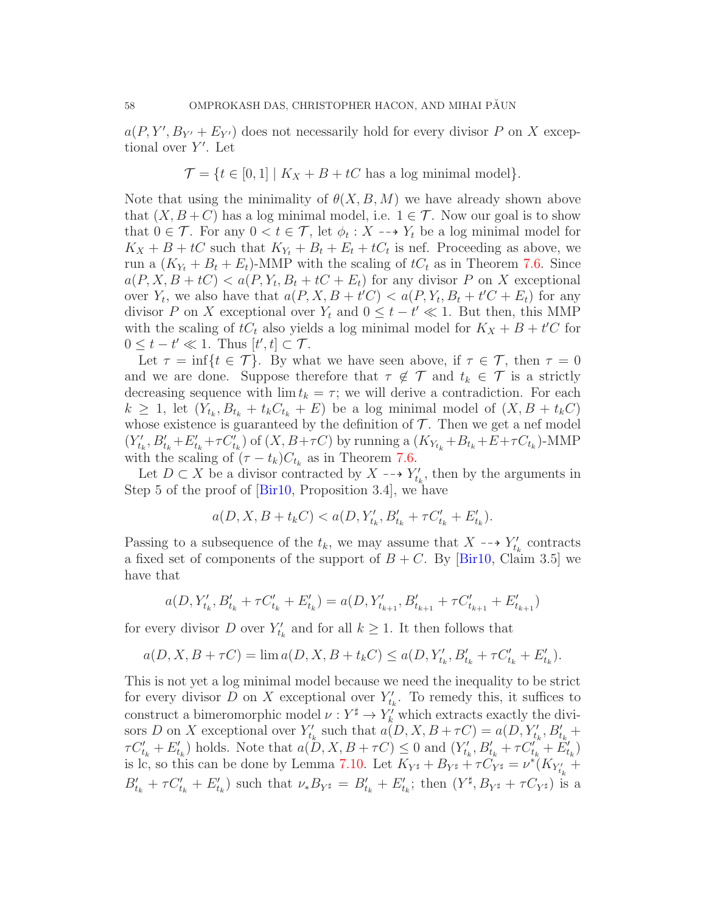$a(P, Y', B_{Y'} + E_{Y'})$  does not necessarily hold for every divisor P on X exceptional over Y'. Let

$$
\mathcal{T} = \{ t \in [0,1] \mid K_X + B + tC \text{ has a log minimal model} \}.
$$

Note that using the minimality of  $\theta(X, B, M)$  we have already shown above that  $(X, B+C)$  has a log minimal model, i.e.  $1 \in \mathcal{T}$ . Now our goal is to show that  $0 \in \mathcal{T}$ . For any  $0 < t \in \mathcal{T}$ , let  $\phi_t : X \dashrightarrow Y_t$  be a log minimal model for  $K_X + B + tC$  such that  $K_{Y_t} + B_t + E_t + tC_t$  is nef. Proceeding as above, we run a  $(K_{Y_t} + B_t + E_t)$ -MMP with the scaling of  $tC_t$  as in Theorem [7.6.](#page-50-2) Since  $a(P, X, B + tC) < a(P, Y_t, B_t + tC + E_t)$  for any divisor P on X exceptional over  $Y_t$ , we also have that  $a(P, X, B + t'C) < a(P, Y_t, B_t + t'C + E_t)$  for any divisor P on X exceptional over  $Y_t$  and  $0 \le t - t' \ll 1$ . But then, this MMP with the scaling of  $tC_t$  also yields a log minimal model for  $K_X + B + t'C$  for  $0 \leq t - t' \ll 1$ . Thus  $[t', t] \subset \mathcal{T}$ .

Let  $\tau = \inf\{t \in \mathcal{T}\}\$ . By what we have seen above, if  $\tau \in \mathcal{T}$ , then  $\tau = 0$ and we are done. Suppose therefore that  $\tau \notin \mathcal{T}$  and  $t_k \in \mathcal{T}$  is a strictly decreasing sequence with  $\lim t_k = \tau$ ; we will derive a contradiction. For each  $k \geq 1$ , let  $(Y_{t_k}, B_{t_k} + t_k C_{t_k} + E)$  be a log minimal model of  $(X, B + t_k C)$ whose existence is guaranteed by the definition of  $\mathcal T$ . Then we get a nef model  $(Y'_{t_k}, B'_{t_k}+E'_{t_k}+\tau C'_{t_k})$  of  $(X, B+\tau C)$  by running a  $(K_{Y_{t_k}}+B_{t_k}+E+\tau C_{t_k})$ -MMP with the scaling of  $(\tau - t_k)C_{t_k}$  as in Theorem [7.6.](#page-50-2)

Let  $D \subset X$  be a divisor contracted by  $X \dashrightarrow Y'_{t_k}$ , then by the arguments in Step 5 of the proof of [\[Bir10,](#page-70-3) Proposition 3.4], we have

$$
a(D, X, B + tkC) < a(D, Y'_{tk, B'_{tk} + \tau C'_{tk} + E'_{tk}).
$$

Passing to a subsequence of the  $t_k$ , we may assume that  $X \dashrightarrow Y'_{t_k}$  contracts a fixed set of components of the support of  $B + C$ . By [\[Bir10,](#page-70-3) Claim 3.5] we have that

$$
a(D, Y'_{t_k}, B'_{t_k} + \tau C'_{t_k} + E'_{t_k}) = a(D, Y'_{t_{k+1}}, B'_{t_{k+1}} + \tau C'_{t_{k+1}} + E'_{t_{k+1}})
$$

for every divisor D over  $Y'_{t_k}$  and for all  $k \geq 1$ . It then follows that

$$
a(D, X, B + \tau C) = \lim a(D, X, B + t_k C) \le a(D, Y'_{t_k}, B'_{t_k} + \tau C'_{t_k} + E'_{t_k}).
$$

This is not yet a log minimal model because we need the inequality to be strict for every divisor D on X exceptional over  $Y'_{t_k}$ . To remedy this, it suffices to construct a bimeromorphic model  $\nu: Y^{\sharp} \to Y'_{k}$  which extracts exactly the divisors D on X exceptional over  $Y'_{t_k}$  such that  $a(D, X, B + \tau C) = a(D, Y'_{t_k}, B'_{t_k} +$  $\tau C'_{t_k} + E'_{t_k}$ ) holds. Note that  $a(D, X, B + \tau C) \leq 0$  and  $(Y'_{t_k}, B'_{t_k} + \tau C'_{t_k} + E'_{t_k})$ is lc, so this can be done by Lemma [7.10.](#page-55-0) Let  $K_{Y^{\sharp}} + B_{Y^{\sharp}} + \tau C_{Y^{\sharp}} = \nu^*(K_{Y'_{t_k}} +$  $B'_{t_k} + \tau C'_{t_k} + E'_{t_k}$  such that  $\nu_* B_{Y^{\sharp}} = B'_{t_k} + E'_{t_k}$ ; then  $(Y^{\sharp}, B_{Y^{\sharp}} + \tau C_{Y^{\sharp}})$  is a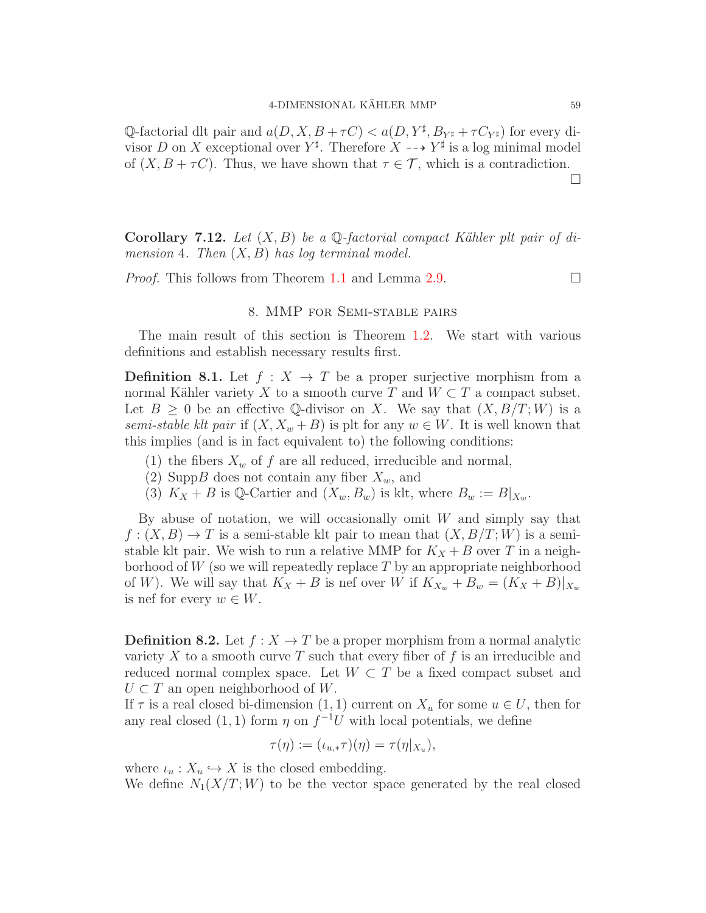Q-factorial dlt pair and  $a(D, X, B + \tau C) < a(D, Y^{\sharp}, B_{Y^{\sharp}} + \tau C_{Y^{\sharp}})$  for every divisor D on X exceptional over  $Y^{\sharp}$ . Therefore  $X \dashrightarrow Y^{\sharp}$  is a log minimal model of  $(X, B + \tau C)$ . Thus, we have shown that  $\tau \in \mathcal{T}$ , which is a contradiction.

**Corollary 7.12.** Let  $(X, B)$  be a Q-factorial compact Kähler plt pair of dimension 4. Then  $(X, B)$  has log terminal model.

*Proof.* This follows from Theorem [1.1](#page-1-0) and Lemma [2.9.](#page-7-0)

## 8. MMP for Semi-stable pairs

The main result of this section is Theorem [1.2.](#page-1-1) We start with various definitions and establish necessary results first.

**Definition 8.1.** Let  $f: X \to T$  be a proper surjective morphism from a normal Kähler variety X to a smooth curve T and  $W \subset T$  a compact subset. Let  $B \geq 0$  be an effective Q-divisor on X. We say that  $(X, B/T; W)$  is a semi-stable klt pair if  $(X, X_w + B)$  is plt for any  $w \in W$ . It is well known that this implies (and is in fact equivalent to) the following conditions:

- (1) the fibers  $X_w$  of f are all reduced, irreducible and normal,
- (2) SuppB does not contain any fiber  $X_w$ , and
- (3)  $K_X + B$  is Q-Cartier and  $(X_w, B_w)$  is klt, where  $B_w := B|_{X_w}$ .

By abuse of notation, we will occasionally omit  $W$  and simply say that  $f:(X, B) \to T$  is a semi-stable klt pair to mean that  $(X, B/T; W)$  is a semistable klt pair. We wish to run a relative MMP for  $K_X + B$  over T in a neighborhood of  $W$  (so we will repeatedly replace T by an appropriate neighborhood of W). We will say that  $K_X + B$  is nef over W if  $K_{X_w} + B_w = (K_X + B)|_{X_w}$ is nef for every  $w \in W$ .

**Definition 8.2.** Let  $f : X \to T$  be a proper morphism from a normal analytic variety X to a smooth curve T such that every fiber of f is an irreducible and reduced normal complex space. Let  $W \subset T$  be a fixed compact subset and  $U \subset T$  an open neighborhood of W.

If  $\tau$  is a real closed bi-dimension  $(1, 1)$  current on  $X_u$  for some  $u \in U$ , then for any real closed  $(1, 1)$  form  $\eta$  on  $f^{-1}U$  with local potentials, we define

$$
\tau(\eta) := (\iota_{u,*}\tau)(\eta) = \tau(\eta|_{X_u}),
$$

where  $\iota_u: X_u \hookrightarrow X$  is the closed embedding.

We define  $N_1(X/T;W)$  to be the vector space generated by the real closed

 $\Box$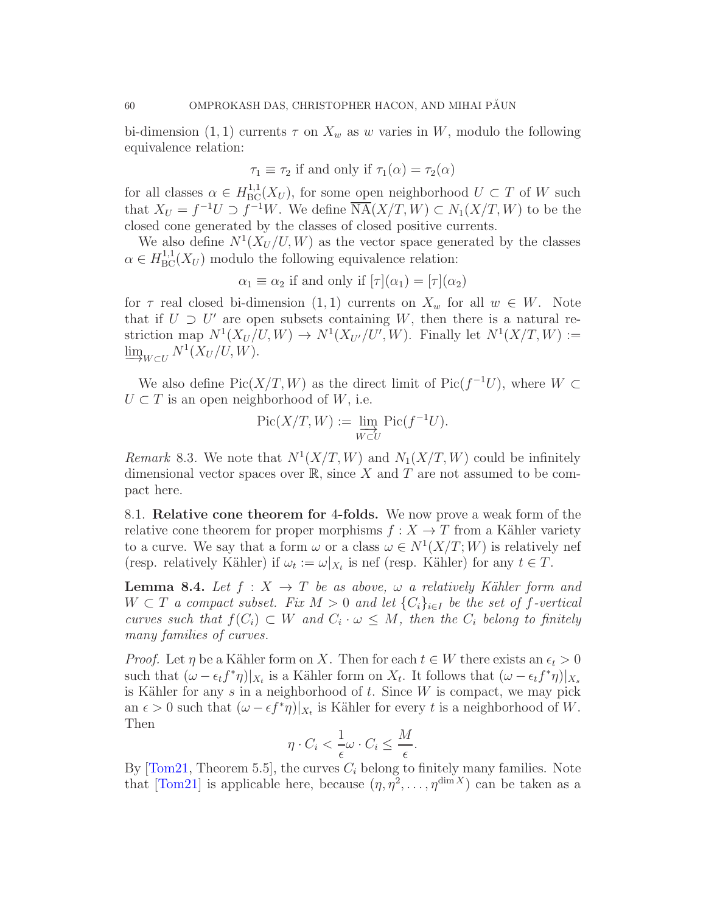bi-dimension (1, 1) currents  $\tau$  on  $X_w$  as w varies in W, modulo the following equivalence relation:

$$
\tau_1 \equiv \tau_2
$$
 if and only if  $\tau_1(\alpha) = \tau_2(\alpha)$ 

for all classes  $\alpha \in H^{1,1}_{\text{BC}}(X_U)$ , for some open neighborhood  $U \subset T$  of W such that  $X_U = f^{-1}U \supset f^{-1}W$ . We define  $\overline{\text{NA}}(X/T, W) \subset N_1(X/T, W)$  to be the closed cone generated by the classes of closed positive currents.

We also define  $N^1(X_U/U, W)$  as the vector space generated by the classes  $\alpha \in H^{1,1}_{BC}(X_U)$  modulo the following equivalence relation:

 $\alpha_1 \equiv \alpha_2$  if and only if  $[\tau](\alpha_1) = [\tau](\alpha_2)$ 

for  $\tau$  real closed bi-dimension  $(1, 1)$  currents on  $X_w$  for all  $w \in W$ . Note that if  $U \supset U'$  are open subsets containing W, then there is a natural restriction map  $N^1(X_U/U,W) \to N^1(X_{U'}/U',W)$ . Finally let  $N^1(X/T,W) :=$  $\varinjlim_{W \subset U} N^1(X_U/U, W).$ 

We also define  $Pic(X/T, W)$  as the direct limit of  $Pic(f^{-1}U)$ , where  $W \subset$  $U \subset T$  is an open neighborhood of W, i.e.

$$
\mathrm{Pic}(X/T,W):=\varinjlim_{W\subset U}\mathrm{Pic}(f^{-1}U).
$$

Remark 8.3. We note that  $N^1(X/T, W)$  and  $N_1(X/T, W)$  could be infinitely dimensional vector spaces over  $\mathbb{R}$ , since X and T are not assumed to be compact here.

8.1. Relative cone theorem for 4-folds. We now prove a weak form of the relative cone theorem for proper morphisms  $f : X \to T$  from a Kähler variety to a curve. We say that a form  $\omega$  or a class  $\omega \in N^1(X/T;W)$  is relatively nef (resp. relatively Kähler) if  $\omega_t := \omega|_{X_t}$  is nef (resp. Kähler) for any  $t \in T$ .

<span id="page-59-0"></span>**Lemma 8.4.** Let  $f : X \to T$  be as above,  $\omega$  a relatively Kähler form and  $W \subset T$  a compact subset. Fix  $M > 0$  and let  ${C_i}_{i \in I}$  be the set of f-vertical curves such that  $f(C_i) \subset W$  and  $C_i \cdot \omega \leq M$ , then the  $C_i$  belong to finitely many families of curves.

*Proof.* Let  $\eta$  be a Kähler form on X. Then for each  $t \in W$  there exists an  $\epsilon_t > 0$ such that  $(\omega - \epsilon_t f^* \eta)|_{X_t}$  is a Kähler form on  $X_t$ . It follows that  $(\omega - \epsilon_t f^* \eta)|_{X_s}$ is Kähler for any  $s$  in a neighborhood of  $t$ . Since  $W$  is compact, we may pick an  $\epsilon > 0$  such that  $(\omega - \epsilon f^* \eta)|_{X_t}$  is Kähler for every t is a neighborhood of W. Then

$$
\eta \cdot C_i < \frac{1}{\epsilon} \omega \cdot C_i \le \frac{M}{\epsilon}.
$$

By  $[Tom21, Theorem 5.5]$ , the curves  $C_i$  belong to finitely many families. Note that [\[Tom21\]](#page-72-4) is applicable here, because  $(\eta, \eta^2, \dots, \eta^{\dim X})$  can be taken as a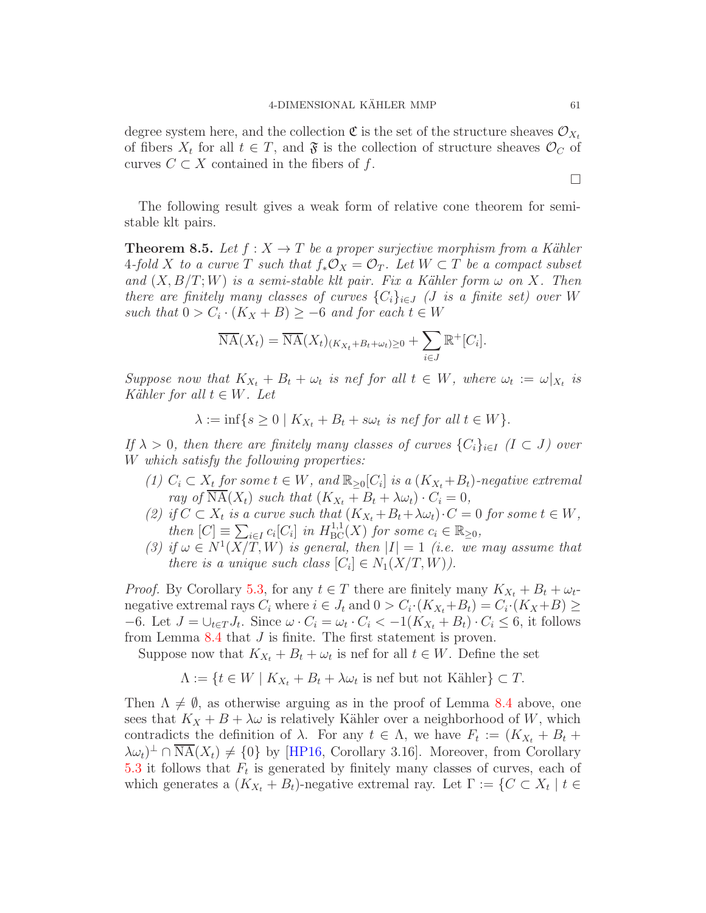degree system here, and the collection  $\mathfrak{C}$  is the set of the structure sheaves  $\mathcal{O}_{X_t}$ of fibers  $X_t$  for all  $t \in T$ , and  $\mathfrak{F}$  is the collection of structure sheaves  $\mathcal{O}_C$  of curves  $C \subset X$  contained in the fibers of f.

The following result gives a weak form of relative cone theorem for semistable klt pairs.

<span id="page-60-0"></span>**Theorem 8.5.** Let  $f : X \to T$  be a proper surjective morphism from a Kähler 4-fold X to a curve T such that  $f_*\mathcal{O}_X = \mathcal{O}_T$ . Let  $W \subset T$  be a compact subset and  $(X, B/T; W)$  is a semi-stable klt pair. Fix a Kähler form  $\omega$  on X. Then there are finitely many classes of curves  $\{C_i\}_{i\in J}$  (*J* is a finite set) over W such that  $0 > C_i \cdot (K_X + B) \ge -6$  and for each  $t \in W$ 

$$
\overline{\mathrm{NA}}(X_t) = \overline{\mathrm{NA}}(X_t)_{(K_{X_t} + B_t + \omega_t) \ge 0} + \sum_{i \in J} \mathbb{R}^+[C_i].
$$

Suppose now that  $K_{X_t} + B_t + \omega_t$  is nef for all  $t \in W$ , where  $\omega_t := \omega|_{X_t}$  is Kähler for all  $t \in W$ . Let

$$
\lambda := \inf\{s \ge 0 \mid K_{X_t} + B_t + s\omega_t \text{ is nef for all } t \in W\}.
$$

If  $\lambda > 0$ , then there are finitely many classes of curves  $\{C_i\}_{i\in I}$   $(I \subset J)$  over W which satisfy the following properties:

- (1)  $C_i \subset X_t$  for some  $t \in W$ , and  $\mathbb{R}_{\geq 0}[C_i]$  is a  $(K_{X_t}+B_t)$ -negative extremal ray of  $\overline{\text{NA}}(X_t)$  such that  $(K_{X_t} + B_t + \lambda \omega_t) \cdot C_i = 0$ ,
- (2) if  $C \subset X_t$  is a curve such that  $(K_{X_t} + B_t + \lambda \omega_t) \cdot C = 0$  for some  $t \in W$ , then  $[C] \equiv \sum_{i \in I} c_i [C_i]$  in  $H^{1,1}_{BC}(X)$  for some  $c_i \in \mathbb{R}_{\geq 0}$ ,
- (3) if  $\omega \in N^1(X/T, W)$  is general, then  $|I|=1$  (i.e. we may assume that there is a unique such class  $[C_i] \in N_1(X/T, W)$ .

*Proof.* By Corollary [5.3,](#page-41-1) for any  $t \in T$  there are finitely many  $K_{X_t} + B_t + \omega_t$ negative extremal rays  $C_i$  where  $i \in J_t$  and  $0 > C_i \cdot (K_{X_t} + B_t) = C_i \cdot (K_X + B) \ge$  $-6$ . Let  $J = \bigcup_{t \in T} J_t$ . Since  $\omega \cdot C_i = \omega_t \cdot C_i < -1(K_{X_t} + B_t) \cdot C_i \leq 6$ , it follows from Lemma [8.4](#page-59-0) that J is finite. The first statement is proven.

Suppose now that  $K_{X_t} + B_t + \omega_t$  is nef for all  $t \in W$ . Define the set

$$
\Lambda := \{ t \in W \mid K_{X_t} + B_t + \lambda \omega_t \text{ is nef but not Kähler} \} \subset T.
$$

Then  $\Lambda \neq \emptyset$ , as otherwise arguing as in the proof of Lemma [8.4](#page-59-0) above, one sees that  $K_X + B + \lambda \omega$  is relatively Kähler over a neighborhood of W, which contradicts the definition of  $\lambda$ . For any  $t \in \Lambda$ , we have  $F_t := (K_{X_t} + B_t +$  $(\lambda \omega_t)^{\perp} \cap \overline{\text{NA}}(X_t) \neq \{0\}$  by [\[HP16,](#page-71-7) Corollary 3.16]. Moreover, from Corollary [5.3](#page-41-1) it follows that  $F_t$  is generated by finitely many classes of curves, each of which generates a  $(K_{X_t} + B_t)$ -negative extremal ray. Let  $\Gamma := \{C \subset X_t \mid t \in$ 

 $\Box$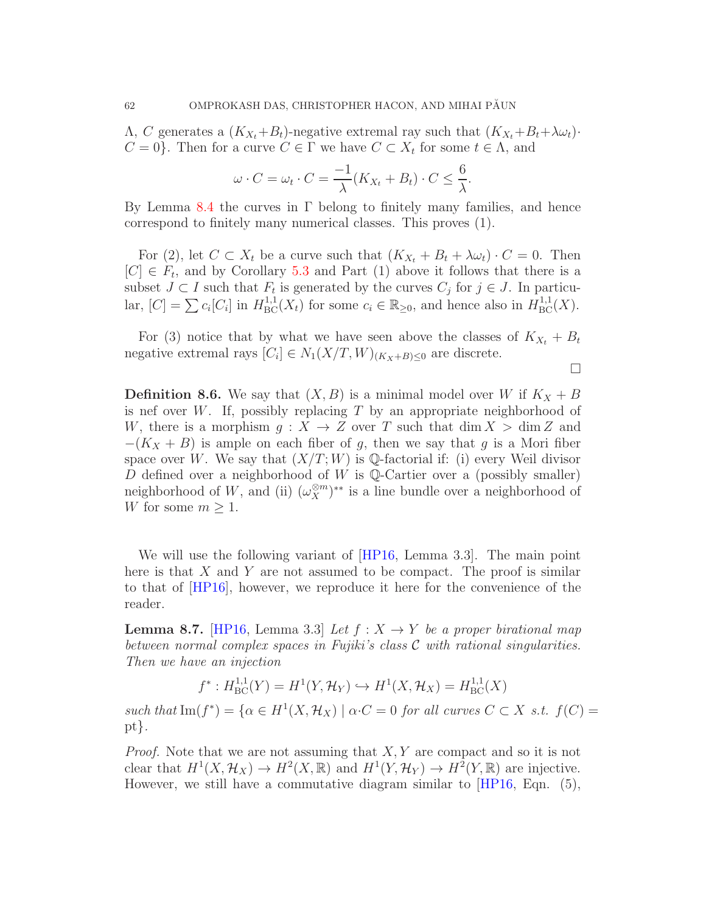$Λ, C$  generates a  $(K_{X_t}+B_t)$ -negative extremal ray such that  $(K_{X_t}+B_t+\lambda\omega_t)$ ·  $C = 0$ . Then for a curve  $C \in \Gamma$  we have  $C \subset X_t$  for some  $t \in \Lambda$ , and

$$
\omega \cdot C = \omega_t \cdot C = \frac{-1}{\lambda} (K_{X_t} + B_t) \cdot C \le \frac{6}{\lambda}.
$$

By Lemma [8.4](#page-59-0) the curves in Γ belong to finitely many families, and hence correspond to finitely many numerical classes. This proves (1).

For (2), let  $C \subset X_t$  be a curve such that  $(K_{X_t} + B_t + \lambda \omega_t) \cdot C = 0$ . Then  $[C] \in F_t$ , and by Corollary [5.3](#page-41-1) and Part (1) above it follows that there is a subset  $J \subset I$  such that  $F_t$  is generated by the curves  $C_j$  for  $j \in J$ . In particular,  $[C] = \sum c_i [C_i]$  in  $H^{1,1}_{BC}(X_t)$  for some  $c_i \in \mathbb{R}_{\geq 0}$ , and hence also in  $H^{1,1}_{BC}(X)$ .

For (3) notice that by what we have seen above the classes of  $K_{X_t} + B_t$ negative extremal rays  $[C_i] \in N_1(X/T, W)_{(K_X+B)\leq 0}$  are discrete.

 $\Box$ 

**Definition 8.6.** We say that  $(X, B)$  is a minimal model over W if  $K_X + B$ is nef over W. If, possibly replacing  $T$  by an appropriate neighborhood of W, there is a morphism  $g: X \to Z$  over T such that  $\dim X > \dim Z$  and  $-(K_X + B)$  is ample on each fiber of g, then we say that g is a Mori fiber space over W. We say that  $(X/T; W)$  is Q-factorial if: (i) every Weil divisor D defined over a neighborhood of W is Q-Cartier over a (possibly smaller) neighborhood of W, and (ii)  $(\omega_X^{\otimes m})^{**}$  is a line bundle over a neighborhood of W for some  $m \geq 1$ .

We will use the following variant of [\[HP16,](#page-71-7) Lemma 3.3]. The main point here is that  $X$  and  $Y$  are not assumed to be compact. The proof is similar to that of [\[HP16\]](#page-71-7), however, we reproduce it here for the convenience of the reader.

<span id="page-61-0"></span>**Lemma 8.7.** [\[HP16,](#page-71-7) Lemma 3.3] Let  $f: X \rightarrow Y$  be a proper birational map between normal complex spaces in Fujiki's class  $C$  with rational singularities. Then we have an injection

$$
f^*: H^{1,1}_{BC}(Y) = H^1(Y, \mathcal{H}_Y) \hookrightarrow H^1(X, \mathcal{H}_X) = H^{1,1}_{BC}(X)
$$

such that  $\text{Im}(f^*) = {\alpha \in H^1(X, \mathcal{H}_X) \mid \alpha \cdot C = 0 \text{ for all curves } C \subset X \text{ s.t. } f(C) =$ pt}.

*Proof.* Note that we are not assuming that  $X, Y$  are compact and so it is not clear that  $H^1(X, \mathcal{H}_X) \to H^2(X, \mathbb{R})$  and  $H^1(Y, \mathcal{H}_Y) \to H^2(Y, \mathbb{R})$  are injective. However, we still have a commutative diagram similar to [\[HP16,](#page-71-7) Eqn. (5),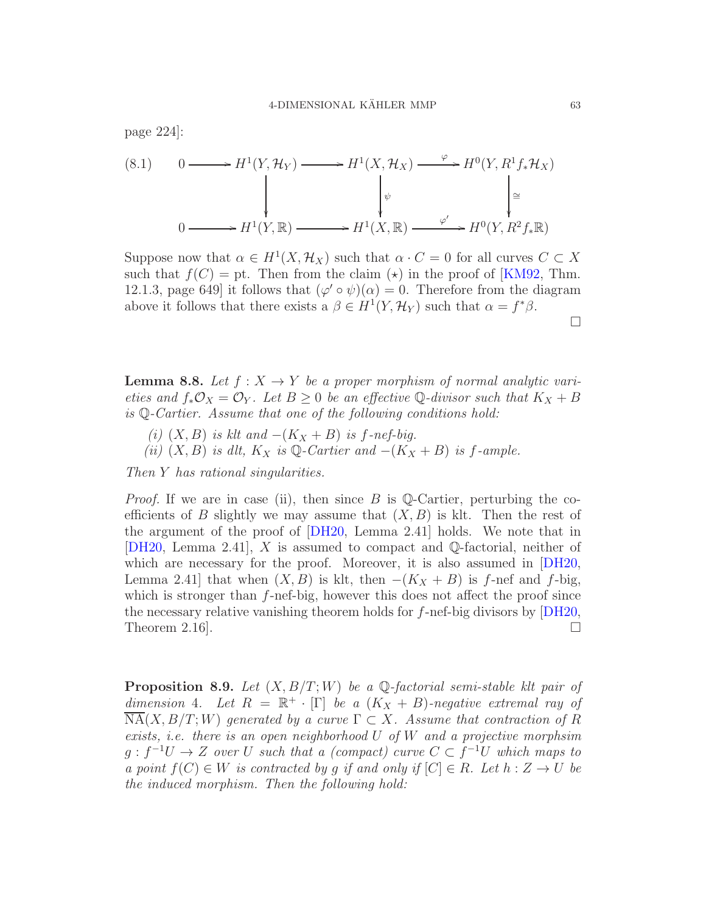(8.1) 
$$
0 \longrightarrow H^{1}(Y, \mathcal{H}_{Y}) \longrightarrow H^{1}(X, \mathcal{H}_{X}) \longrightarrow H^{0}(Y, R^{1}f_{*}\mathcal{H}_{X})
$$
\n
$$
\downarrow \qquad \qquad \downarrow \qquad \qquad \downarrow \qquad \qquad \downarrow \qquad \downarrow \qquad \downarrow \qquad \downarrow \qquad \downarrow \qquad \downarrow \qquad \downarrow \qquad \downarrow
$$
\n
$$
0 \longrightarrow H^{1}(Y, \mathbb{R}) \longrightarrow H^{1}(X, \mathbb{R}) \longrightarrow H^{0}(Y, R^{2}f_{*}\mathbb{R})
$$

Suppose now that  $\alpha \in H^1(X, \mathcal{H}_X)$  such that  $\alpha \cdot C = 0$  for all curves  $C \subset X$ such that  $f(C) = pt$ . Then from the claim ( $\star$ ) in the proof of [\[KM92,](#page-72-5) Thm. 12.1.3, page 649] it follows that  $(\varphi' \circ \psi)(\alpha) = 0$ . Therefore from the diagram above it follows that there exists a  $\beta \in H^1(Y, \mathcal{H}_Y)$  such that  $\alpha = f^*\beta$ .

<span id="page-62-0"></span>**Lemma 8.8.** Let  $f: X \to Y$  be a proper morphism of normal analytic varieties and  $f_*\mathcal{O}_X = \mathcal{O}_Y$ . Let  $B \geq 0$  be an effective Q-divisor such that  $K_X + B$ is Q-Cartier. Assume that one of the following conditions hold:

- (i)  $(X, B)$  is klt and  $-(K_X + B)$  is f-nef-big.
- (ii)  $(X, B)$  is dlt,  $K_X$  is Q-Cartier and  $-(K_X + B)$  is f-ample.

Then Y has rational singularities.

page 224]:

*Proof.* If we are in case (ii), then since B is Q-Cartier, perturbing the coefficients of B slightly we may assume that  $(X, B)$  is klt. Then the rest of the argument of the proof of [\[DH20,](#page-71-6) Lemma 2.41] holds. We note that in  $[DH20, Lemma 2.41], X$  $[DH20, Lemma 2.41], X$  is assumed to compact and Q-factorial, neither of which are necessary for the proof. Moreover, it is also assumed in [\[DH20,](#page-71-6) Lemma 2.41] that when  $(X, B)$  is klt, then  $-(K_X + B)$  is f-nef and f-big, which is stronger than  $f$ -nef-big, however this does not affect the proof since the necessary relative vanishing theorem holds for  $f$ -nef-big divisors by  $|DH20$ , Theorem 2.16.

<span id="page-62-1"></span>**Proposition 8.9.** Let  $(X, B/T; W)$  be a Q-factorial semi-stable klt pair of dimension 4. Let  $R = \mathbb{R}^+ \cdot [\Gamma]$  be a  $(K_X + B)$ -negative extremal ray of  $NA(X, B/T; W)$  generated by a curve  $\Gamma \subset X$ . Assume that contraction of R exists, i.e. there is an open neighborhood  $U$  of  $W$  and a projective morphsim  $g : f^{-1}U \to Z$  over U such that a (compact) curve  $C \subset f^{-1}U$  which maps to a point  $f(C) \in W$  is contracted by q if and only if  $[C] \in R$ . Let  $h: Z \to U$  be the induced morphism. Then the following hold:

 $\Box$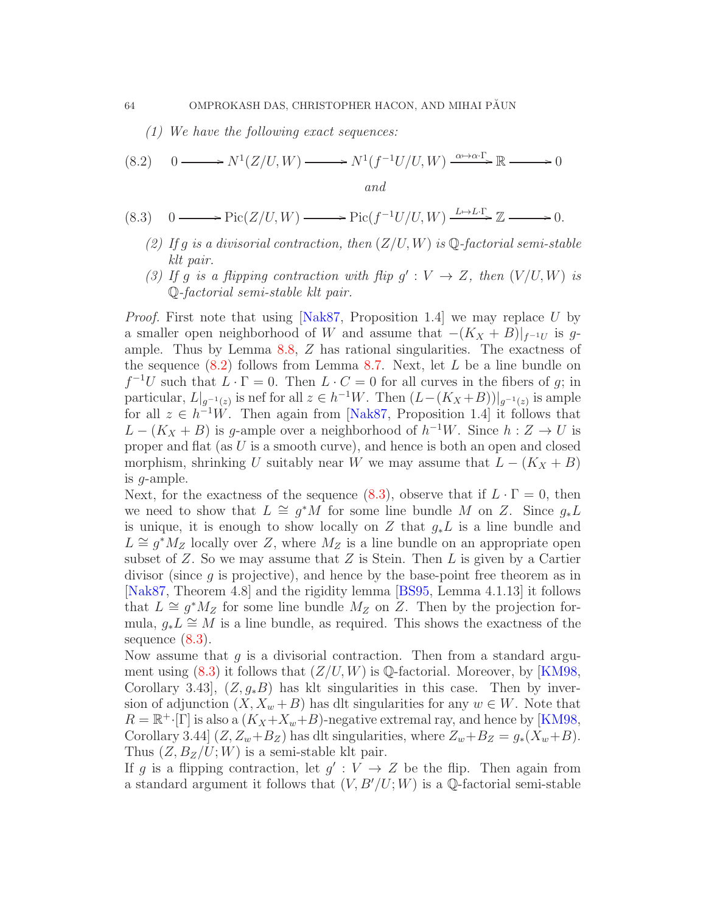<span id="page-63-0"></span>(1) We have the following exact sequences:

(8.2) 
$$
0 \longrightarrow N^{1}(Z/U, W) \longrightarrow N^{1}(f^{-1}U/U, W) \xrightarrow{\alpha \mapsto \alpha \cdot \Gamma} \mathbb{R} \longrightarrow 0
$$
  
and

$$
(8.3) \quad 0 \longrightarrow \text{Pic}(Z/U, W) \longrightarrow \text{Pic}(f^{-1}U/U, W) \xrightarrow{L \mapsto L \cdot \Gamma} \mathbb{Z} \longrightarrow 0.
$$

- <span id="page-63-1"></span>(2) If g is a divisorial contraction, then  $(Z/U, W)$  is  $\mathbb{Q}\text{-}factorial semi-stable$ klt pair.
- (3) If g is a flipping contraction with flip  $g': V \to Z$ , then  $(V/U, W)$  is Q-factorial semi-stable klt pair.

*Proof.* First note that using [\[Nak87,](#page-72-1) Proposition 1.4] we may replace U by a smaller open neighborhood of W and assume that  $-(K_X + B)|_{f^{-1}U}$  is gample. Thus by Lemma [8.8,](#page-62-0) Z has rational singularities. The exactness of the sequence  $(8.2)$  follows from Lemma [8.7.](#page-61-0) Next, let L be a line bundle on  $f^{-1}U$  such that  $L \cdot \Gamma = 0$ . Then  $L \cdot C = 0$  for all curves in the fibers of g; in particular,  $L|_{g^{-1}(z)}$  is nef for all  $z \in h^{-1}W$ . Then  $(L-(K_X+B))|_{g^{-1}(z)}$  is ample for all  $z \in h^{-1}W$ . Then again from [\[Nak87,](#page-72-1) Proposition 1.4] it follows that  $L - (K_X + B)$  is g-ample over a neighborhood of  $h^{-1}W$ . Since  $h: Z \to U$  is proper and flat (as  $U$  is a smooth curve), and hence is both an open and closed morphism, shrinking U suitably near W we may assume that  $L - (K_X + B)$ is g-ample.

Next, for the exactness of the sequence [\(8.3\)](#page-63-1), observe that if  $L \cdot \Gamma = 0$ , then we need to show that  $L \cong g^*M$  for some line bundle M on Z. Since  $g_*L$ is unique, it is enough to show locally on Z that  $g_* L$  is a line bundle and  $L \cong g^*M_Z$  locally over Z, where  $M_Z$  is a line bundle on an appropriate open subset of  $Z$ . So we may assume that  $Z$  is Stein. Then  $L$  is given by a Cartier divisor (since  $g$  is projective), and hence by the base-point free theorem as in [\[Nak87,](#page-72-1) Theorem 4.8] and the rigidity lemma [\[BS95,](#page-70-1) Lemma 4.1.13] it follows that  $L \cong g^*M_Z$  for some line bundle  $M_Z$  on Z. Then by the projection formula,  $g_*L \cong M$  is a line bundle, as required. This shows the exactness of the sequence [\(8.3\)](#page-63-1).

Now assume that  $g$  is a divisorial contraction. Then from a standard argument using  $(8.3)$  it follows that  $(Z/U, W)$  is Q-factorial. Moreover, by [\[KM98,](#page-72-6) Corollary 3.43,  $(Z, g_*B)$  has klt singularities in this case. Then by inversion of adjunction  $(X, X_w + B)$  has dlt singularities for any  $w \in W$ . Note that  $R = \mathbb{R}^{\dagger} \cdot [\Gamma]$  is also a  $(K_X + X_w + B)$ -negative extremal ray, and hence by [\[KM98,](#page-72-6) Corollary 3.44]  $(Z, Z_w + B_Z)$  has dlt singularities, where  $Z_w + B_Z = g_*(X_w + B)$ . Thus  $(Z, B_Z/U; W)$  is a semi-stable klt pair.

If g is a flipping contraction, let  $g' : V \to Z$  be the flip. Then again from a standard argument it follows that  $(V, B'/U; W)$  is a Q-factorial semi-stable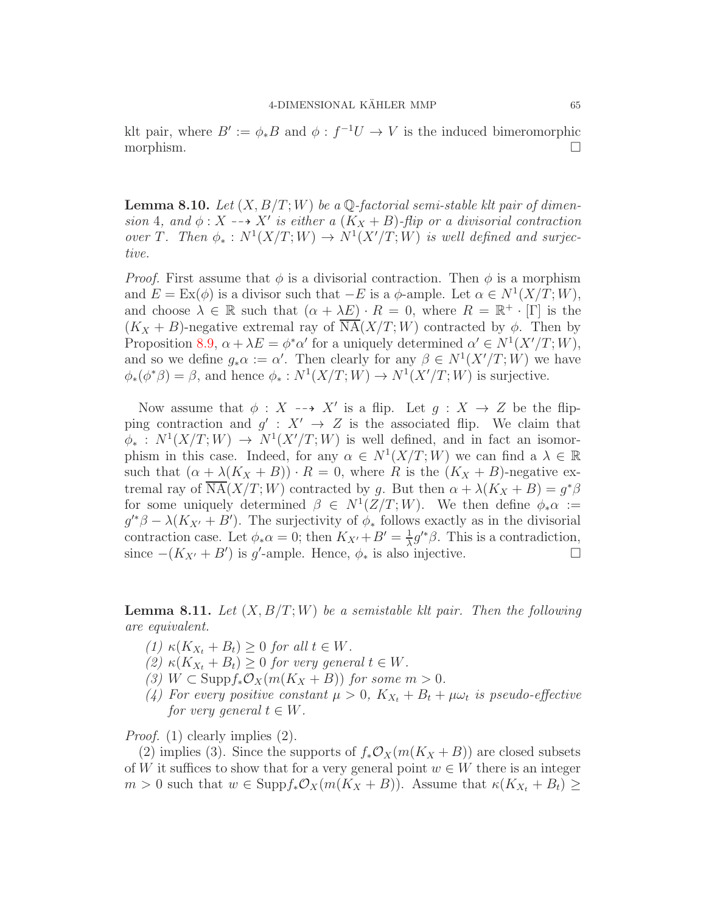klt pair, where  $B' := \phi * B$  and  $\phi : f^{-1}U \to V$  is the induced bimeromorphic morphism.

<span id="page-64-1"></span>**Lemma 8.10.** Let  $(X, B/T; W)$  be a Q-factorial semi-stable klt pair of dimension 4, and  $\phi: X \dashrightarrow X'$  is either a  $(K_X + B)$ -flip or a divisorial contraction over T. Then  $\phi_*: N^1(X/T;W) \to N^1(X'/T;W)$  is well defined and surjective.

*Proof.* First assume that  $\phi$  is a divisorial contraction. Then  $\phi$  is a morphism and  $E = \text{Ex}(\phi)$  is a divisor such that  $-E$  is a  $\phi$ -ample. Let  $\alpha \in N^1(X/T; W)$ , and choose  $\lambda \in \mathbb{R}$  such that  $(\alpha + \lambda E) \cdot R = 0$ , where  $R = \mathbb{R}^+ \cdot [\Gamma]$  is the  $(K_X + B)$ -negative extremal ray of  $NA(X/T; W)$  contracted by  $\phi$ . Then by Proposition [8.9,](#page-62-1)  $\alpha + \lambda E = \phi^* \alpha'$  for a uniquely determined  $\alpha' \in N^1(X'/T; W)$ , and so we define  $g_*\alpha := \alpha'$ . Then clearly for any  $\beta \in N^1(X'/T;W)$  we have  $\phi_*(\phi^*\beta) = \beta$ , and hence  $\phi_*: N^1(X/T; W) \to N^1(X'/T; W)$  is surjective.

Now assume that  $\phi : X \dashrightarrow X'$  is a flip. Let  $g : X \to Z$  be the flipping contraction and  $g' : X' \to Z$  is the associated flip. We claim that  $\phi_*: N^1(X/T;W) \to N^1(X'/T;W)$  is well defined, and in fact an isomorphism in this case. Indeed, for any  $\alpha \in N^1(X/T;W)$  we can find a  $\lambda \in \mathbb{R}$ such that  $(\alpha + \lambda(K_X + B)) \cdot R = 0$ , where R is the  $(K_X + B)$ -negative extremal ray of  $\overline{\text{NA}}(X/T; W)$  contracted by g. But then  $\alpha + \lambda (K_X + B) = g^* \beta$ for some uniquely determined  $\beta \in N^1(Z/T;W)$ . We then define  $\phi_*\alpha :=$  $g'^*\beta - \lambda(K_{X'} + B')$ . The surjectivity of  $\phi_*$  follows exactly as in the divisorial contraction case. Let  $\phi_* \alpha = 0$ ; then  $K_{X'} + B' = \frac{1}{\lambda}$  $\frac{1}{\lambda}g'^*\beta$ . This is a contradiction, since  $-(K_{X'} + B')$  is g'-ample. Hence,  $\phi_*$  is also injective. □

<span id="page-64-0"></span>**Lemma 8.11.** Let  $(X, B/T; W)$  be a semistable klt pair. Then the following are equivalent.

- (1)  $\kappa(K_{X_t} + B_t) \geq 0$  for all  $t \in W$ .
- (2)  $\kappa(K_{X_t} + B_t) \geq 0$  for very general  $t \in W$ .
- (3)  $W \subset \text{Supp} f_* \mathcal{O}_X(m(K_X + B))$  for some  $m > 0$ .
- (4) For every positive constant  $\mu > 0$ ,  $K_{X_t} + B_t + \mu \omega_t$  is pseudo-effective for very general  $t \in W$ .

Proof. (1) clearly implies (2).

(2) implies (3). Since the supports of  $f_*\mathcal{O}_X(m(K_X + B))$  are closed subsets of W it suffices to show that for a very general point  $w \in W$  there is an integer  $m > 0$  such that  $w \in \text{Supp} f_*\mathcal{O}_X(m(K_X + B))$ . Assume that  $\kappa(K_{X_t} + B_t) \ge$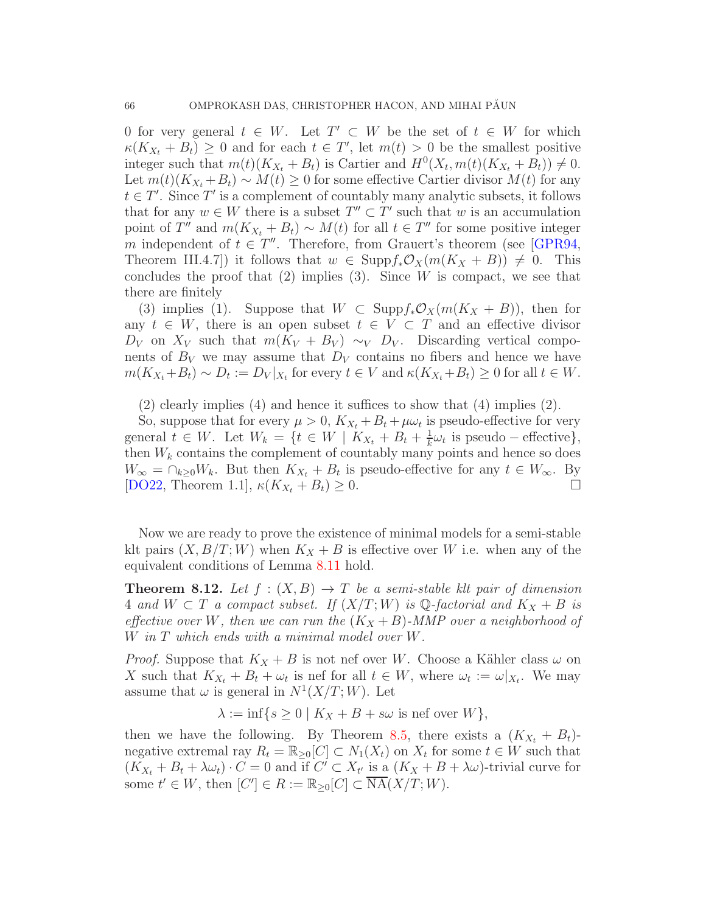0 for very general  $t \in W$ . Let  $T' \subset W$  be the set of  $t \in W$  for which  $\kappa(K_{X_t} + B_t) \geq 0$  and for each  $t \in T'$ , let  $m(t) > 0$  be the smallest positive integer such that  $m(t)(K_{X_t} + B_t)$  is Cartier and  $H^0(X_t, m(t)(K_{X_t} + B_t)) \neq 0$ . Let  $m(t)(K_{X_t}+B_t) \sim M(t) \geq 0$  for some effective Cartier divisor  $M(t)$  for any  $t \in T'$ . Since T' is a complement of countably many analytic subsets, it follows that for any  $w \in W$  there is a subset  $T'' \subset T'$  such that w is an accumulation point of T'' and  $m(K_{X_t} + B_t) \sim M(t)$  for all  $t \in T''$  for some positive integer m independent of  $t \in T''$ . Therefore, from Grauert's theorem (see [\[GPR94,](#page-71-11) Theorem III.4.7) it follows that  $w \in \text{Supp} f_* \mathcal{O}_X(m(K_X + B)) \neq 0$ . This concludes the proof that  $(2)$  implies  $(3)$ . Since W is compact, we see that there are finitely

(3) implies (1). Suppose that  $W \subset \text{Supp} f_* \mathcal{O}_X(m(K_X + B))$ , then for any  $t \in W$ , there is an open subset  $t \in V \subset T$  and an effective divisor  $D_V$  on  $X_V$  such that  $m(K_V + B_V) \sim_V D_V$ . Discarding vertical components of  $B_V$  we may assume that  $D_V$  contains no fibers and hence we have  $m(K_{X_t}+B_t) \sim D_t := D_V|_{X_t}$  for every  $t \in V$  and  $\kappa(K_{X_t}+B_t) \geq 0$  for all  $t \in W$ .

(2) clearly implies (4) and hence it suffices to show that (4) implies (2).

So, suppose that for every  $\mu > 0$ ,  $K_{X_t} + B_t + \mu \omega_t$  is pseudo-effective for very general  $t \in W$ . Let  $W_k = \{t \in W \mid K_{X_t} + B_t + \frac{1}{k}\}$  $\frac{1}{k}\omega_t$  is pseudo – effective}, then  $W_k$  contains the complement of countably many points and hence so does  $W_{\infty} = \bigcap_{k \geq 0} W_k$ . But then  $K_{X_t} + B_t$  is pseudo-effective for any  $t \in W_{\infty}$ . By [\[DO22,](#page-71-4) Theorem 1.1],  $\kappa(K_{X_t} + B_t) \geq 0$ .

Now we are ready to prove the existence of minimal models for a semi-stable klt pairs  $(X, B/T; W)$  when  $K_X + B$  is effective over W i.e. when any of the equivalent conditions of Lemma [8.11](#page-64-0) hold.

<span id="page-65-0"></span>**Theorem 8.12.** Let  $f : (X, B) \to T$  be a semi-stable klt pair of dimension 4 and  $W \subset T$  a compact subset. If  $(X/T; W)$  is Q-factorial and  $K_X + B$  is effective over W, then we can run the  $(K_X + B)$ -MMP over a neighborhood of W in T which ends with a minimal model over W.

*Proof.* Suppose that  $K_X + B$  is not nef over W. Choose a Kähler class  $\omega$  on X such that  $K_{X_t} + B_t + \omega_t$  is nef for all  $t \in W$ , where  $\omega_t := \omega|_{X_t}$ . We may assume that  $\omega$  is general in  $N^1(X/T;W)$ . Let

 $\lambda := \inf \{ s \geq 0 \mid K_X + B + s\omega \text{ is nef over } W \},$ 

then we have the following. By Theorem [8.5,](#page-60-0) there exists a  $(K_{X_t} + B_t)$ negative extremal ray  $R_t = \mathbb{R}_{\geq 0}[C] \subset N_1(X_t)$  on  $X_t$  for some  $t \in W$  such that  $(K_{X_t} + B_t + \lambda \omega_t) \cdot C = 0$  and if  $C' \subset X_{t'}$  is a  $(K_X + B + \lambda \omega)$ -trivial curve for some  $t' \in W$ , then  $[C'] \in R := \mathbb{R}_{\geq 0}[C] \subset \overline{\text{NA}}(X/T; W)$ .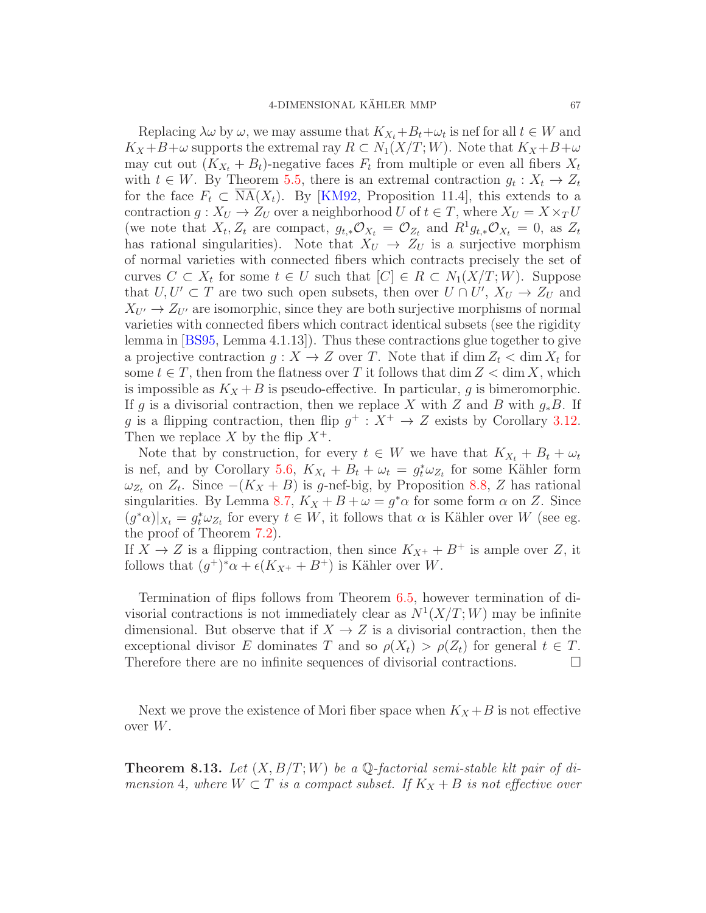Replacing  $\lambda \omega$  by  $\omega$ , we may assume that  $K_{X_t} + B_t + \omega_t$  is nef for all  $t \in W$  and  $K_X + B + \omega$  supports the extremal ray  $R \subset N_1(X/T; W)$ . Note that  $K_X + B + \omega$ may cut out  $(K_{X_t} + B_t)$ -negative faces  $F_t$  from multiple or even all fibers  $X_t$ with  $t \in W$ . By Theorem [5.5,](#page-43-0) there is an extremal contraction  $g_t: X_t \to Z_t$ for the face  $F_t \subset \text{NA}(X_t)$ . By [\[KM92,](#page-72-5) Proposition 11.4], this extends to a contraction  $g: X_U \to Z_U$  over a neighborhood U of  $t \in T$ , where  $X_U = X \times_T U$ (we note that  $X_t, Z_t$  are compact,  $g_{t,*}\mathcal{O}_{X_t} = \mathcal{O}_{Z_t}$  and  $R^1 g_{t,*}\mathcal{O}_{X_t} = 0$ , as  $Z_t$ has rational singularities). Note that  $X_U \to Z_U$  is a surjective morphism of normal varieties with connected fibers which contracts precisely the set of curves  $C \subset X_t$  for some  $t \in U$  such that  $[C] \in R \subset N_1(X/T; W)$ . Suppose that  $U, U' \subset T$  are two such open subsets, then over  $U \cap U'$ ,  $X_U \to Z_U$  and  $X_{U'} \to Z_{U'}$  are isomorphic, since they are both surjective morphisms of normal varieties with connected fibers which contract identical subsets (see the rigidity lemma in [\[BS95,](#page-70-1) Lemma 4.1.13]). Thus these contractions glue together to give a projective contraction  $g: X \to Z$  over T. Note that if  $\dim Z_t < \dim X_t$  for some  $t \in T$ , then from the flatness over T it follows that dim  $Z < \dim X$ , which is impossible as  $K_X + B$  is pseudo-effective. In particular, g is bimeromorphic. If g is a divisorial contraction, then we replace X with Z and B with  $g_*B$ . If g is a flipping contraction, then flip  $g^+ : X^+ \to Z$  exists by Corollary [3.12.](#page-37-0) Then we replace X by the flip  $X^+$ .

Note that by construction, for every  $t \in W$  we have that  $K_{X_t} + B_t + \omega_t$ is nef, and by Corollary [5.6,](#page-43-1)  $K_{X_t} + B_t + \omega_t = g_t^* \omega_{Z_t}$  for some Kähler form  $\omega_{Z_t}$  on  $Z_t$ . Since  $-(K_X + B)$  is g-nef-big, by Proposition [8.8,](#page-62-0) Z has rational singularities. By Lemma [8.7,](#page-61-0)  $K_X + B + \omega = g^* \alpha$  for some form  $\alpha$  on Z. Since  $(g^*\alpha)|_{X_t} = g_t^*\omega_{Z_t}$  for every  $t \in W$ , it follows that  $\alpha$  is Kähler over W (see eg. the proof of Theorem [7.2\)](#page-47-1).

If  $X \to Z$  is a flipping contraction, then since  $K_{X^+} + B^+$  is ample over Z, it follows that  $(g^+)^*\alpha + \epsilon(K_{X^+} + B^+)$  is Kähler over W.

Termination of flips follows from Theorem [6.5,](#page-46-2) however termination of divisorial contractions is not immediately clear as  $N^1(X/T;W)$  may be infinite dimensional. But observe that if  $X \to Z$  is a divisorial contraction, then the exceptional divisor E dominates T and so  $\rho(X_t) > \rho(Z_t)$  for general  $t \in T$ . Therefore there are no infinite sequences of divisorial contractions.  $\Box$ 

Next we prove the existence of Mori fiber space when  $K_X + B$  is not effective over W.

<span id="page-66-0"></span>**Theorem 8.13.** Let  $(X, B/T; W)$  be a  $\mathbb{Q}$ -factorial semi-stable klt pair of dimension 4, where  $W \subset T$  is a compact subset. If  $K_X + B$  is not effective over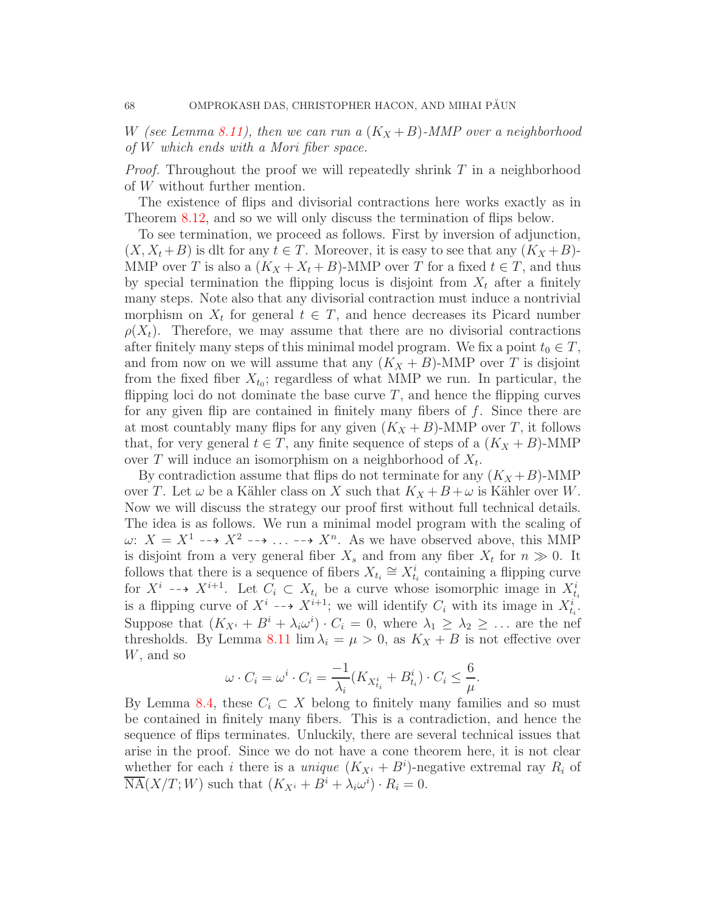W (see Lemma [8.11\)](#page-64-0), then we can run a  $(K_X + B)$ -MMP over a neighborhood of W which ends with a Mori fiber space.

*Proof.* Throughout the proof we will repeatedly shrink  $T$  in a neighborhood of W without further mention.

The existence of flips and divisorial contractions here works exactly as in Theorem [8.12,](#page-65-0) and so we will only discuss the termination of flips below.

To see termination, we proceed as follows. First by inversion of adjunction,  $(X, X_t + B)$  is dlt for any  $t \in T$ . Moreover, it is easy to see that any  $(K_X + B)$ -MMP over T is also a  $(K_X + X_t + B)$ -MMP over T for a fixed  $t \in T$ , and thus by special termination the flipping locus is disjoint from  $X_t$  after a finitely many steps. Note also that any divisorial contraction must induce a nontrivial morphism on  $X_t$  for general  $t \in T$ , and hence decreases its Picard number  $\rho(X_t)$ . Therefore, we may assume that there are no divisorial contractions after finitely many steps of this minimal model program. We fix a point  $t_0 \in T$ , and from now on we will assume that any  $(K_X + B)$ -MMP over T is disjoint from the fixed fiber  $X_{t_0}$ ; regardless of what MMP we run. In particular, the flipping loci do not dominate the base curve  $T$ , and hence the flipping curves for any given flip are contained in finitely many fibers of  $f$ . Since there are at most countably many flips for any given  $(K_X + B)$ -MMP over T, it follows that, for very general  $t \in T$ , any finite sequence of steps of a  $(K_X + B)$ -MMP over T will induce an isomorphism on a neighborhood of  $X_t$ .

By contradiction assume that flips do not terminate for any  $(K_X + B)$ -MMP over T. Let  $\omega$  be a Kähler class on X such that  $K_X + B + \omega$  is Kähler over W. Now we will discuss the strategy our proof first without full technical details. The idea is as follows. We run a minimal model program with the scaling of  $\omega: X = X^1 \dashrightarrow X^2 \dashrightarrow \ldots \dashrightarrow X^n$ . As we have observed above, this MMP is disjoint from a very general fiber  $X_s$  and from any fiber  $X_t$  for  $n \gg 0$ . It follows that there is a sequence of fibers  $X_{t_i} \cong X_{t_i}^i$  containing a flipping curve for  $X^i \dashrightarrow X^{i+1}$ . Let  $C_i \subset X_{t_i}$  be a curve whose isomorphic image in  $X_{t_i}^i$ is a flipping curve of  $X^i \dashrightarrow X^{i+1}$ ; we will identify  $C_i$  with its image in  $X_{t_i}^{i'}$ . Suppose that  $(K_{X_i} + B^i + \lambda_i \omega^i) \cdot C_i = 0$ , where  $\lambda_1 \geq \lambda_2 \geq \ldots$  are the nef thresholds. By Lemma [8.11](#page-64-0)  $\lim \lambda_i = \mu > 0$ , as  $K_X + B$  is not effective over W, and so

$$
\omega \cdot C_i = \omega^i \cdot C_i = \frac{-1}{\lambda_i} (K_{X_{t_i}^i} + B_{t_i}^i) \cdot C_i \le \frac{6}{\mu}.
$$

By Lemma [8.4,](#page-59-0) these  $C_i \subset X$  belong to finitely many families and so must be contained in finitely many fibers. This is a contradiction, and hence the sequence of flips terminates. Unluckily, there are several technical issues that arise in the proof. Since we do not have a cone theorem here, it is not clear whether for each *i* there is a *unique*  $(K_{X}^i + B^i)$ -negative extremal ray  $R_i$  of  $\overline{\text{NA}}(X/T; W)$  such that  $(K_{X_i} + B^i + \lambda_i \omega^i) \cdot R_i = 0.$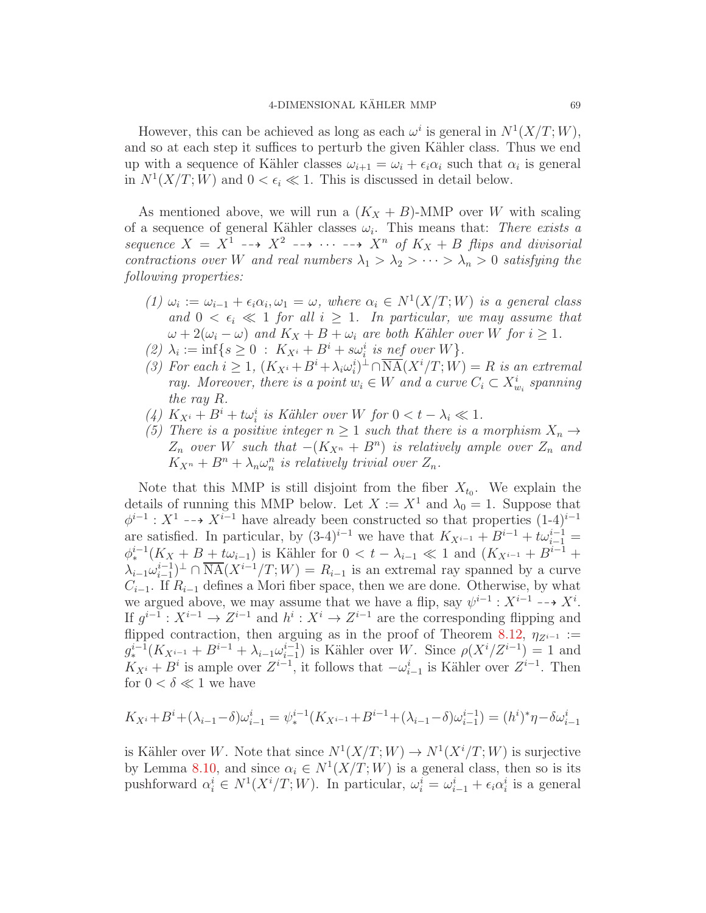However, this can be achieved as long as each  $\omega^i$  is general in  $N^1(X/T;W)$ , and so at each step it suffices to perturb the given Kähler class. Thus we end up with a sequence of Kähler classes  $\omega_{i+1} = \omega_i + \epsilon_i \alpha_i$  such that  $\alpha_i$  is general in  $N^1(X/T; W)$  and  $0 < \epsilon_i \ll 1$ . This is discussed in detail below.

As mentioned above, we will run a  $(K_X + B)$ -MMP over W with scaling of a sequence of general Kähler classes  $\omega_i$ . This means that: There exists a sequence  $X = X^1 \dashrightarrow X^2 \dashrightarrow \cdots \dashrightarrow X^n$  of  $K_X + B$  flips and divisorial contractions over W and real numbers  $\lambda_1 > \lambda_2 > \cdots > \lambda_n > 0$  satisfying the following properties:

- (1)  $\omega_i := \omega_{i-1} + \epsilon_i \alpha_i, \omega_1 = \omega$ , where  $\alpha_i \in N^1(X/T; W)$  is a general class and  $0 < \epsilon_i \ll 1$  for all  $i > 1$ . In particular, we may assume that  $\omega + 2(\omega_i - \omega)$  and  $K_X + B + \omega_i$  are both Kähler over W for  $i \geq 1$ .
- (2)  $\lambda_i := \inf\{s \geq 0 : K_{X^i} + B^i + s\omega_i^i \text{ is nef over } W\}.$
- (3) For each  $i \geq 1$ ,  $(K_{X_i} + B^i + \lambda_i \omega_i^i)^{\perp} \cap \overline{\text{NA}}(X^i/T; W) = R$  is an extremal ray. Moreover, there is a point  $w_i \in W$  and a curve  $C_i \subset X_{w_i}^i$  spanning the ray R.
- (4)  $K_{X_i} + B^i + t\omega_i^i$  is Kähler over W for  $0 < t \lambda_i \ll 1$ .
- (5) There is a positive integer  $n \geq 1$  such that there is a morphism  $X_n \to$  $Z_n$  over W such that  $-(K_{X^n} + B^n)$  is relatively ample over  $Z_n$  and  $K_{X^n} + B^n + \lambda_n \omega_n^n$  is relatively trivial over  $Z_n$ .

Note that this MMP is still disjoint from the fiber  $X_{t_0}$ . We explain the details of running this MMP below. Let  $X := X^1$  and  $\lambda_0 = 1$ . Suppose that  $\phi^{i-1}: X^1 \dashrightarrow X^{i-1}$  have already been constructed so that properties  $(1-4)^{i-1}$ are satisfied. In particular, by  $(3-4)^{i-1}$  we have that  $K_{X^{i-1}} + B^{i-1} + t\omega_{i-1}^{i-1} =$  $\phi_*^{i-1}(K_X + B + t\omega_{i-1})$  is Kähler for  $0 < t - \lambda_{i-1} \ll 1$  and  $(K_{X^{i-1}} + B^{i-1} +$  $\lambda_{i-1} \omega_{i-1}^{i-1}$ <sup> $\perp$ </sup>  $\cap \overline{\text{NA}}(X^{i-1}/T; W) = R_{i-1}$  is an extremal ray spanned by a curve  $C_{i-1}$ . If  $R_{i-1}$  defines a Mori fiber space, then we are done. Otherwise, by what we argued above, we may assume that we have a flip, say  $\psi^{i-1} : X^{i-1} \dashrightarrow X^i$ . If  $g^{i-1}: X^{i-1} \to Z^{i-1}$  and  $h^i: X^i \to Z^{i-1}$  are the corresponding flipping and flipped contraction, then arguing as in the proof of Theorem [8.12,](#page-65-0)  $\eta_{Z^{i-1}} :=$  $g_*^{i-1}(K_{X^{i-1}}+B^{i-1}+\lambda_{i-1}\omega_{i-1}^{i-1})$  $i-1 \choose i-1$  is Kähler over W. Since  $\rho(X^i/Z^{i-1}) = 1$  and  $K_{X_i} + B^i$  is ample over  $Z^{i-1}$ , it follows that  $-\omega_{i-1}^i$  is Kähler over  $Z^{i-1}$ . Then for  $0 < \delta \ll 1$  we have

$$
K_{X^{i}} + B^{i} + (\lambda_{i-1} - \delta)\omega_{i-1}^{i} = \psi_{*}^{i-1}(K_{X^{i-1}} + B^{i-1} + (\lambda_{i-1} - \delta)\omega_{i-1}^{i-1}) = (h^{i})^{*}\eta - \delta\omega_{i-1}^{i}
$$

is Kähler over W. Note that since  $N^1(X/T;W) \to N^1(X^i/T;W)$  is surjective by Lemma [8.10,](#page-64-1) and since  $\alpha_i \in N^1(X/T;W)$  is a general class, then so is its pushforward  $\alpha_i^i \in N^1(X^i/T;W)$ . In particular,  $\omega_i^i = \omega_{i-1}^i + \epsilon_i \alpha_i^i$  is a general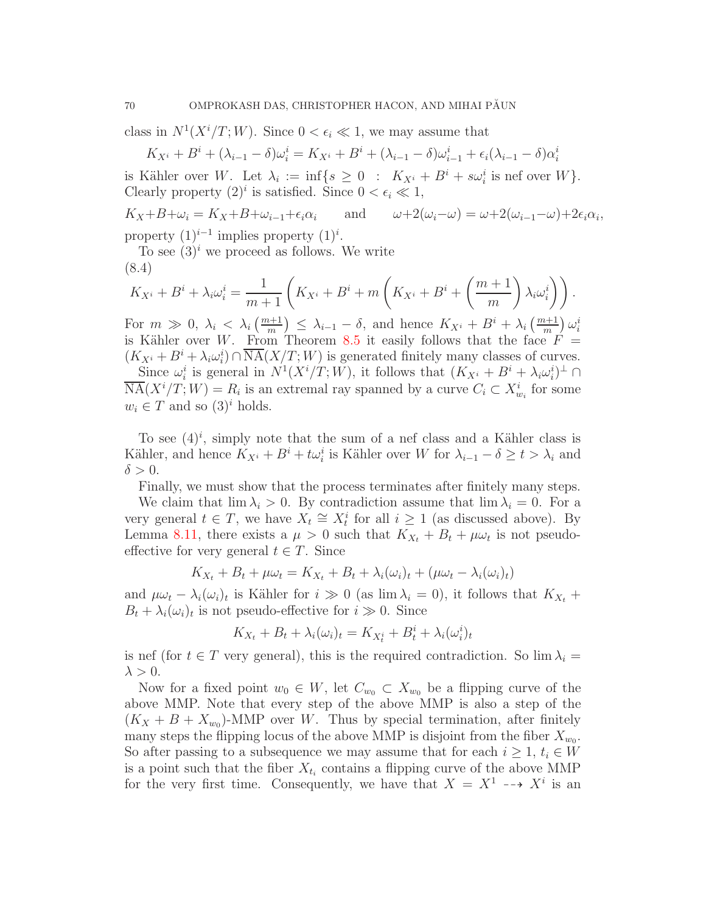class in  $N^1(X^i/T;W)$ . Since  $0 < \epsilon_i \ll 1$ , we may assume that

$$
K_{X^{i}} + B^{i} + (\lambda_{i-1} - \delta)\omega_{i}^{i} = K_{X^{i}} + B^{i} + (\lambda_{i-1} - \delta)\omega_{i-1}^{i} + \epsilon_{i}(\lambda_{i-1} - \delta)\alpha_{i}^{i}
$$

is Kähler over W. Let  $\lambda_i := \inf\{s \geq 0 : K_{X^i} + B^i + s\omega_i^i \text{ is nef over } W\}.$ Clearly property  $(2)^i$  is satisfied. Since  $0 < \epsilon_i \ll 1$ ,

$$
K_X + B + \omega_i = K_X + B + \omega_{i-1} + \epsilon_i \alpha_i \quad \text{and} \quad \omega + 2(\omega_i - \omega) = \omega + 2(\omega_{i-1} - \omega) + 2\epsilon_i \alpha_i,
$$
  
property (1)<sup>*i*-1</sup> implies property (1)<sup>*i*</sup>.

property  $(1)^{i-1}$ To see  $(3)^i$  we proceed as follows. We write

$$
K_{X^{i}} + B^{i} + \lambda_{i}\omega_{i}^{i} = \frac{1}{m+1}\left(K_{X^{i}} + B^{i} + m\left(K_{X^{i}} + B^{i} + \left(\frac{m+1}{m}\right)\lambda_{i}\omega_{i}^{i}\right)\right).
$$

For  $m \gg 0$ ,  $\lambda_i \leq \lambda_i \left( \frac{m+1}{m} \right) \leq \lambda_{i-1} - \delta$ , and hence  $K_{X_i} + B_i + \lambda_i \left( \frac{m+1}{m} \right) \omega_i^i$ is Kähler over W. From Theorem [8.5](#page-60-0) it easily follows that the face  $F =$  $(K_{X_i} + B^i + \lambda_i \omega_i^i) \cap \overline{\text{NA}}(X/T; W)$  is generated finitely many classes of curves.

Since  $\omega_i^i$  is general in  $N^1(X^i/T;W)$ , it follows that  $(K_{X^i} + B^i + \lambda_i \omega_i^i)^{\perp} \cap$  $\overline{\text{NA}}(X^i/T; W) = R_i$  is an extremal ray spanned by a curve  $C_i \subset X^i_{w_i}$  for some  $w_i \in T$  and so  $(3)^i$  holds.

To see  $(4)^i$ , simply note that the sum of a nef class and a Kähler class is Kähler, and hence  $K_{X_i} + B^i + t\omega_i^i$  is Kähler over W for  $\lambda_{i-1} - \delta \ge t > \lambda_i$  and  $\delta > 0$ .

Finally, we must show that the process terminates after finitely many steps.

We claim that  $\lim_{i \to \infty} \lambda_i > 0$ . By contradiction assume that  $\lim_{i \to \infty} \lambda_i = 0$ . For a very general  $t \in T$ , we have  $X_t \cong X_t^i$  for all  $i \geq 1$  (as discussed above). By Lemma [8.11,](#page-64-0) there exists a  $\mu > 0$  such that  $K_{X_t} + B_t + \mu \omega_t$  is not pseudoeffective for very general  $t \in T$ . Since

$$
K_{X_t} + B_t + \mu \omega_t = K_{X_t} + B_t + \lambda_i(\omega_i)_t + (\mu \omega_t - \lambda_i(\omega_i)_t)
$$

and  $\mu \omega_t - \lambda_i(\omega_i)_t$  is Kähler for  $i \gg 0$  (as  $\lim \lambda_i = 0$ ), it follows that  $K_{X_t}$  +  $B_t + \lambda_i(\omega_i)_t$  is not pseudo-effective for  $i \gg 0$ . Since

$$
K_{X_t} + B_t + \lambda_i(\omega_i)_t = K_{X_t^i} + B_t^i + \lambda_i(\omega_i^i)_t
$$

is nef (for  $t \in T$  very general), this is the required contradiction. So  $\lim_{t \to \infty} \lambda_i =$  $\lambda > 0$ .

Now for a fixed point  $w_0 \in W$ , let  $C_{w_0} \subset X_{w_0}$  be a flipping curve of the above MMP. Note that every step of the above MMP is also a step of the  $(K_X + B + X_{w_0})$ -MMP over W. Thus by special termination, after finitely many steps the flipping locus of the above MMP is disjoint from the fiber  $X_{w_0}$ . So after passing to a subsequence we may assume that for each  $i \geq 1$ ,  $t_i \in W$ is a point such that the fiber  $X_{t_i}$  contains a flipping curve of the above MMP for the very first time. Consequently, we have that  $X = X^1 \dashrightarrow X^i$  is an

(8.4)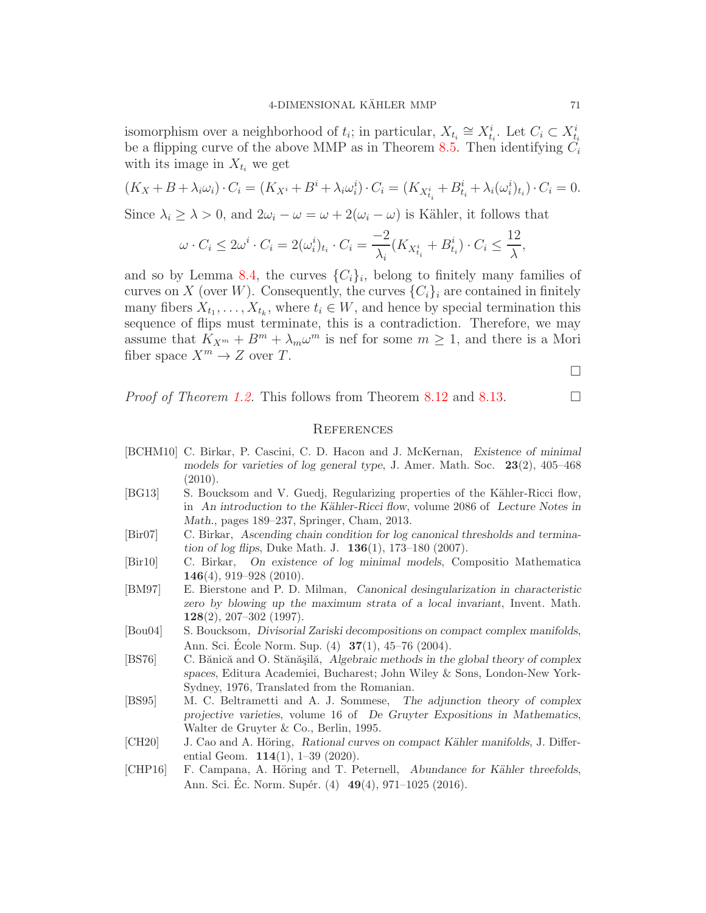isomorphism over a neighborhood of  $t_i$ ; in particular,  $X_{t_i} \cong X_{t_i}^i$ . Let  $C_i \subset X_{t_i}^i$ be a flipping curve of the above MMP as in Theorem [8.5.](#page-60-0) Then identifying  $C_i$ with its image in  $X_{t_i}$  we get

$$
(K_X + B + \lambda_i \omega_i) \cdot C_i = (K_{X^i} + B^i + \lambda_i \omega_i^i) \cdot C_i = (K_{X_{t_i}^i} + B_{t_i}^i + \lambda_i (\omega_i^i)_{t_i}) \cdot C_i = 0.
$$

Since  $\lambda_i \geq \lambda > 0$ , and  $2\omega_i - \omega = \omega + 2(\omega_i - \omega)$  is Kähler, it follows that

$$
\omega \cdot C_i \le 2\omega^i \cdot C_i = 2(\omega_i^i)_{t_i} \cdot C_i = \frac{-2}{\lambda_i} (K_{X_{t_i}^i} + B_{t_i}^i) \cdot C_i \le \frac{12}{\lambda},
$$

and so by Lemma [8.4,](#page-59-0) the curves  $\{C_i\}_i$ , belong to finitely many families of curves on X (over W). Consequently, the curves  $\{C_i\}_i$  are contained in finitely many fibers  $X_{t_1}, \ldots, X_{t_k}$ , where  $t_i \in W$ , and hence by special termination this sequence of flips must terminate, this is a contradiction. Therefore, we may assume that  $K_{X^m} + B^m + \lambda_m \omega^m$  is nef for some  $m \geq 1$ , and there is a Mori fiber space  $X^m \to Z$  over T.

 $\Box$ 

*Proof of Theorem [1.2.](#page-1-1)* This follows from Theorem [8.12](#page-65-0) and [8.13.](#page-66-0)

#### **REFERENCES**

- <span id="page-70-0"></span>[BCHM10] C. Birkar, P. Cascini, C. D. Hacon and J. McKernan, Existence of minimal models for varieties of log general type, J. Amer. Math. Soc. 23(2), 405–468  $(2010).$
- [BG13] S. Boucksom and V. Guedj, Regularizing properties of the Kähler-Ricci flow, in An introduction to the Kähler-Ricci flow, volume 2086 of Lecture Notes in Math., pages 189–237, Springer, Cham, 2013.
- <span id="page-70-2"></span>[Bir07] C. Birkar, Ascending chain condition for log canonical thresholds and termination of log flips, Duke Math. J. 136(1), 173–180 (2007).
- <span id="page-70-3"></span>[Bir10] C. Birkar, On existence of log minimal models, Compositio Mathematica 146(4), 919–928 (2010).
- [BM97] E. Bierstone and P. D. Milman, Canonical desingularization in characteristic zero by blowing up the maximum strata of a local invariant, Invent. Math.  $128(2)$ , 207-302 (1997).
- [Bou04] S. Boucksom, Divisorial Zariski decompositions on compact complex manifolds, Ann. Sci. École Norm. Sup. (4) **37**(1), 45–76 (2004).
- [BS76] C. Bănică and O. Stănășilă, Algebraic methods in the global theory of complex spaces, Editura Academiei, Bucharest; John Wiley & Sons, London-New York-Sydney, 1976, Translated from the Romanian.
- <span id="page-70-1"></span>[BS95] M. C. Beltrametti and A. J. Sommese, The adjunction theory of complex projective varieties, volume 16 of De Gruyter Expositions in Mathematics, Walter de Gruyter & Co., Berlin, 1995.
- [CH20] J. Cao and A. Höring, Rational curves on compact Kähler manifolds, J. Differential Geom.  $114(1)$ , 1–39 (2020).
- [CHP16] F. Campana, A. Höring and T. Peternell, Abundance for Kähler threefolds, Ann. Sci. Ec. Norm. Supér. (4) **49**(4), 971–1025 (2016).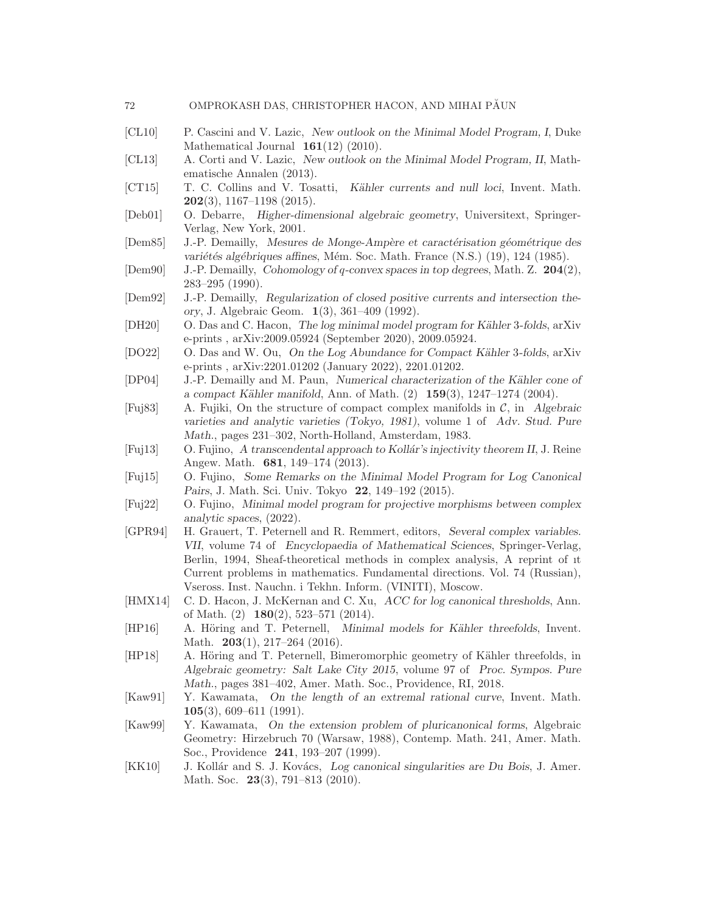|     | OMPROKASH DAS, CHRISTOPHER HACON, AND MIHAI PAUN |  |  |  |
|-----|--------------------------------------------------|--|--|--|
| -72 |                                                  |  |  |  |
|     |                                                  |  |  |  |

- <span id="page-71-0"></span>[CL10] P. Cascini and V. Lazic, New outlook on the Minimal Model Program, I, Duke Mathematical Journal  $161(12)$  (2010).
- <span id="page-71-3"></span>[CL13] A. Corti and V. Lazic, New outlook on the Minimal Model Program, II, Mathematische Annalen (2013).
- [CT15] T. C. Collins and V. Tosatti, Kähler currents and null loci, Invent. Math.  $202(3)$ , 1167–1198 (2015).
- <span id="page-71-8"></span>[Deb01] O. Debarre, Higher-dimensional algebraic geometry, Universitext, Springer-Verlag, New York, 2001.
- [Dem85] J.-P. Demailly, Mesures de Monge-Ampère et caractérisation géométrique des variétés algébriques affines, Mém. Soc. Math. France (N.S.) (19), 124 (1985).
- [Dem90] J.-P. Demailly, Cohomology of q-convex spaces in top degrees, Math. Z. 204(2), 283–295 (1990).
- [Dem92] J.-P. Demailly, Regularization of closed positive currents and intersection theory, J. Algebraic Geom. 1(3), 361–409 (1992).
- <span id="page-71-6"></span>[DH20] O. Das and C. Hacon, The log minimal model program for Kähler 3-folds, arXiv e-prints , arXiv:2009.05924 (September 2020), 2009.05924.
- <span id="page-71-4"></span>[DO22] O. Das and W. Ou, On the Log Abundance for Compact Kähler 3-folds, arXiv e-prints , arXiv:2201.01202 (January 2022), 2201.01202.
- [DP04] J.-P. Demailly and M. Paun, Numerical characterization of the Kähler cone of a compact Kähler manifold, Ann. of Math.  $(2)$  159 $(3)$ , 1247–1274  $(2004)$ .
- [Fuj83] A. Fujiki, On the structure of compact complex manifolds in  $C$ , in Algebraic varieties and analytic varieties (Tokyo, 1981), volume 1 of Adv. Stud. Pure Math., pages 231–302, North-Holland, Amsterdam, 1983.
- [Fuj13] O. Fujino, A transcendental approach to Kollár's injectivity theorem II, J. Reine Angew. Math. 681, 149–174 (2013).
- <span id="page-71-1"></span>[Fuj15] O. Fujino, Some Remarks on the Minimal Model Program for Log Canonical Pairs, J. Math. Sci. Univ. Tokyo 22, 149–192 (2015).
- <span id="page-71-2"></span>[Fuj22] O. Fujino, Minimal model program for projective morphisms between complex analytic spaces, (2022).
- <span id="page-71-11"></span>[GPR94] H. Grauert, T. Peternell and R. Remmert, editors, Several complex variables. VII, volume 74 of Encyclopaedia of Mathematical Sciences, Springer-Verlag, Berlin, 1994, Sheaf-theoretical methods in complex analysis, A reprint of ıt Current problems in mathematics. Fundamental directions. Vol. 74 (Russian), Vseross. Inst. Nauchn. i Tekhn. Inform. (VINITI), Moscow.
- <span id="page-71-10"></span>[HMX14] C. D. Hacon, J. McKernan and C. Xu, ACC for log canonical thresholds, Ann. of Math.  $(2)$  **180** $(2)$ , 523-571  $(2014)$ .
- <span id="page-71-7"></span>[HP16] A. Höring and T. Peternell, Minimal models for Kähler threefolds, Invent. Math. **203**(1), 217-264 (2016).
- [HP18] A. Höring and T. Peternell, Bimeromorphic geometry of Kähler threefolds, in Algebraic geometry: Salt Lake City 2015, volume 97 of Proc. Sympos. Pure Math., pages 381–402, Amer. Math. Soc., Providence, RI, 2018.
- <span id="page-71-5"></span>[Kaw91] Y. Kawamata, On the length of an extremal rational curve, Invent. Math.  $105(3)$ , 609–611 (1991).
- [Kaw99] Y. Kawamata, On the extension problem of pluricanonical forms, Algebraic Geometry: Hirzebruch 70 (Warsaw, 1988), Contemp. Math. 241, Amer. Math. Soc., Providence 241, 193–207 (1999).
- <span id="page-71-9"></span>[KK10] J. Kollár and S. J. Kovács, Log canonical singularities are Du Bois, J. Amer. Math. Soc. 23(3), 791-813 (2010).